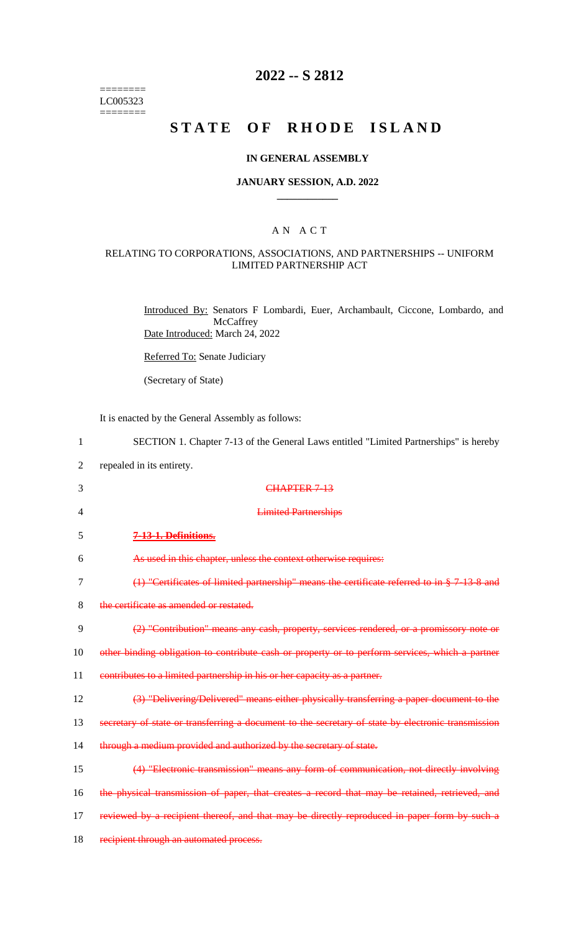======== LC005323  $=$ 

# **2022 -- S 2812**

# **STATE OF RHODE ISLAND**

## **IN GENERAL ASSEMBLY**

#### **JANUARY SESSION, A.D. 2022 \_\_\_\_\_\_\_\_\_\_\_\_**

# A N A C T

#### RELATING TO CORPORATIONS, ASSOCIATIONS, AND PARTNERSHIPS -- UNIFORM LIMITED PARTNERSHIP ACT

Introduced By: Senators F Lombardi, Euer, Archambault, Ciccone, Lombardo, and **McCaffrey** Date Introduced: March 24, 2022

Referred To: Senate Judiciary

(Secretary of State)

It is enacted by the General Assembly as follows:

| $\mathbf{1}$   | SECTION 1. Chapter 7-13 of the General Laws entitled "Limited Partnerships" is hereby              |
|----------------|----------------------------------------------------------------------------------------------------|
| $\overline{2}$ | repealed in its entirety.                                                                          |
| 3              | CHAPTER 7-13                                                                                       |
| 4              | <b>Limited Partnerships</b>                                                                        |
| 5              | 7-13-1. Definitions.                                                                               |
| 6              | As used in this chapter, unless the context otherwise requires:                                    |
| 7              | $(1)$ "Certificates of limited partnership" means the certificate referred to in $\S 7-13-8$ and   |
| 8              | the certificate as amended or restated.                                                            |
| 9              | (2) "Contribution" means any cash, property, services rendered, or a promissory note or            |
| 10             | other binding obligation to contribute cash or property or to perform services, which a partner    |
| 11             | contributes to a limited partnership in his or her capacity as a partner.                          |
| 12             | (3) "Delivering/Delivered" means either physically transferring a paper document to the            |
| 13             | secretary of state or transferring a document to the secretary of state by electronic transmission |
| 14             | through a medium provided and authorized by the secretary of state.                                |
| 15             | (4) "Electronic transmission" means any form of communication, not directly involving              |
| 16             | the physical transmission of paper, that creates a record that may be retained, retrieved, and     |
| 17             | reviewed by a recipient thereof, and that may be directly reproduced in paper form by such a       |
| 18             | recipient through an automated process.                                                            |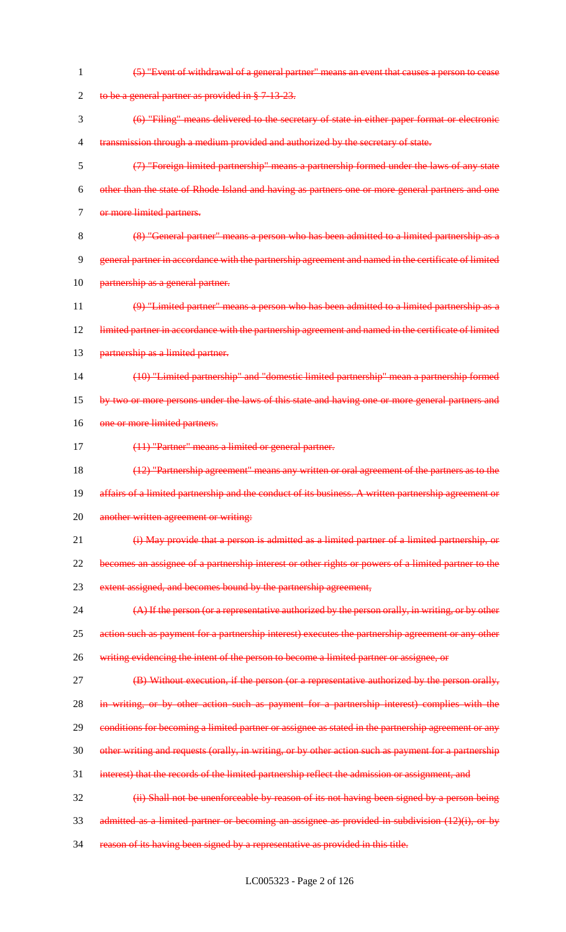1 (5) "Event of withdrawal of a general partner" means an event that causes a person to cease 2 to be a general partner as provided in § 7-13-23. 3 (6) "Filing" means delivered to the secretary of state in either paper format or electronic 4 transmission through a medium provided and authorized by the secretary of state. 5 (7) "Foreign limited partnership" means a partnership formed under the laws of any state 6 other than the state of Rhode Island and having as partners one or more general partners and one 7 or more limited partners. 8 (8) "General partner" means a person who has been admitted to a limited partnership as a 9 general partner in accordance with the partnership agreement and named in the certificate of limited 10 partnership as a general partner. 11 (9) "Limited partner" means a person who has been admitted to a limited partnership as a 12 limited partner in accordance with the partnership agreement and named in the certificate of limited 13 partnership as a limited partner. 14 (10) "Limited partnership" and "domestic limited partnership" mean a partnership formed 15 by two or more persons under the laws of this state and having one or more general partners and 16 one or more limited partners. 17 (11) "Partner" means a limited or general partner. 18 (12) "Partnership agreement" means any written or oral agreement of the partners as to the 19 affairs of a limited partnership and the conduct of its business. A written partnership agreement or 20 another written agreement or writing: 21 (i) May provide that a person is admitted as a limited partner of a limited partnership, or 22 becomes an assignee of a partnership interest or other rights or powers of a limited partner to the 23 extent assigned, and becomes bound by the partnership agreement, 24 (A) If the person (or a representative authorized by the person orally, in writing, or by other 25 action such as payment for a partnership interest) executes the partnership agreement or any other 26 writing evidencing the intent of the person to become a limited partner or assignee, or 27 **(B)** Without execution, if the person (or a representative authorized by the person orally, 28 in writing, or by other action such as payment for a partnership interest) complies with the 29 conditions for becoming a limited partner or assignee as stated in the partnership agreement or any 30 other writing and requests (orally, in writing, or by other action such as payment for a partnership 31 interest) that the records of the limited partnership reflect the admission or assignment, and 32 (ii) Shall not be unenforceable by reason of its not having been signed by a person being 33 admitted as a limited partner or becoming an assignee as provided in subdivision (12)(i), or by 34 reason of its having been signed by a representative as provided in this title.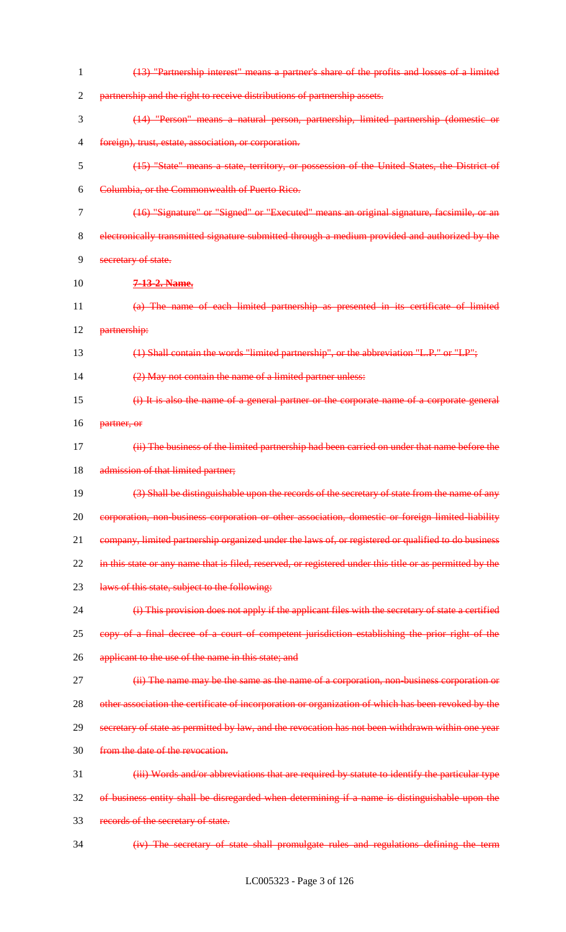| 1  | (13) "Partnership interest" means a partner's share of the profits and losses of a limited               |
|----|----------------------------------------------------------------------------------------------------------|
| 2  | partnership and the right to receive distributions of partnership assets.                                |
| 3  | (14) "Person" means a natural person, partnership, limited partnership (domestic or                      |
| 4  | foreign), trust, estate, association, or corporation.                                                    |
| 5  | (15) "State" means a state, territory, or possession of the United States, the District of               |
| 6  | Columbia, or the Commonwealth of Puerto Rico.                                                            |
| 7  | (16) "Signature" or "Signed" or "Executed" means an original signature, facsimile, or an                 |
| 8  | electronically transmitted signature submitted through a medium provided and authorized by the           |
| 9  | secretary of state.                                                                                      |
| 10 | 7-13-2. Name.                                                                                            |
| 11 | (a) The name of each limited partnership as presented in its certificate of limited                      |
| 12 | partnership:                                                                                             |
| 13 | (1) Shall contain the words "limited partnership", or the abbreviation "L.P." or "LP";                   |
| 14 | (2) May not contain the name of a limited partner unless:                                                |
| 15 | (i) It is also the name of a general partner or the corporate name of a corporate general                |
| 16 | partner, or                                                                                              |
| 17 | (ii) The business of the limited partnership had been carried on under that name before the              |
| 18 | admission of that limited partner;                                                                       |
| 19 | (3) Shall be distinguishable upon the records of the secretary of state from the name of any             |
| 20 | corporation, non-business corporation or other association, domestic or foreign limited liability        |
| 21 | company, limited partnership organized under the laws of, or registered or qualified to do business      |
| 22 | in this state or any name that is filed, reserved, or registered under this title or as permitted by the |
| 23 | laws of this state, subject to the following:                                                            |
| 24 | (i) This provision does not apply if the applicant files with the secretary of state a certified         |
| 25 | copy of a final decree of a court of competent jurisdiction establishing the prior right of the          |
| 26 | applicant to the use of the name in this state; and                                                      |
| 27 | (ii) The name may be the same as the name of a corporation, non-business corporation or                  |
| 28 | other association the certificate of incorporation or organization of which has been revoked by the      |
| 29 | secretary of state as permitted by law, and the revocation has not been withdrawn within one year        |
| 30 | from the date of the revocation.                                                                         |
| 31 | (iii) Words and/or abbreviations that are required by statute to identify the particular type            |
| 32 | of business entity shall be disregarded when determining if a name is distinguishable upon the           |
| 33 | records of the secretary of state.                                                                       |
| 34 | (iv) The secretary of state shall promulgate rules and regulations defining the term                     |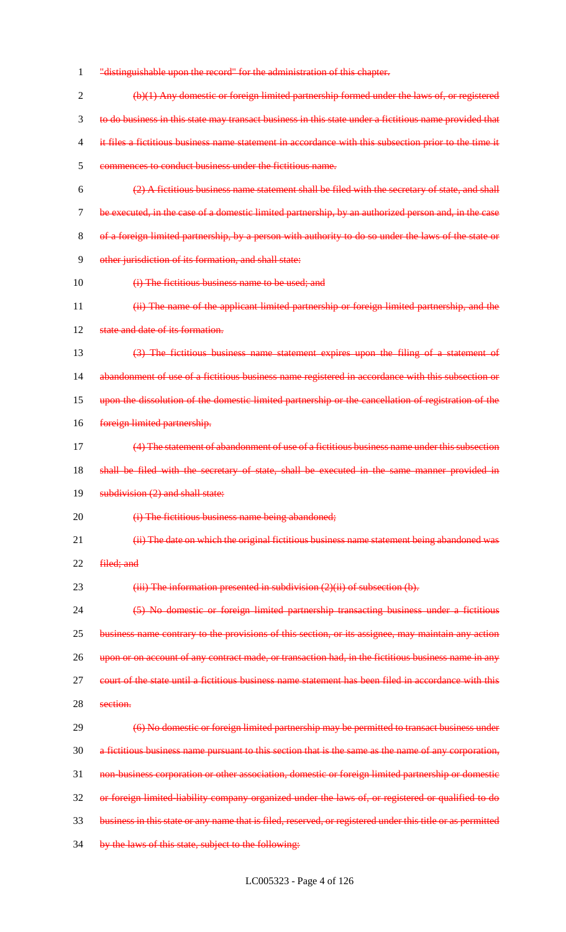1 "distinguishable upon the record" for the administration of this chapter.

|                | $\alpha$ and $\alpha$ and $\alpha$ and $\alpha$ and $\alpha$ and $\alpha$ and $\alpha$ and $\alpha$ and $\alpha$ and $\alpha$ and $\alpha$ and $\alpha$ and $\alpha$ and $\alpha$ and $\alpha$ and $\alpha$ and $\alpha$ and $\alpha$ and $\alpha$ and $\alpha$ and $\alpha$ and $\alpha$ and $\alpha$ and $\alpha$ and $\alpha$ |
|----------------|----------------------------------------------------------------------------------------------------------------------------------------------------------------------------------------------------------------------------------------------------------------------------------------------------------------------------------|
| $\overline{2}$ | (b)(1) Any domestic or foreign limited partnership formed under the laws of, or registered                                                                                                                                                                                                                                       |
| 3              | to do business in this state may transact business in this state under a fictitious name provided that                                                                                                                                                                                                                           |
| 4              | it files a fictitious business name statement in accordance with this subsection prior to the time it                                                                                                                                                                                                                            |
| 5              | commences to conduct business under the fictitious name.                                                                                                                                                                                                                                                                         |
| 6              | (2) A fictitious business name statement shall be filed with the secretary of state, and shall                                                                                                                                                                                                                                   |
| $\tau$         | be executed, in the case of a domestic limited partnership, by an authorized person and, in the case                                                                                                                                                                                                                             |
| 8              | of a foreign limited partnership, by a person with authority to do so under the laws of the state or                                                                                                                                                                                                                             |
| 9              | other jurisdiction of its formation, and shall state:                                                                                                                                                                                                                                                                            |
| 10             | (i) The fictitious business name to be used; and                                                                                                                                                                                                                                                                                 |
| 11             | (ii) The name of the applicant limited partnership or foreign limited partnership, and the                                                                                                                                                                                                                                       |
| 12             | state and date of its formation.                                                                                                                                                                                                                                                                                                 |
| 13             | (3) The fictitious business name statement expires upon the filing of a statement of                                                                                                                                                                                                                                             |
| 14             | abandonment of use of a fictitious business name registered in accordance with this subsection or                                                                                                                                                                                                                                |
| 15             | upon the dissolution of the domestic limited partnership or the cancellation of registration of the                                                                                                                                                                                                                              |
| 16             | foreign limited partnership.                                                                                                                                                                                                                                                                                                     |
| 17             | (4) The statement of abandonment of use of a fictitious business name under this subsection                                                                                                                                                                                                                                      |
| 18             | shall be filed with the secretary of state, shall be executed in the same manner provided in                                                                                                                                                                                                                                     |
| 19             | subdivision (2) and shall state:                                                                                                                                                                                                                                                                                                 |
| 20             | (i) The fictitious business name being abandoned;                                                                                                                                                                                                                                                                                |
| 21             | (ii) The date on which the original fictitious business name statement being abandoned was                                                                                                                                                                                                                                       |
| 22             | filed; and                                                                                                                                                                                                                                                                                                                       |
| 23             | $(iii)$ The information presented in subdivision $(2)(ii)$ of subsection $(b)$ .                                                                                                                                                                                                                                                 |
| 24             | (5) No domestic or foreign limited partnership transacting business under a fictitious                                                                                                                                                                                                                                           |
| 25             | business name contrary to the provisions of this section, or its assignee, may maintain any action                                                                                                                                                                                                                               |
| 26             | upon or on account of any contract made, or transaction had, in the fictitious business name in any                                                                                                                                                                                                                              |
| 27             | court of the state until a fictitious business name statement has been filed in accordance with this                                                                                                                                                                                                                             |
| 28             | section.                                                                                                                                                                                                                                                                                                                         |
| 29             | (6) No domestic or foreign limited partnership may be permitted to transact business under                                                                                                                                                                                                                                       |
| 30             | a fictitious business name pursuant to this section that is the same as the name of any corporation,                                                                                                                                                                                                                             |
| 31             | non-business corporation or other association, domestic or foreign limited partnership or domestic                                                                                                                                                                                                                               |
| 32             | or foreign limited liability company organized under the laws of, or registered or qualified to do                                                                                                                                                                                                                               |
| 33             | business in this state or any name that is filed, reserved, or registered under this title or as permitted                                                                                                                                                                                                                       |
| 34             | by the laws of this state, subject to the following:                                                                                                                                                                                                                                                                             |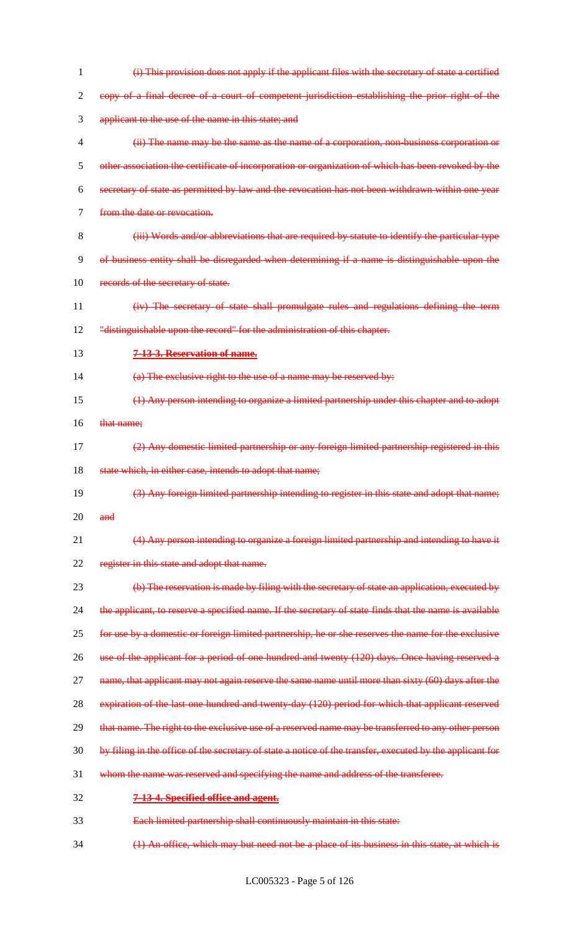| 1              | (i) This provision does not apply if the applicant files with the secretary of state a certified          |
|----------------|-----------------------------------------------------------------------------------------------------------|
| $\overline{2}$ | copy of a final decree of a court of competent jurisdiction establishing the prior right of the           |
| 3              | applicant to the use of the name in this state; and                                                       |
| $\overline{4}$ | (ii) The name may be the same as the name of a corporation, non-business corporation or                   |
| 5              | other association the certificate of incorporation or organization of which has been revoked by the       |
| 6              | secretary of state as permitted by law and the revocation has not been withdrawn within one year          |
| 7              | from the date or revocation.                                                                              |
| 8              | (iii) Words and/or abbreviations that are required by statute to identify the particular type             |
| 9              | of business entity shall be disregarded when determining if a name is distinguishable upon the            |
| 10             | records of the secretary of state.                                                                        |
| 11             | (iv) The secretary of state shall promulgate rules and regulations defining the term                      |
| 12             | "distinguishable upon the record" for the administration of this chapter.                                 |
| 13             | 7-13-3. Reservation of name.                                                                              |
| 14             | (a) The exclusive right to the use of a name may be reserved by:                                          |
| 15             | (1) Any person intending to organize a limited partnership under this chapter and to adopt                |
| 16             | that name;                                                                                                |
| 17             | (2) Any domestic limited partnership or any foreign limited partnership registered in this                |
| 18             | state which, in either case, intends to adopt that name;                                                  |
| 19             | (3) Any foreign limited partnership intending to register in this state and adopt that name;              |
| 20             | and                                                                                                       |
| 21             | (4) Any person intending to organize a foreign limited partnership and intending to have it               |
| 22             | register in this state and adopt that name.                                                               |
| 23             | (b) The reservation is made by filing with the secretary of state an application, executed by             |
| 24             | the applicant, to reserve a specified name. If the secretary of state finds that the name is available    |
| 25             | for use by a domestic or foreign limited partnership, he or she reserves the name for the exclusive       |
| 26             | use of the applicant for a period of one hundred and twenty (120) days. Once having reserved a            |
| 27             | name, that applicant may not again reserve the same name until more than sixty (60) days after the        |
| 28             | expiration of the last one hundred and twenty day (120) period for which that applicant reserved          |
| 29             | that name. The right to the exclusive use of a reserved name may be transferred to any other person       |
|                |                                                                                                           |
| 30             | by filing in the office of the secretary of state a notice of the transfer, executed by the applicant for |
| 31             | whom the name was reserved and specifying the name and address of the transferee.                         |
| 32             | 7-13-4. Specified office and agent.                                                                       |
| 33             | Each limited partnership shall continuously maintain in this state:                                       |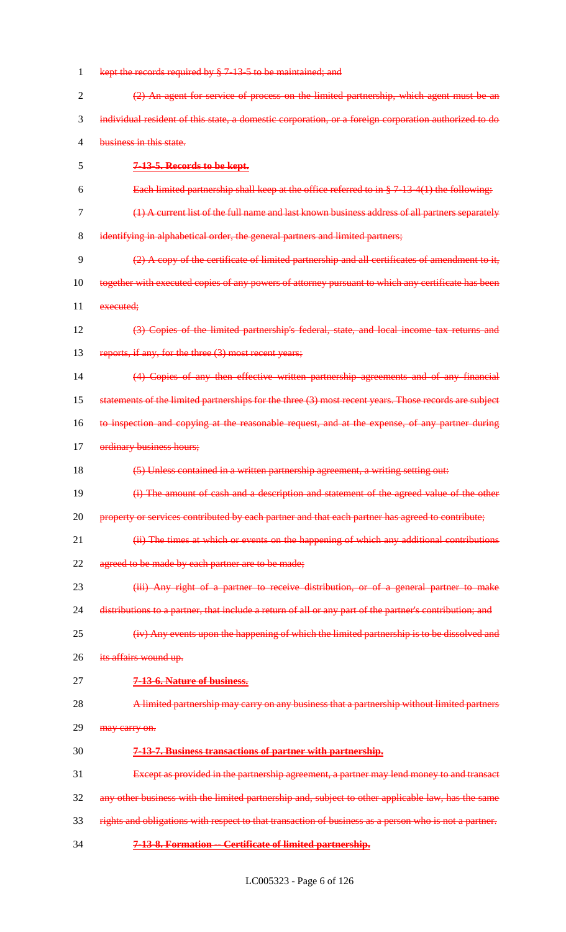1 kept the records required by § 7-13-5 to be maintained; and 2 (2) An agent for service of process on the limited partnership, which agent must be an 3 individual resident of this state, a domestic corporation, or a foreign corporation authorized to do 4 business in this state. 5 **7-13-5. Records to be kept.** 6 Each limited partnership shall keep at the office referred to in § 7-13-4(1) the following: 7 (1) A current list of the full name and last known business address of all partners separately 8 identifying in alphabetical order, the general partners and limited partners; 9 (2) A copy of the certificate of limited partnership and all certificates of amendment to it, 10 together with executed copies of any powers of attorney pursuant to which any certificate has been 11 executed; 12 (3) Copies of the limited partnership's federal, state, and local income tax returns and 13 reports, if any, for the three (3) most recent years; 14 (4) Copies of any then effective written partnership agreements and of any financial 15 statements of the limited partnerships for the three (3) most recent years. Those records are subject 16 to inspection and copying at the reasonable request, and at the expense, of any partner during 17 ordinary business hours; 18 (5) Unless contained in a written partnership agreement, a writing setting out: 19 (i) The amount of cash and a description and statement of the agreed value of the other 20 property or services contributed by each partner and that each partner has agreed to contribute; 21 (ii) The times at which or events on the happening of which any additional contributions 22 agreed to be made by each partner are to be made; 23 **(iii) Any right of a partner to receive distribution, or of a general partner to make** 24 distributions to a partner, that include a return of all or any part of the partner's contribution; and 25 (iv) Any events upon the happening of which the limited partnership is to be dissolved and 26 its affairs wound up. 27 **7-13-6. Nature of business.** 28 A limited partnership may carry on any business that a partnership without limited partners 29 may carry on. 30 **7-13-7. Business transactions of partner with partnership.** 31 Except as provided in the partnership agreement, a partner may lend money to and transact 32 any other business with the limited partnership and, subject to other applicable law, has the same 33 rights and obligations with respect to that transaction of business as a person who is not a partner. 34 **7-13-8. Formation -- Certificate of limited partnership.**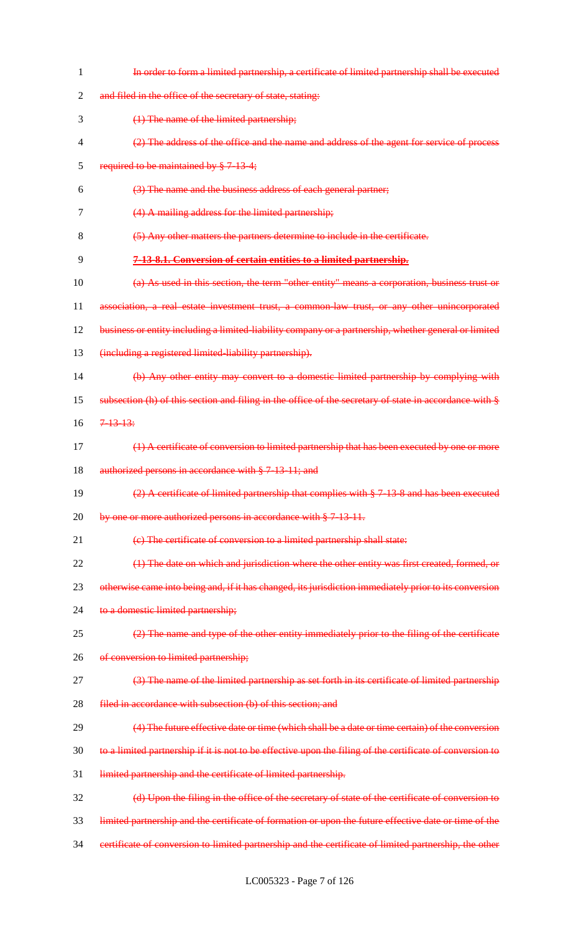| 1              | In order to form a limited partnership, a certificate of limited partnership shall be executed            |
|----------------|-----------------------------------------------------------------------------------------------------------|
| $\overline{2}$ | and filed in the office of the secretary of state, stating:                                               |
| 3              | (1) The name of the limited partnership;                                                                  |
| 4              | (2) The address of the office and the name and address of the agent for service of process                |
| 5              | required to be maintained by § 7-13-4;                                                                    |
| 6              | (3) The name and the business address of each general partner;                                            |
| 7              | (4) A mailing address for the limited partnership;                                                        |
| 8              | (5) Any other matters the partners determine to include in the certificate.                               |
| 9              | 7-13-8.1. Conversion of certain entities to a limited partnership.                                        |
| 10             | (a) As used in this section, the term "other entity" means a corporation, business trust or               |
| 11             | association, a real estate investment trust, a common law trust, or any other unincorporated              |
| 12             | business or entity including a limited-liability company or a partnership, whether general or limited     |
| 13             | (including a registered limited liability partnership).                                                   |
| 14             | (b) Any other entity may convert to a domestic limited partnership by complying with                      |
| 15             | subsection (h) of this section and filing in the office of the secretary of state in accordance with §    |
| 16             | $7 - 13 - 13$                                                                                             |
| 17             | (1) A certificate of conversion to limited partnership that has been executed by one or more              |
| 18             | authorized persons in accordance with § 7-13-11; and                                                      |
| 19             | (2) A certificate of limited partnership that complies with § 7-13-8 and has been executed                |
| 20             | by one or more authorized persons in accordance with $§$ 7-13-11.                                         |
| 21             | (e) The certificate of conversion to a limited partnership shall state:                                   |
| 22             | (1) The date on which and jurisdiction where the other entity was first created, formed, or               |
| 23             | otherwise came into being and, if it has changed, its jurisdiction immediately prior to its conversion    |
| 24             | to a domestic limited partnership;                                                                        |
| 25             | (2) The name and type of the other entity immediately prior to the filing of the certificate              |
| 26             | of conversion to limited partnership;                                                                     |
| 27             | (3) The name of the limited partnership as set forth in its certificate of limited partnership            |
| 28             | filed in accordance with subsection (b) of this section; and                                              |
| 29             | (4) The future effective date or time (which shall be a date or time certain) of the conversion           |
| 30             | to a limited partnership if it is not to be effective upon the filing of the certificate of conversion to |
| 31             | limited partnership and the certificate of limited partnership.                                           |
| 32             | (d) Upon the filing in the office of the secretary of state of the certificate of conversion to           |
| 33             | limited partnership and the certificate of formation or upon the future effective date or time of the     |
| 34             | certificate of conversion to limited partnership and the certificate of limited partnership, the other    |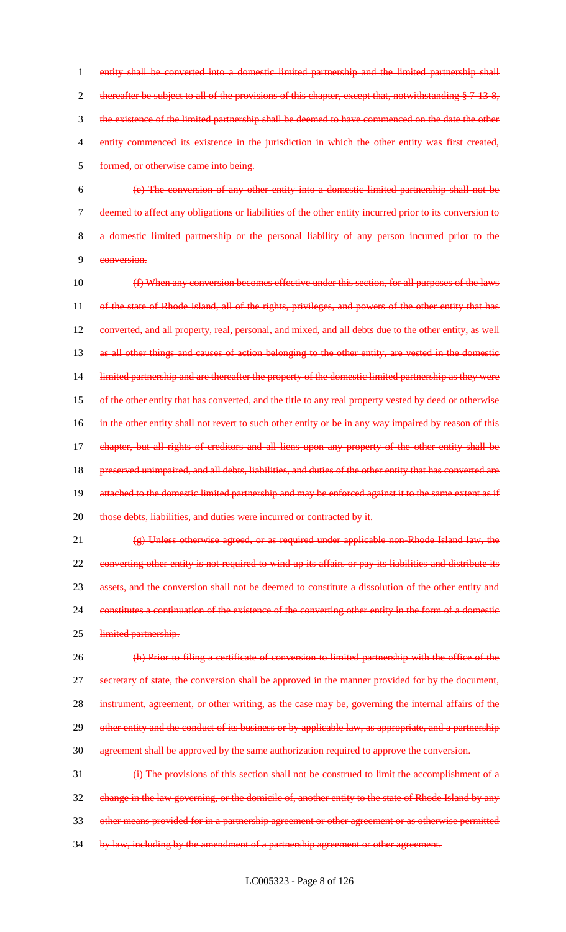1 entity shall be converted into a domestic limited partnership and the limited partnership shall 2 thereafter be subject to all of the provisions of this chapter, except that, notwithstanding § 7-13-8, 3 the existence of the limited partnership shall be deemed to have commenced on the date the other 4 entity commenced its existence in the jurisdiction in which the other entity was first created, 5 formed, or otherwise came into being.

 (e) The conversion of any other entity into a domestic limited partnership shall not be deemed to affect any obligations or liabilities of the other entity incurred prior to its conversion to 8 a domestic limited partnership or the personal liability of any person incurred prior to the conversion.

10 (f) When any conversion becomes effective under this section, for all purposes of the laws 11 of the state of Rhode Island, all of the rights, privileges, and powers of the other entity that has 12 eonverted, and all property, real, personal, and mixed, and all debts due to the other entity, as well 13 as all other things and causes of action belonging to the other entity, are vested in the domestic 14 limited partnership and are thereafter the property of the domestic limited partnership as they were 15 of the other entity that has converted, and the title to any real property vested by deed or otherwise 16 in the other entity shall not revert to such other entity or be in any way impaired by reason of this 17 chapter, but all rights of creditors and all liens upon any property of the other entity shall be 18 preserved unimpaired, and all debts, liabilities, and duties of the other entity that has converted are 19 attached to the domestic limited partnership and may be enforced against it to the same extent as if 20 those debts, liabilities, and duties were incurred or contracted by it.

21 (g) Unless otherwise agreed, or as required under applicable non-Rhode Island law, the 22 converting other entity is not required to wind up its affairs or pay its liabilities and distribute its 23 assets, and the conversion shall not be deemed to constitute a dissolution of the other entity and 24 constitutes a continuation of the existence of the converting other entity in the form of a domestic 25 limited partnership.

26 (h) Prior to filing a certificate of conversion to limited partnership with the office of the 27 secretary of state, the conversion shall be approved in the manner provided for by the document, 28 instrument, agreement, or other writing, as the case may be, governing the internal affairs of the 29 other entity and the conduct of its business or by applicable law, as appropriate, and a partnership 30 agreement shall be approved by the same authorization required to approve the conversion.

 (i) The provisions of this section shall not be construed to limit the accomplishment of a change in the law governing, or the domicile of, another entity to the state of Rhode Island by any other means provided for in a partnership agreement or other agreement or as otherwise permitted 34 by law, including by the amendment of a partnership agreement or other agreement.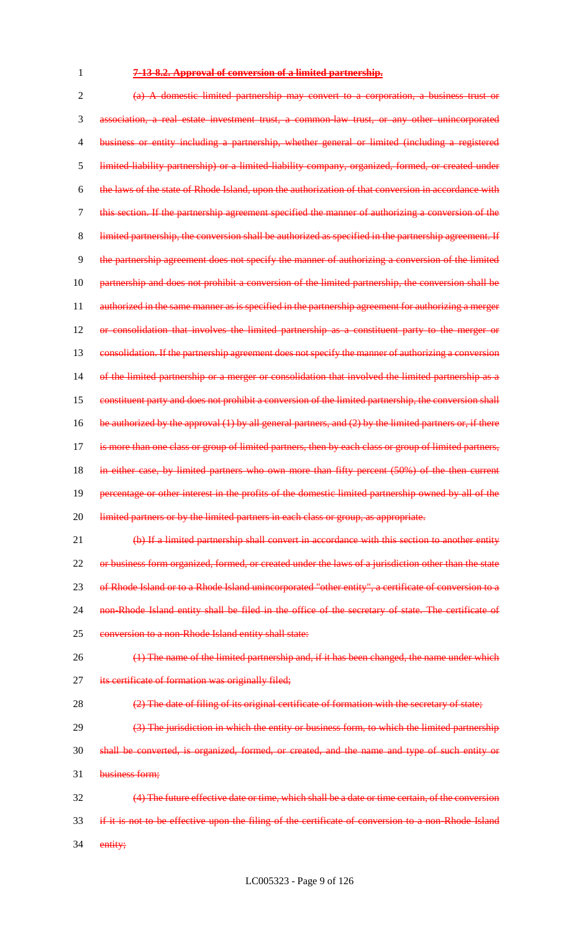# 1 **7-13-8.2. Approval of conversion of a limited partnership.**

2 (a) A domestic limited partnership may convert to a corporation, a business trust or 3 association, a real estate investment trust, a common-law trust, or any other unincorporated 4 business or entity including a partnership, whether general or limited (including a registered 5 limited-liability partnership) or a limited-liability company, organized, formed, or created under 6 the laws of the state of Rhode Island, upon the authorization of that conversion in accordance with 7 this section. If the partnership agreement specified the manner of authorizing a conversion of the 8 limited partnership, the conversion shall be authorized as specified in the partnership agreement. If 9 the partnership agreement does not specify the manner of authorizing a conversion of the limited 10 partnership and does not prohibit a conversion of the limited partnership, the conversion shall be 11 authorized in the same manner as is specified in the partnership agreement for authorizing a merger 12 or consolidation that involves the limited partnership as a constituent party to the merger or 13 consolidation. If the partnership agreement does not specify the manner of authorizing a conversion 14 of the limited partnership or a merger or consolidation that involved the limited partnership as a 15 constituent party and does not prohibit a conversion of the limited partnership, the conversion shall 16 be authorized by the approval (1) by all general partners, and (2) by the limited partners or, if there 17 is more than one class or group of limited partners, then by each class or group of limited partners, 18 in either case, by limited partners who own more than fifty percent (50%) of the then current 19 percentage or other interest in the profits of the domestic limited partnership owned by all of the 20 limited partners or by the limited partners in each class or group, as appropriate. 21 (b) If a limited partnership shall convert in accordance with this section to another entity 22 or business form organized, formed, or created under the laws of a jurisdiction other than the state 23 of Rhode Island or to a Rhode Island unincorporated "other entity", a certificate of conversion to a 24 non-Rhode Island entity shall be filed in the office of the secretary of state. The certificate of 25 conversion to a non-Rhode Island entity shall state: 26 (1) The name of the limited partnership and, if it has been changed, the name under which 27 its certificate of formation was originally filed; 28 (2) The date of filing of its original certificate of formation with the secretary of state; 29 (3) The jurisdiction in which the entity or business form, to which the limited partnership 30 shall be converted, is organized, formed, or created, and the name and type of such entity or 31 business form; 32 (4) The future effective date or time, which shall be a date or time certain, of the conversion 33 if it is not to be effective upon the filing of the certificate of conversion to a non-Rhode Island 34 entity;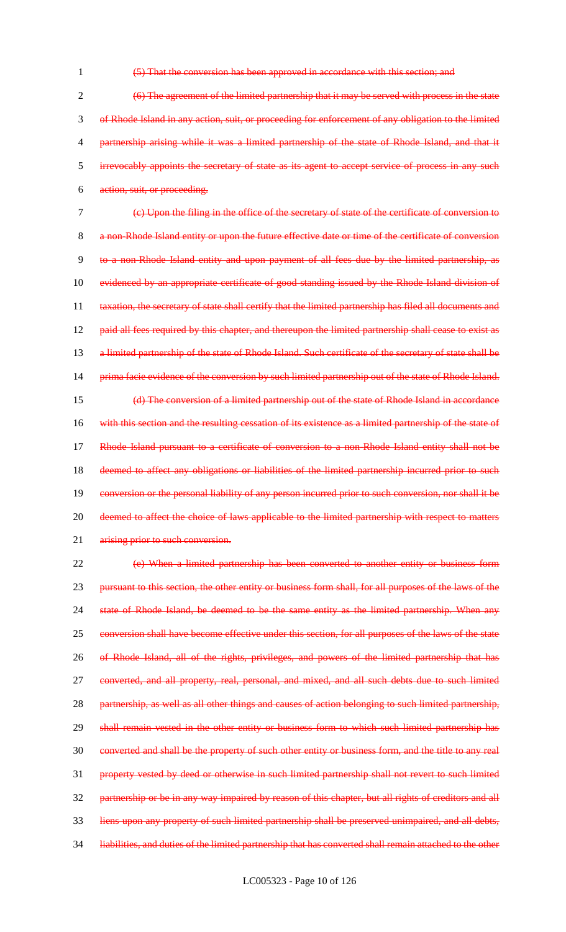1 (5) That the conversion has been approved in accordance with this section; and

 (6) The agreement of the limited partnership that it may be served with process in the state of Rhode Island in any action, suit, or proceeding for enforcement of any obligation to the limited 4 partnership arising while it was a limited partnership of the state of Rhode Island, and that it irrevocably appoints the secretary of state as its agent to accept service of process in any such action, suit, or proceeding.

7 (c) Upon the filing in the office of the secretary of state of the certificate of conversion to 8 a non-Rhode Island entity or upon the future effective date or time of the certificate of conversion 9 to a non-Rhode Island entity and upon payment of all fees due by the limited partnership, as 10 evidenced by an appropriate certificate of good standing issued by the Rhode Island division of 11 taxation, the secretary of state shall certify that the limited partnership has filed all documents and 12 paid all fees required by this chapter, and thereupon the limited partnership shall cease to exist as 13 a limited partnership of the state of Rhode Island. Such certificate of the secretary of state shall be 14 prima facie evidence of the conversion by such limited partnership out of the state of Rhode Island. 15 (d) The conversion of a limited partnership out of the state of Rhode Island in accordance 16 with this section and the resulting cessation of its existence as a limited partnership of the state of 17 Rhode Island pursuant to a certificate of conversion to a non-Rhode Island entity shall not be 18 deemed to affect any obligations or liabilities of the limited partnership incurred prior to such 19 conversion or the personal liability of any person incurred prior to such conversion, nor shall it be 20 deemed to affect the choice of laws applicable to the limited partnership with respect to matters 21 arising prior to such conversion.

22 (e) When a limited partnership has been converted to another entity or business form 23 pursuant to this section, the other entity or business form shall, for all purposes of the laws of the 24 state of Rhode Island, be deemed to be the same entity as the limited partnership. When any 25 conversion shall have become effective under this section, for all purposes of the laws of the state 26 of Rhode Island, all of the rights, privileges, and powers of the limited partnership that has 27 converted, and all property, real, personal, and mixed, and all such debts due to such limited 28 partnership, as well as all other things and causes of action belonging to such limited partnership, 29 shall remain vested in the other entity or business form to which such limited partnership has 30 converted and shall be the property of such other entity or business form, and the title to any real 31 property vested by deed or otherwise in such limited partnership shall not revert to such limited 32 partnership or be in any way impaired by reason of this chapter, but all rights of creditors and all 33 liens upon any property of such limited partnership shall be preserved unimpaired, and all debts, 34 liabilities, and duties of the limited partnership that has converted shall remain attached to the other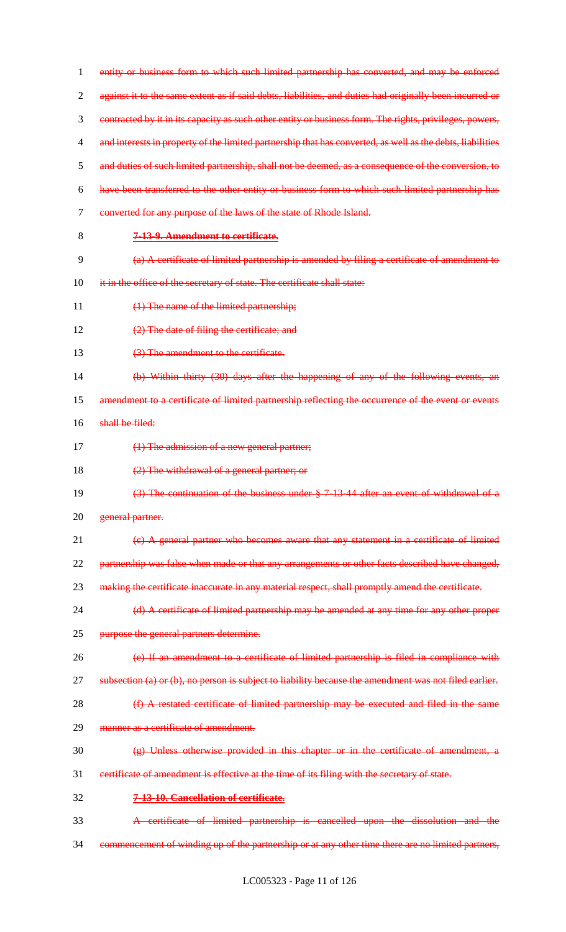| 1  | entity or business form to which such limited partnership has converted, and may be enforced               |
|----|------------------------------------------------------------------------------------------------------------|
| 2  | against it to the same extent as if said debts, liabilities, and duties had originally been incurred or    |
| 3  | contracted by it in its capacity as such other entity or business form. The rights, privileges, powers,    |
| 4  | and interests in property of the limited partnership that has converted, as well as the debts, liabilities |
| 5  | and duties of such limited partnership, shall not be deemed, as a consequence of the conversion, to        |
| 6  | have been transferred to the other entity or business form to which such limited partnership has           |
| 7  | converted for any purpose of the laws of the state of Rhode Island.                                        |
| 8  | 7-13-9. Amendment to certificate.                                                                          |
| 9  | (a) A certificate of limited partnership is amended by filing a certificate of amendment to                |
| 10 | it in the office of the secretary of state. The certificate shall state:                                   |
| 11 | (1) The name of the limited partnership;                                                                   |
| 12 | (2) The date of filing the certificate; and                                                                |
| 13 | (3) The amendment to the certificate.                                                                      |
| 14 | (b) Within thirty (30) days after the happening of any of the following events, an                         |
| 15 | amendment to a certificate of limited partnership reflecting the occurrence of the event or events         |
| 16 | shall be filed:                                                                                            |
| 17 | (1) The admission of a new general partner;                                                                |
| 18 | (2) The withdrawal of a general partner; or                                                                |
| 19 | $(3)$ The continuation of the business under $\S$ 7-13-44 after an event of withdrawal of a                |
| 20 | general partner.                                                                                           |
| 21 | (c) A general partner who becomes aware that any statement in a certificate of limited                     |
| 22 | partnership was false when made or that any arrangements or other facts described have changed,            |
| 23 | making the certificate inaccurate in any material respect, shall promptly amend the certificate.           |
| 24 | (d) A certificate of limited partnership may be amended at any time for any other proper                   |
| 25 | purpose the general partners determine.                                                                    |
| 26 | (e) If an amendment to a certificate of limited partnership is filed in compliance with                    |
| 27 | subsection (a) or (b), no person is subject to liability because the amendment was not filed earlier.      |
| 28 | $(f)$ A restated certificate of limited partnership may be executed and filed in the same                  |
| 29 | manner as a certificate of amendment.                                                                      |
| 30 | Unless otherwise provided in this chapter or in the certificate of amendment, a                            |
| 31 | certificate of amendment is effective at the time of its filing with the secretary of state.               |
| 32 | 7-13-10. Cancellation of certificate.                                                                      |
| 33 | certificate of limited partnership is cancelled upon the dissolution and the                               |
| 34 | commencement of winding up of the partnership or at any other time there are no limited partners,          |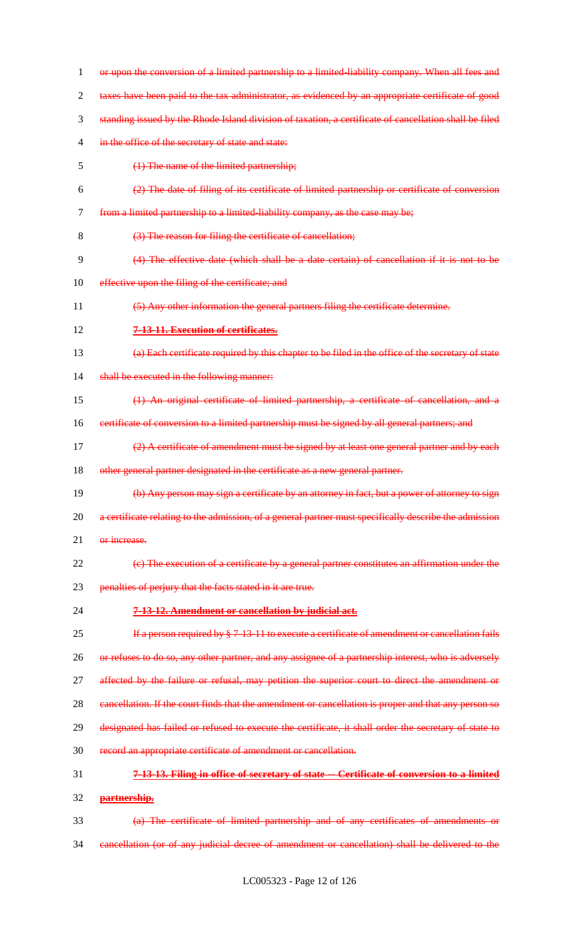| $\mathbf{1}$   | or upon the conversion of a limited partnership to a limited-liability company. When all fees and      |
|----------------|--------------------------------------------------------------------------------------------------------|
| $\overline{2}$ | taxes have been paid to the tax administrator, as evidenced by an appropriate certificate of good      |
| 3              | standing issued by the Rhode Island division of taxation, a certificate of cancellation shall be filed |
| $\overline{4}$ | in the office of the secretary of state and state:                                                     |
| 5              | (1) The name of the limited partnership;                                                               |
| 6              | (2) The date of filing of its certificate of limited partnership or certificate of conversion          |
| $\tau$         | from a limited partnership to a limited-liability company, as the case may be;                         |
| 8              | (3) The reason for filing the certificate of cancellation;                                             |
| 9              | (4) The effective date (which shall be a date certain) of cancellation if it is not to be              |
| 10             | effective upon the filing of the certificate; and                                                      |
| 11             | (5) Any other information the general partners filing the certificate determine.                       |
| 12             | 7-13-11. Execution of certificates.                                                                    |
| 13             | (a) Each certificate required by this chapter to be filed in the office of the secretary of state      |
| 14             | shall be executed in the following manner:                                                             |
| 15             | (1) An original certificate of limited partnership, a certificate of cancellation, and a               |
| 16             | certificate of conversion to a limited partnership must be signed by all general partners; and         |
| 17             | (2) A certificate of amendment must be signed by at least one general partner and by each              |
| 18             | other general partner designated in the certificate as a new general partner.                          |
| 19             | (b) Any person may sign a certificate by an attorney in fact, but a power of attorney to sign          |
| 20             | a certificate relating to the admission, of a general partner must specifically describe the admission |
| 21             | or increase.                                                                                           |
| 22             | (e) The execution of a certificate by a general partner constitutes an affirmation under the           |
| 23             | penalties of perjury that the facts stated in it are true.                                             |
| 24             | 7-13-12. Amendment or cancellation by judicial act.                                                    |
| 25             | If a person required by § 7-13-11 to execute a certificate of amendment or cancellation fails          |
| 26             | or refuses to do so, any other partner, and any assignee of a partnership interest, who is adversely   |
| 27             | affected by the failure or refusal, may petition the superior court to direct the amendment or         |
| 28             | cancellation. If the court finds that the amendment or cancellation is proper and that any person so   |
| 29             | designated has failed or refused to execute the certificate, it shall order the secretary of state to  |
| 30             | record an appropriate certificate of amendment or cancellation.                                        |
| 31             | 7-13-13. Filing in office of secretary of state -- Certificate of conversion to a limited              |
| 32             | partnership.                                                                                           |
| 33             | (a) The certificate of limited partnership and of any certificates of amendments or                    |
| 34             | eancellation (or of any judicial decree of amendment or cancellation) shall be delivered to the        |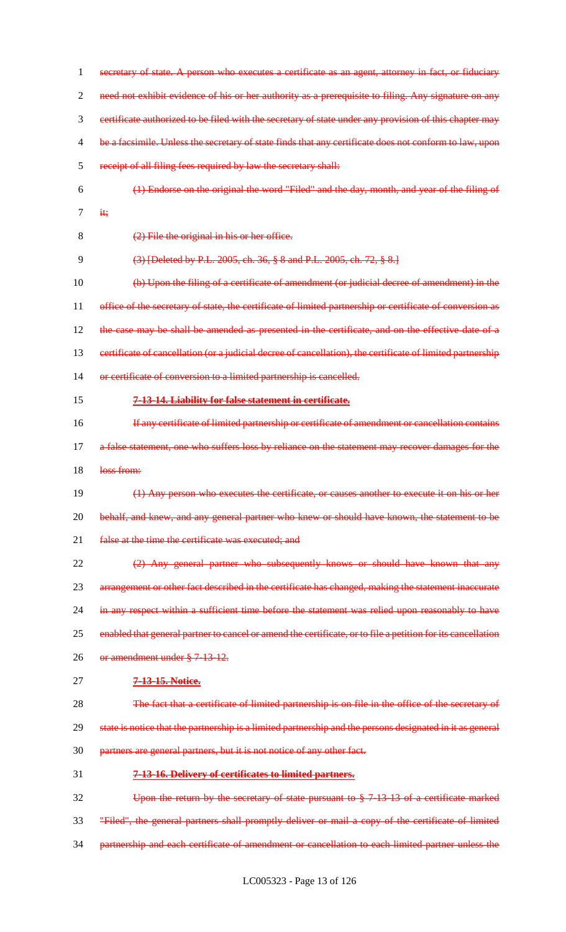1 secretary of state. A person who executes a certificate as an agent, attorney in fact, or fiduciary 2 need not exhibit evidence of his or her authority as a prerequisite to filing. Any signature on any 3 certificate authorized to be filed with the secretary of state under any provision of this chapter may 4 be a facsimile. Unless the secretary of state finds that any certificate does not conform to law, upon 5 receipt of all filing fees required by law the secretary shall: 6 (1) Endorse on the original the word "Filed" and the day, month, and year of the filing of  $7 \frac{4!}{3!}$ 8 (2) File the original in his or her office. 9 (3) [Deleted by P.L. 2005, ch. 36, § 8 and P.L. 2005, ch. 72, § 8.] 10 (b) Upon the filing of a certificate of amendment (or judicial decree of amendment) in the 11 office of the secretary of state, the certificate of limited partnership or certificate of conversion as 12 the case may be shall be amended as presented in the certificate, and on the effective date of a 13 certificate of cancellation (or a judicial decree of cancellation), the certificate of limited partnership 14 or certificate of conversion to a limited partnership is cancelled. 15 **7-13-14. Liability for false statement in certificate.** 16 **If any certificate of limited partnership or certificate of amendment or cancellation contains** 17 a false statement, one who suffers loss by reliance on the statement may recover damages for the 18 loss from: 19 (1) Any person who executes the certificate, or causes another to execute it on his or her 20 behalf, and knew, and any general partner who knew or should have known, the statement to be 21 false at the time the certificate was executed; and 22 (2) Any general partner who subsequently knows or should have known that any 23 arrangement or other fact described in the certificate has changed, making the statement inaccurate 24 in any respect within a sufficient time before the statement was relied upon reasonably to have 25 enabled that general partner to cancel or amend the certificate, or to file a petition for its cancellation 26 or amendment under § 7-13-12. 27 **7-13-15. Notice.** 28 The fact that a certificate of limited partnership is on file in the office of the secretary of 29 state is notice that the partnership is a limited partnership and the persons designated in it as general 30 partners are general partners, but it is not notice of any other fact. 31 **7-13-16. Delivery of certificates to limited partners.** 32 Upon the return by the secretary of state pursuant to § 7-13-13 of a certificate marked 33 "Filed", the general partners shall promptly deliver or mail a copy of the certificate of limited 34 partnership and each certificate of amendment or cancellation to each limited partner unless the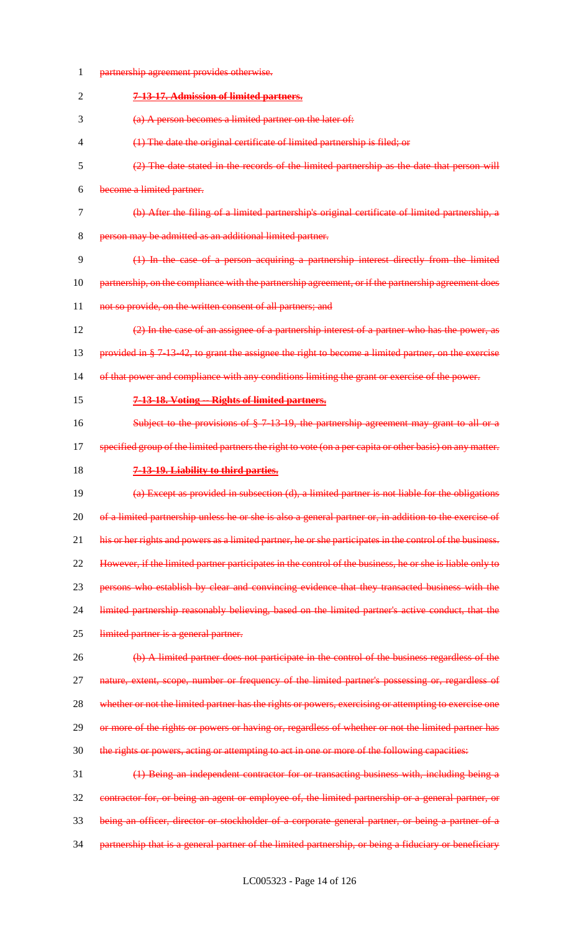1 partnership agreement provides otherwise. 2 **7-13-17. Admission of limited partners.** 3 (a) A person becomes a limited partner on the later of: 4 (1) The date the original certificate of limited partnership is filed; or 5 (2) The date stated in the records of the limited partnership as the date that person will 6 become a limited partner. 7 (b) After the filing of a limited partnership's original certificate of limited partnership, a 8 person may be admitted as an additional limited partner. 9 (1) In the case of a person acquiring a partnership interest directly from the limited 10 partnership, on the compliance with the partnership agreement, or if the partnership agreement does 11 not so provide, on the written consent of all partners; and 12 (2) In the case of an assignee of a partnership interest of a partner who has the power, as 13 provided in § 7-13-42, to grant the assignee the right to become a limited partner, on the exercise 14 of that power and compliance with any conditions limiting the grant or exercise of the power. 15 **7-13-18. Voting -- Rights of limited partners.** 16 Subject to the provisions of § 7-13-19, the partnership agreement may grant to all or a 17 specified group of the limited partners the right to vote (on a per capita or other basis) on any matter. 18 **7-13-19. Liability to third parties.** 19 (a) Except as provided in subsection (d), a limited partner is not liable for the obligations 20 of a limited partnership unless he or she is also a general partner or, in addition to the exercise of 21 his or her rights and powers as a limited partner, he or she participates in the control of the business. 22 However, if the limited partner participates in the control of the business, he or she is liable only to 23 persons who establish by clear and convincing evidence that they transacted business with the 24 limited partnership reasonably believing, based on the limited partner's active conduct, that the 25 limited partner is a general partner. 26 (b) A limited partner does not participate in the control of the business regardless of the 27 nature, extent, scope, number or frequency of the limited partner's possessing or, regardless of 28 whether or not the limited partner has the rights or powers, exercising or attempting to exercise one 29 or more of the rights or powers or having or, regardless of whether or not the limited partner has 30 the rights or powers, acting or attempting to act in one or more of the following capacities: 31 (1) Being an independent contractor for or transacting business with, including being a 32 contractor for, or being an agent or employee of, the limited partnership or a general partner, or 33 being an officer, director or stockholder of a corporate general partner, or being a partner of a 34 partnership that is a general partner of the limited partnership, or being a fiduciary or beneficiary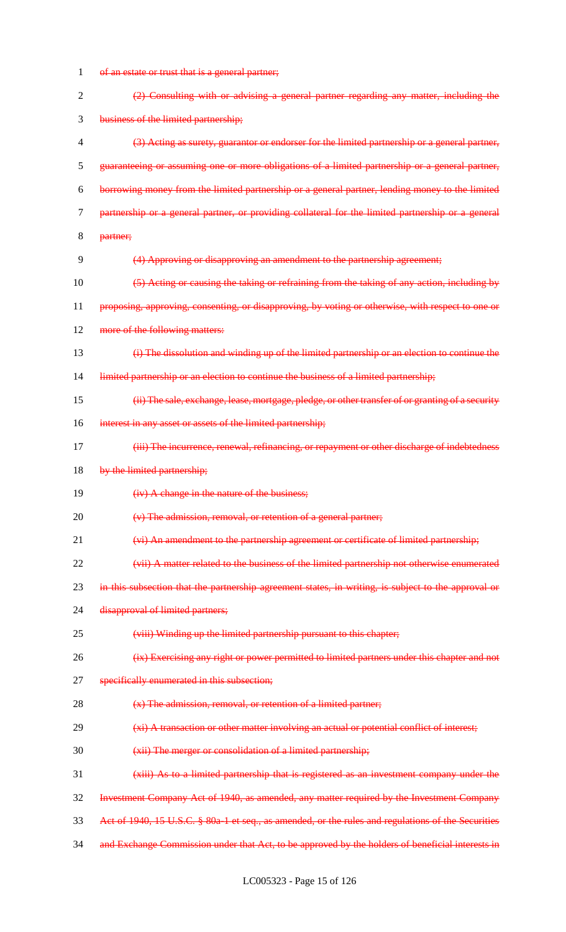of an estate or trust that is a general partner;

| $\overline{2}$ | (2) Consulting with or advising a general partner regarding any matter, including the               |
|----------------|-----------------------------------------------------------------------------------------------------|
| 3              | business of the limited partnership;                                                                |
| 4              | (3) Acting as surety, guarantor or endorser for the limited partnership or a general partner,       |
| 5              | guaranteeing or assuming one or more obligations of a limited partnership or a general partner,     |
| 6              | borrowing money from the limited partnership or a general partner, lending money to the limited     |
| 7              | partnership or a general partner, or providing collateral for the limited partnership or a general  |
| 8              | partner;                                                                                            |
| 9              | (4) Approving or disapproving an amendment to the partnership agreement;                            |
| 10             | (5) Acting or causing the taking or refraining from the taking of any action, including by          |
| 11             | proposing, approving, consenting, or disapproving, by voting or otherwise, with respect to one or   |
| 12             | more of the following matters:                                                                      |
| 13             | (i) The dissolution and winding up of the limited partnership or an election to continue the        |
| 14             | limited partnership or an election to continue the business of a limited partnership;               |
| 15             | (ii) The sale, exchange, lease, mortgage, pledge, or other transfer of or granting of a security    |
| 16             | interest in any asset or assets of the limited partnership;                                         |
| 17             | (iii) The incurrence, renewal, refinancing, or repayment or other discharge of indebtedness         |
|                |                                                                                                     |
| 18             | by the limited partnership;                                                                         |
| 19             | (iv) A change in the nature of the business;                                                        |
| 20             | (v) The admission, removal, or retention of a general partner;                                      |
| 21             | (vi) An amendment to the partnership agreement or certificate of limited partnership;               |
| 22             | (vii) A matter related to the business of the limited partnership not otherwise enumerated          |
| 23             | in this subsection that the partnership agreement states, in writing, is subject to the approval or |
| 24             | disapproval of limited partners;                                                                    |
| 25             | (viii) Winding up the limited partnership pursuant to this chapter;                                 |
| 26             | (ix) Exercising any right or power permitted to limited partners under this chapter and not         |
| 27             | specifically enumerated in this subsection;                                                         |
| 28             | (x) The admission, removal, or retention of a limited partner;                                      |
| 29             | (xi) A transaction or other matter involving an actual or potential conflict of interest;           |
| 30             | (xii) The merger or consolidation of a limited partnership;                                         |
| 31             | (xiii) As to a limited partnership that is registered as an investment company under the            |
| 32             | Investment Company Act of 1940, as amended, any matter required by the Investment Company           |

and Exchange Commission under that Act, to be approved by the holders of beneficial interests in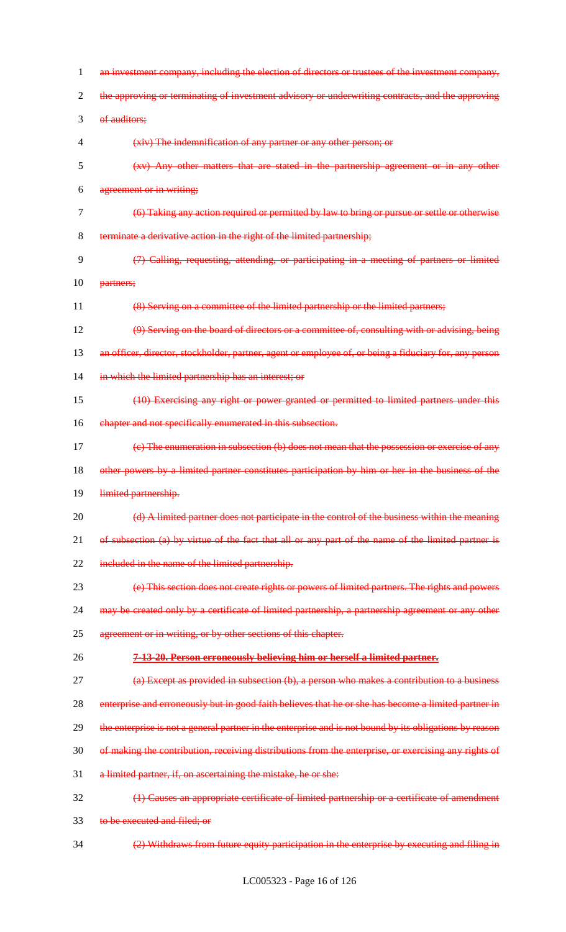| 1              | an investment company, including the election of directors or trustees of the investment company,       |
|----------------|---------------------------------------------------------------------------------------------------------|
| $\overline{2}$ | the approving or terminating of investment advisory or underwriting contracts, and the approving        |
| 3              | of auditors;                                                                                            |
| 4              | (xiv) The indemnification of any partner or any other person; or                                        |
| 5              | (xv) Any other matters that are stated in the partnership agreement or in any other                     |
| 6              | agreement or in writing;                                                                                |
| $\tau$         | (6) Taking any action required or permitted by law to bring or pursue or settle or otherwise            |
| 8              | terminate a derivative action in the right of the limited partnership;                                  |
| 9              | (7) Calling, requesting, attending, or participating in a meeting of partners or limited                |
| 10             | partners;                                                                                               |
| 11             | (8) Serving on a committee of the limited partnership or the limited partners;                          |
| 12             | (9) Serving on the board of directors or a committee of, consulting with or advising, being             |
| 13             | an officer, director, stockholder, partner, agent or employee of, or being a fiduciary for, any person  |
| 14             | in which the limited partnership has an interest; or                                                    |
| 15             | (10) Exercising any right or power granted or permitted to limited partners under this                  |
| 16             | chapter and not specifically enumerated in this subsection.                                             |
| 17             | (e) The enumeration in subsection (b) does not mean that the possession or exercise of any              |
| 18             | other powers by a limited partner constitutes participation by him or her in the business of the        |
| 19             | limited partnership.                                                                                    |
| 20             | (d) A limited partner does not participate in the control of the business within the meaning            |
| 21             | of subsection (a) by virtue of the fact that all or any part of the name of the limited partner is      |
| 22             | included in the name of the limited partnership.                                                        |
| 23             | (e) This section does not create rights or powers of limited partners. The rights and powers            |
| 24             | may be created only by a certificate of limited partnership, a partnership agreement or any other       |
| 25             | agreement or in writing, or by other sections of this chapter.                                          |
| 26             | 7-13-20. Person erroneously believing him or herself a limited partner.                                 |
| 27             | (a) Except as provided in subsection (b), a person who makes a contribution to a business               |
| 28             | enterprise and erroneously but in good faith believes that he or she has become a limited partner in    |
| 29             | the enterprise is not a general partner in the enterprise and is not bound by its obligations by reason |
| 30             | of making the contribution, receiving distributions from the enterprise, or exercising any rights of    |
| 31             | a limited partner, if, on ascertaining the mistake, he or she:                                          |
| 32             | (1) Causes an appropriate certificate of limited partnership or a certificate of amendment              |
| 33             | to be executed and filed; or                                                                            |
| 34             | (2) Withdraws from future equity participation in the enterprise by executing and filing in             |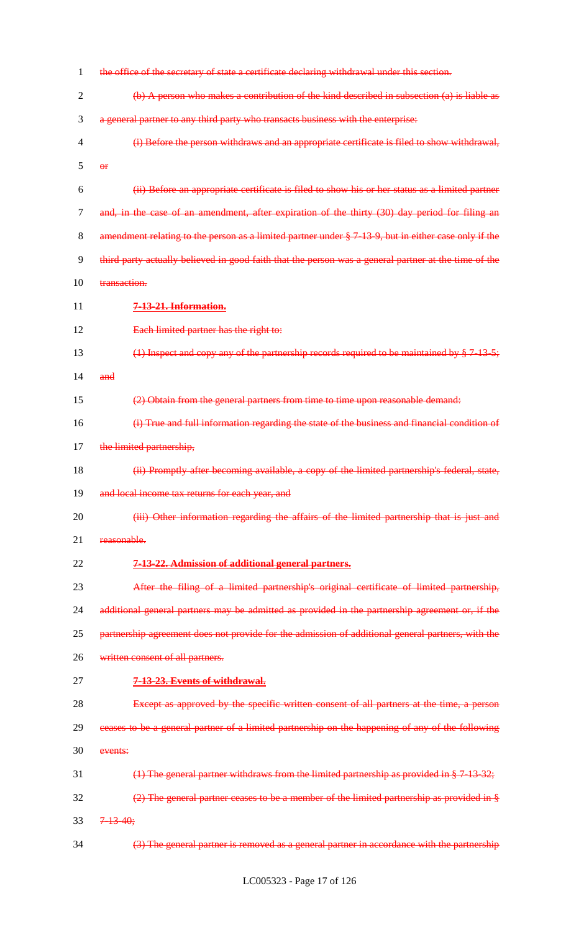| 1              | the office of the secretary of state a certificate declaring withdrawal under this section.          |
|----------------|------------------------------------------------------------------------------------------------------|
| 2              | $(b)$ A person who makes a contribution of the kind described in subsection (a) is liable as         |
| 3              | a general partner to any third party who transacts business with the enterprise:                     |
| $\overline{4}$ | (i) Before the person withdraws and an appropriate certificate is filed to show withdrawal,          |
| 5              | $\theta$ f                                                                                           |
| 6              | (ii) Before an appropriate certificate is filed to show his or her status as a limited partner       |
| 7              | and, in the case of an amendment, after expiration of the thirty (30) day period for filing an       |
| 8              | amendment relating to the person as a limited partner under § 7-13-9, but in either case only if the |
| 9              | third party actually believed in good faith that the person was a general partner at the time of the |
| 10             | transaction.                                                                                         |
| 11             | 7-13-21. Information.                                                                                |
| 12             | Each limited partner has the right to:                                                               |
| 13             | $(1)$ Inspect and copy any of the partnership records required to be maintained by $\S 7-13-5$ ;     |
| 14             | and                                                                                                  |
| 15             | (2) Obtain from the general partners from time to time upon reasonable demand:                       |
| 16             | (i) True and full information regarding the state of the business and financial condition of         |
| 17             | the limited partnership,                                                                             |
| 18             | (ii) Promptly after becoming available, a copy of the limited partnership's federal, state,          |
| 19             | and local income tax returns for each year, and                                                      |
| 20             | (iii) Other information regarding the affairs of the limited partnership that is just and            |
| 21             | reasonable.                                                                                          |
| 22             | 7-13-22. Admission of additional general partners.                                                   |
| 23             | After the filing of a limited partnership's original certificate of limited partnership,             |
| 24             | additional general partners may be admitted as provided in the partnership agreement or, if the      |
| 25             | partnership agreement does not provide for the admission of additional general partners, with the    |
| 26             | written consent of all partners.                                                                     |
| 27             | 7-13-23. Events of withdrawal.                                                                       |
| 28             | Except as approved by the specific written consent of all partners at the time, a person             |
| 29             | ceases to be a general partner of a limited partnership on the happening of any of the following     |
| 30             | events:                                                                                              |
| 31             | $(1)$ The general partner withdraws from the limited partnership as provided in § 7-13-32;           |
| 32             | $(2)$ The general partner ceases to be a member of the limited partnership as provided in $\S$       |
| 33             | $7 - 13 - 40$ ;                                                                                      |
| 34             | (3) The general partner is removed as a general partner in accordance with the partnership           |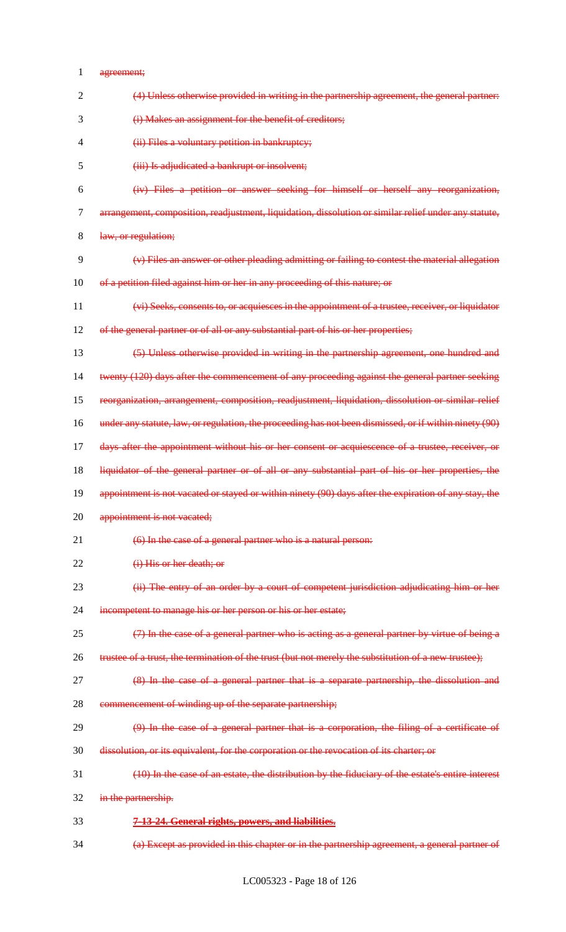| 1              | agreement;                                                                                             |
|----------------|--------------------------------------------------------------------------------------------------------|
| $\overline{c}$ | (4) Unless otherwise provided in writing in the partnership agreement, the general partner:            |
| 3              | (i) Makes an assignment for the benefit of creditors;                                                  |
| $\overline{4}$ | (ii) Files a voluntary petition in bankruptcy;                                                         |
| 5              | (iii) Is adjudicated a bankrupt or insolvent;                                                          |
| 6              | (iv) Files a petition or answer seeking for himself or herself any reorganization,                     |
| $\tau$         | arrangement, composition, readjustment, liquidation, dissolution or similar relief under any statute,  |
| 8              | law, or regulation;                                                                                    |
| 9              | (v) Files an answer or other pleading admitting or failing to contest the material allegation          |
| 10             | of a petition filed against him or her in any proceeding of this nature; or                            |
| 11             | (vi) Seeks, consents to, or acquiesces in the appointment of a trustee, receiver, or liquidator        |
| 12             | of the general partner or of all or any substantial part of his or her properties;                     |
| 13             | (5) Unless otherwise provided in writing in the partnership agreement, one hundred and                 |
| 14             | twenty (120) days after the commencement of any proceeding against the general partner seeking         |
| 15             | reorganization, arrangement, composition, readjustment, liquidation, dissolution or similar relief     |
| 16             | under any statute, law, or regulation, the proceeding has not been dismissed, or if within ninety (90) |
| 17             | days after the appointment without his or her consent or acquiescence of a trustee, receiver, or       |
| 18             | liquidator of the general partner or of all or any substantial part of his or her properties, the      |
| 19             | appointment is not vacated or stayed or within ninety (90) days after the expiration of any stay, the  |
| 20             | appointment is not vacated;                                                                            |
| 21             | (6) In the case of a general partner who is a natural person:                                          |
| 22             | (i) His or her death; or                                                                               |
| 23             | (ii) The entry of an order by a court of competent jurisdiction adjudicating him or her                |
| 24             | incompetent to manage his or her person or his or her estate;                                          |
| 25             | (7) In the case of a general partner who is acting as a general partner by virtue of being a           |
| 26             | trustee of a trust, the termination of the trust (but not merely the substitution of a new trustee);   |
| 27             | (8) In the case of a general partner that is a separate partnership, the dissolution and               |
| 28             | commencement of winding up of the separate partnership;                                                |
| 29             | (9) In the case of a general partner that is a corporation, the filing of a certificate of             |
| 30             | dissolution, or its equivalent, for the corporation or the revocation of its charter; or               |
| 31             | (10) In the case of an estate, the distribution by the fiduciary of the estate's entire interest       |
| 32             | in the partnership.                                                                                    |
| 33             | 7-13-24. General rights, powers, and liabilities.                                                      |
| 34             | (a) Except as provided in this chapter or in the partnership agreement, a general partner of           |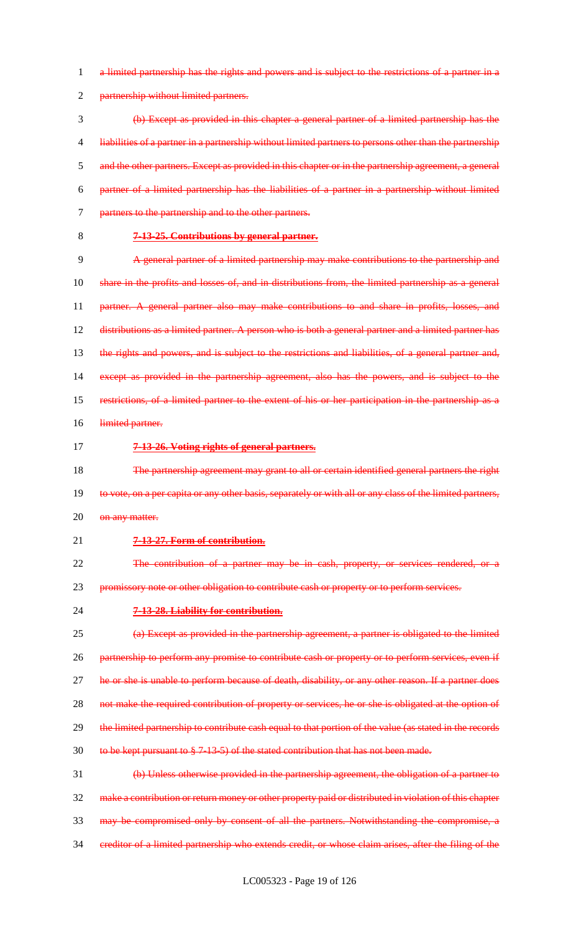a limited partnership has the rights and powers and is subject to the restrictions of a partner in a

partnership without limited partners.

 (b) Except as provided in this chapter a general partner of a limited partnership has the liabilities of a partner in a partnership without limited partners to persons other than the partnership 5 and the other partners. Except as provided in this chapter or in the partnership agreement, a general partner of a limited partnership has the liabilities of a partner in a partnership without limited partners to the partnership and to the other partners.

# **7-13-25. Contributions by general partner.**

 A general partner of a limited partnership may make contributions to the partnership and share in the profits and losses of, and in distributions from, the limited partnership as a general 11 partner. A general partner also may make contributions to and share in profits, losses, and distributions as a limited partner. A person who is both a general partner and a limited partner has 13 the rights and powers, and is subject to the restrictions and liabilities, of a general partner and, except as provided in the partnership agreement, also has the powers, and is subject to the restrictions, of a limited partner to the extent of his or her participation in the partnership as a 16 limited partner.

**7-13-26. Voting rights of general partners.**

 The partnership agreement may grant to all or certain identified general partners the right 19 to vote, on a per capita or any other basis, separately or with all or any class of the limited partners, 20 on any matter.

- **7-13-27. Form of contribution.**
- The contribution of a partner may be in cash, property, or services rendered, or a
- 23 promissory note or other obligation to contribute cash or property or to perform services.
- **7-13-28. Liability for contribution.**

 (a) Except as provided in the partnership agreement, a partner is obligated to the limited 26 partnership to perform any promise to contribute cash or property or to perform services, even if 27 he or she is unable to perform because of death, disability, or any other reason. If a partner does 28 not make the required contribution of property or services, he or she is obligated at the option of 29 the limited partnership to contribute cash equal to that portion of the value (as stated in the records

30 to be kept pursuant to  $\frac{8}{7}$  13-5) of the stated contribution that has not been made.

 (b) Unless otherwise provided in the partnership agreement, the obligation of a partner to make a contribution or return money or other property paid or distributed in violation of this chapter may be compromised only by consent of all the partners. Notwithstanding the compromise, a creditor of a limited partnership who extends credit, or whose claim arises, after the filing of the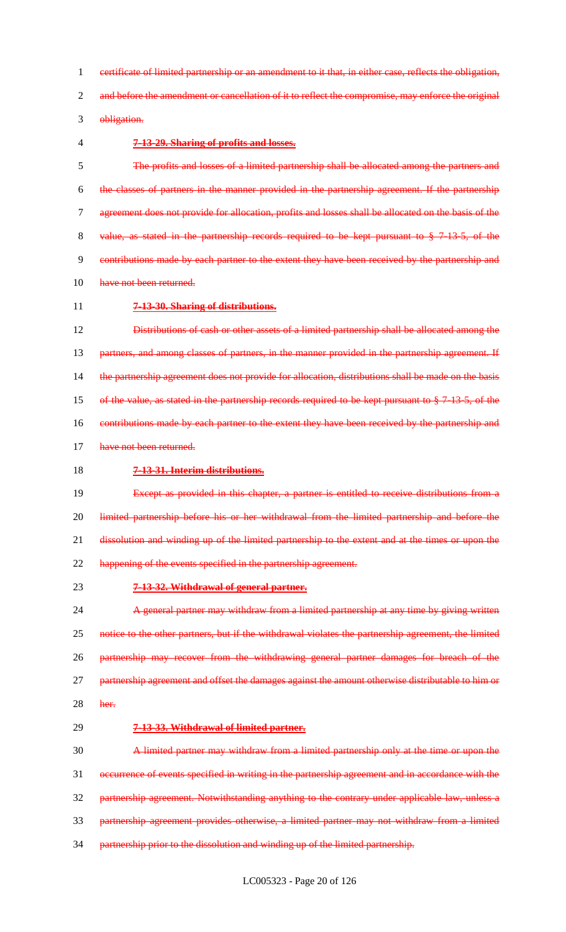1 certificate of limited partnership or an amendment to it that, in either case, reflects the obligation, 2 and before the amendment or cancellation of it to reflect the compromise, may enforce the original obligation.

#### **7-13-29. Sharing of profits and losses.**

 The profits and losses of a limited partnership shall be allocated among the partners and the classes of partners in the manner provided in the partnership agreement. If the partnership agreement does not provide for allocation, profits and losses shall be allocated on the basis of the value, as stated in the partnership records required to be kept pursuant to § 7-13-5, of the contributions made by each partner to the extent they have been received by the partnership and 10 have not been returned.

**7-13-30. Sharing of distributions.**

 Distributions of cash or other assets of a limited partnership shall be allocated among the 13 partners, and among classes of partners, in the manner provided in the partnership agreement. If the partnership agreement does not provide for allocation, distributions shall be made on the basis of the value, as stated in the partnership records required to be kept pursuant to § 7-13-5, of the 16 contributions made by each partner to the extent they have been received by the partnership and 17 have not been returned.

# **7-13-31. Interim distributions.**

 Except as provided in this chapter, a partner is entitled to receive distributions from a 20 limited partnership before his or her withdrawal from the limited partnership and before the 21 dissolution and winding up of the limited partnership to the extent and at the times or upon the happening of the events specified in the partnership agreement.

**7-13-32. Withdrawal of general partner.**

24 A general partner may withdraw from a limited partnership at any time by giving written notice to the other partners, but if the withdrawal violates the partnership agreement, the limited partnership may recover from the withdrawing general partner damages for breach of the 27 partnership agreement and offset the damages against the amount otherwise distributable to him or

her.

#### **7-13-33. Withdrawal of limited partner.**

 A limited partner may withdraw from a limited partnership only at the time or upon the occurrence of events specified in writing in the partnership agreement and in accordance with the partnership agreement. Notwithstanding anything to the contrary under applicable law, unless a partnership agreement provides otherwise, a limited partner may not withdraw from a limited 34 partnership prior to the dissolution and winding up of the limited partnership.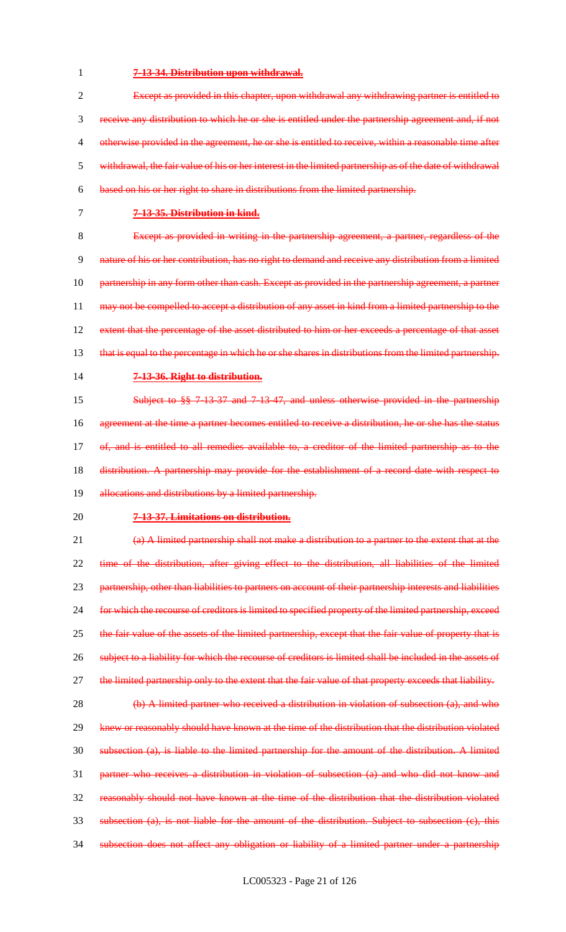# 1 **7-13-34. Distribution upon withdrawal.**

 Except as provided in this chapter, upon withdrawal any withdrawing partner is entitled to receive any distribution to which he or she is entitled under the partnership agreement and, if not otherwise provided in the agreement, he or she is entitled to receive, within a reasonable time after withdrawal, the fair value of his or her interest in the limited partnership as of the date of withdrawal based on his or her right to share in distributions from the limited partnership.

7 **7-13-35. Distribution in kind.**

8 Except as provided in writing in the partnership agreement, a partner, regardless of the 9 nature of his or her contribution, has no right to demand and receive any distribution from a limited 10 partnership in any form other than cash. Except as provided in the partnership agreement, a partner 11 may not be compelled to accept a distribution of any asset in kind from a limited partnership to the 12 extent that the percentage of the asset distributed to him or her exceeds a percentage of that asset 13 that is equal to the percentage in which he or she shares in distributions from the limited partnership.

#### 14 **7-13-36. Right to distribution.**

15 Subject to §§ 7-13-37 and 7-13-47, and unless otherwise provided in the partnership 16 agreement at the time a partner becomes entitled to receive a distribution, he or she has the status 17 of, and is entitled to all remedies available to, a creditor of the limited partnership as to the 18 distribution. A partnership may provide for the establishment of a record date with respect to 19 allocations and distributions by a limited partnership.

#### 20 **7-13-37. Limitations on distribution.**

21 (a) A limited partnership shall not make a distribution to a partner to the extent that at the 22 time of the distribution, after giving effect to the distribution, all liabilities of the limited 23 partnership, other than liabilities to partners on account of their partnership interests and liabilities 24 for which the recourse of creditors is limited to specified property of the limited partnership, exceed 25 the fair value of the assets of the limited partnership, except that the fair value of property that is 26 subject to a liability for which the recourse of creditors is limited shall be included in the assets of 27 the limited partnership only to the extent that the fair value of that property exceeds that liability.

28 (b) A limited partner who received a distribution in violation of subsection (a), and who 29 knew or reasonably should have known at the time of the distribution that the distribution violated 30 subsection (a), is liable to the limited partnership for the amount of the distribution. A limited 31 partner who receives a distribution in violation of subsection (a) and who did not know and 32 reasonably should not have known at the time of the distribution that the distribution violated 33 subsection (a), is not liable for the amount of the distribution. Subject to subsection (c), this 34 subsection does not affect any obligation or liability of a limited partner under a partnership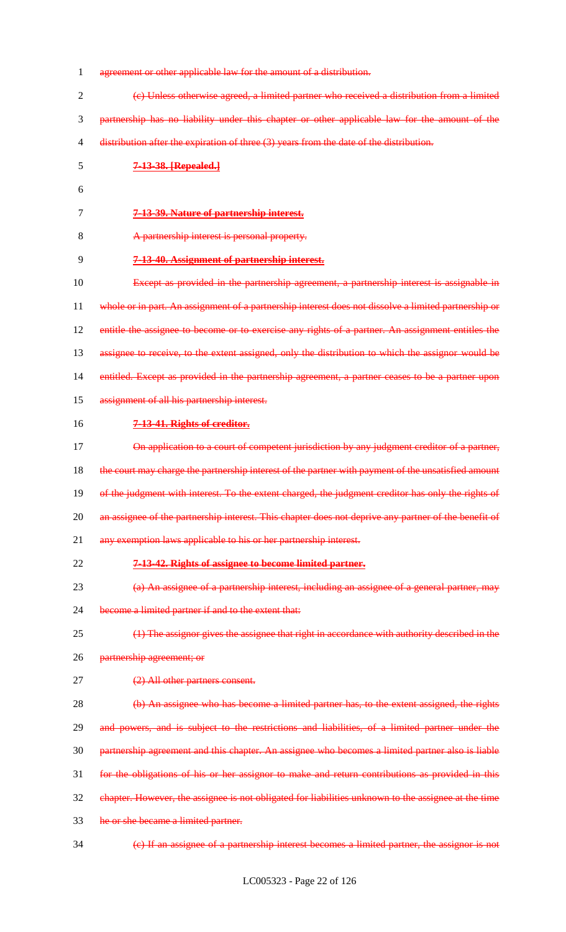agreement or other applicable law for the amount of a distribution. (c) Unless otherwise agreed, a limited partner who received a distribution from a limited partnership has no liability under this chapter or other applicable law for the amount of the 4 distribution after the expiration of three (3) years from the date of the distribution. **7-13-38. [Repealed.] 7-13-39. Nature of partnership interest.** A partnership interest is personal property. **7-13-40. Assignment of partnership interest.** Except as provided in the partnership agreement, a partnership interest is assignable in whole or in part. An assignment of a partnership interest does not dissolve a limited partnership or 12 entitle the assignee to become or to exercise any rights of a partner. An assignment entitles the assignee to receive, to the extent assigned, only the distribution to which the assignor would be 14 entitled. Except as provided in the partnership agreement, a partner ceases to be a partner upon 15 assignment of all his partnership interest. **7-13-41. Rights of creditor.** 17 On application to a court of competent jurisdiction by any judgment creditor of a partner, 18 the court may charge the partnership interest of the partner with payment of the unsatisfied amount 19 of the judgment with interest. To the extent charged, the judgment creditor has only the rights of 20 an assignee of the partnership interest. This chapter does not deprive any partner of the benefit of 21 any exemption laws applicable to his or her partnership interest. **7-13-42. Rights of assignee to become limited partner.** (a) An assignee of a partnership interest, including an assignee of a general partner, may 24 become a limited partner if and to the extent that: (1) The assignor gives the assignee that right in accordance with authority described in the partnership agreement; or (2) All other partners consent. (b) An assignee who has become a limited partner has, to the extent assigned, the rights and powers, and is subject to the restrictions and liabilities, of a limited partner under the partnership agreement and this chapter. An assignee who becomes a limited partner also is liable for the obligations of his or her assignor to make and return contributions as provided in this chapter. However, the assignee is not obligated for liabilities unknown to the assignee at the time he or she became a limited partner. (c) If an assignee of a partnership interest becomes a limited partner, the assignor is not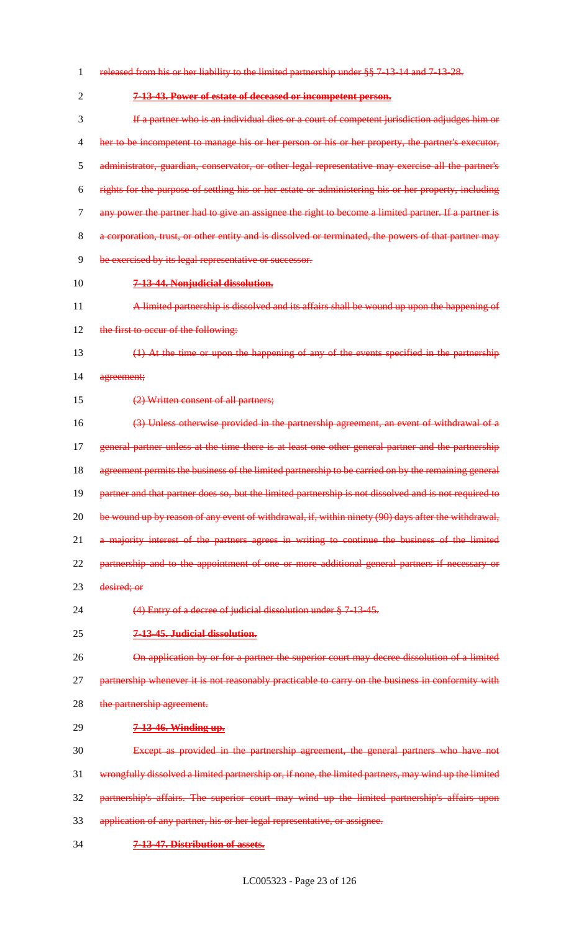- 1 released from his or her liability to the limited partnership under §§ 7-13-14 and 7-13-28.
- 
- 2 **7-13-43. Power of estate of deceased or incompetent person.**

 If a partner who is an individual dies or a court of competent jurisdiction adjudges him or 4 her to be incompetent to manage his or her person or his or her property, the partner's executor, administrator, guardian, conservator, or other legal representative may exercise all the partner's rights for the purpose of settling his or her estate or administering his or her property, including any power the partner had to give an assignee the right to become a limited partner. If a partner is 8 a corporation, trust, or other entity and is dissolved or terminated, the powers of that partner may be exercised by its legal representative or successor. **7-13-44. Nonjudicial dissolution.**

- 11 A limited partnership is dissolved and its affairs shall be wound up upon the happening of
- 12 the first to occur of the following:
- 13 (1) At the time or upon the happening of any of the events specified in the partnership 14 agreement;
- 
- 15 (2) Written consent of all partners;

16 (3) Unless otherwise provided in the partnership agreement, an event of withdrawal of a 17 general partner unless at the time there is at least one other general partner and the partnership 18 agreement permits the business of the limited partnership to be carried on by the remaining general 19 partner and that partner does so, but the limited partnership is not dissolved and is not required to 20 be wound up by reason of any event of withdrawal, if, within ninety (90) days after the withdrawal, 21 a majority interest of the partners agrees in writing to continue the business of the limited 22 partnership and to the appointment of one or more additional general partners if necessary or 23 desired; or

- 24 (4) Entry of a decree of judicial dissolution under § 7-13-45.
- 25 **7-13-45. Judicial dissolution.**

26 **On application by or for a partner the superior court may decree dissolution of a limited** 27 partnership whenever it is not reasonably practicable to carry on the business in conformity with

28 the partnership agreement.

#### 29 **7-13-46. Winding up.**

30 Except as provided in the partnership agreement, the general partners who have not

- 31 wrongfully dissolved a limited partnership or, if none, the limited partners, may wind up the limited
- 32 partnership's affairs. The superior court may wind up the limited partnership's affairs upon
- 33 application of any partner, his or her legal representative, or assignee.
- 34 **7-13-47. Distribution of assets.**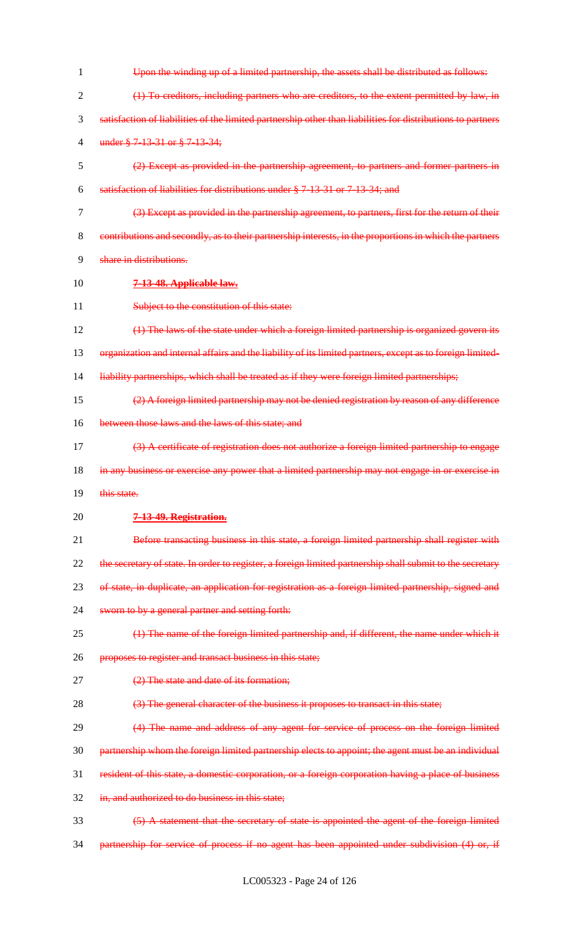| 1              | Upon the winding up of a limited partnership, the assets shall be distributed as follows:                   |
|----------------|-------------------------------------------------------------------------------------------------------------|
| $\overline{2}$ | (1) To creditors, including partners who are creditors, to the extent permitted by law, in                  |
| 3              | satisfaction of liabilities of the limited partnership other than liabilities for distributions to partners |
| 4              | under § 7-13-31 or § 7-13-34;                                                                               |
| 5              | (2) Except as provided in the partnership agreement, to partners and former partners in                     |
| 6              | satisfaction of liabilities for distributions under $\S$ 7-13-31 or 7-13-34; and                            |
| 7              | (3) Except as provided in the partnership agreement, to partners, first for the return of their             |
| 8              | contributions and secondly, as to their partnership interests, in the proportions in which the partners     |
| 9              | share in distributions.                                                                                     |
| 10             | 7-13-48. Applicable law.                                                                                    |
| 11             | Subject to the constitution of this state:                                                                  |
| 12             | (1) The laws of the state under which a foreign limited partnership is organized govern its                 |
| 13             | organization and internal affairs and the liability of its limited partners, except as to foreign limited-  |
| 14             | liability partnerships, which shall be treated as if they were foreign limited partnerships;                |
| 15             | (2) A foreign limited partnership may not be denied registration by reason of any difference                |
| 16             | between those laws and the laws of this state; and                                                          |
| 17             | (3) A certificate of registration does not authorize a foreign limited partnership to engage                |
| 18             | in any business or exercise any power that a limited partnership may not engage in or exercise in           |
| 19             | this state.                                                                                                 |
| 20             | 7-13-49. Registration.                                                                                      |
| 21             | Before transacting business in this state, a foreign limited partnership shall register with                |
| 22             | the secretary of state. In order to register, a foreign limited partnership shall submit to the secretary   |
| 23             | of state, in duplicate, an application for registration as a foreign limited partnership, signed and        |
| 24             | sworn to by a general partner and setting forth:                                                            |
| 25             | (1) The name of the foreign limited partnership and, if different, the name under which it                  |
| 26             | proposes to register and transact business in this state;                                                   |
| 27             | (2) The state and date of its formation;                                                                    |
| 28             | (3) The general character of the business it proposes to transact in this state;                            |
| 29             | (4) The name and address of any agent for service of process on the foreign limited                         |
| 30             | partnership whom the foreign limited partnership elects to appoint; the agent must be an individual         |
| 31             | resident of this state, a domestic corporation, or a foreign corporation having a place of business         |
| 32             | in, and authorized to do business in this state;                                                            |
| 33             | (5) A statement that the secretary of state is appointed the agent of the foreign limited                   |
| 34             | partnership for service of process if no agent has been appointed under subdivision (4) or, if              |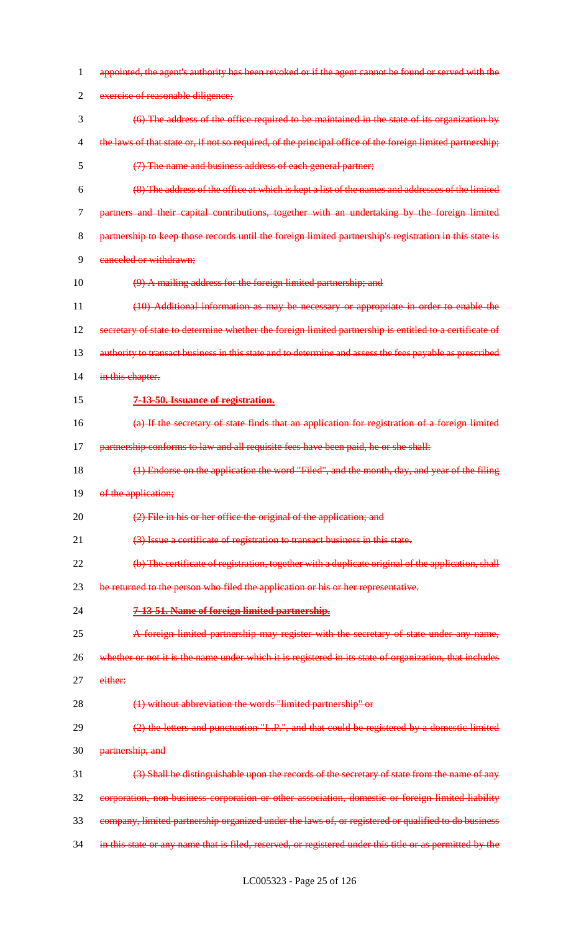| 1              | appointed, the agent's authority has been revoked or if the agent cannot be found or served with the       |
|----------------|------------------------------------------------------------------------------------------------------------|
| $\overline{2}$ | exercise of reasonable diligence;                                                                          |
| 3              | (6) The address of the office required to be maintained in the state of its organization by                |
| 4              | the laws of that state or, if not so required, of the principal office of the foreign limited partnership; |
| 5              | (7) The name and business address of each general partner;                                                 |
| 6              | (8) The address of the office at which is kept a list of the names and addresses of the limited            |
| 7              | partners and their capital contributions, together with an undertaking by the foreign limited              |
| 8              | partnership to keep those records until the foreign limited partnership's registration in this state is    |
| 9              | canceled or withdrawn;                                                                                     |
| 10             | (9) A mailing address for the foreign limited partnership; and                                             |
| 11             | (10) Additional information as may be necessary or appropriate in order to enable the                      |
| 12             | secretary of state to determine whether the foreign limited partnership is entitled to a certificate of    |
| 13             | authority to transact business in this state and to determine and assess the fees payable as prescribed    |
| 14             | in this chapter.                                                                                           |
| 15             | 7-13-50. Issuance of registration.                                                                         |
| 16             | (a) If the secretary of state finds that an application for registration of a foreign limited              |
| 17             | partnership conforms to law and all requisite fees have been paid, he or she shall:                        |
| 18             | (1) Endorse on the application the word "Filed", and the month, day, and year of the filing                |
| 19             | of the application;                                                                                        |
| 20             | (2) File in his or her office the original of the application; and                                         |
| 21             | (3) Issue a certificate of registration to transact business in this state.                                |
| 22             | (b) The certificate of registration, together with a duplicate original of the application, shall          |
| 23             | be returned to the person who filed the application or his or her representative.                          |
| 24             | 7-13-51. Name of foreign limited partnership.                                                              |
| 25             | A foreign limited partnership may register with the secretary of state under any name,                     |
| 26             | whether or not it is the name under which it is registered in its state of organization, that includes     |
| 27             | either:                                                                                                    |
| 28             | (1) without abbreviation the words "limited partnership" or                                                |
| 29             | (2) the letters and punctuation "L.P.", and that could be registered by a domestic limited                 |
| 30             | partnership, and                                                                                           |
| 31             | (3) Shall be distinguishable upon the records of the secretary of state from the name of any               |
| 32             | corporation, non-business corporation or other association, domestic or foreign limited liability          |
| 33             | company, limited partnership organized under the laws of, or registered or qualified to do business        |
| 34             | in this state or any name that is filed, reserved, or registered under this title or as permitted by the   |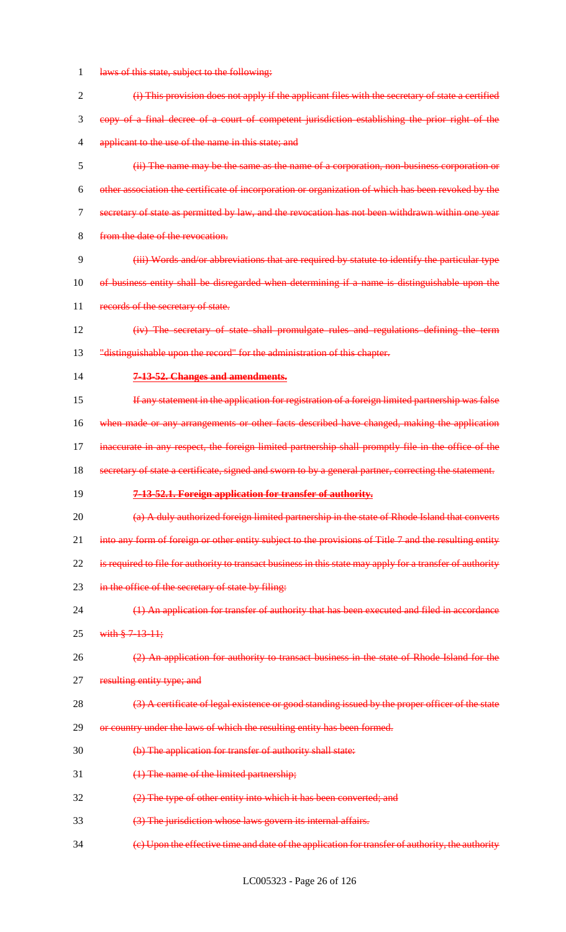1 laws of this state, subject to the following:

| $\overline{2}$ | (i) This provision does not apply if the applicant files with the secretary of state a certified           |
|----------------|------------------------------------------------------------------------------------------------------------|
| 3              | copy of a final decree of a court of competent jurisdiction establishing the prior right of the            |
| 4              | applicant to the use of the name in this state; and                                                        |
| 5              | (ii) The name may be the same as the name of a corporation, non-business corporation or                    |
| 6              | other association the certificate of incorporation or organization of which has been revoked by the        |
| $\tau$         | secretary of state as permitted by law, and the revocation has not been withdrawn within one year          |
| 8              | from the date of the revocation.                                                                           |
| 9              | (iii) Words and/or abbreviations that are required by statute to identify the particular type              |
| 10             | of business entity shall be disregarded when determining if a name is distinguishable upon the             |
| 11             | records of the secretary of state.                                                                         |
| 12             | (iv) The secretary of state shall promulgate rules and regulations defining the term                       |
| 13             | "distinguishable upon the record" for the administration of this chapter.                                  |
| 14             | 7-13-52. Changes and amendments.                                                                           |
| 15             | If any statement in the application for registration of a foreign limited partnership was false            |
| 16             | when made or any arrangements or other facts described have changed, making the application                |
| 17             | inaccurate in any respect, the foreign limited partnership shall promptly file in the office of the        |
| 18             | secretary of state a certificate, signed and sworn to by a general partner, correcting the statement.      |
| 19             | 7-13-52.1. Foreign application for transfer of authority.                                                  |
| 20             | (a) A duly authorized foreign limited partnership in the state of Rhode Island that converts               |
| 21             | into any form of foreign or other entity subject to the provisions of Title 7 and the resulting entity     |
| 22             | is required to file for authority to transact business in this state may apply for a transfer of authority |
| 23             | in the office of the secretary of state by filing:                                                         |
| 24             | (1) An application for transfer of authority that has been executed and filed in accordance                |
| 25             | with $\frac{8}{5}$ 7 - 13 - 11;                                                                            |
| 26             | (2) An application for authority to transact business in the state of Rhode Island for the                 |
| 27             | resulting entity type; and                                                                                 |
| 28             | (3) A certificate of legal existence or good standing issued by the proper officer of the state            |
| 29             | or country under the laws of which the resulting entity has been formed.                                   |
| 30             | (b) The application for transfer of authority shall state:                                                 |
| 31             | (1) The name of the limited partnership;                                                                   |
| 32             | (2) The type of other entity into which it has been converted; and                                         |
| 33             | (3) The jurisdiction whose laws govern its internal affairs.                                               |
| 34             | (e) Upon the effective time and date of the application for transfer of authority, the authority           |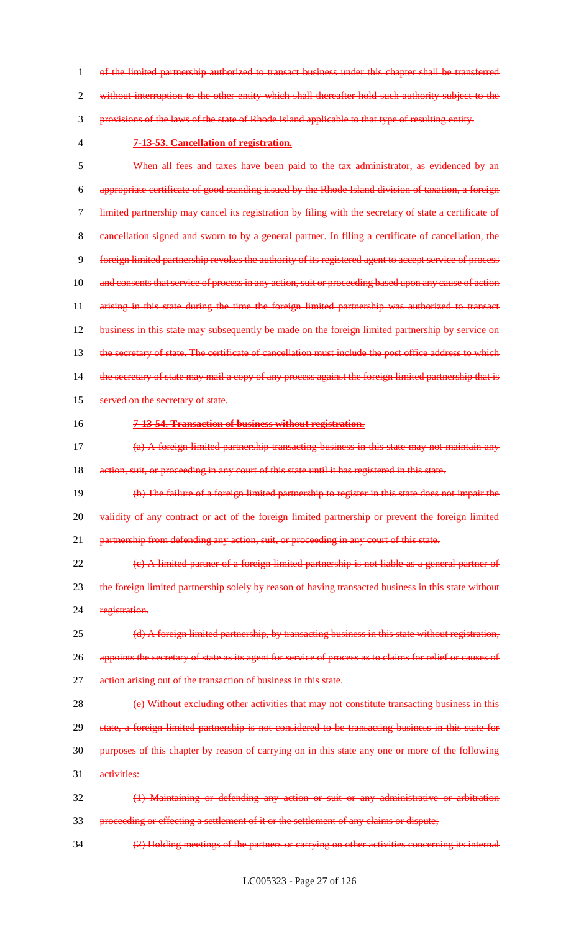1 of the limited partnership authorized to transact business under this chapter shall be transferred 2 without interruption to the other entity which shall thereafter hold such authority subject to the 3 provisions of the laws of the state of Rhode Island applicable to that type of resulting entity.

# 4 **7-13-53. Cancellation of registration.**

5 When all fees and taxes have been paid to the tax administrator, as evidenced by an 6 appropriate certificate of good standing issued by the Rhode Island division of taxation, a foreign 7 limited partnership may cancel its registration by filing with the secretary of state a certificate of 8 cancellation signed and sworn to by a general partner. In filing a certificate of cancellation, the 9 foreign limited partnership revokes the authority of its registered agent to accept service of process 10 and consents that service of process in any action, suit or proceeding based upon any cause of action 11 arising in this state during the time the foreign limited partnership was authorized to transact 12 business in this state may subsequently be made on the foreign limited partnership by service on 13 the secretary of state. The certificate of cancellation must include the post office address to which 14 the secretary of state may mail a copy of any process against the foreign limited partnership that is 15 served on the secretary of state. 16 **7-13-54. Transaction of business without registration.** 17 (a) A foreign limited partnership transacting business in this state may not maintain any 18 action, suit, or proceeding in any court of this state until it has registered in this state. 19 (b) The failure of a foreign limited partnership to register in this state does not impair the 20 validity of any contract or act of the foreign limited partnership or prevent the foreign limited 21 partnership from defending any action, suit, or proceeding in any court of this state. 22 (c) A limited partner of a foreign limited partnership is not liable as a general partner of 23 the foreign limited partnership solely by reason of having transacted business in this state without 24 registration. 25 (d) A foreign limited partnership, by transacting business in this state without registration, 26 appoints the secretary of state as its agent for service of process as to claims for relief or causes of

- 27 action arising out of the transaction of business in this state.
- 28 (e) Without excluding other activities that may not constitute transacting business in this
- 29 state, a foreign limited partnership is not considered to be transacting business in this state for
- 30 purposes of this chapter by reason of carrying on in this state any one or more of the following
- 31 activities:
- 32 (1) Maintaining or defending any action or suit or any administrative or arbitration 33 proceeding or effecting a settlement of it or the settlement of any claims or dispute;
- 34 (2) Holding meetings of the partners or carrying on other activities concerning its internal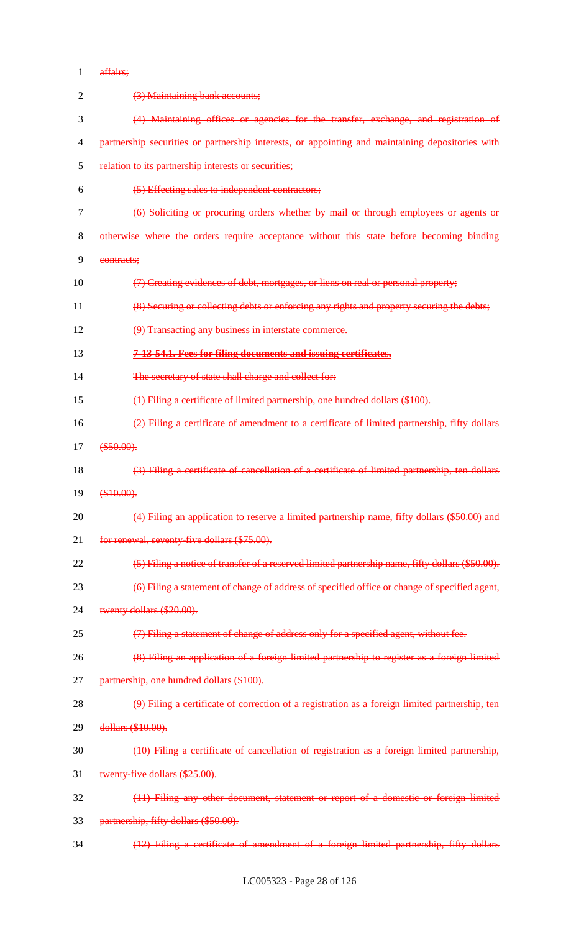# affairs;

| $\overline{2}$ | (3) Maintaining bank accounts;                                                                   |
|----------------|--------------------------------------------------------------------------------------------------|
| 3              | (4) Maintaining offices or agencies for the transfer, exchange, and registration of              |
| 4              | partnership securities or partnership interests, or appointing and maintaining depositories with |
| 5              | relation to its partnership interests or securities;                                             |
| 6              | (5) Effecting sales to independent contractors;                                                  |
| $\tau$         | (6) Soliciting or procuring orders whether by mail or through employees or agents or             |
| 8              | otherwise where the orders require acceptance without this state before becoming binding         |
| 9              | contracts;                                                                                       |
| 10             | (7) Creating evidences of debt, mortgages, or liens on real or personal property;                |
| 11             | (8) Securing or collecting debts or enforcing any rights and property securing the debts;        |
| 12             | (9) Transacting any business in interstate commerce.                                             |
| 13             | 7-13-54.1. Fees for filing documents and issuing certificates.                                   |
| 14             | The secretary of state shall charge and collect for:                                             |
| 15             | (1) Filing a certificate of limited partnership, one hundred dollars (\$100).                    |
| 16             | (2) Filing a certificate of amendment to a certificate of limited partnership, fifty dollars     |
| 17             | $$50.00$ .                                                                                       |
| 18             | (3) Filing a certificate of cancellation of a certificate of limited partnership, ten dollars    |
| 19             | $$10.00$ .                                                                                       |
| 20             | (4) Filing an application to reserve a limited partnership name, fifty dollars (\$50.00) and     |
| 21             | for renewal, seventy-five dollars (\$75.00).                                                     |
| 22             | (5) Filing a notice of transfer of a reserved limited partnership name, fifty dollars (\$50.00). |
| 23             | (6) Filing a statement of change of address of specified office or change of specified agent,    |
| 24             | twenty dollars (\$20.00).                                                                        |
| 25             | (7) Filing a statement of change of address only for a specified agent, without fee.             |
| 26             | (8) Filing an application of a foreign limited partnership to register as a foreign limited      |
| 27             | partnership, one hundred dollars (\$100).                                                        |
| 28             | (9) Filing a certificate of correction of a registration as a foreign limited partnership, ten   |
| 29             | dollars (\$10.00).                                                                               |
| 30             | (10) Filing a certificate of cancellation of registration as a foreign limited partnership,      |
| 31             | twenty-five dollars (\$25.00).                                                                   |
| 32             | (11) Filing any other document, statement or report of a domestic or foreign limited             |
| 33             | partnership, fifty dollars (\$50.00).                                                            |
| 34             | (12) Filing a certificate of amendment of a foreign limited partnership, fifty dollars           |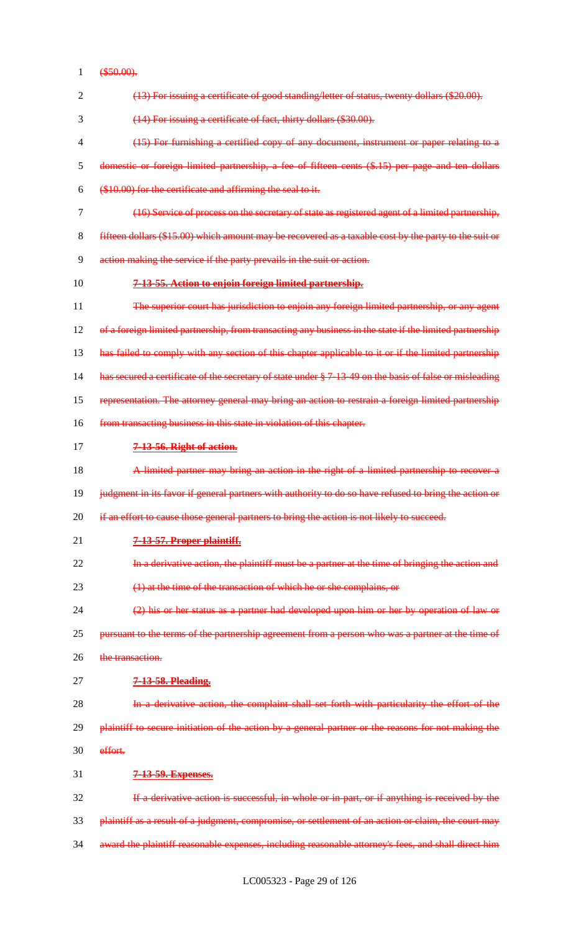- $1 \quad (\$50.00).$
- 2 (13) For issuing a certificate of good standing/letter of status, twenty dollars (\$20.00). 3 (14) For issuing a certificate of fact, thirty dollars (\$30.00). 4 (15) For furnishing a certified copy of any document, instrument or paper relating to a 5 domestic or foreign limited partnership, a fee of fifteen cents (\$.15) per page and ten dollars 6 (\$10.00) for the certificate and affirming the seal to it. 7 (16) Service of process on the secretary of state as registered agent of a limited partnership, 8 fifteen dollars (\$15.00) which amount may be recovered as a taxable cost by the party to the suit or 9 action making the service if the party prevails in the suit or action. 10 **7-13-55. Action to enjoin foreign limited partnership.** 11 The superior court has jurisdiction to enjoin any foreign limited partnership, or any agent 12 of a foreign limited partnership, from transacting any business in the state if the limited partnership 13 has failed to comply with any section of this chapter applicable to it or if the limited partnership 14 has secured a certificate of the secretary of state under  $\S$  7-13-49 on the basis of false or misleading 15 representation. The attorney general may bring an action to restrain a foreign limited partnership 16 from transacting business in this state in violation of this chapter. 17 **7-13-56. Right of action.** 18 A limited partner may bring an action in the right of a limited partnership to recover a 19 judgment in its favor if general partners with authority to do so have refused to bring the action or 20 if an effort to cause those general partners to bring the action is not likely to succeed. 21 **7-13-57. Proper plaintiff.** 22 **In a derivative action, the plaintiff must be a partner at the time of bringing the action and** 23 (1) at the time of the transaction of which he or she complains, or 24 (2) his or her status as a partner had developed upon him or her by operation of law or 25 pursuant to the terms of the partnership agreement from a person who was a partner at the time of 26 the transaction. 27 **7-13-58. Pleading.** 28 **In a derivative action, the complaint shall set forth with particularity the effort of the** 29 plaintiff to secure initiation of the action by a general partner or the reasons for not making the 30 effort. 31 **7-13-59. Expenses.** 32 If a derivative action is successful, in whole or in part, or if anything is received by the 33 plaintiff as a result of a judgment, compromise, or settlement of an action or claim, the court may
- 34 award the plaintiff reasonable expenses, including reasonable attorney's fees, and shall direct him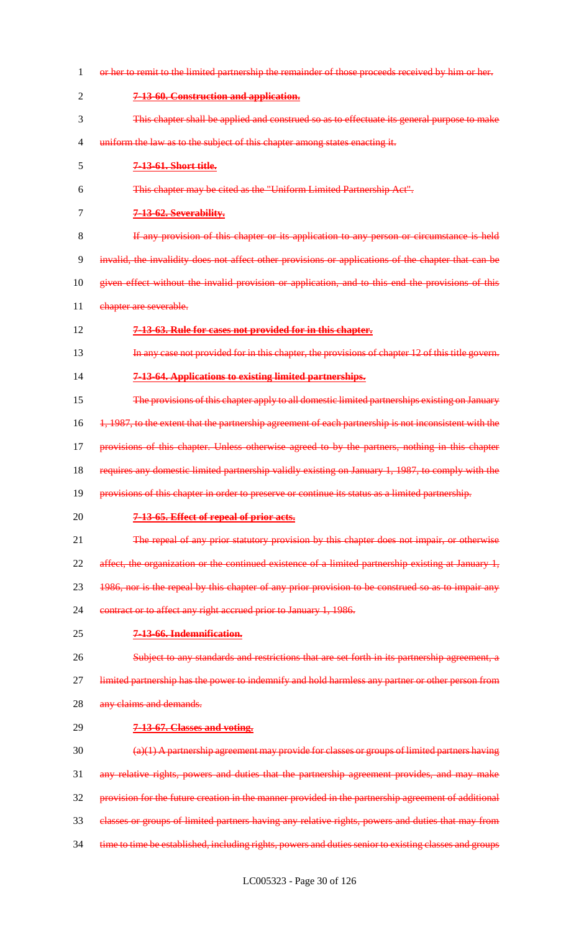1 or her to remit to the limited partnership the remainder of those proceeds received by him or her. 2 **7-13-60. Construction and application.** 3 This chapter shall be applied and construed so as to effectuate its general purpose to make 4 uniform the law as to the subject of this chapter among states enacting it. 5 **7-13-61. Short title.** 6 This chapter may be cited as the "Uniform Limited Partnership Act". 7 **7-13-62. Severability.** 8 If any provision of this chapter or its application to any person or circumstance is held 9 invalid, the invalidity does not affect other provisions or applications of the chapter that can be 10 given effect without the invalid provision or application, and to this end the provisions of this 11 chapter are severable. 12 **7-13-63. Rule for cases not provided for in this chapter.** 13 In any case not provided for in this chapter, the provisions of chapter 12 of this title govern. 14 **7-13-64. Applications to existing limited partnerships.** 15 The provisions of this chapter apply to all domestic limited partnerships existing on January 16 1, 1987, to the extent that the partnership agreement of each partnership is not inconsistent with the 17 provisions of this chapter. Unless otherwise agreed to by the partners, nothing in this chapter 18 requires any domestic limited partnership validly existing on January 1, 1987, to comply with the 19 provisions of this chapter in order to preserve or continue its status as a limited partnership. 20 **7-13-65. Effect of repeal of prior acts.** 21 The repeal of any prior statutory provision by this chapter does not impair, or otherwise 22 affect, the organization or the continued existence of a limited partnership existing at January 1, 23 1986, nor is the repeal by this chapter of any prior provision to be construed so as to impair any 24 contract or to affect any right accrued prior to January 1, 1986. 25 **7-13-66. Indemnification.** 26 Subject to any standards and restrictions that are set forth in its partnership agreement, a 27 limited partnership has the power to indemnify and hold harmless any partner or other person from 28 any claims and demands. 29 **7-13-67. Classes and voting.**  $\left(\frac{a}{1}\right)$  A partnership agreement may provide for classes or groups of limited partners having 31 any relative rights, powers and duties that the partnership agreement provides, and may make 32 provision for the future creation in the manner provided in the partnership agreement of additional 33 classes or groups of limited partners having any relative rights, powers and duties that may from 34 time to time be established, including rights, powers and duties senior to existing classes and groups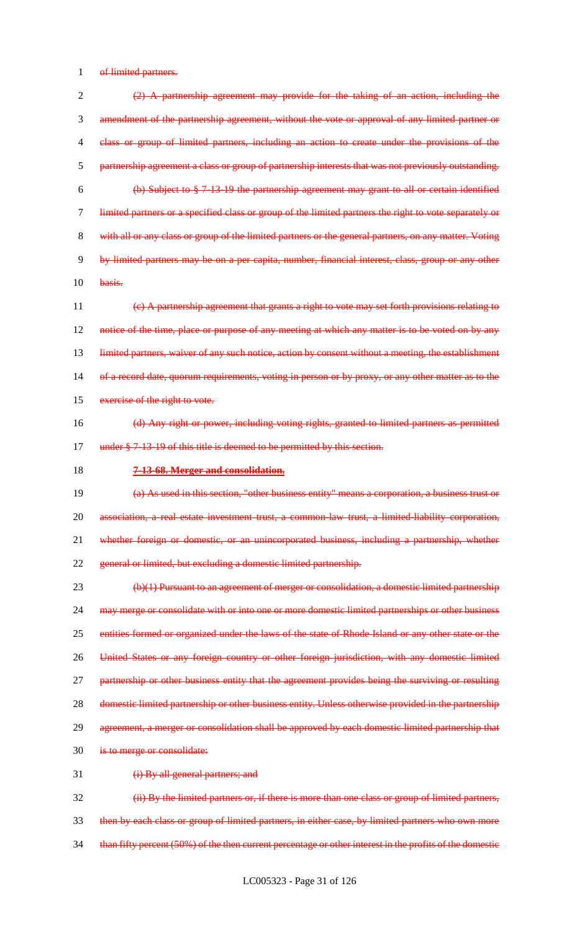1 of limited partners.

| $\overline{2}$ | (2) A partnership agreement may provide for the taking of an action, including the                       |
|----------------|----------------------------------------------------------------------------------------------------------|
| 3              | amendment of the partnership agreement, without the vote or approval of any limited partner or           |
| $\overline{4}$ | class or group of limited partners, including an action to create under the provisions of the            |
| 5              | partnership agreement a class or group of partnership interests that was not previously outstanding.     |
| 6              | (b) Subject to § 7-13-19 the partnership agreement may grant to all or certain identified                |
| $\tau$         | limited partners or a specified class or group of the limited partners the right to vote separately or   |
| 8              | with all or any class or group of the limited partners or the general partners, on any matter. Voting    |
| 9              | by limited partners may be on a per capita, number, financial interest, class, group or any other        |
| 10             | basis.                                                                                                   |
| 11             | (e) A partnership agreement that grants a right to vote may set forth provisions relating to             |
| 12             | notice of the time, place or purpose of any meeting at which any matter is to be voted on by any         |
| 13             | limited partners, waiver of any such notice, action by consent without a meeting, the establishment      |
| 14             | of a record date, quorum requirements, voting in person or by proxy, or any other matter as to the       |
| 15             | exercise of the right to vote.                                                                           |
| 16             | (d) Any right or power, including voting rights, granted to limited partners as permitted                |
| 17             | under § 7-13-19 of this title is deemed to be permitted by this section.                                 |
| 18             | 7-13-68. Merger and consolidation.                                                                       |
| 19             | (a) As used in this section, "other business entity" means a corporation, a business trust or            |
| 20             | association, a real estate investment trust, a common law trust, a limited liability corporation,        |
| 21             | whether foreign or domestic, or an unincorporated business, including a partnership, whether             |
| 22             | general or limited, but excluding a domestic limited partnership.                                        |
| 23             | (b)(1) Pursuant to an agreement of merger or consolidation, a domestic limited partnership               |
| 24             | may merge or consolidate with or into one or more domestic limited partnerships or other business        |
| 25             | entities formed or organized under the laws of the state of Rhode Island or any other state or the       |
| 26             | United States or any foreign country or other foreign jurisdiction, with any domestic limited            |
| 27             | partnership or other business entity that the agreement provides being the surviving or resulting        |
| 28             | domestic limited partnership or other business entity. Unless otherwise provided in the partnership      |
| 29             | agreement, a merger or consolidation shall be approved by each domestic limited partnership that         |
| 30             | is to merge or consolidate:                                                                              |
| 31             | (i) By all general partners; and                                                                         |
| 32             | (ii) By the limited partners or, if there is more than one class or group of limited partners,           |
| 33             | then by each class or group of limited partners, in either case, by limited partners who own more        |
| 34             | than fifty percent (50%) of the then current percentage or other interest in the profits of the domestic |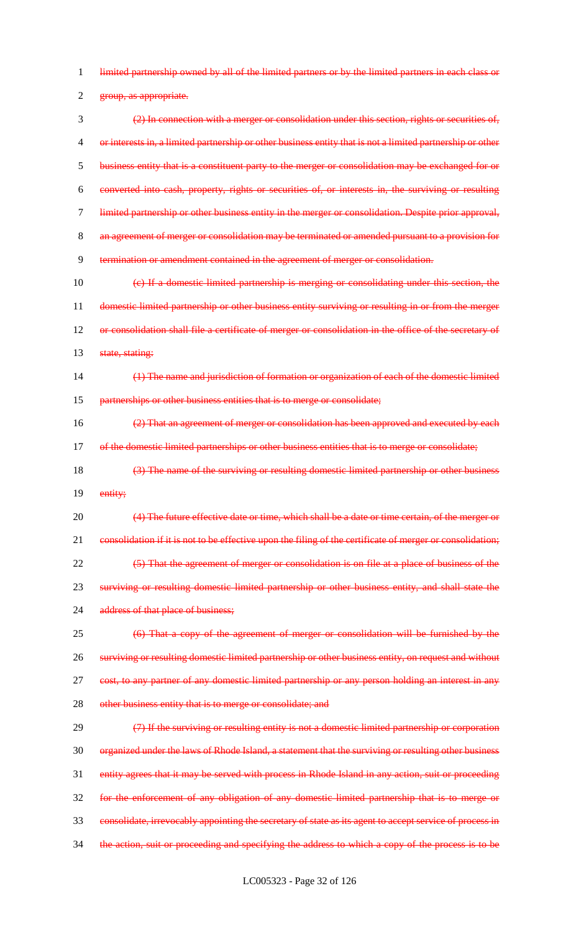1 limited partnership owned by all of the limited partners or by the limited partners in each class or

2 group, as appropriate.

 (2) In connection with a merger or consolidation under this section, rights or securities of, or interests in, a limited partnership or other business entity that is not a limited partnership or other business entity that is a constituent party to the merger or consolidation may be exchanged for or converted into cash, property, rights or securities of, or interests in, the surviving or resulting limited partnership or other business entity in the merger or consolidation. Despite prior approval, an agreement of merger or consolidation may be terminated or amended pursuant to a provision for termination or amendment contained in the agreement of merger or consolidation.

10 (c) If a domestic limited partnership is merging or consolidating under this section, the 11 domestic limited partnership or other business entity surviving or resulting in or from the merger 12 or consolidation shall file a certificate of merger or consolidation in the office of the secretary of 13 state, stating:

14 (1) The name and jurisdiction of formation or organization of each of the domestic limited 15 partnerships or other business entities that is to merge or consolidate;

16 (2) That an agreement of merger or consolidation has been approved and executed by each

17 of the domestic limited partnerships or other business entities that is to merge or consolidate;

18 (3) The name of the surviving or resulting domestic limited partnership or other business 19 entity;

20 (4) The future effective date or time, which shall be a date or time certain, of the merger or 21 consolidation if it is not to be effective upon the filing of the certificate of merger or consolidation; 22 (5) That the agreement of merger or consolidation is on file at a place of business of the 23 surviving or resulting domestic limited partnership or other business entity, and shall state the 24 address of that place of business:

25 (6) That a copy of the agreement of merger or consolidation will be furnished by the 26 surviving or resulting domestic limited partnership or other business entity, on request and without 27 cost, to any partner of any domestic limited partnership or any person holding an interest in any

28 other business entity that is to merge or consolidate; and

29 (7) If the surviving or resulting entity is not a domestic limited partnership or corporation organized under the laws of Rhode Island, a statement that the surviving or resulting other business entity agrees that it may be served with process in Rhode Island in any action, suit or proceeding for the enforcement of any obligation of any domestic limited partnership that is to merge or consolidate, irrevocably appointing the secretary of state as its agent to accept service of process in 34 the action, suit or proceeding and specifying the address to which a copy of the process is to be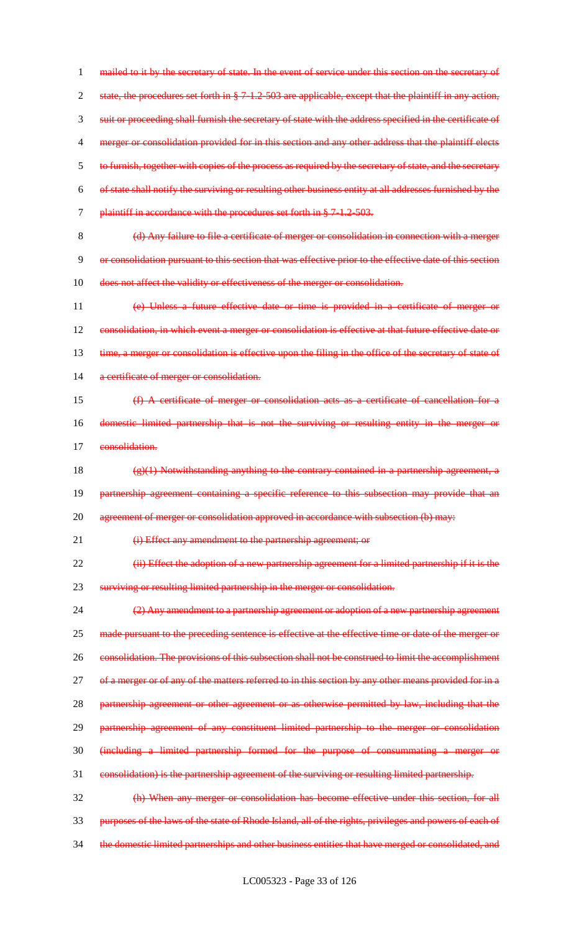1 mailed to it by the secretary of state. In the event of service under this section on the secretary of 2 state, the procedures set forth in § 7-1.2-503 are applicable, except that the plaintiff in any action, 3 suit or proceeding shall furnish the secretary of state with the address specified in the certificate of 4 merger or consolidation provided for in this section and any other address that the plaintiff elects 5 to furnish, together with copies of the process as required by the secretary of state, and the secretary 6 of state shall notify the surviving or resulting other business entity at all addresses furnished by the 7 plaintiff in accordance with the procedures set forth in § 7-1.2-503. 8 (d) Any failure to file a certificate of merger or consolidation in connection with a merger 9 or consolidation pursuant to this section that was effective prior to the effective date of this section 10 does not affect the validity or effectiveness of the merger or consolidation. 11 (e) Unless a future effective date or time is provided in a certificate of merger or 12 consolidation, in which event a merger or consolidation is effective at that future effective date or 13 time, a merger or consolidation is effective upon the filing in the office of the secretary of state of 14 a certificate of merger or consolidation. 15 (f) A certificate of merger or consolidation acts as a certificate of cancellation for a 16 domestic limited partnership that is not the surviving or resulting entity in the merger or 17 consolidation. 18  $(g)(1)$  Notwithstanding anything to the contrary contained in a partnership agreement, a 19 partnership agreement containing a specific reference to this subsection may provide that an 20 agreement of merger or consolidation approved in accordance with subsection (b) may: 21 (i) Effect any amendment to the partnership agreement; or 22 (ii) Effect the adoption of a new partnership agreement for a limited partnership if it is the 23 surviving or resulting limited partnership in the merger or consolidation. 24 (2) Any amendment to a partnership agreement or adoption of a new partnership agreement 25 made pursuant to the preceding sentence is effective at the effective time or date of the merger or 26 consolidation. The provisions of this subsection shall not be construed to limit the accomplishment 27 of a merger or of any of the matters referred to in this section by any other means provided for in a 28 partnership agreement or other agreement or as otherwise permitted by law, including that the 29 partnership agreement of any constituent limited partnership to the merger or consolidation 30 (including a limited partnership formed for the purpose of consummating a merger or 31 consolidation) is the partnership agreement of the surviving or resulting limited partnership. 32 (h) When any merger or consolidation has become effective under this section, for all 33 purposes of the laws of the state of Rhode Island, all of the rights, privileges and powers of each of 34 the domestic limited partnerships and other business entities that have merged or consolidated, and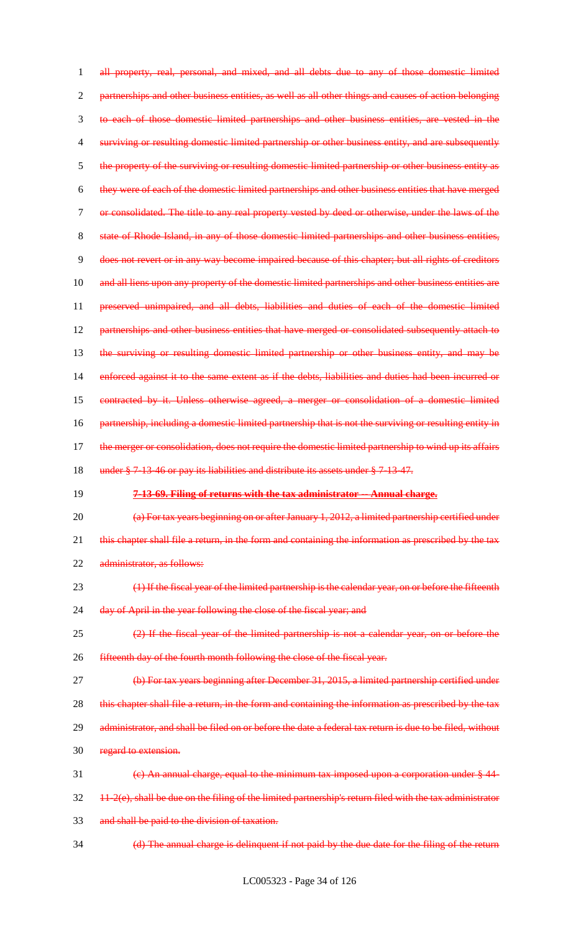all property, real, personal, and mixed, and all debts due to any of those domestic limited partnerships and other business entities, as well as all other things and causes of action belonging to each of those domestic limited partnerships and other business entities, are vested in the 4 surviving or resulting domestic limited partnership or other business entity, and are subsequently the property of the surviving or resulting domestic limited partnership or other business entity as they were of each of the domestic limited partnerships and other business entities that have merged or consolidated. The title to any real property vested by deed or otherwise, under the laws of the state of Rhode Island, in any of those domestic limited partnerships and other business entities, does not revert or in any way become impaired because of this chapter; but all rights of creditors 10 and all liens upon any property of the domestic limited partnerships and other business entities are preserved unimpaired, and all debts, liabilities and duties of each of the domestic limited 12 partnerships and other business entities that have merged or consolidated subsequently attach to 13 the surviving or resulting domestic limited partnership or other business entity, and may be enforced against it to the same extent as if the debts, liabilities and duties had been incurred or contracted by it. Unless otherwise agreed, a merger or consolidation of a domestic limited 16 partnership, including a domestic limited partnership that is not the surviving or resulting entity in 17 the merger or consolidation, does not require the domestic limited partnership to wind up its affairs 18 under § 7-13-46 or pay its liabilities and distribute its assets under § 7-13-47. **7-13-69. Filing of returns with the tax administrator -- Annual charge.**

20 (a) For tax years beginning on or after January 1, 2012, a limited partnership certified under 21 this chapter shall file a return, in the form and containing the information as prescribed by the tax 22 administrator, as follows:

- 23 (1) If the fiscal year of the limited partnership is the calendar year, on or before the fifteenth
- 24 day of April in the year following the close of the fiscal year; and
- 25 (2) If the fiscal year of the limited partnership is not a calendar year, on or before the 26 fifteenth day of the fourth month following the close of the fiscal year.
- 27 (b) For tax years beginning after December 31, 2015, a limited partnership certified under
- 28 this chapter shall file a return, in the form and containing the information as prescribed by the tax
- 29 administrator, and shall be filed on or before the date a federal tax return is due to be filed, without
- 30 regard to extension.
- 31 (c) An annual charge, equal to the minimum tax imposed upon a corporation under § 44-
- $32$  11-2(e), shall be due on the filing of the limited partnership's return filed with the tax administrator
- 33 and shall be paid to the division of taxation.
- 34 (d) The annual charge is delinquent if not paid by the due date for the filing of the return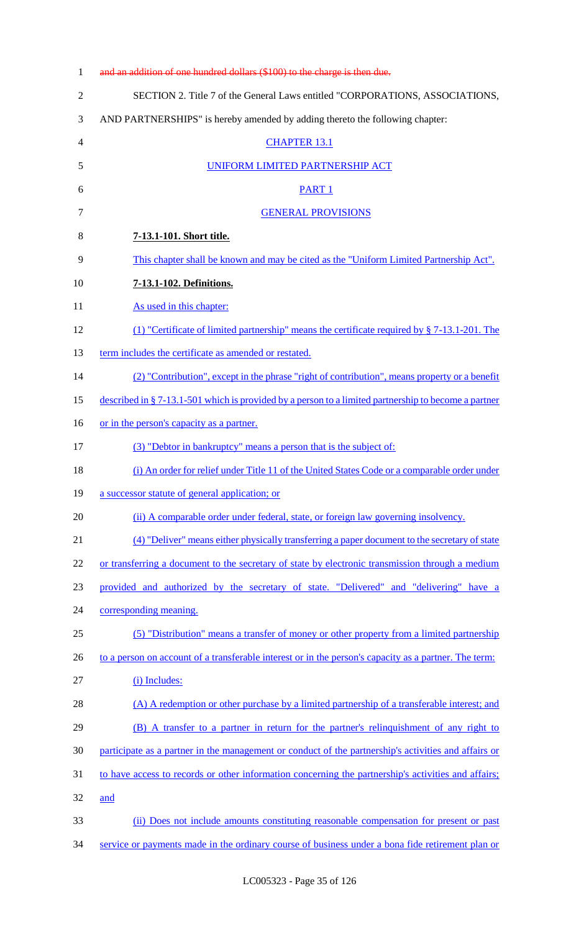| $\mathbf{1}$   | and an addition of one hundred dollars (\$100) to the charge is then due.                             |
|----------------|-------------------------------------------------------------------------------------------------------|
| $\overline{c}$ | SECTION 2. Title 7 of the General Laws entitled "CORPORATIONS, ASSOCIATIONS,                          |
| 3              | AND PARTNERSHIPS" is hereby amended by adding thereto the following chapter:                          |
| 4              | <b>CHAPTER 13.1</b>                                                                                   |
| 5              | UNIFORM LIMITED PARTNERSHIP ACT                                                                       |
| 6              | PART <sub>1</sub>                                                                                     |
| 7              | <b>GENERAL PROVISIONS</b>                                                                             |
| 8              | 7-13.1-101. Short title.                                                                              |
| 9              | This chapter shall be known and may be cited as the "Uniform Limited Partnership Act".                |
| 10             | 7-13.1-102. Definitions.                                                                              |
| 11             | As used in this chapter:                                                                              |
| 12             | (1) "Certificate of limited partnership" means the certificate required by $\S$ 7-13.1-201. The       |
| 13             | term includes the certificate as amended or restated.                                                 |
| 14             | (2) "Contribution", except in the phrase "right of contribution", means property or a benefit         |
| 15             | described in § 7-13.1-501 which is provided by a person to a limited partnership to become a partner  |
| 16             | or in the person's capacity as a partner.                                                             |
| 17             | (3) "Debtor in bankruptcy" means a person that is the subject of:                                     |
| 18             | (i) An order for relief under Title 11 of the United States Code or a comparable order under          |
| 19             | a successor statute of general application; or                                                        |
| 20             | (ii) A comparable order under federal, state, or foreign law governing insolvency.                    |
| 21             | (4) "Deliver" means either physically transferring a paper document to the secretary of state         |
| 22             | or transferring a document to the secretary of state by electronic transmission through a medium      |
| 23             | provided and authorized by the secretary of state. "Delivered" and "delivering" have a                |
| 24             | corresponding meaning.                                                                                |
| 25             | (5) "Distribution" means a transfer of money or other property from a limited partnership             |
| 26             | to a person on account of a transferable interest or in the person's capacity as a partner. The term: |
| 27             | (i) Includes:                                                                                         |
| 28             | (A) A redemption or other purchase by a limited partnership of a transferable interest; and           |
| 29             | (B) A transfer to a partner in return for the partner's relinquishment of any right to                |
| 30             | participate as a partner in the management or conduct of the partnership's activities and affairs or  |
| 31             | to have access to records or other information concerning the partnership's activities and affairs;   |
| 32             | and                                                                                                   |
| 33             | (ii) Does not include amounts constituting reasonable compensation for present or past                |
| 34             | service or payments made in the ordinary course of business under a bona fide retirement plan or      |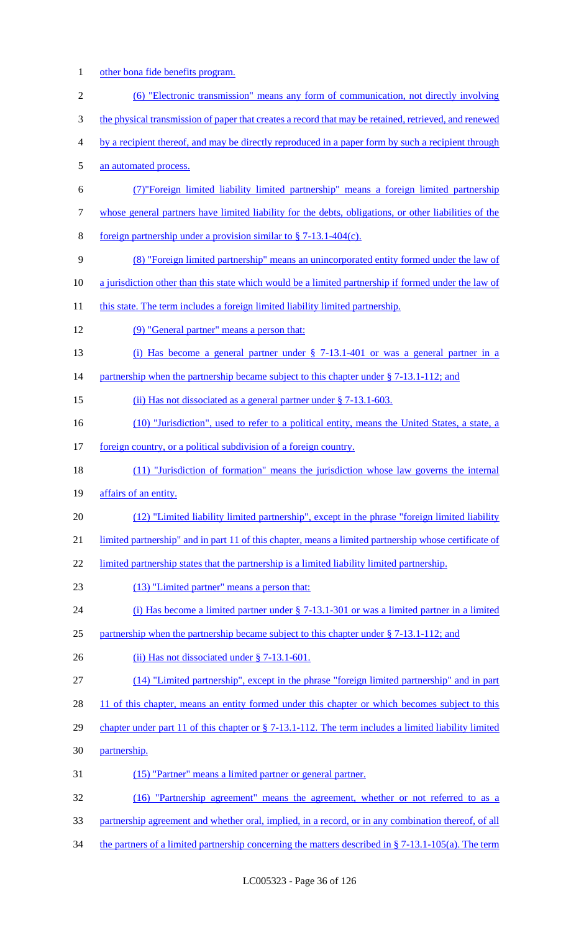1 other bona fide benefits program.

| $\sqrt{2}$       | (6) "Electronic transmission" means any form of communication, not directly involving                   |
|------------------|---------------------------------------------------------------------------------------------------------|
| 3                | the physical transmission of paper that creates a record that may be retained, retrieved, and renewed   |
| 4                | by a recipient thereof, and may be directly reproduced in a paper form by such a recipient through      |
| 5                | an automated process.                                                                                   |
| 6                | (7)"Foreign limited liability limited partnership" means a foreign limited partnership                  |
| $\boldsymbol{7}$ | whose general partners have limited liability for the debts, obligations, or other liabilities of the   |
| $\, 8$           | foreign partnership under a provision similar to $\S$ 7-13.1-404(c).                                    |
| 9                | (8) "Foreign limited partnership" means an unincorporated entity formed under the law of                |
| 10               | a jurisdiction other than this state which would be a limited partnership if formed under the law of    |
| 11               | this state. The term includes a foreign limited liability limited partnership.                          |
| 12               | (9) "General partner" means a person that:                                                              |
| 13               | (i) Has become a general partner under $\S$ 7-13.1-401 or was a general partner in a                    |
| 14               | partnership when the partnership became subject to this chapter under § 7-13.1-112; and                 |
| 15               | (ii) Has not dissociated as a general partner under § 7-13.1-603.                                       |
| 16               | (10) "Jurisdiction", used to refer to a political entity, means the United States, a state, a           |
| 17               | foreign country, or a political subdivision of a foreign country.                                       |
| 18               | (11) "Jurisdiction of formation" means the jurisdiction whose law governs the internal                  |
| 19               | affairs of an entity.                                                                                   |
| 20               | (12) "Limited liability limited partnership", except in the phrase "foreign limited liability"          |
| 21               | limited partnership" and in part 11 of this chapter, means a limited partnership whose certificate of   |
| 22               | limited partnership states that the partnership is a limited liability limited partnership.             |
| 23               | (13) "Limited partner" means a person that:                                                             |
| 24               | (i) Has become a limited partner under $\S$ 7-13.1-301 or was a limited partner in a limited            |
| 25               | partnership when the partnership became subject to this chapter under § 7-13.1-112; and                 |
| 26               | (ii) Has not dissociated under $\S$ 7-13.1-601.                                                         |
| 27               | (14) "Limited partnership", except in the phrase "foreign limited partnership" and in part              |
| 28               | 11 of this chapter, means an entity formed under this chapter or which becomes subject to this          |
| 29               | chapter under part 11 of this chapter or $\S$ 7-13.1-112. The term includes a limited liability limited |
| 30               | partnership.                                                                                            |
| 31               | (15) "Partner" means a limited partner or general partner.                                              |
| 32               | (16) "Partnership agreement" means the agreement, whether or not referred to as a                       |
| 33               | partnership agreement and whether oral, implied, in a record, or in any combination thereof, of all     |
| 34               | the partners of a limited partnership concerning the matters described in $\S$ 7-13.1-105(a). The term  |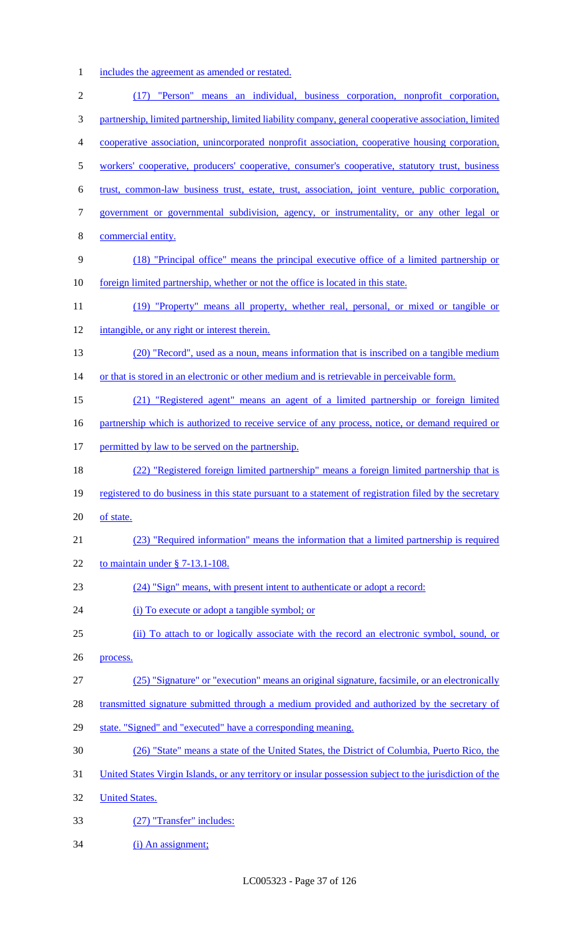1 includes the agreement as amended or restated.

| $\sqrt{2}$       | (17) "Person" means an individual, business corporation, nonprofit corporation,                         |
|------------------|---------------------------------------------------------------------------------------------------------|
| 3                | partnership, limited partnership, limited liability company, general cooperative association, limited   |
| 4                | cooperative association, unincorporated nonprofit association, cooperative housing corporation,         |
| 5                | workers' cooperative, producers' cooperative, consumer's cooperative, statutory trust, business         |
| 6                | trust, common-law business trust, estate, trust, association, joint venture, public corporation,        |
| $\boldsymbol{7}$ | government or governmental subdivision, agency, or instrumentality, or any other legal or               |
| $8\,$            | commercial entity.                                                                                      |
| 9                | (18) "Principal office" means the principal executive office of a limited partnership or                |
| 10               | foreign limited partnership, whether or not the office is located in this state.                        |
| 11               | (19) "Property" means all property, whether real, personal, or mixed or tangible or                     |
| 12               | intangible, or any right or interest therein.                                                           |
| 13               | (20) "Record", used as a noun, means information that is inscribed on a tangible medium                 |
| 14               | or that is stored in an electronic or other medium and is retrievable in perceivable form.              |
| 15               | (21) "Registered agent" means an agent of a limited partnership or foreign limited                      |
| 16               | partnership which is authorized to receive service of any process, notice, or demand required or        |
| 17               | permitted by law to be served on the partnership.                                                       |
| 18               | (22) "Registered foreign limited partnership" means a foreign limited partnership that is               |
| 19               | registered to do business in this state pursuant to a statement of registration filed by the secretary  |
| 20               | of state.                                                                                               |
| 21               | (23) "Required information" means the information that a limited partnership is required                |
| 22               | to maintain under $\S$ 7-13.1-108.                                                                      |
| 23               | (24) "Sign" means, with present intent to authenticate or adopt a record:                               |
| 24               | (i) To execute or adopt a tangible symbol; or                                                           |
| 25               | (ii) To attach to or logically associate with the record an electronic symbol, sound, or                |
| 26               | process.                                                                                                |
| 27               | (25) "Signature" or "execution" means an original signature, facsimile, or an electronically            |
| 28               | transmitted signature submitted through a medium provided and authorized by the secretary of            |
| 29               | state. "Signed" and "executed" have a corresponding meaning.                                            |
| 30               | (26) "State" means a state of the United States, the District of Columbia, Puerto Rico, the             |
| 31               | United States Virgin Islands, or any territory or insular possession subject to the jurisdiction of the |
| 32               | <b>United States.</b>                                                                                   |
| 33               | (27) "Transfer" includes:                                                                               |
| 34               | (i) An assignment;                                                                                      |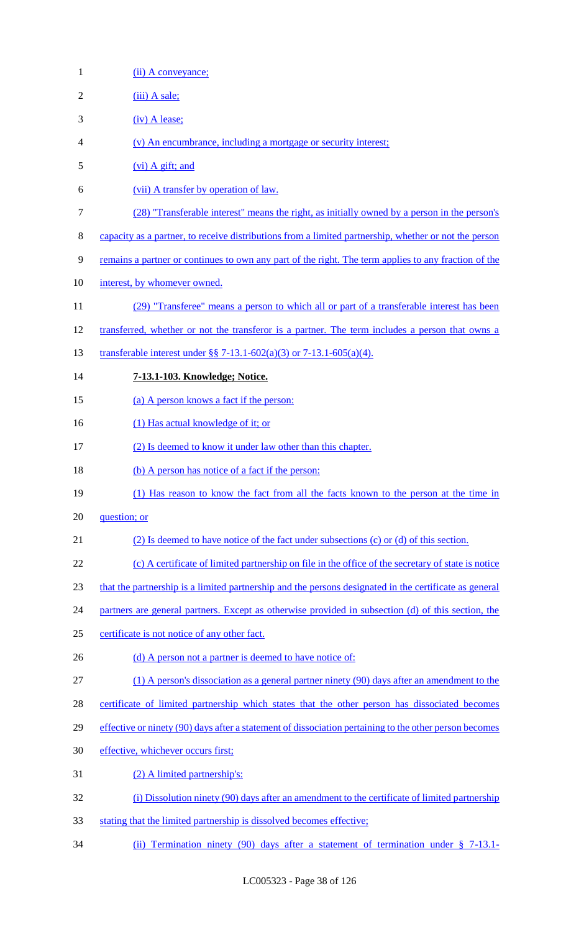| $\mathbf{1}$   | (ii) A conveyance;                                                                                     |
|----------------|--------------------------------------------------------------------------------------------------------|
| $\overline{2}$ | $(iii)$ A sale;                                                                                        |
| 3              | (iv) A lease;                                                                                          |
| 4              | (v) An encumbrance, including a mortgage or security interest;                                         |
| 5              | $(vi)$ A gift; and                                                                                     |
| 6              | (vii) A transfer by operation of law.                                                                  |
| $\overline{7}$ | (28) "Transferable interest" means the right, as initially owned by a person in the person's           |
| $\,8\,$        | capacity as a partner, to receive distributions from a limited partnership, whether or not the person  |
| 9              | remains a partner or continues to own any part of the right. The term applies to any fraction of the   |
| 10             | interest, by whomever owned.                                                                           |
| 11             | (29) "Transferee" means a person to which all or part of a transferable interest has been              |
| 12             | transferred, whether or not the transferor is a partner. The term includes a person that owns a        |
| 13             | transferable interest under §§ 7-13.1-602(a)(3) or 7-13.1-605(a)(4).                                   |
| 14             | 7-13.1-103. Knowledge; Notice.                                                                         |
| 15             | (a) A person knows a fact if the person:                                                               |
| 16             | (1) Has actual knowledge of it; or                                                                     |
| 17             | (2) Is deemed to know it under law other than this chapter.                                            |
| 18             | (b) A person has notice of a fact if the person:                                                       |
| 19             | (1) Has reason to know the fact from all the facts known to the person at the time in                  |
| 20             | question; or                                                                                           |
| 21             | (2) Is deemed to have notice of the fact under subsections (c) or (d) of this section.                 |
| 22             | (c) A certificate of limited partnership on file in the office of the secretary of state is notice     |
| 23             | that the partnership is a limited partnership and the persons designated in the certificate as general |
| 24             | partners are general partners. Except as otherwise provided in subsection (d) of this section, the     |
| 25             | certificate is not notice of any other fact.                                                           |
| 26             | (d) A person not a partner is deemed to have notice of:                                                |
| 27             | $(1)$ A person's dissociation as a general partner ninety (90) days after an amendment to the          |
| 28             | certificate of limited partnership which states that the other person has dissociated becomes          |
| 29             | effective or ninety (90) days after a statement of dissociation pertaining to the other person becomes |
| 30             | effective, whichever occurs first;                                                                     |
| 31             | (2) A limited partnership's:                                                                           |
| 32             | (i) Dissolution ninety (90) days after an amendment to the certificate of limited partnership          |
| 33             | stating that the limited partnership is dissolved becomes effective;                                   |
| 34             | (ii) Termination ninety (90) days after a statement of termination under $\S$ 7-13.1-                  |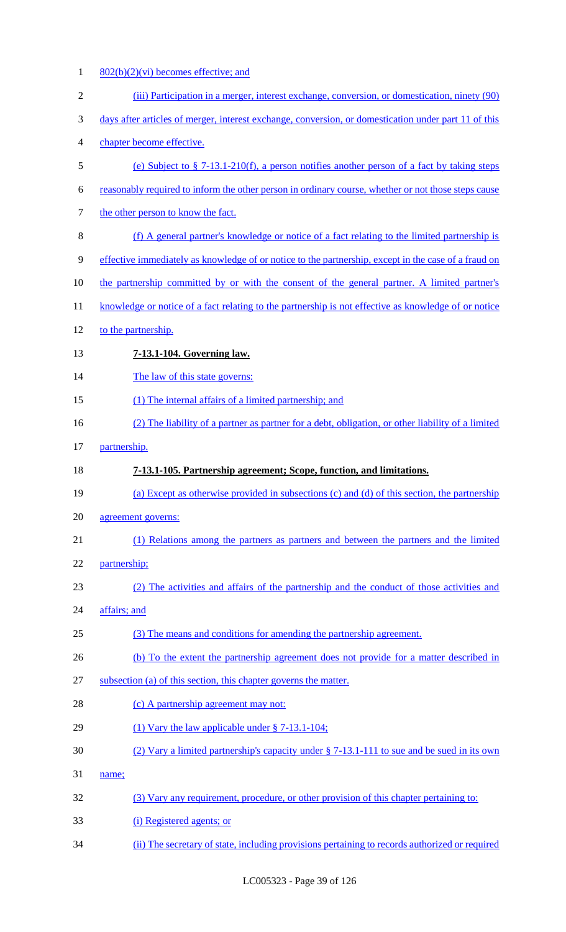1  $802(b)(2)(vi)$  becomes effective; and

| $\mathfrak{2}$ | (iii) Participation in a merger, interest exchange, conversion, or domestication, ninety (90)        |
|----------------|------------------------------------------------------------------------------------------------------|
| 3              | days after articles of merger, interest exchange, conversion, or domestication under part 11 of this |
| 4              | chapter become effective.                                                                            |
| 5              | (e) Subject to § 7-13.1-210(f), a person notifies another person of a fact by taking steps           |
| 6              | reasonably required to inform the other person in ordinary course, whether or not those steps cause  |
| 7              | the other person to know the fact.                                                                   |
| 8              | (f) A general partner's knowledge or notice of a fact relating to the limited partnership is         |
| 9              | effective immediately as knowledge of or notice to the partnership, except in the case of a fraud on |
| 10             | the partnership committed by or with the consent of the general partner. A limited partner's         |
| 11             | knowledge or notice of a fact relating to the partnership is not effective as knowledge of or notice |
| 12             | to the partnership.                                                                                  |
| 13             | 7-13.1-104. Governing law.                                                                           |
| 14             | The law of this state governs:                                                                       |
| 15             | (1) The internal affairs of a limited partnership; and                                               |
| 16             | (2) The liability of a partner as partner for a debt, obligation, or other liability of a limited    |
| 17             | partnership.                                                                                         |
|                |                                                                                                      |
| 18             | 7-13.1-105. Partnership agreement; Scope, function, and limitations.                                 |
| 19             | (a) Except as otherwise provided in subsections (c) and (d) of this section, the partnership         |
| 20             | agreement governs:                                                                                   |
| 21             | (1) Relations among the partners as partners and between the partners and the limited                |
| 22             | partnership;                                                                                         |
| 23             | (2) The activities and affairs of the partnership and the conduct of those activities and            |
| 24             | affairs; and                                                                                         |
| 25             | (3) The means and conditions for amending the partnership agreement.                                 |
| 26             | (b) To the extent the partnership agreement does not provide for a matter described in               |
| 27             | subsection (a) of this section, this chapter governs the matter.                                     |
| 28             | (c) A partnership agreement may not:                                                                 |
| 29             | (1) Vary the law applicable under $\S$ 7-13.1-104;                                                   |
| 30             | (2) Vary a limited partnership's capacity under § 7-13.1-111 to sue and be sued in its own           |
| 31             | name;                                                                                                |
| 32             | (3) Vary any requirement, procedure, or other provision of this chapter pertaining to:               |

(ii) The secretary of state, including provisions pertaining to records authorized or required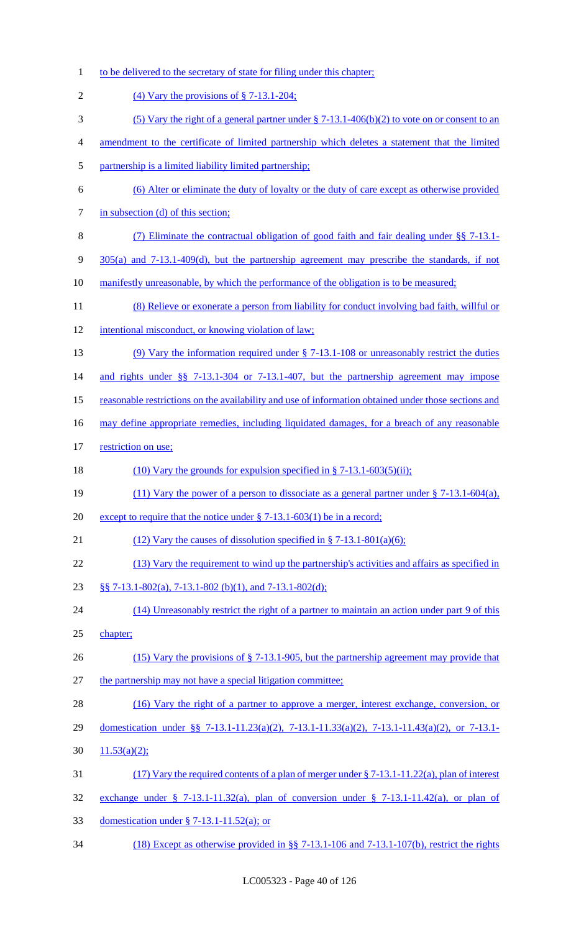1 to be delivered to the secretary of state for filing under this chapter; 2 (4) Vary the provisions of  $\S$  7-13.1-204; (5) Vary the right of a general partner under § 7-13.1-406(b)(2) to vote on or consent to an amendment to the certificate of limited partnership which deletes a statement that the limited partnership is a limited liability limited partnership; (6) Alter or eliminate the duty of loyalty or the duty of care except as otherwise provided 7 in subsection (d) of this section; (7) Eliminate the contractual obligation of good faith and fair dealing under §§ 7-13.1- 305(a) and 7-13.1-409(d), but the partnership agreement may prescribe the standards, if not 10 manifestly unreasonable, by which the performance of the obligation is to be measured; (8) Relieve or exonerate a person from liability for conduct involving bad faith, willful or intentional misconduct, or knowing violation of law; (9) Vary the information required under § 7-13.1-108 or unreasonably restrict the duties 14 and rights under §§ 7-13.1-304 or 7-13.1-407, but the partnership agreement may impose reasonable restrictions on the availability and use of information obtained under those sections and 16 may define appropriate remedies, including liquidated damages, for a breach of any reasonable 17 restriction on use; 18 (10) Vary the grounds for expulsion specified in § 7-13.1-603(5)(ii); (11) Vary the power of a person to dissociate as a general partner under § 7-13.1-604(a), 20 except to require that the notice under  $\S$  7-13.1-603(1) be in a record; 21 (12) Vary the causes of dissolution specified in  $\S$  7-13.1-801(a)(6); (13) Vary the requirement to wind up the partnership's activities and affairs as specified in §§ 7-13.1-802(a), 7-13.1-802 (b)(1), and 7-13.1-802(d); (14) Unreasonably restrict the right of a partner to maintain an action under part 9 of this chapter; (15) Vary the provisions of § 7-13.1-905, but the partnership agreement may provide that the partnership may not have a special litigation committee; 28 (16) Vary the right of a partner to approve a merger, interest exchange, conversion, or domestication under §§ 7-13.1-11.23(a)(2), 7-13.1-11.33(a)(2), 7-13.1-11.43(a)(2), or 7-13.1-  $11.53(a)(2)$ ; (17) Vary the required contents of a plan of merger under § 7-13.1-11.22(a), plan of interest exchange under § 7-13.1-11.32(a), plan of conversion under § 7-13.1-11.42(a), or plan of domestication under § 7-13.1-11.52(a); or (18) Except as otherwise provided in §§ 7-13.1-106 and 7-13.1-107(b), restrict the rights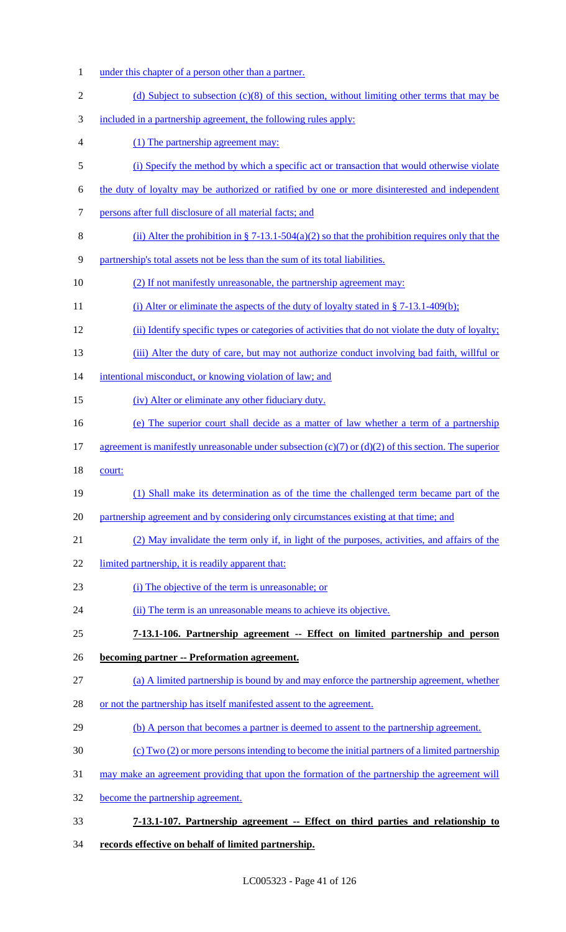- 1 under this chapter of a person other than a partner.
- 2 (d) Subject to subsection (c)(8) of this section, without limiting other terms that may be
- 3 included in a partnership agreement, the following rules apply:
- 4 (1) The partnership agreement may:
- 5 (i) Specify the method by which a specific act or transaction that would otherwise violate
- 6 the duty of loyalty may be authorized or ratified by one or more disinterested and independent
- 7 persons after full disclosure of all material facts; and
- 8 (ii) Alter the prohibition in  $\S 7-13.1-504(a)(2)$  so that the prohibition requires only that the
- 9 partnership's total assets not be less than the sum of its total liabilities.
- 10 (2) If not manifestly unreasonable, the partnership agreement may:
- 11 (i) Alter or eliminate the aspects of the duty of loyalty stated in § 7-13.1-409(b);
- 12 (ii) Identify specific types or categories of activities that do not violate the duty of loyalty;
- 13 (iii) Alter the duty of care, but may not authorize conduct involving bad faith, willful or
- 14 intentional misconduct, or knowing violation of law; and
- 15 (iv) Alter or eliminate any other fiduciary duty.
- 16 (e) The superior court shall decide as a matter of law whether a term of a partnership
- 17 agreement is manifestly unreasonable under subsection  $(c)(7)$  or  $(d)(2)$  of this section. The superior
- 18 court:
- 19 (1) Shall make its determination as of the time the challenged term became part of the
- 20 partnership agreement and by considering only circumstances existing at that time; and
- 21 (2) May invalidate the term only if, in light of the purposes, activities, and affairs of the
- 22 limited partnership, it is readily apparent that:
- 23 (i) The objective of the term is unreasonable; or
- 24 (ii) The term is an unreasonable means to achieve its objective.

## 25 **7-13.1-106. Partnership agreement -- Effect on limited partnership and person**

- 26 **becoming partner -- Preformation agreement.**
- 27 (a) A limited partnership is bound by and may enforce the partnership agreement, whether
- 28 or not the partnership has itself manifested assent to the agreement.
- 29 (b) A person that becomes a partner is deemed to assent to the partnership agreement.
- 30 (c) Two (2) or more persons intending to become the initial partners of a limited partnership
- 31 may make an agreement providing that upon the formation of the partnership the agreement will
- 32 become the partnership agreement.
- 33 **7-13.1-107. Partnership agreement -- Effect on third parties and relationship to**
- 34 **records effective on behalf of limited partnership.**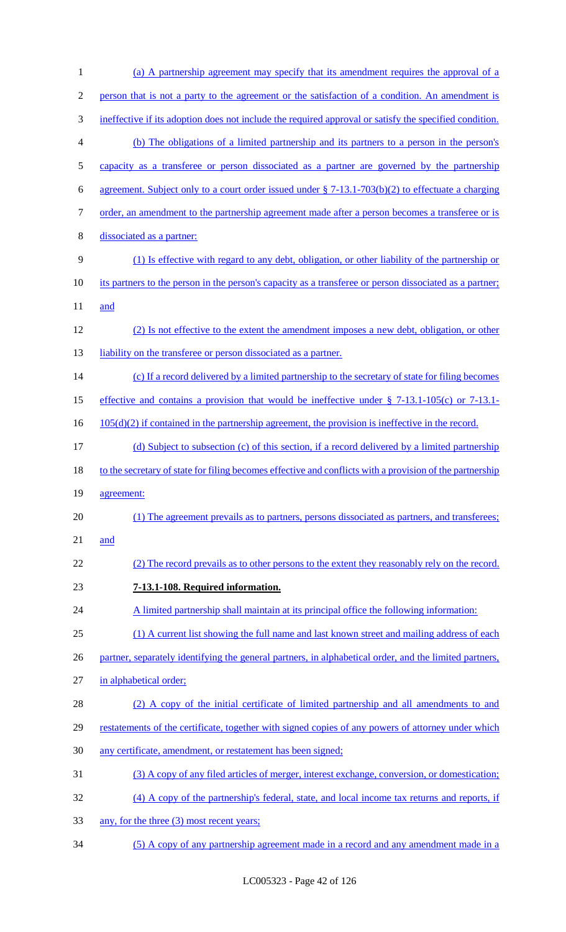| $\mathbf{1}$   | (a) A partnership agreement may specify that its amendment requires the approval of a                    |
|----------------|----------------------------------------------------------------------------------------------------------|
| $\overline{2}$ | person that is not a party to the agreement or the satisfaction of a condition. An amendment is          |
| 3              | ineffective if its adoption does not include the required approval or satisfy the specified condition.   |
| 4              | (b) The obligations of a limited partnership and its partners to a person in the person's                |
| 5              | capacity as a transferee or person dissociated as a partner are governed by the partnership              |
| 6              | agreement. Subject only to a court order issued under $\S$ 7-13.1-703(b)(2) to effectuate a charging     |
| 7              | order, an amendment to the partnership agreement made after a person becomes a transferee or is          |
| 8              | dissociated as a partner:                                                                                |
| 9              | (1) Is effective with regard to any debt, obligation, or other liability of the partnership or           |
| 10             | its partners to the person in the person's capacity as a transferee or person dissociated as a partner;  |
| 11             | and                                                                                                      |
| 12             | (2) Is not effective to the extent the amendment imposes a new debt, obligation, or other                |
| 13             | liability on the transferee or person dissociated as a partner.                                          |
| 14             | (c) If a record delivered by a limited partnership to the secretary of state for filing becomes          |
| 15             | effective and contains a provision that would be ineffective under § 7-13.1-105(c) or 7-13.1-            |
| 16             | $105(d)(2)$ if contained in the partnership agreement, the provision is ineffective in the record.       |
| 17             | (d) Subject to subsection (c) of this section, if a record delivered by a limited partnership            |
| 18             | to the secretary of state for filing becomes effective and conflicts with a provision of the partnership |
| 19             | agreement:                                                                                               |
| 20             | (1) The agreement prevails as to partners, persons dissociated as partners, and transferees;             |
| 21             | and                                                                                                      |
| 22             | (2) The record prevails as to other persons to the extent they reasonably rely on the record.            |
| 23             | 7-13.1-108. Required information.                                                                        |
| 24             | A limited partnership shall maintain at its principal office the following information:                  |
| 25             | (1) A current list showing the full name and last known street and mailing address of each               |
| 26             | partner, separately identifying the general partners, in alphabetical order, and the limited partners,   |
| 27             | in alphabetical order;                                                                                   |
| 28             | (2) A copy of the initial certificate of limited partnership and all amendments to and                   |
| 29             | restatements of the certificate, together with signed copies of any powers of attorney under which       |
| 30             | any certificate, amendment, or restatement has been signed;                                              |
| 31             | (3) A copy of any filed articles of merger, interest exchange, conversion, or domestication;             |
| 32             | (4) A copy of the partnership's federal, state, and local income tax returns and reports, if             |
| 33             | any, for the three (3) most recent years;                                                                |
| 34             | (5) A copy of any partnership agreement made in a record and any amendment made in a                     |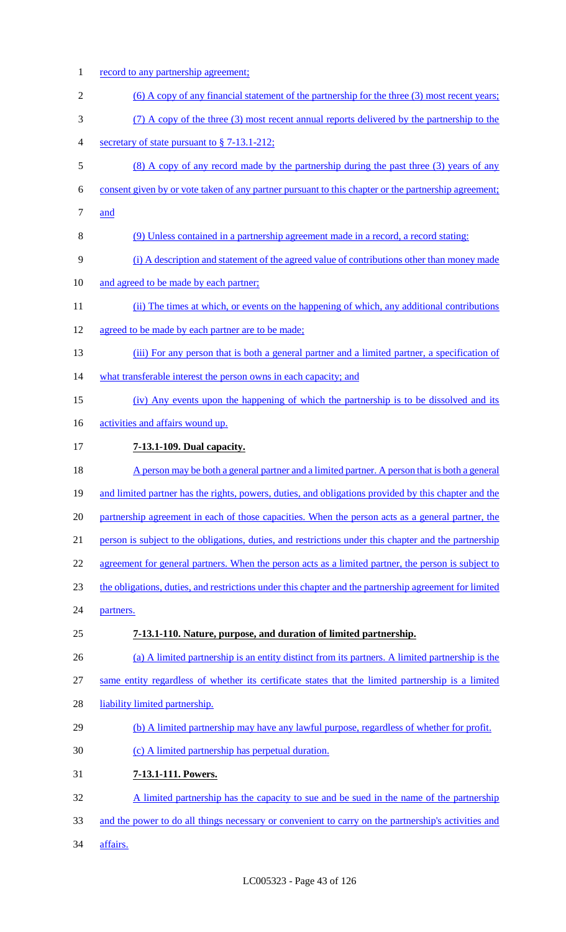- 1 record to any partnership agreement; 2 (6) A copy of any financial statement of the partnership for the three (3) most recent years; 3 (7) A copy of the three (3) most recent annual reports delivered by the partnership to the 4 secretary of state pursuant to § 7-13.1-212; 5 (8) A copy of any record made by the partnership during the past three (3) years of any 6 consent given by or vote taken of any partner pursuant to this chapter or the partnership agreement; 7 and 8 (9) Unless contained in a partnership agreement made in a record, a record stating: 9 (i) A description and statement of the agreed value of contributions other than money made 10 and agreed to be made by each partner; 11 (ii) The times at which, or events on the happening of which, any additional contributions 12 agreed to be made by each partner are to be made; 13 (iii) For any person that is both a general partner and a limited partner, a specification of 14 what transferable interest the person owns in each capacity; and 15 (iv) Any events upon the happening of which the partnership is to be dissolved and its 16 activities and affairs wound up. 17 **7-13.1-109. Dual capacity.** 18 A person may be both a general partner and a limited partner. A person that is both a general 19 and limited partner has the rights, powers, duties, and obligations provided by this chapter and the 20 partnership agreement in each of those capacities. When the person acts as a general partner, the 21 person is subject to the obligations, duties, and restrictions under this chapter and the partnership 22 agreement for general partners. When the person acts as a limited partner, the person is subject to 23 the obligations, duties, and restrictions under this chapter and the partnership agreement for limited 24 partners. 25 **7-13.1-110. Nature, purpose, and duration of limited partnership.** 26 (a) A limited partnership is an entity distinct from its partners. A limited partnership is the 27 same entity regardless of whether its certificate states that the limited partnership is a limited 28 liability limited partnership. 29 (b) A limited partnership may have any lawful purpose, regardless of whether for profit. 30 (c) A limited partnership has perpetual duration. 31 **7-13.1-111. Powers.** 32 A limited partnership has the capacity to sue and be sued in the name of the partnership 33 and the power to do all things necessary or convenient to carry on the partnership's activities and
- 34 **affairs.**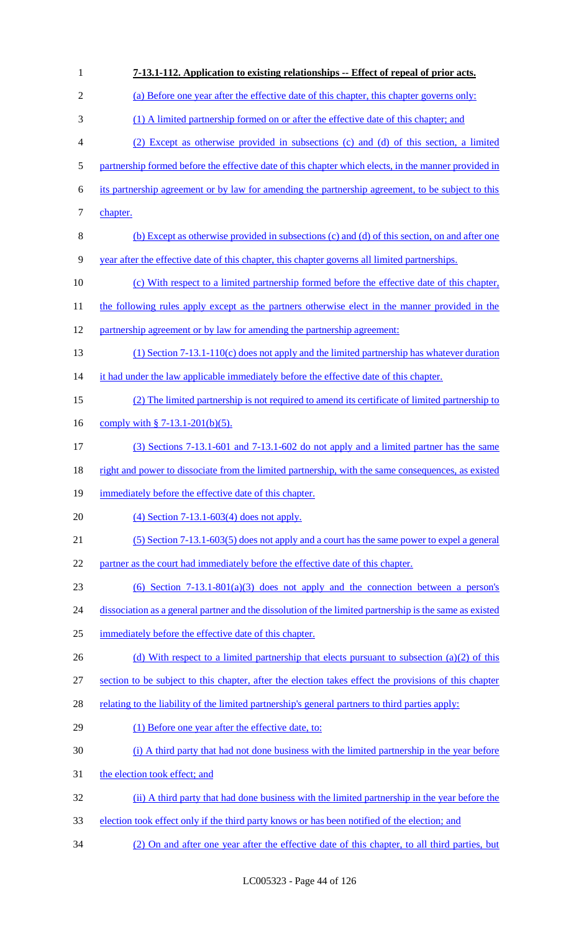| $\mathbf{1}$   | 7-13.1-112. Application to existing relationships -- Effect of repeal of prior acts.                    |
|----------------|---------------------------------------------------------------------------------------------------------|
| $\overline{2}$ | (a) Before one year after the effective date of this chapter, this chapter governs only:                |
| 3              | (1) A limited partnership formed on or after the effective date of this chapter; and                    |
| $\overline{4}$ | (2) Except as otherwise provided in subsections (c) and (d) of this section, a limited                  |
| 5              | partnership formed before the effective date of this chapter which elects, in the manner provided in    |
| 6              | its partnership agreement or by law for amending the partnership agreement, to be subject to this       |
| 7              | chapter.                                                                                                |
| 8              | (b) Except as otherwise provided in subsections (c) and (d) of this section, on and after one           |
| 9              | year after the effective date of this chapter, this chapter governs all limited partnerships.           |
| 10             | (c) With respect to a limited partnership formed before the effective date of this chapter,             |
| 11             | the following rules apply except as the partners otherwise elect in the manner provided in the          |
| 12             | partnership agreement or by law for amending the partnership agreement:                                 |
| 13             | $(1)$ Section 7-13.1-110(c) does not apply and the limited partnership has whatever duration            |
| 14             | it had under the law applicable immediately before the effective date of this chapter.                  |
| 15             | (2) The limited partnership is not required to amend its certificate of limited partnership to          |
| 16             | comply with $\S$ 7-13.1-201(b)(5).                                                                      |
| 17             | $(3)$ Sections 7-13.1-601 and 7-13.1-602 do not apply and a limited partner has the same                |
| 18             | right and power to dissociate from the limited partnership, with the same consequences, as existed      |
| 19             | immediately before the effective date of this chapter.                                                  |
| 20             | $(4)$ Section 7-13.1-603(4) does not apply.                                                             |
| 21             | (5) Section 7-13.1-603(5) does not apply and a court has the same power to expel a general              |
| 22             | partner as the court had immediately before the effective date of this chapter.                         |
| 23             | $(6)$ Section 7-13.1-801(a)(3) does not apply and the connection between a person's                     |
| 24             | dissociation as a general partner and the dissolution of the limited partnership is the same as existed |
| 25             | immediately before the effective date of this chapter.                                                  |
| 26             | (d) With respect to a limited partnership that elects pursuant to subsection $(a)(2)$ of this           |
| 27             | section to be subject to this chapter, after the election takes effect the provisions of this chapter   |
| 28             | relating to the liability of the limited partnership's general partners to third parties apply:         |
| 29             | (1) Before one year after the effective date, to:                                                       |
| 30             | (i) A third party that had not done business with the limited partnership in the year before            |
| 31             | the election took effect; and                                                                           |
| 32             | (ii) A third party that had done business with the limited partnership in the year before the           |
| 33             | election took effect only if the third party knows or has been notified of the election; and            |
| 34             | (2) On and after one year after the effective date of this chapter, to all third parties, but           |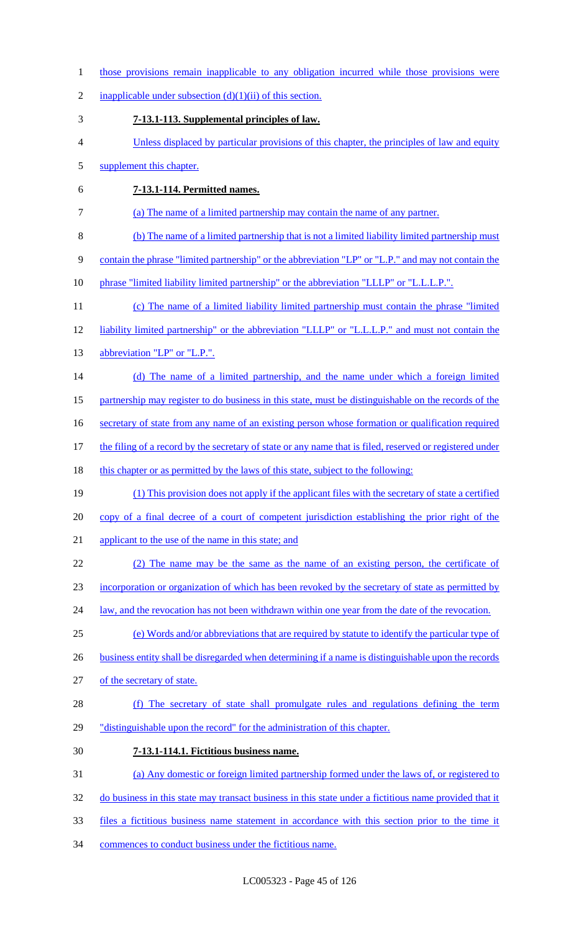1 those provisions remain inapplicable to any obligation incurred while those provisions were 2 inapplicable under subsection  $(d)(1)(ii)$  of this section. 3 **7-13.1-113. Supplemental principles of law.** 4 Unless displaced by particular provisions of this chapter, the principles of law and equity 5 supplement this chapter. 6 **7-13.1-114. Permitted names.** 7 (a) The name of a limited partnership may contain the name of any partner. 8 (b) The name of a limited partnership that is not a limited liability limited partnership must 9 contain the phrase "limited partnership" or the abbreviation "LP" or "L.P." and may not contain the 10 phrase "limited liability limited partnership" or the abbreviation "LLLP" or "L.L.L.P.". 11 (c) The name of a limited liability limited partnership must contain the phrase "limited 12 liability limited partnership" or the abbreviation "LLLP" or "L.L.L.P." and must not contain the 13 abbreviation "LP" or "L.P.". 14 (d) The name of a limited partnership, and the name under which a foreign limited 15 partnership may register to do business in this state, must be distinguishable on the records of the 16 secretary of state from any name of an existing person whose formation or qualification required 17 the filing of a record by the secretary of state or any name that is filed, reserved or registered under 18 this chapter or as permitted by the laws of this state, subject to the following: 19 (1) This provision does not apply if the applicant files with the secretary of state a certified 20 copy of a final decree of a court of competent jurisdiction establishing the prior right of the 21 applicant to the use of the name in this state; and 22 (2) The name may be the same as the name of an existing person, the certificate of 23 incorporation or organization of which has been revoked by the secretary of state as permitted by 24 law, and the revocation has not been withdrawn within one year from the date of the revocation. 25 (e) Words and/or abbreviations that are required by statute to identify the particular type of 26 business entity shall be disregarded when determining if a name is distinguishable upon the records 27 of the secretary of state. 28 (f) The secretary of state shall promulgate rules and regulations defining the term 29 "distinguishable upon the record" for the administration of this chapter. 30 **7-13.1-114.1. Fictitious business name.** 31 (a) Any domestic or foreign limited partnership formed under the laws of, or registered to 32 do business in this state may transact business in this state under a fictitious name provided that it 33 files a fictitious business name statement in accordance with this section prior to the time it 34 commences to conduct business under the fictitious name.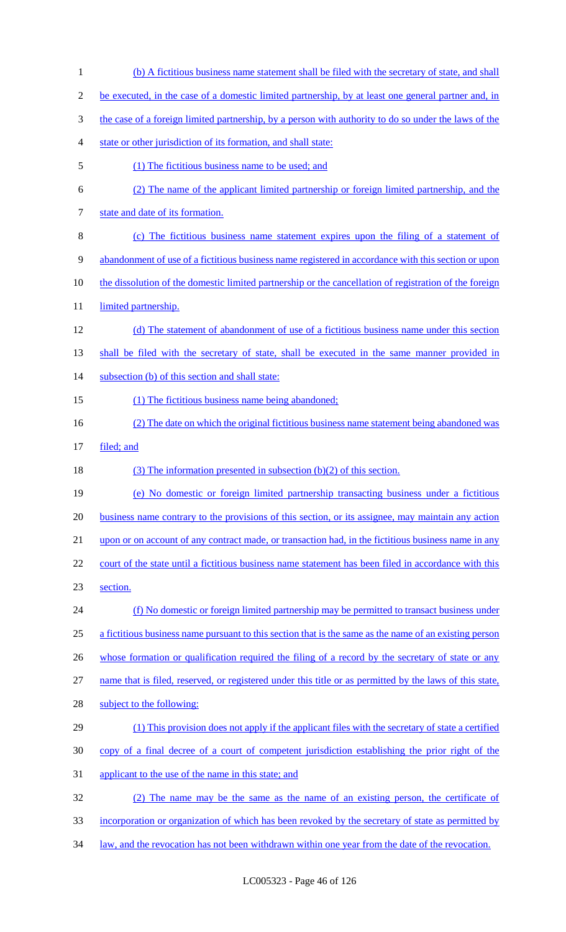(b) A fictitious business name statement shall be filed with the secretary of state, and shall be executed, in the case of a domestic limited partnership, by at least one general partner and, in the case of a foreign limited partnership, by a person with authority to do so under the laws of the state or other jurisdiction of its formation, and shall state: (1) The fictitious business name to be used; and (2) The name of the applicant limited partnership or foreign limited partnership, and the 7 state and date of its formation. (c) The fictitious business name statement expires upon the filing of a statement of abandonment of use of a fictitious business name registered in accordance with this section or upon 10 the dissolution of the domestic limited partnership or the cancellation of registration of the foreign 11 limited partnership. (d) The statement of abandonment of use of a fictitious business name under this section 13 shall be filed with the secretary of state, shall be executed in the same manner provided in 14 subsection (b) of this section and shall state: 15 (1) The fictitious business name being abandoned; (2) The date on which the original fictitious business name statement being abandoned was filed; and (3) The information presented in subsection (b)(2) of this section. (e) No domestic or foreign limited partnership transacting business under a fictitious 20 business name contrary to the provisions of this section, or its assignee, may maintain any action upon or on account of any contract made, or transaction had, in the fictitious business name in any 22 court of the state until a fictitious business name statement has been filed in accordance with this section. (f) No domestic or foreign limited partnership may be permitted to transact business under 25 a fictitious business name pursuant to this section that is the same as the name of an existing person 26 whose formation or qualification required the filing of a record by the secretary of state or any name that is filed, reserved, or registered under this title or as permitted by the laws of this state, 28 subject to the following: (1) This provision does not apply if the applicant files with the secretary of state a certified copy of a final decree of a court of competent jurisdiction establishing the prior right of the applicant to the use of the name in this state; and (2) The name may be the same as the name of an existing person, the certificate of incorporation or organization of which has been revoked by the secretary of state as permitted by 34 law, and the revocation has not been withdrawn within one year from the date of the revocation.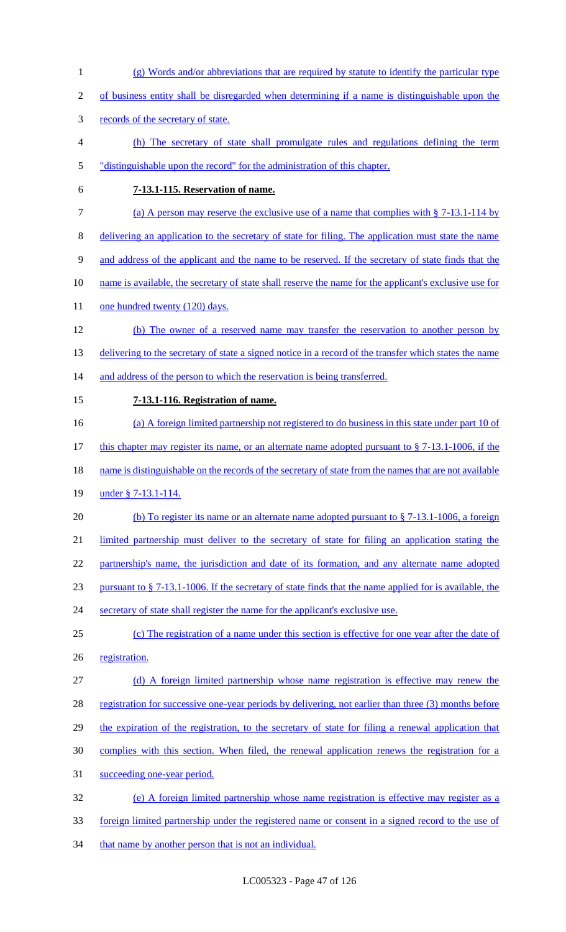- 1 (g) Words and/or abbreviations that are required by statute to identify the particular type 2 of business entity shall be disregarded when determining if a name is distinguishable upon the 3 records of the secretary of state. 4 (h) The secretary of state shall promulgate rules and regulations defining the term 5 "distinguishable upon the record" for the administration of this chapter. 6 **7-13.1-115. Reservation of name.** 7 (a) A person may reserve the exclusive use of a name that complies with § 7-13.1-114 by 8 delivering an application to the secretary of state for filing. The application must state the name 9 and address of the applicant and the name to be reserved. If the secretary of state finds that the 10 name is available, the secretary of state shall reserve the name for the applicant's exclusive use for 11 one hundred twenty (120) days. 12 (b) The owner of a reserved name may transfer the reservation to another person by 13 delivering to the secretary of state a signed notice in a record of the transfer which states the name 14 and address of the person to which the reservation is being transferred. 15 **7-13.1-116. Registration of name.** 16 (a) A foreign limited partnership not registered to do business in this state under part 10 of 17 this chapter may register its name, or an alternate name adopted pursuant to § 7-13.1-1006, if the 18 name is distinguishable on the records of the secretary of state from the names that are not available 19 under § 7-13.1-114. 20 (b) To register its name or an alternate name adopted pursuant to § 7-13.1-1006, a foreign 21 limited partnership must deliver to the secretary of state for filing an application stating the 22 partnership's name, the jurisdiction and date of its formation, and any alternate name adopted 23 pursuant to § 7-13.1-1006. If the secretary of state finds that the name applied for is available, the 24 secretary of state shall register the name for the applicant's exclusive use. 25 (c) The registration of a name under this section is effective for one year after the date of 26 registration. 27 (d) A foreign limited partnership whose name registration is effective may renew the 28 registration for successive one-year periods by delivering, not earlier than three (3) months before 29 the expiration of the registration, to the secretary of state for filing a renewal application that 30 complies with this section. When filed, the renewal application renews the registration for a 31 succeeding one-year period. 32 (e) A foreign limited partnership whose name registration is effective may register as a 33 foreign limited partnership under the registered name or consent in a signed record to the use of
- 34 that name by another person that is not an individual.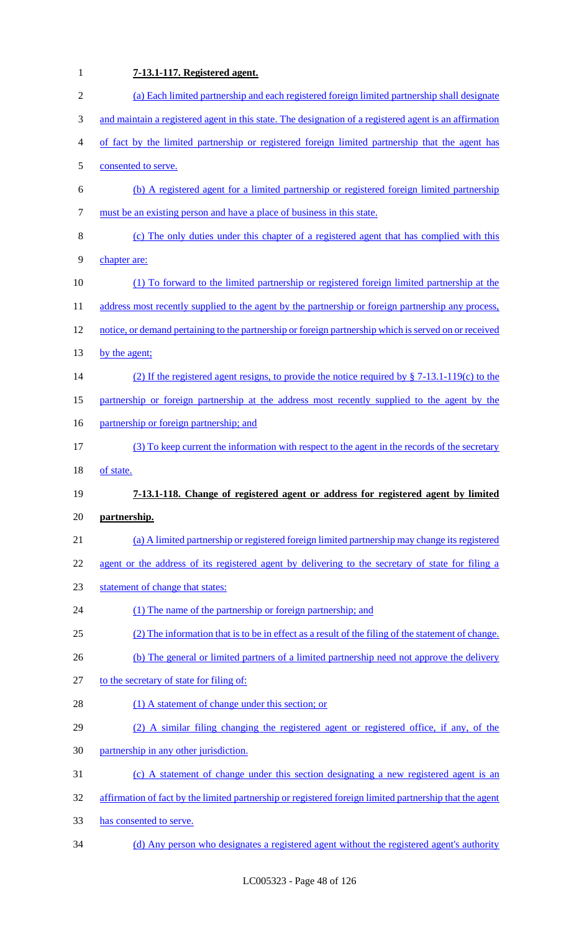**7-13.1-117. Registered agent.** (a) Each limited partnership and each registered foreign limited partnership shall designate and maintain a registered agent in this state. The designation of a registered agent is an affirmation of fact by the limited partnership or registered foreign limited partnership that the agent has consented to serve. (b) A registered agent for a limited partnership or registered foreign limited partnership must be an existing person and have a place of business in this state. (c) The only duties under this chapter of a registered agent that has complied with this chapter are: (1) To forward to the limited partnership or registered foreign limited partnership at the 11 address most recently supplied to the agent by the partnership or foreign partnership any process, notice, or demand pertaining to the partnership or foreign partnership which is served on or received 13 by the agent; (2) If the registered agent resigns, to provide the notice required by § 7-13.1-119(c) to the partnership or foreign partnership at the address most recently supplied to the agent by the 16 partnership or foreign partnership; and (3) To keep current the information with respect to the agent in the records of the secretary of state. **7-13.1-118. Change of registered agent or address for registered agent by limited partnership.** (a) A limited partnership or registered foreign limited partnership may change its registered 22 agent or the address of its registered agent by delivering to the secretary of state for filing a statement of change that states: 24 (1) The name of the partnership or foreign partnership; and (2) The information that is to be in effect as a result of the filing of the statement of change. 26 (b) The general or limited partners of a limited partnership need not approve the delivery to the secretary of state for filing of: 28 (1) A statement of change under this section; or (2) A similar filing changing the registered agent or registered office, if any, of the partnership in any other jurisdiction. (c) A statement of change under this section designating a new registered agent is an 32 affirmation of fact by the limited partnership or registered foreign limited partnership that the agent has consented to serve. (d) Any person who designates a registered agent without the registered agent's authority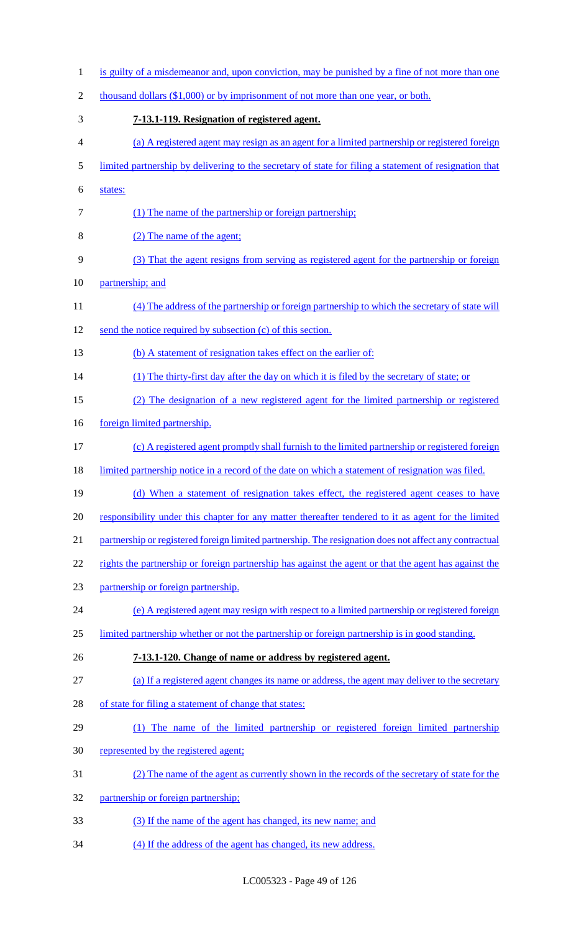1 is guilty of a misdemeanor and, upon conviction, may be punished by a fine of not more than one 2 thousand dollars (\$1,000) or by imprisonment of not more than one year, or both. **7-13.1-119. Resignation of registered agent.** (a) A registered agent may resign as an agent for a limited partnership or registered foreign limited partnership by delivering to the secretary of state for filing a statement of resignation that states: 7 (1) The name of the partnership or foreign partnership; (2) The name of the agent; (3) That the agent resigns from serving as registered agent for the partnership or foreign partnership; and (4) The address of the partnership or foreign partnership to which the secretary of state will 12 send the notice required by subsection (c) of this section. 13 (b) A statement of resignation takes effect on the earlier of: 14 (1) The thirty-first day after the day on which it is filed by the secretary of state; or (2) The designation of a new registered agent for the limited partnership or registered 16 foreign limited partnership. (c) A registered agent promptly shall furnish to the limited partnership or registered foreign 18 limited partnership notice in a record of the date on which a statement of resignation was filed. (d) When a statement of resignation takes effect, the registered agent ceases to have responsibility under this chapter for any matter thereafter tendered to it as agent for the limited 21 partnership or registered foreign limited partnership. The resignation does not affect any contractual 22 rights the partnership or foreign partnership has against the agent or that the agent has against the partnership or foreign partnership. (e) A registered agent may resign with respect to a limited partnership or registered foreign limited partnership whether or not the partnership or foreign partnership is in good standing. **7-13.1-120. Change of name or address by registered agent.** (a) If a registered agent changes its name or address, the agent may deliver to the secretary of state for filing a statement of change that states: (1) The name of the limited partnership or registered foreign limited partnership represented by the registered agent; (2) The name of the agent as currently shown in the records of the secretary of state for the partnership or foreign partnership; (3) If the name of the agent has changed, its new name; and (4) If the address of the agent has changed, its new address.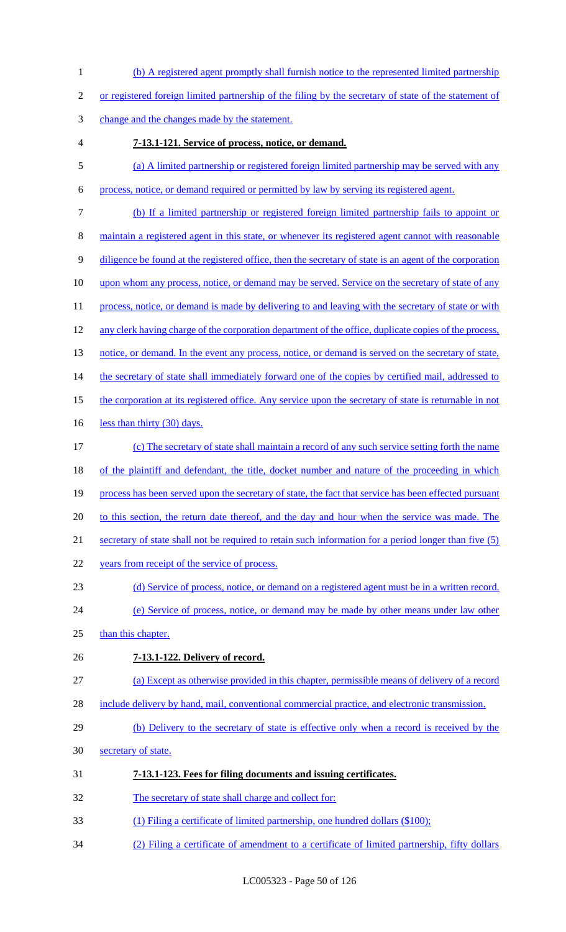(b) A registered agent promptly shall furnish notice to the represented limited partnership or registered foreign limited partnership of the filing by the secretary of state of the statement of change and the changes made by the statement. **7-13.1-121. Service of process, notice, or demand.** (a) A limited partnership or registered foreign limited partnership may be served with any process, notice, or demand required or permitted by law by serving its registered agent. (b) If a limited partnership or registered foreign limited partnership fails to appoint or maintain a registered agent in this state, or whenever its registered agent cannot with reasonable diligence be found at the registered office, then the secretary of state is an agent of the corporation 10 upon whom any process, notice, or demand may be served. Service on the secretary of state of any 11 process, notice, or demand is made by delivering to and leaving with the secretary of state or with any clerk having charge of the corporation department of the office, duplicate copies of the process, 13 notice, or demand. In the event any process, notice, or demand is served on the secretary of state, 14 the secretary of state shall immediately forward one of the copies by certified mail, addressed to 15 the corporation at its registered office. Any service upon the secretary of state is returnable in not 16 less than thirty (30) days. (c) The secretary of state shall maintain a record of any such service setting forth the name of the plaintiff and defendant, the title, docket number and nature of the proceeding in which process has been served upon the secretary of state, the fact that service has been effected pursuant 20 to this section, the return date thereof, and the day and hour when the service was made. The secretary of state shall not be required to retain such information for a period longer than five (5) 22 years from receipt of the service of process. (d) Service of process, notice, or demand on a registered agent must be in a written record. (e) Service of process, notice, or demand may be made by other means under law other than this chapter. **7-13.1-122. Delivery of record.** (a) Except as otherwise provided in this chapter, permissible means of delivery of a record include delivery by hand, mail, conventional commercial practice, and electronic transmission. 29 (b) Delivery to the secretary of state is effective only when a record is received by the secretary of state. **7-13.1-123. Fees for filing documents and issuing certificates.**  The secretary of state shall charge and collect for: (1) Filing a certificate of limited partnership, one hundred dollars (\$100); (2) Filing a certificate of amendment to a certificate of limited partnership, fifty dollars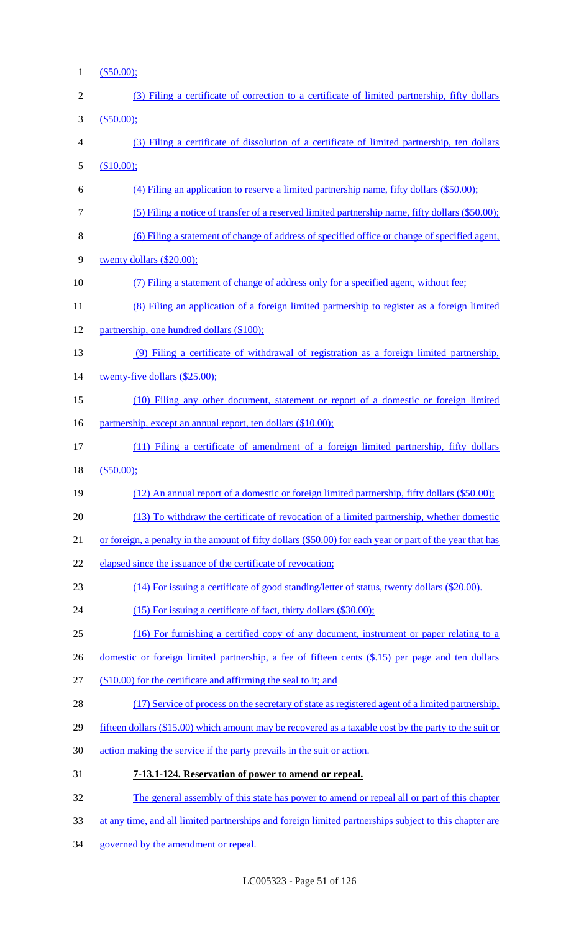$1 \quad \textcircled{(} 550.00\textcircled{)}.$ 

| $\sqrt{2}$     | (3) Filing a certificate of correction to a certificate of limited partnership, fifty dollars             |
|----------------|-----------------------------------------------------------------------------------------------------------|
| 3              | $($50.00)$ ;                                                                                              |
| $\overline{4}$ | (3) Filing a certificate of dissolution of a certificate of limited partnership, ten dollars              |
| 5              | (\$10.00);                                                                                                |
| 6              | (4) Filing an application to reserve a limited partnership name, fifty dollars (\$50.00);                 |
| 7              | (5) Filing a notice of transfer of a reserved limited partnership name, fifty dollars (\$50.00);          |
| 8              | (6) Filing a statement of change of address of specified office or change of specified agent,             |
| 9              | twenty dollars $(\$20.00)$ ;                                                                              |
| 10             | (7) Filing a statement of change of address only for a specified agent, without fee;                      |
| 11             | (8) Filing an application of a foreign limited partnership to register as a foreign limited               |
| 12             | partnership, one hundred dollars (\$100);                                                                 |
| 13             | (9) Filing a certificate of withdrawal of registration as a foreign limited partnership,                  |
| 14             | twenty-five dollars $(\$25.00)$ ;                                                                         |
| 15             | (10) Filing any other document, statement or report of a domestic or foreign limited                      |
| 16             | partnership, except an annual report, ten dollars (\$10.00);                                              |
| 17             | (11) Filing a certificate of amendment of a foreign limited partnership, fifty dollars                    |
| 18             | $($50.00)$ ;                                                                                              |
| 19             | $(12)$ An annual report of a domestic or foreign limited partnership, fifty dollars $(\$50.00)$ ;         |
| 20             | (13) To withdraw the certificate of revocation of a limited partnership, whether domestic                 |
| 21             | or foreign, a penalty in the amount of fifty dollars (\$50.00) for each year or part of the year that has |
| 22             | elapsed since the issuance of the certificate of revocation;                                              |
| 23             | (14) For issuing a certificate of good standing/letter of status, twenty dollars (\$20.00).               |
| 24             | $(15)$ For issuing a certificate of fact, thirty dollars $(\$30.00)$ ;                                    |
| 25             | (16) For furnishing a certified copy of any document, instrument or paper relating to a                   |
| 26             | <u>domestic or foreign limited partnership, a fee of fifteen cents (\$.15) per page and ten dollars</u>   |
| 27             | $($10.00)$ for the certificate and affirming the seal to it; and                                          |
| 28             | (17) Service of process on the secretary of state as registered agent of a limited partnership,           |
| 29             | fifteen dollars (\$15.00) which amount may be recovered as a taxable cost by the party to the suit or     |
| 30             | action making the service if the party prevails in the suit or action.                                    |
| 31             | 7-13.1-124. Reservation of power to amend or repeal.                                                      |
| 32             | The general assembly of this state has power to amend or repeal all or part of this chapter               |
| 33             | at any time, and all limited partnerships and foreign limited partnerships subject to this chapter are    |
| 34             | governed by the amendment or repeal.                                                                      |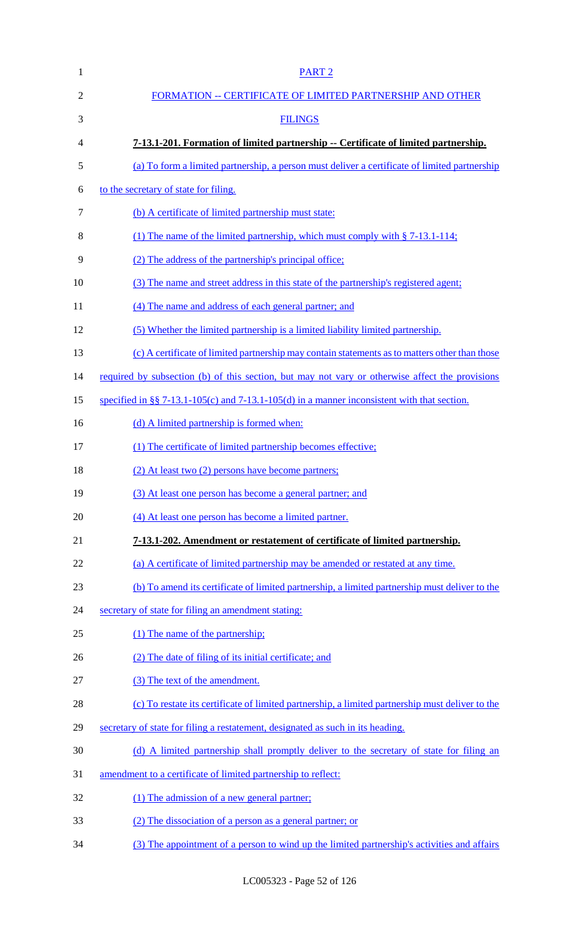| $\mathbf{1}$   | PART <sub>2</sub>                                                                                |
|----------------|--------------------------------------------------------------------------------------------------|
| $\overline{2}$ | FORMATION -- CERTIFICATE OF LIMITED PARTNERSHIP AND OTHER                                        |
| 3              | <b>FILINGS</b>                                                                                   |
| 4              | 7-13.1-201. Formation of limited partnership -- Certificate of limited partnership.              |
| 5              | (a) To form a limited partnership, a person must deliver a certificate of limited partnership    |
| 6              | to the secretary of state for filing.                                                            |
| 7              | (b) A certificate of limited partnership must state:                                             |
| 8              | (1) The name of the limited partnership, which must comply with $\S$ 7-13.1-114;                 |
| 9              | (2) The address of the partnership's principal office;                                           |
| 10             | (3) The name and street address in this state of the partnership's registered agent;             |
| 11             | (4) The name and address of each general partner; and                                            |
| 12             | (5) Whether the limited partnership is a limited liability limited partnership.                  |
| 13             | (c) A certificate of limited partnership may contain statements as to matters other than those   |
| 14             | required by subsection (b) of this section, but may not vary or otherwise affect the provisions  |
| 15             | specified in §§ 7-13.1-105(c) and 7-13.1-105(d) in a manner inconsistent with that section.      |
| 16             | (d) A limited partnership is formed when:                                                        |
| 17             | (1) The certificate of limited partnership becomes effective;                                    |
| 18             | (2) At least two (2) persons have become partners;                                               |
| 19             | (3) At least one person has become a general partner; and                                        |
| 20             | (4) At least one person has become a limited partner.                                            |
| 21             | 7-13.1-202. Amendment or restatement of certificate of limited partnership.                      |
| 22             | (a) A certificate of limited partnership may be amended or restated at any time.                 |
| 23             | (b) To amend its certificate of limited partnership, a limited partnership must deliver to the   |
| 24             | secretary of state for filing an amendment stating:                                              |
| 25             | $(1)$ The name of the partnership;                                                               |
| 26             | (2) The date of filing of its initial certificate; and                                           |
| 27             | (3) The text of the amendment.                                                                   |
| 28             | (c) To restate its certificate of limited partnership, a limited partnership must deliver to the |
| 29             | secretary of state for filing a restatement, designated as such in its heading.                  |
| 30             | (d) A limited partnership shall promptly deliver to the secretary of state for filing an         |
| 31             | amendment to a certificate of limited partnership to reflect:                                    |
| 32             | (1) The admission of a new general partner;                                                      |
| 33             | (2) The dissociation of a person as a general partner; or                                        |
| 34             | (3) The appointment of a person to wind up the limited partnership's activities and affairs      |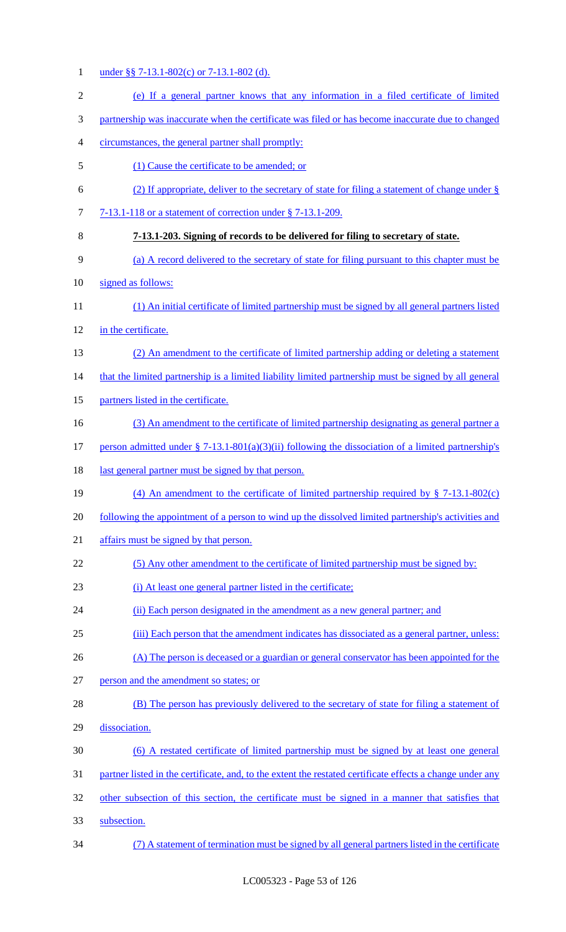1 under §§ 7-13.1-802(c) or 7-13.1-802 (d). (e) If a general partner knows that any information in a filed certificate of limited partnership was inaccurate when the certificate was filed or has become inaccurate due to changed circumstances, the general partner shall promptly: (1) Cause the certificate to be amended; or (2) If appropriate, deliver to the secretary of state for filing a statement of change under § 7 7-13.1-118 or a statement of correction under § 7-13.1-209. **7-13.1-203. Signing of records to be delivered for filing to secretary of state.** (a) A record delivered to the secretary of state for filing pursuant to this chapter must be signed as follows: (1) An initial certificate of limited partnership must be signed by all general partners listed in the certificate. (2) An amendment to the certificate of limited partnership adding or deleting a statement 14 that the limited partnership is a limited liability limited partnership must be signed by all general 15 partners listed in the certificate. (3) An amendment to the certificate of limited partnership designating as general partner a 17 person admitted under § 7-13.1-801(a)(3)(ii) following the dissociation of a limited partnership's 18 last general partner must be signed by that person. (4) An amendment to the certificate of limited partnership required by § 7-13.1-802(c) following the appointment of a person to wind up the dissolved limited partnership's activities and affairs must be signed by that person. (5) Any other amendment to the certificate of limited partnership must be signed by: 23 (i) At least one general partner listed in the certificate; 24 (ii) Each person designated in the amendment as a new general partner; and (iii) Each person that the amendment indicates has dissociated as a general partner, unless: 26 (A) The person is deceased or a guardian or general conservator has been appointed for the 27 person and the amendment so states; or (B) The person has previously delivered to the secretary of state for filing a statement of dissociation. (6) A restated certificate of limited partnership must be signed by at least one general partner listed in the certificate, and, to the extent the restated certificate effects a change under any other subsection of this section, the certificate must be signed in a manner that satisfies that subsection. (7) A statement of termination must be signed by all general partners listed in the certificate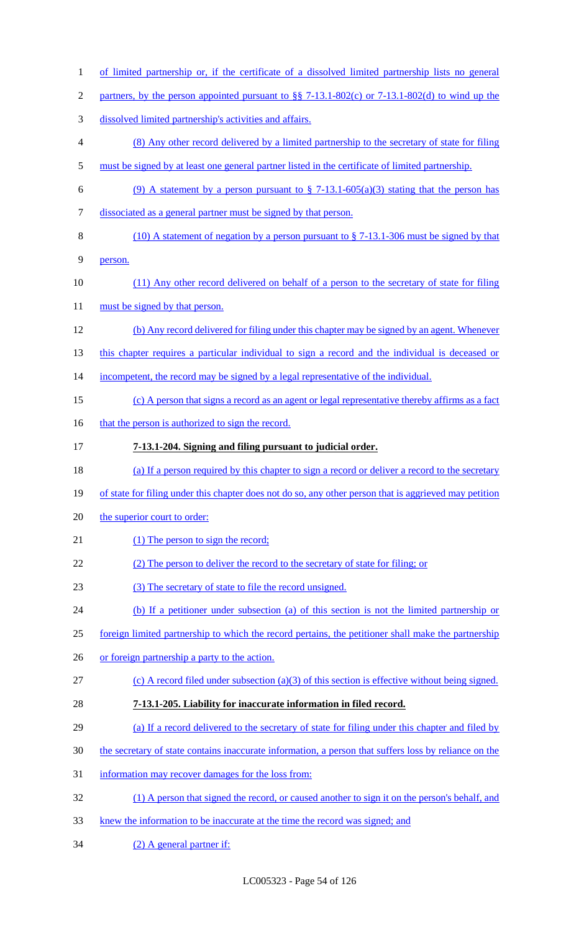- of limited partnership or, if the certificate of a dissolved limited partnership lists no general 2 partners, by the person appointed pursuant to §§ 7-13.1-802(c) or 7-13.1-802(d) to wind up the dissolved limited partnership's activities and affairs. (8) Any other record delivered by a limited partnership to the secretary of state for filing 5 must be signed by at least one general partner listed in the certificate of limited partnership. 6 (9) A statement by a person pursuant to  $\S$  7-13.1-605(a)(3) stating that the person has dissociated as a general partner must be signed by that person. (10) A statement of negation by a person pursuant to § 7-13.1-306 must be signed by that person. (11) Any other record delivered on behalf of a person to the secretary of state for filing 11 must be signed by that person. (b) Any record delivered for filing under this chapter may be signed by an agent. Whenever 13 this chapter requires a particular individual to sign a record and the individual is deceased or 14 incompetent, the record may be signed by a legal representative of the individual. (c) A person that signs a record as an agent or legal representative thereby affirms as a fact 16 that the person is authorized to sign the record. **7-13.1-204. Signing and filing pursuant to judicial order.** (a) If a person required by this chapter to sign a record or deliver a record to the secretary 19 of state for filing under this chapter does not do so, any other person that is aggrieved may petition 20 the superior court to order: 21 (1) The person to sign the record; (2) The person to deliver the record to the secretary of state for filing; or (3) The secretary of state to file the record unsigned. (b) If a petitioner under subsection (a) of this section is not the limited partnership or foreign limited partnership to which the record pertains, the petitioner shall make the partnership 26 or foreign partnership a party to the action. (c) A record filed under subsection (a)(3) of this section is effective without being signed. **7-13.1-205. Liability for inaccurate information in filed record.** (a) If a record delivered to the secretary of state for filing under this chapter and filed by the secretary of state contains inaccurate information, a person that suffers loss by reliance on the information may recover damages for the loss from: (1) A person that signed the record, or caused another to sign it on the person's behalf, and knew the information to be inaccurate at the time the record was signed; and
- (2) A general partner if: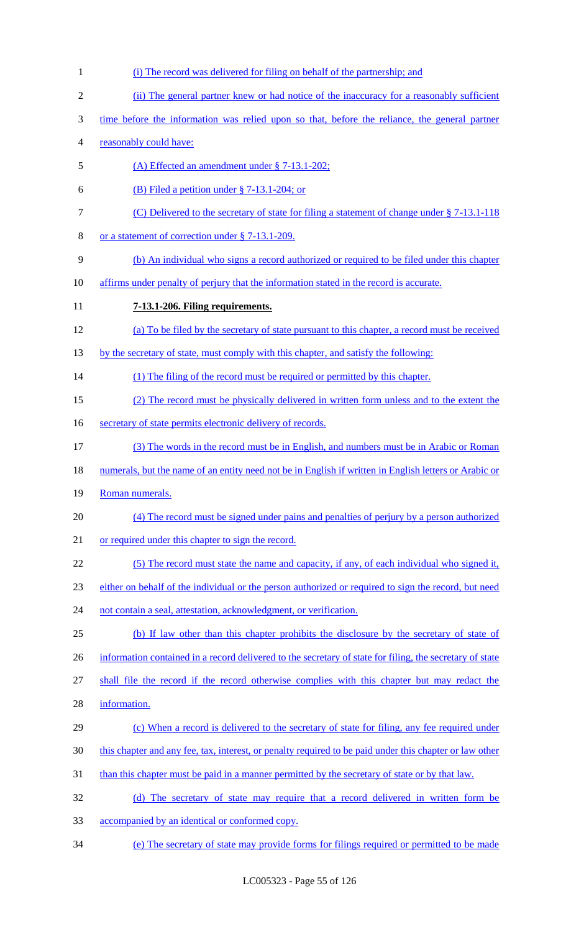- (i) The record was delivered for filing on behalf of the partnership; and (ii) The general partner knew or had notice of the inaccuracy for a reasonably sufficient time before the information was relied upon so that, before the reliance, the general partner reasonably could have: (A) Effected an amendment under § 7-13.1-202; (B) Filed a petition under § 7-13.1-204; or (C) Delivered to the secretary of state for filing a statement of change under § 7-13.1-118 or a statement of correction under § 7-13.1-209. (b) An individual who signs a record authorized or required to be filed under this chapter affirms under penalty of perjury that the information stated in the record is accurate. **7-13.1-206. Filing requirements.** (a) To be filed by the secretary of state pursuant to this chapter, a record must be received 13 by the secretary of state, must comply with this chapter, and satisfy the following: 14 (1) The filing of the record must be required or permitted by this chapter. (2) The record must be physically delivered in written form unless and to the extent the 16 secretary of state permits electronic delivery of records. (3) The words in the record must be in English, and numbers must be in Arabic or Roman 18 numerals, but the name of an entity need not be in English if written in English letters or Arabic or Roman numerals. (4) The record must be signed under pains and penalties of perjury by a person authorized or required under this chapter to sign the record. (5) The record must state the name and capacity, if any, of each individual who signed it, either on behalf of the individual or the person authorized or required to sign the record, but need 24 not contain a seal, attestation, acknowledgment, or verification. (b) If law other than this chapter prohibits the disclosure by the secretary of state of 26 information contained in a record delivered to the secretary of state for filing, the secretary of state shall file the record if the record otherwise complies with this chapter but may redact the information. 29 (c) When a record is delivered to the secretary of state for filing, any fee required under this chapter and any fee, tax, interest, or penalty required to be paid under this chapter or law other than this chapter must be paid in a manner permitted by the secretary of state or by that law. (d) The secretary of state may require that a record delivered in written form be accompanied by an identical or conformed copy. (e) The secretary of state may provide forms for filings required or permitted to be made
	- LC005323 Page 55 of 126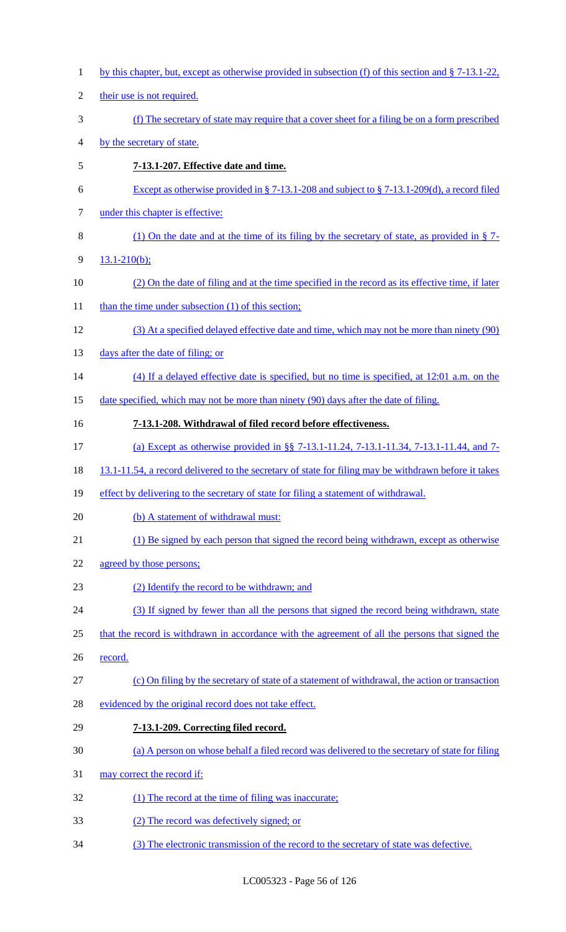by this chapter, but, except as otherwise provided in subsection (f) of this section and § 7-13.1-22, 2 their use is not required. (f) The secretary of state may require that a cover sheet for a filing be on a form prescribed by the secretary of state. **7-13.1-207. Effective date and time.** Except as otherwise provided in § 7-13.1-208 and subject to § 7-13.1-209(d), a record filed 7 under this chapter is effective: (1) On the date and at the time of its filing by the secretary of state, as provided in § 7-  $13.1 - 210(b)$ ; (2) On the date of filing and at the time specified in the record as its effective time, if later 11 than the time under subsection (1) of this section; (3) At a specified delayed effective date and time, which may not be more than ninety (90) days after the date of filing; or (4) If a delayed effective date is specified, but no time is specified, at 12:01 a.m. on the 15 date specified, which may not be more than ninety (90) days after the date of filing. **7-13.1-208. Withdrawal of filed record before effectiveness.** (a) Except as otherwise provided in §§ 7-13.1-11.24, 7-13.1-11.34, 7-13.1-11.44, and 7- 18 13.1-11.54, a record delivered to the secretary of state for filing may be withdrawn before it takes 19 effect by delivering to the secretary of state for filing a statement of withdrawal. 20 (b) A statement of withdrawal must: (1) Be signed by each person that signed the record being withdrawn, except as otherwise 22 agreed by those persons; (2) Identify the record to be withdrawn; and 24 (3) If signed by fewer than all the persons that signed the record being withdrawn, state 25 that the record is withdrawn in accordance with the agreement of all the persons that signed the 26 record. (c) On filing by the secretary of state of a statement of withdrawal, the action or transaction evidenced by the original record does not take effect. **7-13.1-209. Correcting filed record.** (a) A person on whose behalf a filed record was delivered to the secretary of state for filing may correct the record if: (1) The record at the time of filing was inaccurate; (2) The record was defectively signed; or (3) The electronic transmission of the record to the secretary of state was defective.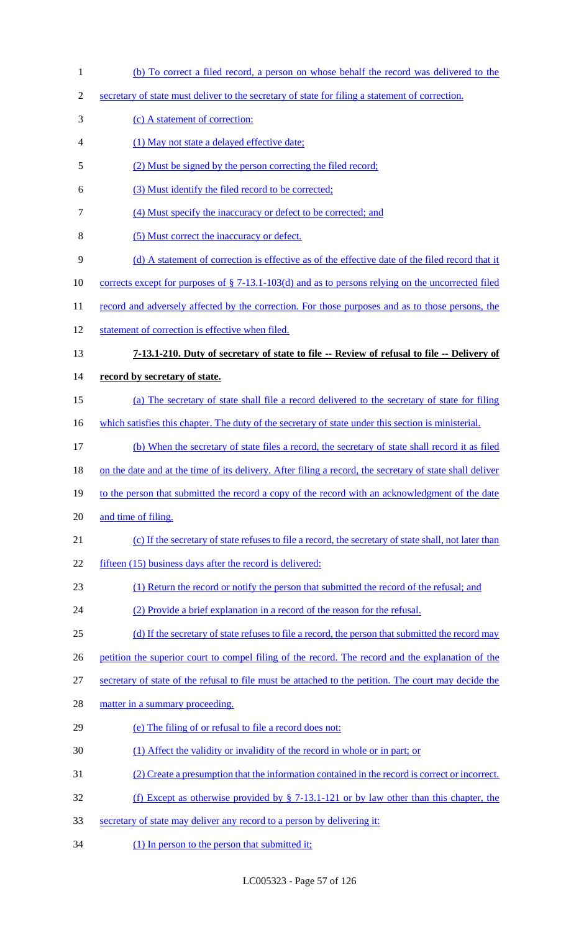(b) To correct a filed record, a person on whose behalf the record was delivered to the secretary of state must deliver to the secretary of state for filing a statement of correction. (c) A statement of correction: (1) May not state a delayed effective date; (2) Must be signed by the person correcting the filed record; (3) Must identify the filed record to be corrected; (4) Must specify the inaccuracy or defect to be corrected; and (5) Must correct the inaccuracy or defect. (d) A statement of correction is effective as of the effective date of the filed record that it corrects except for purposes of § 7-13.1-103(d) and as to persons relying on the uncorrected filed 11 record and adversely affected by the correction. For those purposes and as to those persons, the statement of correction is effective when filed. **7-13.1-210. Duty of secretary of state to file -- Review of refusal to file -- Delivery of record by secretary of state.** (a) The secretary of state shall file a record delivered to the secretary of state for filing 16 which satisfies this chapter. The duty of the secretary of state under this section is ministerial. (b) When the secretary of state files a record, the secretary of state shall record it as filed 18 on the date and at the time of its delivery. After filing a record, the secretary of state shall deliver 19 to the person that submitted the record a copy of the record with an acknowledgment of the date and time of filing. (c) If the secretary of state refuses to file a record, the secretary of state shall, not later than 22 fifteen (15) business days after the record is delivered: (1) Return the record or notify the person that submitted the record of the refusal; and (2) Provide a brief explanation in a record of the reason for the refusal. (d) If the secretary of state refuses to file a record, the person that submitted the record may 26 petition the superior court to compel filing of the record. The record and the explanation of the secretary of state of the refusal to file must be attached to the petition. The court may decide the 28 matter in a summary proceeding. (e) The filing of or refusal to file a record does not: (1) Affect the validity or invalidity of the record in whole or in part; or (2) Create a presumption that the information contained in the record is correct or incorrect. (f) Except as otherwise provided by § 7-13.1-121 or by law other than this chapter, the secretary of state may deliver any record to a person by delivering it: (1) In person to the person that submitted it;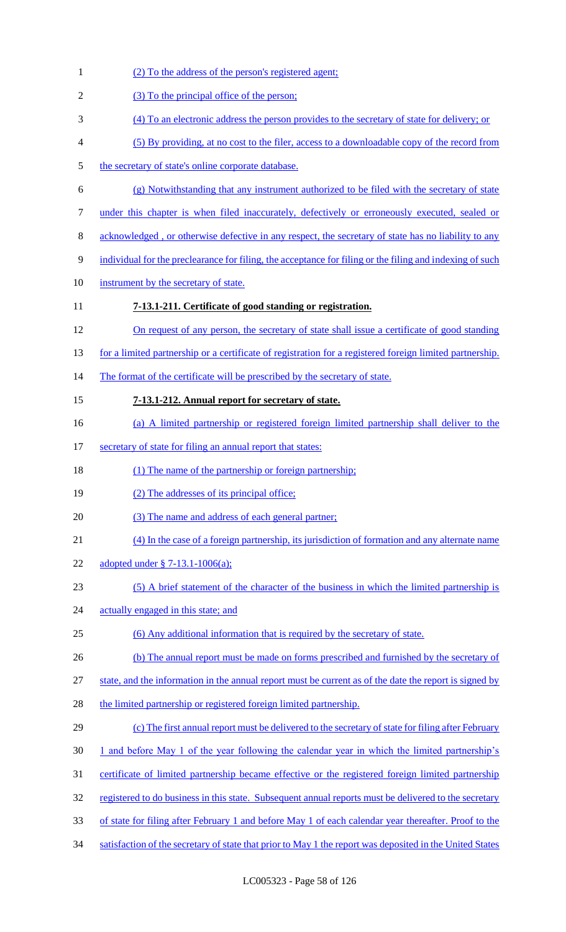| $\mathbf{1}$   | (2) To the address of the person's registered agent;                                                     |
|----------------|----------------------------------------------------------------------------------------------------------|
| $\overline{c}$ | (3) To the principal office of the person;                                                               |
| 3              | (4) To an electronic address the person provides to the secretary of state for delivery; or              |
| 4              | (5) By providing, at no cost to the filer, access to a downloadable copy of the record from              |
| 5              | the secretary of state's online corporate database.                                                      |
| 6              | (g) Notwithstanding that any instrument authorized to be filed with the secretary of state               |
| $\tau$         | under this chapter is when filed inaccurately, defectively or erroneously executed, sealed or            |
| 8              | acknowledged, or otherwise defective in any respect, the secretary of state has no liability to any      |
| 9              | individual for the preclearance for filing, the acceptance for filing or the filing and indexing of such |
| 10             | instrument by the secretary of state.                                                                    |
| 11             | 7-13.1-211. Certificate of good standing or registration.                                                |
| 12             | On request of any person, the secretary of state shall issue a certificate of good standing              |
| 13             | for a limited partnership or a certificate of registration for a registered foreign limited partnership. |
| 14             | The format of the certificate will be prescribed by the secretary of state.                              |
| 15             | 7-13.1-212. Annual report for secretary of state.                                                        |
| 16             | (a) A limited partnership or registered foreign limited partnership shall deliver to the                 |
| 17             | secretary of state for filing an annual report that states:                                              |
| 18             | (1) The name of the partnership or foreign partnership;                                                  |
| 19             | (2) The addresses of its principal office;                                                               |
| 20             | (3) The name and address of each general partner;                                                        |
| 21             | (4) In the case of a foreign partnership, its jurisdiction of formation and any alternate name           |
| 22             | adopted under $\S$ 7-13.1-1006(a);                                                                       |
| 23             | (5) A brief statement of the character of the business in which the limited partnership is               |
| 24             | actually engaged in this state; and                                                                      |
| 25             | (6) Any additional information that is required by the secretary of state.                               |
| 26             | (b) The annual report must be made on forms prescribed and furnished by the secretary of                 |
| 27             | state, and the information in the annual report must be current as of the date the report is signed by   |
| 28             | the limited partnership or registered foreign limited partnership.                                       |
| 29             | (c) The first annual report must be delivered to the secretary of state for filing after February        |
| 30             | 1 and before May 1 of the year following the calendar year in which the limited partnership's            |
| 31             | certificate of limited partnership became effective or the registered foreign limited partnership        |
| 32             | registered to do business in this state. Subsequent annual reports must be delivered to the secretary    |
| 33             | of state for filing after February 1 and before May 1 of each calendar year thereafter. Proof to the     |
| 34             | satisfaction of the secretary of state that prior to May 1 the report was deposited in the United States |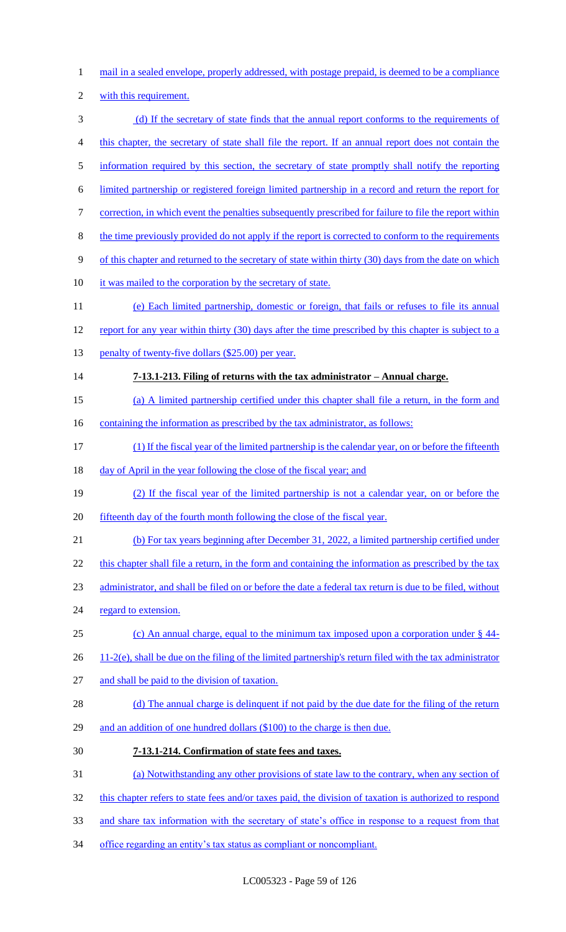- mail in a sealed envelope, properly addressed, with postage prepaid, is deemed to be a compliance
- with this requirement.
- (d) If the secretary of state finds that the annual report conforms to the requirements of this chapter, the secretary of state shall file the report. If an annual report does not contain the information required by this section, the secretary of state promptly shall notify the reporting limited partnership or registered foreign limited partnership in a record and return the report for correction, in which event the penalties subsequently prescribed for failure to file the report within the time previously provided do not apply if the report is corrected to conform to the requirements of this chapter and returned to the secretary of state within thirty (30) days from the date on which 10 it was mailed to the corporation by the secretary of state. (e) Each limited partnership, domestic or foreign, that fails or refuses to file its annual report for any year within thirty (30) days after the time prescribed by this chapter is subject to a 13 penalty of twenty-five dollars (\$25.00) per year. **7-13.1-213. Filing of returns with the tax administrator – Annual charge.** (a) A limited partnership certified under this chapter shall file a return, in the form and 16 containing the information as prescribed by the tax administrator, as follows: (1) If the fiscal year of the limited partnership is the calendar year, on or before the fifteenth 18 day of April in the year following the close of the fiscal year; and (2) If the fiscal year of the limited partnership is not a calendar year, on or before the 20 fifteenth day of the fourth month following the close of the fiscal year. (b) For tax years beginning after December 31, 2022, a limited partnership certified under 22 this chapter shall file a return, in the form and containing the information as prescribed by the tax administrator, and shall be filed on or before the date a federal tax return is due to be filed, without 24 regard to extension. (c) An annual charge, equal to the minimum tax imposed upon a corporation under § 44- 26 11-2(e), shall be due on the filing of the limited partnership's return filed with the tax administrator 27 and shall be paid to the division of taxation. 28 (d) The annual charge is delinquent if not paid by the due date for the filing of the return and an addition of one hundred dollars (\$100) to the charge is then due. **7-13.1-214. Confirmation of state fees and taxes.** (a) Notwithstanding any other provisions of state law to the contrary, when any section of 32 this chapter refers to state fees and/or taxes paid, the division of taxation is authorized to respond and share tax information with the secretary of state's office in response to a request from that 34 office regarding an entity's tax status as compliant or noncompliant.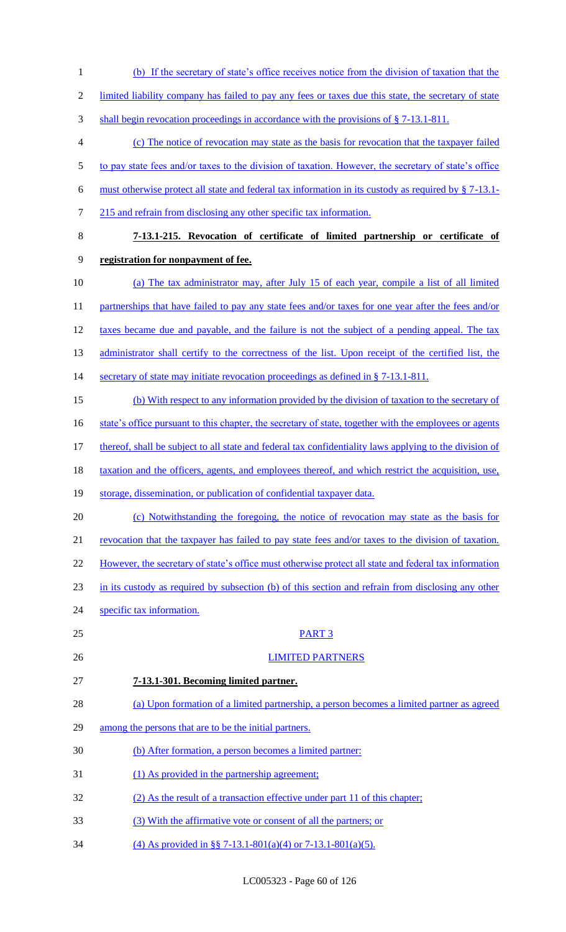(b) If the secretary of state's office receives notice from the division of taxation that the limited liability company has failed to pay any fees or taxes due this state, the secretary of state shall begin revocation proceedings in accordance with the provisions of § 7-13.1-811. (c) The notice of revocation may state as the basis for revocation that the taxpayer failed 5 to pay state fees and/or taxes to the division of taxation. However, the secretary of state's office must otherwise protect all state and federal tax information in its custody as required by § 7-13.1- 7 215 and refrain from disclosing any other specific tax information. **7-13.1-215. Revocation of certificate of limited partnership or certificate of registration for nonpayment of fee.**  (a) The tax administrator may, after July 15 of each year, compile a list of all limited 11 partnerships that have failed to pay any state fees and/or taxes for one year after the fees and/or 12 taxes became due and payable, and the failure is not the subject of a pending appeal. The tax 13 administrator shall certify to the correctness of the list. Upon receipt of the certified list, the 14 secretary of state may initiate revocation proceedings as defined in § 7-13.1-811. (b) With respect to any information provided by the division of taxation to the secretary of 16 state's office pursuant to this chapter, the secretary of state, together with the employees or agents thereof, shall be subject to all state and federal tax confidentiality laws applying to the division of 18 taxation and the officers, agents, and employees thereof, and which restrict the acquisition, use, storage, dissemination, or publication of confidential taxpayer data. 20 (c) Notwithstanding the foregoing, the notice of revocation may state as the basis for revocation that the taxpayer has failed to pay state fees and/or taxes to the division of taxation. 22 However, the secretary of state's office must otherwise protect all state and federal tax information in its custody as required by subsection (b) of this section and refrain from disclosing any other specific tax information. PART 3 LIMITED PARTNERS **7-13.1-301. Becoming limited partner.** (a) Upon formation of a limited partnership, a person becomes a limited partner as agreed among the persons that are to be the initial partners. (b) After formation, a person becomes a limited partner: (1) As provided in the partnership agreement; (2) As the result of a transaction effective under part 11 of this chapter; (3) With the affirmative vote or consent of all the partners; or (4) As provided in §§ 7-13.1-801(a)(4) or 7-13.1-801(a)(5).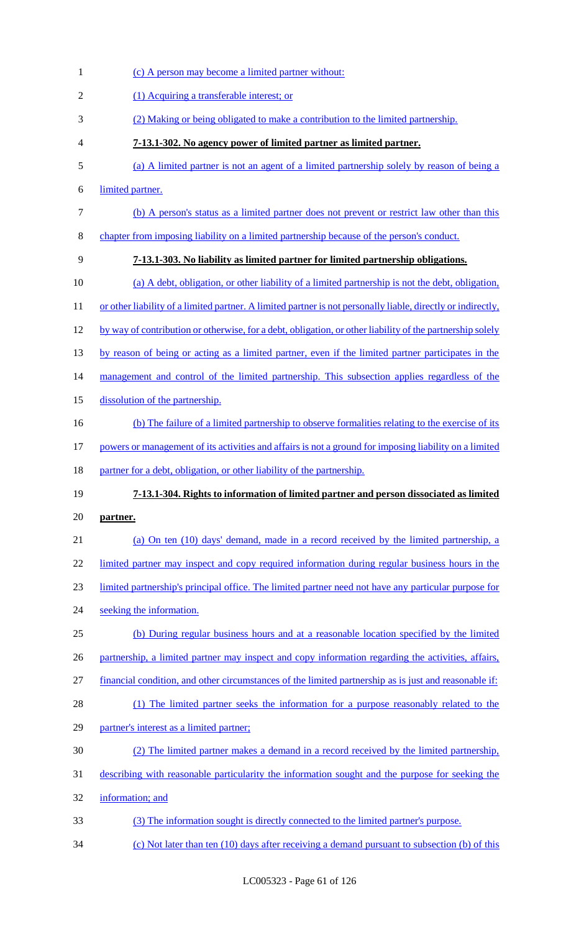| $\mathbf{1}$   | (c) A person may become a limited partner without:                                                           |
|----------------|--------------------------------------------------------------------------------------------------------------|
| $\overline{2}$ | (1) Acquiring a transferable interest; or                                                                    |
| 3              | (2) Making or being obligated to make a contribution to the limited partnership.                             |
| 4              | 7-13.1-302. No agency power of limited partner as limited partner.                                           |
| 5              | (a) A limited partner is not an agent of a limited partnership solely by reason of being a                   |
| 6              | limited partner.                                                                                             |
| 7              | (b) A person's status as a limited partner does not prevent or restrict law other than this                  |
| 8              | chapter from imposing liability on a limited partnership because of the person's conduct.                    |
| 9              | 7-13.1-303. No liability as limited partner for limited partnership obligations.                             |
| 10             | (a) A debt, obligation, or other liability of a limited partnership is not the debt, obligation,             |
| 11             | or other liability of a limited partner. A limited partner is not personally liable, directly or indirectly, |
| 12             | by way of contribution or otherwise, for a debt, obligation, or other liability of the partnership solely    |
| 13             | by reason of being or acting as a limited partner, even if the limited partner participates in the           |
| 14             | management and control of the limited partnership. This subsection applies regardless of the                 |
| 15             | dissolution of the partnership.                                                                              |
| 16             | (b) The failure of a limited partnership to observe formalities relating to the exercise of its              |
| 17             | powers or management of its activities and affairs is not a ground for imposing liability on a limited       |
|                |                                                                                                              |
| 18             | partner for a debt, obligation, or other liability of the partnership.                                       |
| 19             | 7-13.1-304. Rights to information of limited partner and person dissociated as limited                       |
| 20             | partner.                                                                                                     |
| 21             | (a) On ten (10) days' demand, made in a record received by the limited partnership, a                        |
| 22             | limited partner may inspect and copy required information during regular business hours in the               |
| 23             | limited partnership's principal office. The limited partner need not have any particular purpose for         |
| 24             | seeking the information.                                                                                     |
| 25             | (b) During regular business hours and at a reasonable location specified by the limited                      |
| 26             | partnership, a limited partner may inspect and copy information regarding the activities, affairs,           |
| 27             | financial condition, and other circumstances of the limited partnership as is just and reasonable if:        |
| 28             | (1) The limited partner seeks the information for a purpose reasonably related to the                        |
| 29             | partner's interest as a limited partner;                                                                     |
| 30             | (2) The limited partner makes a demand in a record received by the limited partnership,                      |
| 31             | describing with reasonable particularity the information sought and the purpose for seeking the              |
| 32             | information; and                                                                                             |
| 33             | (3) The information sought is directly connected to the limited partner's purpose.                           |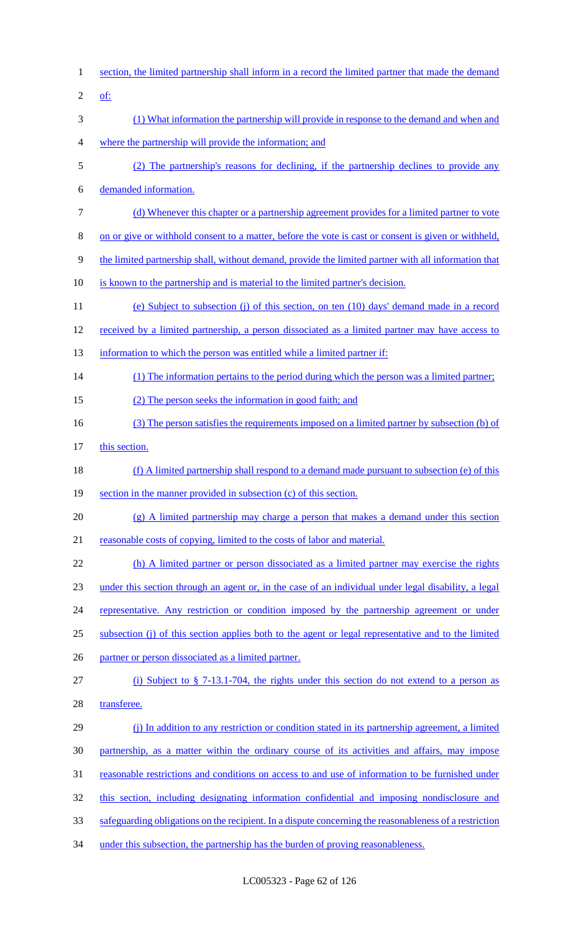| $\mathbf{1}$   | section, the limited partnership shall inform in a record the limited partner that made the demand     |
|----------------|--------------------------------------------------------------------------------------------------------|
| $\overline{2}$ | $of$ :                                                                                                 |
| 3              | (1) What information the partnership will provide in response to the demand and when and               |
| 4              | where the partnership will provide the information; and                                                |
| 5              | (2) The partnership's reasons for declining, if the partnership declines to provide any                |
| 6              | demanded information.                                                                                  |
| 7              | (d) Whenever this chapter or a partnership agreement provides for a limited partner to vote            |
| 8              | on or give or withhold consent to a matter, before the vote is cast or consent is given or withheld,   |
| 9              | the limited partnership shall, without demand, provide the limited partner with all information that   |
| 10             | is known to the partnership and is material to the limited partner's decision.                         |
| 11             | (e) Subject to subsection (j) of this section, on ten (10) days' demand made in a record               |
| 12             | received by a limited partnership, a person dissociated as a limited partner may have access to        |
| 13             | information to which the person was entitled while a limited partner if:                               |
| 14             | (1) The information pertains to the period during which the person was a limited partner;              |
| 15             | (2) The person seeks the information in good faith; and                                                |
| 16             | (3) The person satisfies the requirements imposed on a limited partner by subsection (b) of            |
| 17             | this section.                                                                                          |
| 18             | (f) A limited partnership shall respond to a demand made pursuant to subsection (e) of this            |
| 19             | section in the manner provided in subsection (c) of this section.                                      |
| 20             | $(g)$ A limited partnership may charge a person that makes a demand under this section                 |
| 21             | reasonable costs of copying, limited to the costs of labor and material.                               |
| 22             | (h) A limited partner or person dissociated as a limited partner may exercise the rights               |
| 23             | under this section through an agent or, in the case of an individual under legal disability, a legal   |
| 24             | representative. Any restriction or condition imposed by the partnership agreement or under             |
| 25             | subsection (j) of this section applies both to the agent or legal representative and to the limited    |
| 26             | partner or person dissociated as a limited partner.                                                    |
| 27             | (i) Subject to $\S$ 7-13.1-704, the rights under this section do not extend to a person as             |
| 28             | transferee.                                                                                            |
| 29             | (j) In addition to any restriction or condition stated in its partnership agreement, a limited         |
| 30             | partnership, as a matter within the ordinary course of its activities and affairs, may impose          |
| 31             | reasonable restrictions and conditions on access to and use of information to be furnished under       |
| 32             | this section, including designating information confidential and imposing nondisclosure and            |
| 33             | safeguarding obligations on the recipient. In a dispute concerning the reasonableness of a restriction |
| 34             | under this subsection, the partnership has the burden of proving reasonableness.                       |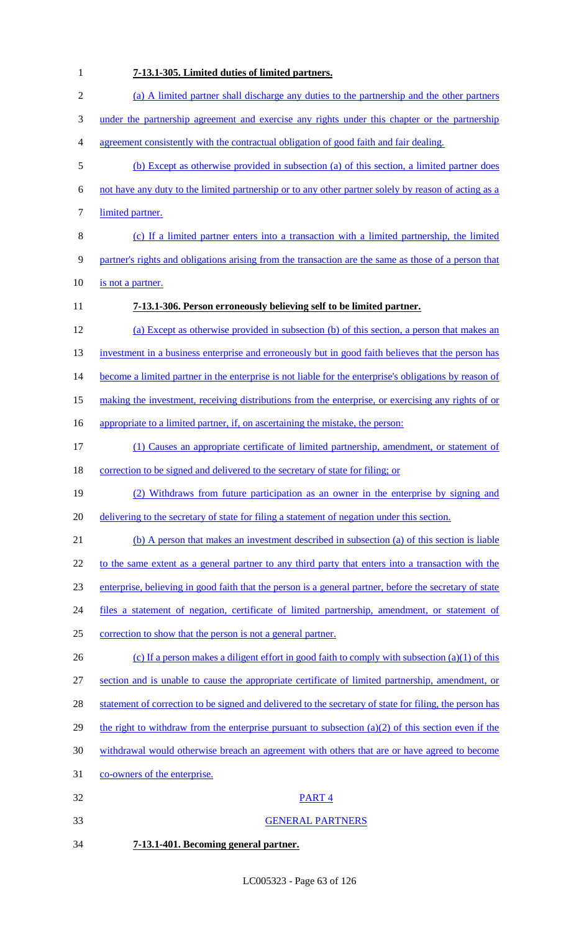| 7-13.1-305. Limited duties of limited partners.                                                         |
|---------------------------------------------------------------------------------------------------------|
| (a) A limited partner shall discharge any duties to the partnership and the other partners              |
| <u>under the partnership agreement and exercise any rights under this chapter or the partnership</u>    |
| agreement consistently with the contractual obligation of good faith and fair dealing.                  |
| (b) Except as otherwise provided in subsection (a) of this section, a limited partner does              |
| not have any duty to the limited partnership or to any other partner solely by reason of acting as a    |
| limited partner.                                                                                        |
| (c) If a limited partner enters into a transaction with a limited partnership, the limited              |
| partner's rights and obligations arising from the transaction are the same as those of a person that    |
| is not a partner.                                                                                       |
| 7-13.1-306. Person erroneously believing self to be limited partner.                                    |
| (a) Except as otherwise provided in subsection (b) of this section, a person that makes an              |
| investment in a business enterprise and erroneously but in good faith believes that the person has      |
| become a limited partner in the enterprise is not liable for the enterprise's obligations by reason of  |
| making the investment, receiving distributions from the enterprise, or exercising any rights of or      |
| appropriate to a limited partner, if, on ascertaining the mistake, the person:                          |
| (1) Causes an appropriate certificate of limited partnership, amendment, or statement of                |
| correction to be signed and delivered to the secretary of state for filing; or                          |
| (2) Withdraws from future participation as an owner in the enterprise by signing and                    |
| delivering to the secretary of state for filing a statement of negation under this section.             |
| (b) A person that makes an investment described in subsection (a) of this section is liable             |
| to the same extent as a general partner to any third party that enters into a transaction with the      |
| enterprise, believing in good faith that the person is a general partner, before the secretary of state |
| files a statement of negation, certificate of limited partnership, amendment, or statement of           |
| correction to show that the person is not a general partner.                                            |
| (c) If a person makes a diligent effort in good faith to comply with subsection $(a)(1)$ of this        |
| section and is unable to cause the appropriate certificate of limited partnership, amendment, or        |
| statement of correction to be signed and delivered to the secretary of state for filing, the person has |
| the right to withdraw from the enterprise pursuant to subsection $(a)(2)$ of this section even if the   |
| withdrawal would otherwise breach an agreement with others that are or have agreed to become            |
| co-owners of the enterprise.                                                                            |
| PART <sub>4</sub>                                                                                       |
| <b>GENERAL PARTNERS</b>                                                                                 |
| 7-13.1-401. Becoming general partner.                                                                   |

## LC005323 - Page 63 of 126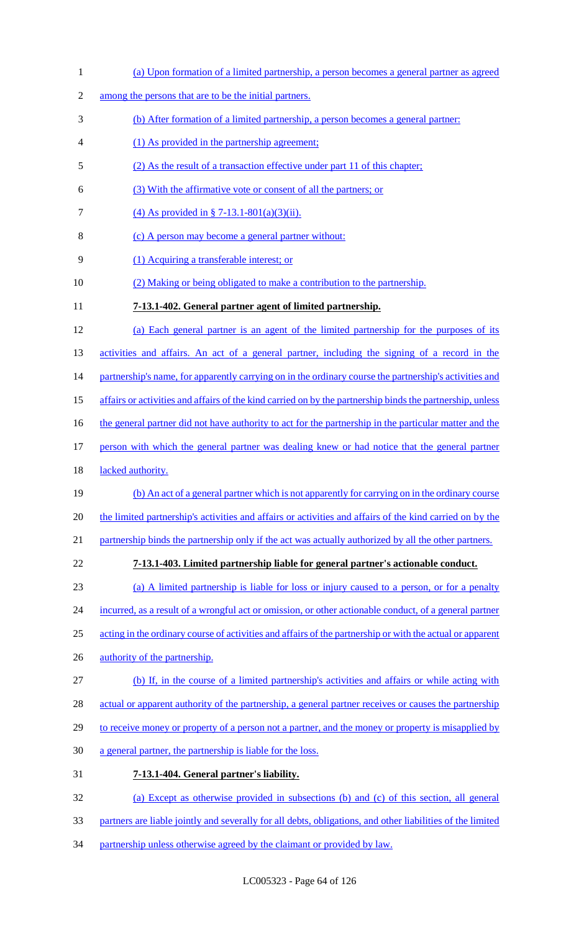(a) Upon formation of a limited partnership, a person becomes a general partner as agreed among the persons that are to be the initial partners. (b) After formation of a limited partnership, a person becomes a general partner: (1) As provided in the partnership agreement; (2) As the result of a transaction effective under part 11 of this chapter; (3) With the affirmative vote or consent of all the partners; or 7 (4) As provided in § 7-13.1-801(a)(3)(ii). (c) A person may become a general partner without: (1) Acquiring a transferable interest; or 10 (2) Making or being obligated to make a contribution to the partnership. **7-13.1-402. General partner agent of limited partnership.** (a) Each general partner is an agent of the limited partnership for the purposes of its 13 activities and affairs. An act of a general partner, including the signing of a record in the 14 partnership's name, for apparently carrying on in the ordinary course the partnership's activities and affairs or activities and affairs of the kind carried on by the partnership binds the partnership, unless 16 the general partner did not have authority to act for the partnership in the particular matter and the person with which the general partner was dealing knew or had notice that the general partner lacked authority. (b) An act of a general partner which is not apparently for carrying on in the ordinary course 20 the limited partnership's activities and affairs or activities and affairs of the kind carried on by the partnership binds the partnership only if the act was actually authorized by all the other partners. **7-13.1-403. Limited partnership liable for general partner's actionable conduct.** (a) A limited partnership is liable for loss or injury caused to a person, or for a penalty 24 incurred, as a result of a wrongful act or omission, or other actionable conduct, of a general partner acting in the ordinary course of activities and affairs of the partnership or with the actual or apparent authority of the partnership. (b) If, in the course of a limited partnership's activities and affairs or while acting with 28 actual or apparent authority of the partnership, a general partner receives or causes the partnership 29 to receive money or property of a person not a partner, and the money or property is misapplied by a general partner, the partnership is liable for the loss. **7-13.1-404. General partner's liability.** (a) Except as otherwise provided in subsections (b) and (c) of this section, all general partners are liable jointly and severally for all debts, obligations, and other liabilities of the limited 34 partnership unless otherwise agreed by the claimant or provided by law.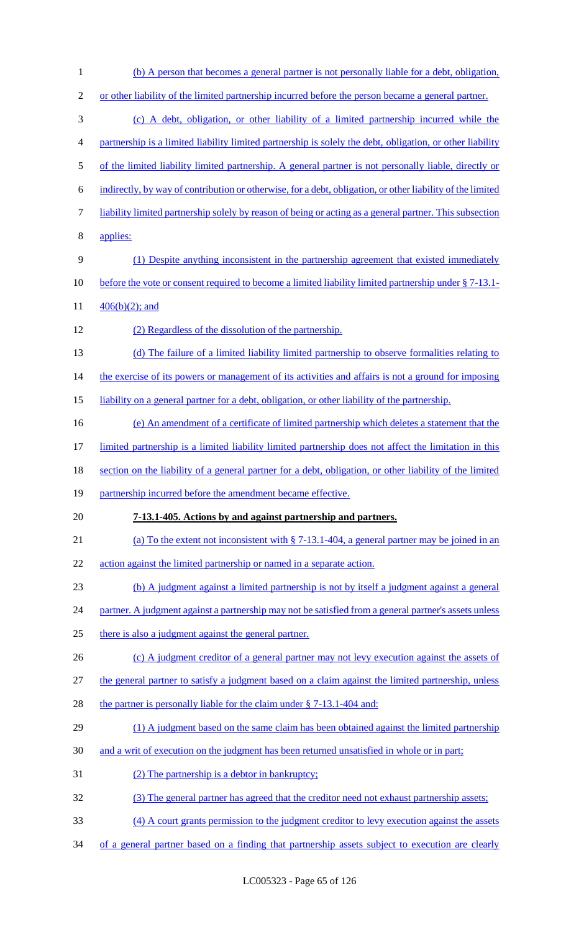(b) A person that becomes a general partner is not personally liable for a debt, obligation, or other liability of the limited partnership incurred before the person became a general partner. (c) A debt, obligation, or other liability of a limited partnership incurred while the partnership is a limited liability limited partnership is solely the debt, obligation, or other liability of the limited liability limited partnership. A general partner is not personally liable, directly or indirectly, by way of contribution or otherwise, for a debt, obligation, or other liability of the limited liability limited partnership solely by reason of being or acting as a general partner. This subsection applies: (1) Despite anything inconsistent in the partnership agreement that existed immediately before the vote or consent required to become a limited liability limited partnership under § 7-13.1-  $406(b)(2)$ ; and (2) Regardless of the dissolution of the partnership. (d) The failure of a limited liability limited partnership to observe formalities relating to 14 the exercise of its powers or management of its activities and affairs is not a ground for imposing liability on a general partner for a debt, obligation, or other liability of the partnership. (e) An amendment of a certificate of limited partnership which deletes a statement that the limited partnership is a limited liability limited partnership does not affect the limitation in this section on the liability of a general partner for a debt, obligation, or other liability of the limited 19 partnership incurred before the amendment became effective. **7-13.1-405. Actions by and against partnership and partners.** (a) To the extent not inconsistent with § 7-13.1-404, a general partner may be joined in an 22 action against the limited partnership or named in a separate action. (b) A judgment against a limited partnership is not by itself a judgment against a general 24 partner. A judgment against a partnership may not be satisfied from a general partner's assets unless there is also a judgment against the general partner. 26 (c) A judgment creditor of a general partner may not levy execution against the assets of the general partner to satisfy a judgment based on a claim against the limited partnership, unless 28 the partner is personally liable for the claim under § 7-13.1-404 and: (1) A judgment based on the same claim has been obtained against the limited partnership and a writ of execution on the judgment has been returned unsatisfied in whole or in part; (2) The partnership is a debtor in bankruptcy; (3) The general partner has agreed that the creditor need not exhaust partnership assets; (4) A court grants permission to the judgment creditor to levy execution against the assets 34 of a general partner based on a finding that partnership assets subject to execution are clearly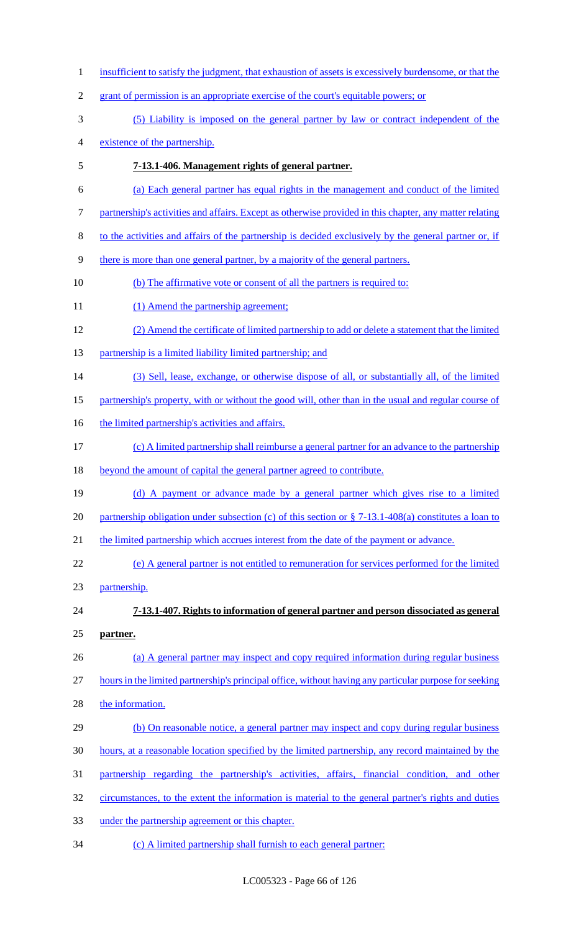- 1 insufficient to satisfy the judgment, that exhaustion of assets is excessively burdensome, or that the grant of permission is an appropriate exercise of the court's equitable powers; or (5) Liability is imposed on the general partner by law or contract independent of the existence of the partnership. **7-13.1-406. Management rights of general partner.** (a) Each general partner has equal rights in the management and conduct of the limited partnership's activities and affairs. Except as otherwise provided in this chapter, any matter relating to the activities and affairs of the partnership is decided exclusively by the general partner or, if there is more than one general partner, by a majority of the general partners. (b) The affirmative vote or consent of all the partners is required to: 11 (1) Amend the partnership agreement; (2) Amend the certificate of limited partnership to add or delete a statement that the limited 13 partnership is a limited liability limited partnership; and (3) Sell, lease, exchange, or otherwise dispose of all, or substantially all, of the limited partnership's property, with or without the good will, other than in the usual and regular course of 16 the limited partnership's activities and affairs. (c) A limited partnership shall reimburse a general partner for an advance to the partnership beyond the amount of capital the general partner agreed to contribute. (d) A payment or advance made by a general partner which gives rise to a limited partnership obligation under subsection (c) of this section or § 7-13.1-408(a) constitutes a loan to 21 the limited partnership which accrues interest from the date of the payment or advance. (e) A general partner is not entitled to remuneration for services performed for the limited partnership. **7-13.1-407. Rights to information of general partner and person dissociated as general partner.** 26 (a) A general partner may inspect and copy required information during regular business hours in the limited partnership's principal office, without having any particular purpose for seeking 28 the information. 29 (b) On reasonable notice, a general partner may inspect and copy during regular business hours, at a reasonable location specified by the limited partnership, any record maintained by the partnership regarding the partnership's activities, affairs, financial condition, and other circumstances, to the extent the information is material to the general partner's rights and duties under the partnership agreement or this chapter.
- (c) A limited partnership shall furnish to each general partner: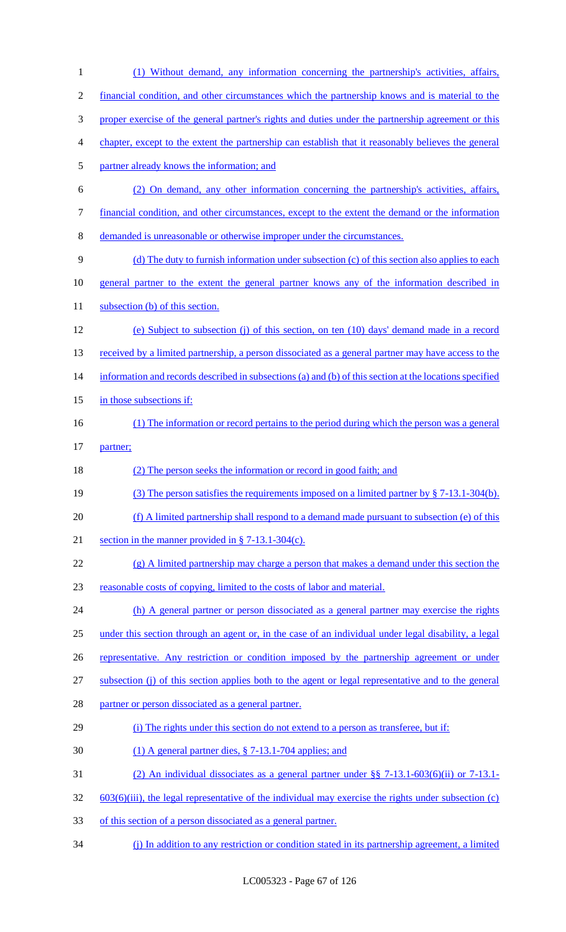(1) Without demand, any information concerning the partnership's activities, affairs, financial condition, and other circumstances which the partnership knows and is material to the proper exercise of the general partner's rights and duties under the partnership agreement or this chapter, except to the extent the partnership can establish that it reasonably believes the general partner already knows the information; and (2) On demand, any other information concerning the partnership's activities, affairs, financial condition, and other circumstances, except to the extent the demand or the information demanded is unreasonable or otherwise improper under the circumstances. (d) The duty to furnish information under subsection (c) of this section also applies to each general partner to the extent the general partner knows any of the information described in 11 subsection (b) of this section. (e) Subject to subsection (j) of this section, on ten (10) days' demand made in a record 13 received by a limited partnership, a person dissociated as a general partner may have access to the 14 information and records described in subsections (a) and (b) of this section at the locations specified 15 in those subsections if: (1) The information or record pertains to the period during which the person was a general partner; (2) The person seeks the information or record in good faith; and (3) The person satisfies the requirements imposed on a limited partner by § 7-13.1-304(b). (f) A limited partnership shall respond to a demand made pursuant to subsection (e) of this section in the manner provided in § 7-13.1-304(c). (g) A limited partnership may charge a person that makes a demand under this section the reasonable costs of copying, limited to the costs of labor and material. 24 (h) A general partner or person dissociated as a general partner may exercise the rights under this section through an agent or, in the case of an individual under legal disability, a legal 26 representative. Any restriction or condition imposed by the partnership agreement or under 27 subsection (j) of this section applies both to the agent or legal representative and to the general 28 partner or person dissociated as a general partner. 29 (i) The rights under this section do not extend to a person as transferee, but if: (1) A general partner dies, § 7-13.1-704 applies; and (2) An individual dissociates as a general partner under §§ 7-13.1-603(6)(ii) or 7-13.1- 603(6)(iii), the legal representative of the individual may exercise the rights under subsection (c) of this section of a person dissociated as a general partner. (j) In addition to any restriction or condition stated in its partnership agreement, a limited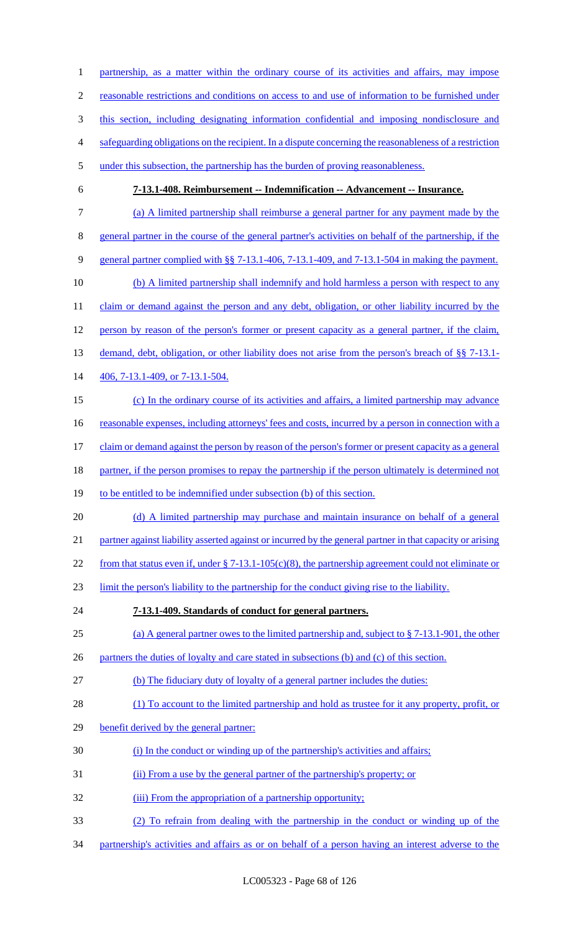1 partnership, as a matter within the ordinary course of its activities and affairs, may impose 2 reasonable restrictions and conditions on access to and use of information to be furnished under 3 this section, including designating information confidential and imposing nondisclosure and 4 safeguarding obligations on the recipient. In a dispute concerning the reasonableness of a restriction 5 under this subsection, the partnership has the burden of proving reasonableness. 6 **7-13.1-408. Reimbursement -- Indemnification -- Advancement -- Insurance.** 7 (a) A limited partnership shall reimburse a general partner for any payment made by the 8 general partner in the course of the general partner's activities on behalf of the partnership, if the 9 general partner complied with §§ 7-13.1-406, 7-13.1-409, and 7-13.1-504 in making the payment. 10 (b) A limited partnership shall indemnify and hold harmless a person with respect to any 11 claim or demand against the person and any debt, obligation, or other liability incurred by the 12 person by reason of the person's former or present capacity as a general partner, if the claim, 13 demand, debt, obligation, or other liability does not arise from the person's breach of §§ 7-13.1-14 406, 7-13.1-409, or 7-13.1-504. 15 (c) In the ordinary course of its activities and affairs, a limited partnership may advance 16 reasonable expenses, including attorneys' fees and costs, incurred by a person in connection with a 17 claim or demand against the person by reason of the person's former or present capacity as a general 18 partner, if the person promises to repay the partnership if the person ultimately is determined not 19 to be entitled to be indemnified under subsection (b) of this section. 20 (d) A limited partnership may purchase and maintain insurance on behalf of a general 21 partner against liability asserted against or incurred by the general partner in that capacity or arising 22 from that status even if, under  $\S$  7-13.1-105(c)(8), the partnership agreement could not eliminate or 23 limit the person's liability to the partnership for the conduct giving rise to the liability. 24 **7-13.1-409. Standards of conduct for general partners.** 25 (a) A general partner owes to the limited partnership and, subject to § 7-13.1-901, the other 26 partners the duties of loyalty and care stated in subsections (b) and (c) of this section. 27 (b) The fiduciary duty of loyalty of a general partner includes the duties: 28 (1) To account to the limited partnership and hold as trustee for it any property, profit, or 29 benefit derived by the general partner: 30 (i) In the conduct or winding up of the partnership's activities and affairs; 31 (ii) From a use by the general partner of the partnership's property; or 32 (iii) From the appropriation of a partnership opportunity; 33 (2) To refrain from dealing with the partnership in the conduct or winding up of the 34 partnership's activities and affairs as or on behalf of a person having an interest adverse to the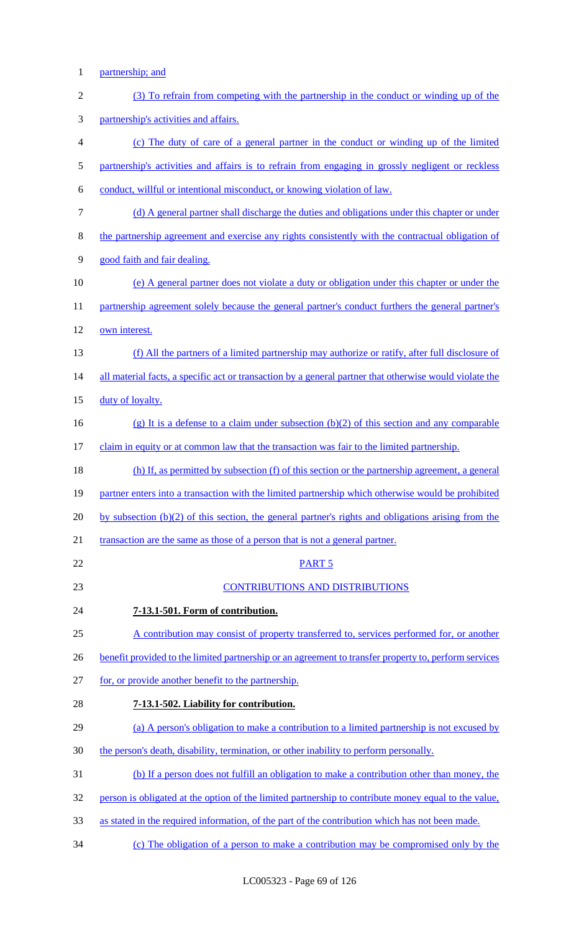1 partnership; and

| $\mathfrak{2}$   | (3) To refrain from competing with the partnership in the conduct or winding up of the                  |
|------------------|---------------------------------------------------------------------------------------------------------|
| 3                | partnership's activities and affairs.                                                                   |
| 4                | (c) The duty of care of a general partner in the conduct or winding up of the limited                   |
| 5                | partnership's activities and affairs is to refrain from engaging in grossly negligent or reckless       |
| 6                | conduct, willful or intentional misconduct, or knowing violation of law.                                |
| $\boldsymbol{7}$ | (d) A general partner shall discharge the duties and obligations under this chapter or under            |
| 8                | the partnership agreement and exercise any rights consistently with the contractual obligation of       |
| 9                | good faith and fair dealing.                                                                            |
| 10               | (e) A general partner does not violate a duty or obligation under this chapter or under the             |
| 11               | partnership agreement solely because the general partner's conduct furthers the general partner's       |
| 12               | own interest.                                                                                           |
| 13               | (f) All the partners of a limited partnership may authorize or ratify, after full disclosure of         |
| 14               | all material facts, a specific act or transaction by a general partner that otherwise would violate the |
| 15               | duty of loyalty.                                                                                        |
| 16               | $(g)$ It is a defense to a claim under subsection (b)(2) of this section and any comparable             |
| 17               | claim in equity or at common law that the transaction was fair to the limited partnership.              |
| 18               | (h) If, as permitted by subsection (f) of this section or the partnership agreement, a general          |
| 19               | partner enters into a transaction with the limited partnership which otherwise would be prohibited      |
| 20               | by subsection $(b)(2)$ of this section, the general partner's rights and obligations arising from the   |
| 21               | transaction are the same as those of a person that is not a general partner.                            |
| 22               | PART <sub>5</sub>                                                                                       |
| 23               | <b>CONTRIBUTIONS AND DISTRIBUTIONS</b>                                                                  |
| 24               | 7-13.1-501. Form of contribution.                                                                       |
| 25               | A contribution may consist of property transferred to, services performed for, or another               |
| 26               | benefit provided to the limited partnership or an agreement to transfer property to, perform services   |
| 27               | for, or provide another benefit to the partnership.                                                     |
| 28               | 7-13.1-502. Liability for contribution.                                                                 |
| 29               | (a) A person's obligation to make a contribution to a limited partnership is not excused by             |
| 30               | the person's death, disability, termination, or other inability to perform personally.                  |
| 31               | (b) If a person does not fulfill an obligation to make a contribution other than money, the             |
| 32               | person is obligated at the option of the limited partnership to contribute money equal to the value,    |
| 33               | as stated in the required information, of the part of the contribution which has not been made.         |
| 34               | (c) The obligation of a person to make a contribution may be compromised only by the                    |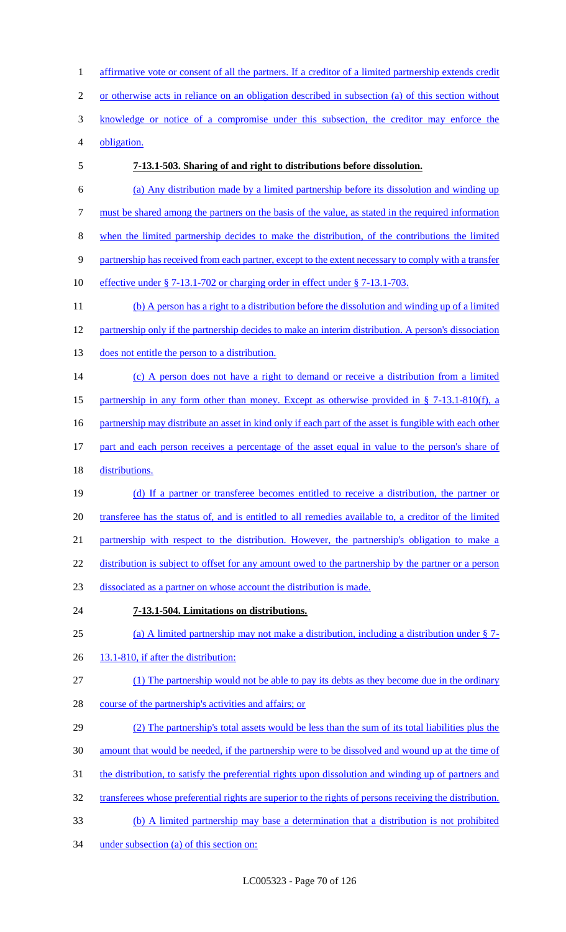1 affirmative vote or consent of all the partners. If a creditor of a limited partnership extends credit or otherwise acts in reliance on an obligation described in subsection (a) of this section without knowledge or notice of a compromise under this subsection, the creditor may enforce the obligation.

- **7-13.1-503. Sharing of and right to distributions before dissolution.**
- (a) Any distribution made by a limited partnership before its dissolution and winding up 7 must be shared among the partners on the basis of the value, as stated in the required information when the limited partnership decides to make the distribution, of the contributions the limited partnership has received from each partner, except to the extent necessary to comply with a transfer
- effective under § 7-13.1-702 or charging order in effect under § 7-13.1-703.
- (b) A person has a right to a distribution before the dissolution and winding up of a limited 12 partnership only if the partnership decides to make an interim distribution. A person's dissociation 13 does not entitle the person to a distribution.
- 14 (c) A person does not have a right to demand or receive a distribution from a limited
- partnership in any form other than money. Except as otherwise provided in § 7-13.1-810(f), a
- 16 partnership may distribute an asset in kind only if each part of the asset is fungible with each other
- 17 part and each person receives a percentage of the asset equal in value to the person's share of
- distributions.
- (d) If a partner or transferee becomes entitled to receive a distribution, the partner or transferee has the status of, and is entitled to all remedies available to, a creditor of the limited partnership with respect to the distribution. However, the partnership's obligation to make a 22 distribution is subject to offset for any amount owed to the partnership by the partner or a person
- dissociated as a partner on whose account the distribution is made.
- 

## **7-13.1-504. Limitations on distributions.**

- (a) A limited partnership may not make a distribution, including a distribution under § 7-
- 26 13.1-810, if after the distribution:
- (1) The partnership would not be able to pay its debts as they become due in the ordinary
- course of the partnership's activities and affairs; or
- (2) The partnership's total assets would be less than the sum of its total liabilities plus the amount that would be needed, if the partnership were to be dissolved and wound up at the time of
- 31 the distribution, to satisfy the preferential rights upon dissolution and winding up of partners and
- 32 transferees whose preferential rights are superior to the rights of persons receiving the distribution.
- (b) A limited partnership may base a determination that a distribution is not prohibited
- under subsection (a) of this section on: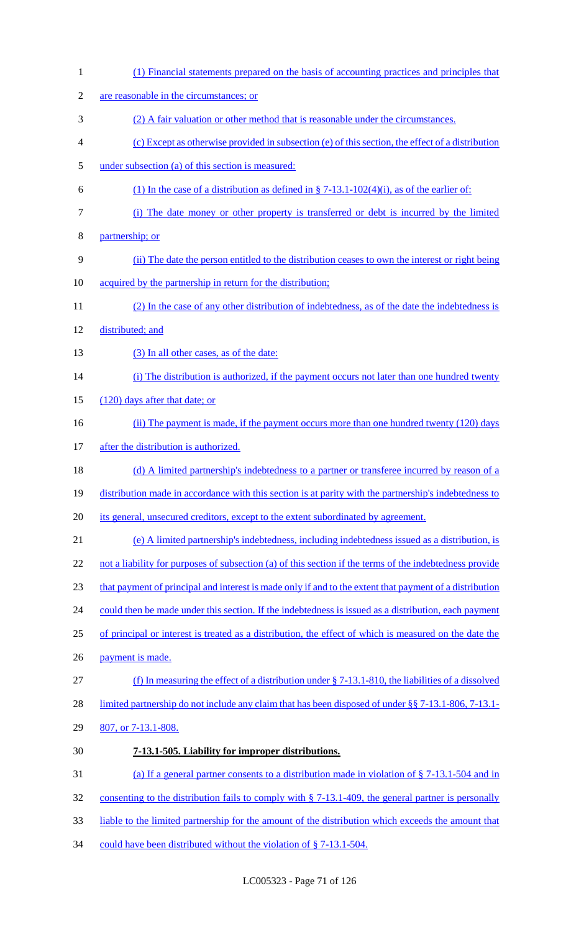| $\mathbf{1}$   | (1) Financial statements prepared on the basis of accounting practices and principles that              |
|----------------|---------------------------------------------------------------------------------------------------------|
| $\overline{2}$ | are reasonable in the circumstances; or                                                                 |
| 3              | (2) A fair valuation or other method that is reasonable under the circumstances.                        |
| 4              | (c) Except as otherwise provided in subsection (e) of this section, the effect of a distribution        |
| 5              | under subsection (a) of this section is measured:                                                       |
| 6              | (1) In the case of a distribution as defined in $\S 7-13.1-102(4)(i)$ , as of the earlier of:           |
| 7              | (i) The date money or other property is transferred or debt is incurred by the limited                  |
| 8              | partnership; or                                                                                         |
| 9              | (ii) The date the person entitled to the distribution ceases to own the interest or right being         |
| 10             | acquired by the partnership in return for the distribution;                                             |
| 11             | (2) In the case of any other distribution of indebtedness, as of the date the indebtedness is           |
| 12             | distributed; and                                                                                        |
| 13             | (3) In all other cases, as of the date:                                                                 |
| 14             | (i) The distribution is authorized, if the payment occurs not later than one hundred twenty             |
| 15             | (120) days after that date; or                                                                          |
| 16             | (ii) The payment is made, if the payment occurs more than one hundred twenty (120) days                 |
| 17             | after the distribution is authorized.                                                                   |
| 18             | (d) A limited partnership's indebtedness to a partner or transferee incurred by reason of a             |
| 19             | distribution made in accordance with this section is at parity with the partnership's indebtedness to   |
| 20             | its general, unsecured creditors, except to the extent subordinated by agreement.                       |
| 21             | (e) A limited partnership's indebtedness, including indebtedness issued as a distribution, is           |
| 22             | not a liability for purposes of subsection (a) of this section if the terms of the indebtedness provide |
| 23             | that payment of principal and interest is made only if and to the extent that payment of a distribution |
| 24             | could then be made under this section. If the indebtedness is issued as a distribution, each payment    |
| 25             | of principal or interest is treated as a distribution, the effect of which is measured on the date the  |
| 26             | payment is made.                                                                                        |
| 27             | (f) In measuring the effect of a distribution under $\S$ 7-13.1-810, the liabilities of a dissolved     |
| 28             | limited partnership do not include any claim that has been disposed of under $\S$ § 7-13.1-806, 7-13.1- |
| 29             | 807, or 7-13.1-808.                                                                                     |
| 30             | 7-13.1-505. Liability for improper distributions.                                                       |
| 31             | (a) If a general partner consents to a distribution made in violation of § 7-13.1-504 and in            |
| 32             | consenting to the distribution fails to comply with $\S$ 7-13.1-409, the general partner is personally  |
| 33             | liable to the limited partnership for the amount of the distribution which exceeds the amount that      |
| 34             | could have been distributed without the violation of § 7-13.1-504.                                      |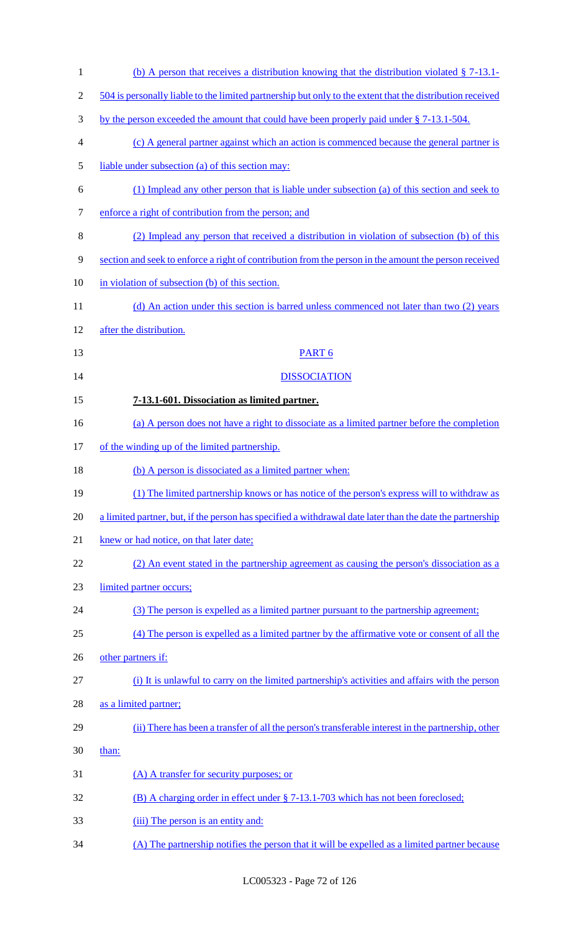| $\mathbf{1}$   | (b) A person that receives a distribution knowing that the distribution violated $\S$ 7-13.1-             |
|----------------|-----------------------------------------------------------------------------------------------------------|
| $\overline{2}$ | 504 is personally liable to the limited partnership but only to the extent that the distribution received |
| $\mathfrak{Z}$ | by the person exceeded the amount that could have been properly paid under $\S$ 7-13.1-504.               |
| $\overline{4}$ | (c) A general partner against which an action is commenced because the general partner is                 |
| $\mathfrak{S}$ | liable under subsection (a) of this section may:                                                          |
| 6              | (1) Implead any other person that is liable under subsection (a) of this section and seek to              |
| $\overline{7}$ | enforce a right of contribution from the person; and                                                      |
| 8              | (2) Implead any person that received a distribution in violation of subsection (b) of this                |
| 9              | section and seek to enforce a right of contribution from the person in the amount the person received     |
| 10             | in violation of subsection (b) of this section.                                                           |
| 11             | (d) An action under this section is barred unless commenced not later than two (2) years                  |
| 12             | after the distribution.                                                                                   |
| 13             | PART <sub>6</sub>                                                                                         |
| 14             | <b>DISSOCIATION</b>                                                                                       |
| 15             | 7-13.1-601. Dissociation as limited partner.                                                              |
| 16             | (a) A person does not have a right to dissociate as a limited partner before the completion               |
| 17             | of the winding up of the limited partnership.                                                             |
| 18             | (b) A person is dissociated as a limited partner when:                                                    |
| 19             | (1) The limited partnership knows or has notice of the person's express will to withdraw as               |
| 20             | a limited partner, but, if the person has specified a withdrawal date later than the date the partnership |
| 21             | knew or had notice, on that later date;                                                                   |
| 22             | (2) An event stated in the partnership agreement as causing the person's dissociation as a                |
| 23             | limited partner occurs;                                                                                   |
| 24             | (3) The person is expelled as a limited partner pursuant to the partnership agreement;                    |
| 25             | (4) The person is expelled as a limited partner by the affirmative vote or consent of all the             |
| 26             | other partners if:                                                                                        |
| 27             | (i) It is unlawful to carry on the limited partnership's activities and affairs with the person           |
| 28             | as a limited partner;                                                                                     |
| 29             | (ii) There has been a transfer of all the person's transferable interest in the partnership, other        |
| 30             | than:                                                                                                     |
| 31             | (A) A transfer for security purposes; or                                                                  |
| 32             | (B) A charging order in effect under § 7-13.1-703 which has not been foreclosed;                          |
| 33             | (iii) The person is an entity and:                                                                        |
| 34             | (A) The partnership notifies the person that it will be expelled as a limited partner because             |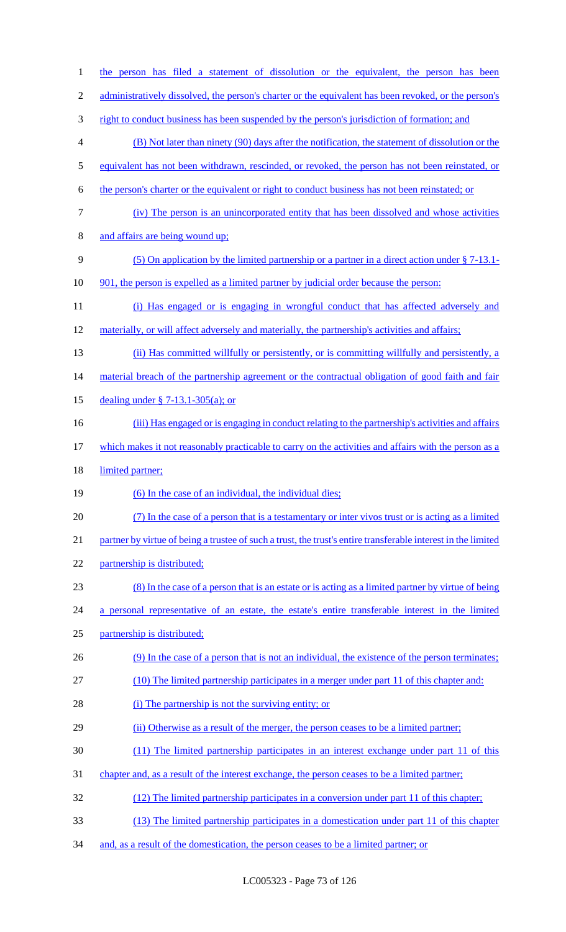| $\mathbf{1}$   | the person has filed a statement of dissolution or the equivalent, the person has been                        |
|----------------|---------------------------------------------------------------------------------------------------------------|
| $\mathbf{2}$   | administratively dissolved, the person's charter or the equivalent has been revoked, or the person's          |
| 3              | right to conduct business has been suspended by the person's jurisdiction of formation; and                   |
| $\overline{4}$ | (B) Not later than ninety (90) days after the notification, the statement of dissolution or the               |
| 5              | equivalent has not been withdrawn, rescinded, or revoked, the person has not been reinstated, or              |
| 6              | the person's charter or the equivalent or right to conduct business has not been reinstated; or               |
| $\tau$         | (iv) The person is an unincorporated entity that has been dissolved and whose activities                      |
| $8\,$          | and affairs are being wound up;                                                                               |
| 9              | (5) On application by the limited partnership or a partner in a direct action under $\S$ 7-13.1-              |
| 10             | 901, the person is expelled as a limited partner by judicial order because the person:                        |
| 11             | (i) Has engaged or is engaging in wrongful conduct that has affected adversely and                            |
| 12             | materially, or will affect adversely and materially, the partnership's activities and affairs;                |
| 13             | (ii) Has committed willfully or persistently, or is committing willfully and persistently, a                  |
| 14             | material breach of the partnership agreement or the contractual obligation of good faith and fair             |
| 15             | dealing under $\S$ 7-13.1-305(a); or                                                                          |
| 16             | (iii) Has engaged or is engaging in conduct relating to the partnership's activities and affairs              |
| 17             | which makes it not reasonably practicable to carry on the activities and affairs with the person as a         |
| 18             | limited partner;                                                                                              |
| 19             | (6) In the case of an individual, the individual dies;                                                        |
| 20             | (7) In the case of a person that is a testamentary or intervivos trust or is acting as a limited              |
| 21             | partner by virtue of being a trustee of such a trust, the trust's entire transferable interest in the limited |
| 22             | partnership is distributed;                                                                                   |
| 23             |                                                                                                               |
| 24             | (8) In the case of a person that is an estate or is acting as a limited partner by virtue of being            |
|                | a personal representative of an estate, the estate's entire transferable interest in the limited              |
| 25             | partnership is distributed;                                                                                   |
| 26             | (9) In the case of a person that is not an individual, the existence of the person terminates;                |
| 27             | (10) The limited partnership participates in a merger under part 11 of this chapter and:                      |
| 28             | (i) The partnership is not the surviving entity; or                                                           |
| 29             | (ii) Otherwise as a result of the merger, the person ceases to be a limited partner;                          |
| 30             | (11) The limited partnership participates in an interest exchange under part 11 of this                       |
| 31             | chapter and, as a result of the interest exchange, the person ceases to be a limited partner;                 |
| 32             | (12) The limited partnership participates in a conversion under part 11 of this chapter;                      |
| 33             | (13) The limited partnership participates in a domestication under part 11 of this chapter                    |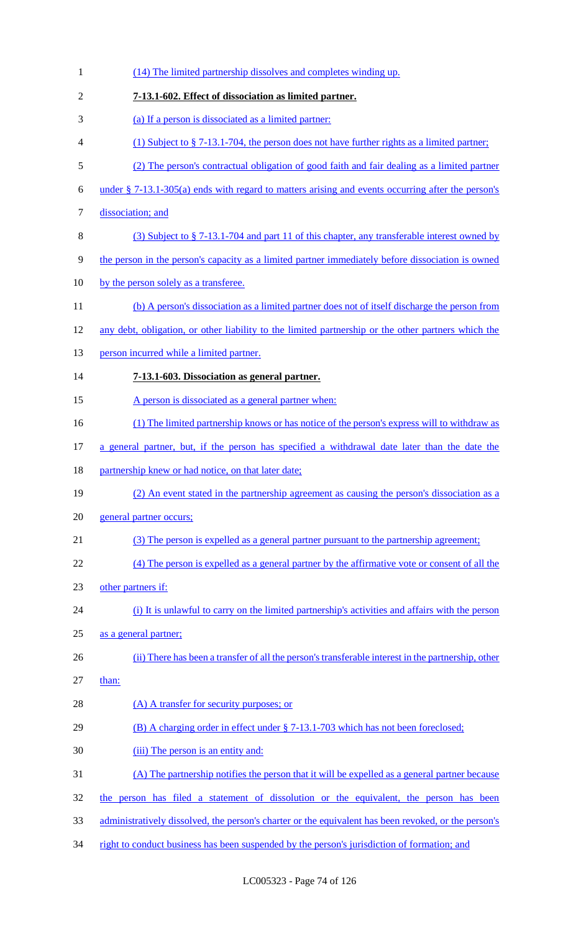| 1              | (14) The limited partnership dissolves and completes winding up.                                     |
|----------------|------------------------------------------------------------------------------------------------------|
| $\overline{2}$ | 7-13.1-602. Effect of dissociation as limited partner.                                               |
| 3              | (a) If a person is dissociated as a limited partner:                                                 |
| 4              | $(1)$ Subject to § 7-13.1-704, the person does not have further rights as a limited partner;         |
| 5              | (2) The person's contractual obligation of good faith and fair dealing as a limited partner          |
| 6              | under $\S$ 7-13.1-305(a) ends with regard to matters arising and events occurring after the person's |
| 7              | dissociation; and                                                                                    |
| $8\,$          | (3) Subject to $\S$ 7-13.1-704 and part 11 of this chapter, any transferable interest owned by       |
| $\mathbf{9}$   | the person in the person's capacity as a limited partner immediately before dissociation is owned    |
| 10             | by the person solely as a transferee.                                                                |
| 11             | (b) A person's dissociation as a limited partner does not of itself discharge the person from        |
| 12             | any debt, obligation, or other liability to the limited partnership or the other partners which the  |
| 13             | person incurred while a limited partner.                                                             |
| 14             | 7-13.1-603. Dissociation as general partner.                                                         |
| 15             | A person is dissociated as a general partner when:                                                   |
| 16             | (1) The limited partnership knows or has notice of the person's express will to withdraw as          |
| 17             | a general partner, but, if the person has specified a withdrawal date later than the date the        |
| 18             | partnership knew or had notice, on that later date;                                                  |
| 19             | (2) An event stated in the partnership agreement as causing the person's dissociation as a           |
| 20             | general partner occurs;                                                                              |
| 21             | (3) The person is expelled as a general partner pursuant to the partnership agreement;               |
| 22             | (4) The person is expelled as a general partner by the affirmative vote or consent of all the        |
| 23             | other partners if:                                                                                   |
| 24             | (i) It is unlawful to carry on the limited partnership's activities and affairs with the person      |
| 25             | as a general partner;                                                                                |
| 26             | (ii) There has been a transfer of all the person's transferable interest in the partnership, other   |
| 27             | than:                                                                                                |
| 28             | (A) A transfer for security purposes; or                                                             |
| 29             | (B) A charging order in effect under § 7-13.1-703 which has not been foreclosed;                     |
| 30             | (iii) The person is an entity and:                                                                   |
| 31             | (A) The partnership notifies the person that it will be expelled as a general partner because        |
| 32             | the person has filed a statement of dissolution or the equivalent, the person has been               |
| 33             | administratively dissolved, the person's charter or the equivalent has been revoked, or the person's |
| 34             | right to conduct business has been suspended by the person's jurisdiction of formation; and          |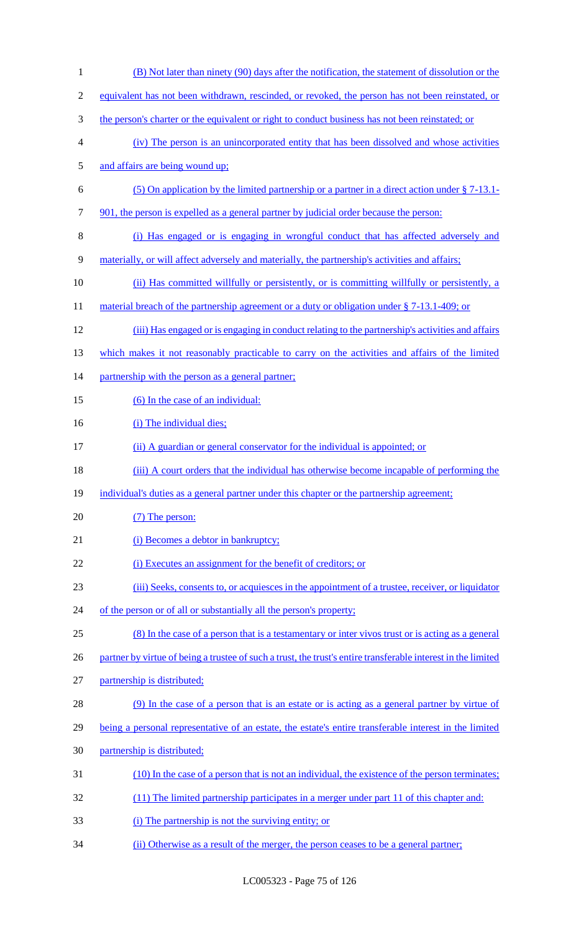(B) Not later than ninety (90) days after the notification, the statement of dissolution or the equivalent has not been withdrawn, rescinded, or revoked, the person has not been reinstated, or 3 the person's charter or the equivalent or right to conduct business has not been reinstated; or (iv) The person is an unincorporated entity that has been dissolved and whose activities and affairs are being wound up; (5) On application by the limited partnership or a partner in a direct action under § 7-13.1- 901, the person is expelled as a general partner by judicial order because the person: (i) Has engaged or is engaging in wrongful conduct that has affected adversely and materially, or will affect adversely and materially, the partnership's activities and affairs; (ii) Has committed willfully or persistently, or is committing willfully or persistently, a 11 material breach of the partnership agreement or a duty or obligation under § 7-13.1-409; or (iii) Has engaged or is engaging in conduct relating to the partnership's activities and affairs 13 which makes it not reasonably practicable to carry on the activities and affairs of the limited 14 partnership with the person as a general partner; 15 (6) In the case of an individual: 16 (i) The individual dies; (ii) A guardian or general conservator for the individual is appointed; or 18 (iii) A court orders that the individual has otherwise become incapable of performing the individual's duties as a general partner under this chapter or the partnership agreement; (7) The person: 21 (i) Becomes a debtor in bankruptcy; 22 (i) Executes an assignment for the benefit of creditors; or (iii) Seeks, consents to, or acquiesces in the appointment of a trustee, receiver, or liquidator 24 of the person or of all or substantially all the person's property; (8) In the case of a person that is a testamentary or inter vivos trust or is acting as a general 26 partner by virtue of being a trustee of such a trust, the trust's entire transferable interest in the limited partnership is distributed; (9) In the case of a person that is an estate or is acting as a general partner by virtue of 29 being a personal representative of an estate, the estate's entire transferable interest in the limited partnership is distributed; (10) In the case of a person that is not an individual, the existence of the person terminates; (11) The limited partnership participates in a merger under part 11 of this chapter and: (i) The partnership is not the surviving entity; or (ii) Otherwise as a result of the merger, the person ceases to be a general partner;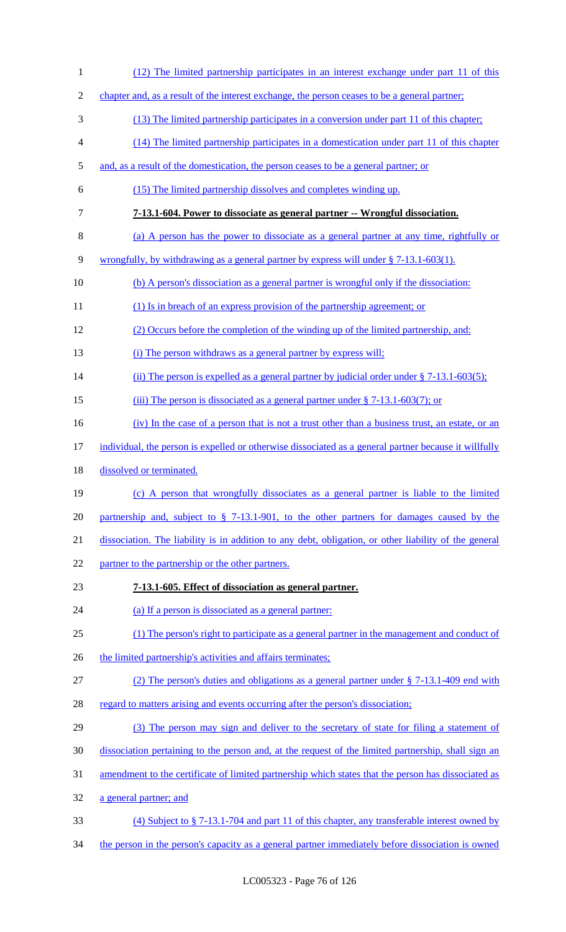| $\mathbf{1}$   | (12) The limited partnership participates in an interest exchange under part 11 of this               |
|----------------|-------------------------------------------------------------------------------------------------------|
| $\overline{c}$ | chapter and, as a result of the interest exchange, the person ceases to be a general partner;         |
| 3              | (13) The limited partnership participates in a conversion under part 11 of this chapter;              |
| $\overline{4}$ | (14) The limited partnership participates in a domestication under part 11 of this chapter            |
| 5              | and, as a result of the domestication, the person ceases to be a general partner; or                  |
| 6              | (15) The limited partnership dissolves and completes winding up.                                      |
| $\tau$         | 7-13.1-604. Power to dissociate as general partner -- Wrongful dissociation.                          |
| $8\,$          | (a) A person has the power to dissociate as a general partner at any time, rightfully or              |
| $\mathbf{9}$   | wrongfully, by withdrawing as a general partner by express will under $\S$ 7-13.1-603(1).             |
| 10             | (b) A person's dissociation as a general partner is wrongful only if the dissociation:                |
| 11             | (1) Is in breach of an express provision of the partnership agreement; or                             |
| 12             | (2) Occurs before the completion of the winding up of the limited partnership, and:                   |
| 13             | (i) The person withdraws as a general partner by express will;                                        |
| 14             | (ii) The person is expelled as a general partner by judicial order under $\S$ 7-13.1-603(5);          |
| 15             | (iii) The person is dissociated as a general partner under $\S$ 7-13.1-603(7); or                     |
| 16             | (iv) In the case of a person that is not a trust other than a business trust, an estate, or an        |
| 17             | individual, the person is expelled or otherwise dissociated as a general partner because it willfully |
| 18             | dissolved or terminated.                                                                              |
| 19             | (c) A person that wrongfully dissociates as a general partner is liable to the limited                |
| 20             | partnership and, subject to $\S$ 7-13.1-901, to the other partners for damages caused by the          |
| 21             | dissociation. The liability is in addition to any debt, obligation, or other liability of the general |
| 22             | partner to the partnership or the other partners.                                                     |
| 23             | 7-13.1-605. Effect of dissociation as general partner.                                                |
| 24             | (a) If a person is dissociated as a general partner:                                                  |
| 25             | (1) The person's right to participate as a general partner in the management and conduct of           |
| 26             | the limited partnership's activities and affairs terminates;                                          |
| 27             | (2) The person's duties and obligations as a general partner under $\S$ 7-13.1-409 end with           |
| 28             | regard to matters arising and events occurring after the person's dissociation;                       |
| 29             | (3) The person may sign and deliver to the secretary of state for filing a statement of               |
| 30             | dissociation pertaining to the person and, at the request of the limited partnership, shall sign an   |
| 31             | amendment to the certificate of limited partnership which states that the person has dissociated as   |
| 32             | a general partner; and                                                                                |
| 33             | (4) Subject to § 7-13.1-704 and part 11 of this chapter, any transferable interest owned by           |
| 34             | the person in the person's capacity as a general partner immediately before dissociation is owned     |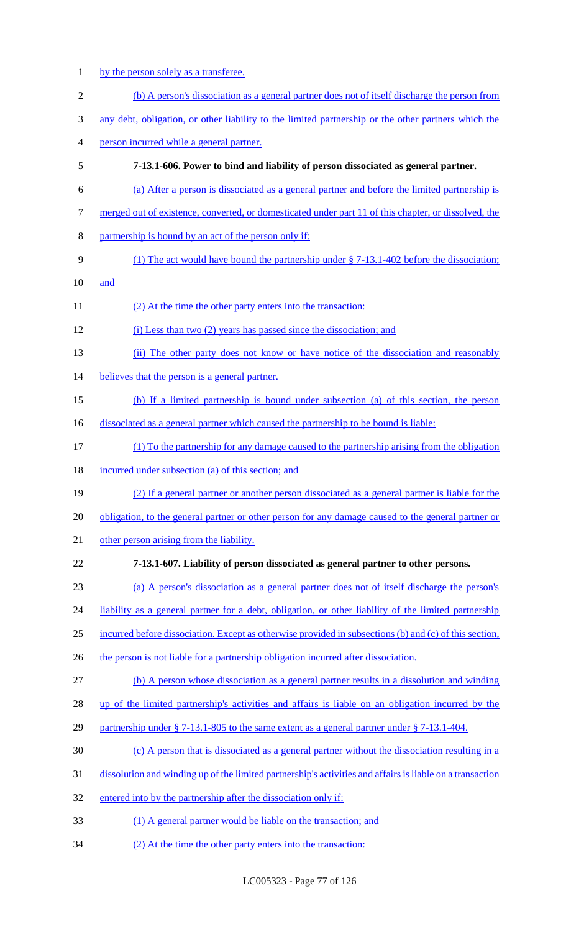- by the person solely as a transferee.
- (b) A person's dissociation as a general partner does not of itself discharge the person from any debt, obligation, or other liability to the limited partnership or the other partners which the person incurred while a general partner. **7-13.1-606. Power to bind and liability of person dissociated as general partner.** (a) After a person is dissociated as a general partner and before the limited partnership is merged out of existence, converted, or domesticated under part 11 of this chapter, or dissolved, the partnership is bound by an act of the person only if: (1) The act would have bound the partnership under § 7-13.1-402 before the dissociation; and (2) At the time the other party enters into the transaction: (i) Less than two (2) years has passed since the dissociation; and 13 (ii) The other party does not know or have notice of the dissociation and reasonably 14 believes that the person is a general partner. (b) If a limited partnership is bound under subsection (a) of this section, the person 16 dissociated as a general partner which caused the partnership to be bound is liable: (1) To the partnership for any damage caused to the partnership arising from the obligation 18 incurred under subsection (a) of this section; and (2) If a general partner or another person dissociated as a general partner is liable for the 20 obligation, to the general partner or other person for any damage caused to the general partner or 21 other person arising from the liability. **7-13.1-607. Liability of person dissociated as general partner to other persons.** (a) A person's dissociation as a general partner does not of itself discharge the person's 24 liability as a general partner for a debt, obligation, or other liability of the limited partnership incurred before dissociation. Except as otherwise provided in subsections (b) and (c) of this section, 26 the person is not liable for a partnership obligation incurred after dissociation. (b) A person whose dissociation as a general partner results in a dissolution and winding up of the limited partnership's activities and affairs is liable on an obligation incurred by the 29 partnership under § 7-13.1-805 to the same extent as a general partner under § 7-13.1-404. (c) A person that is dissociated as a general partner without the dissociation resulting in a dissolution and winding up of the limited partnership's activities and affairs is liable on a transaction entered into by the partnership after the dissociation only if: (1) A general partner would be liable on the transaction; and (2) At the time the other party enters into the transaction: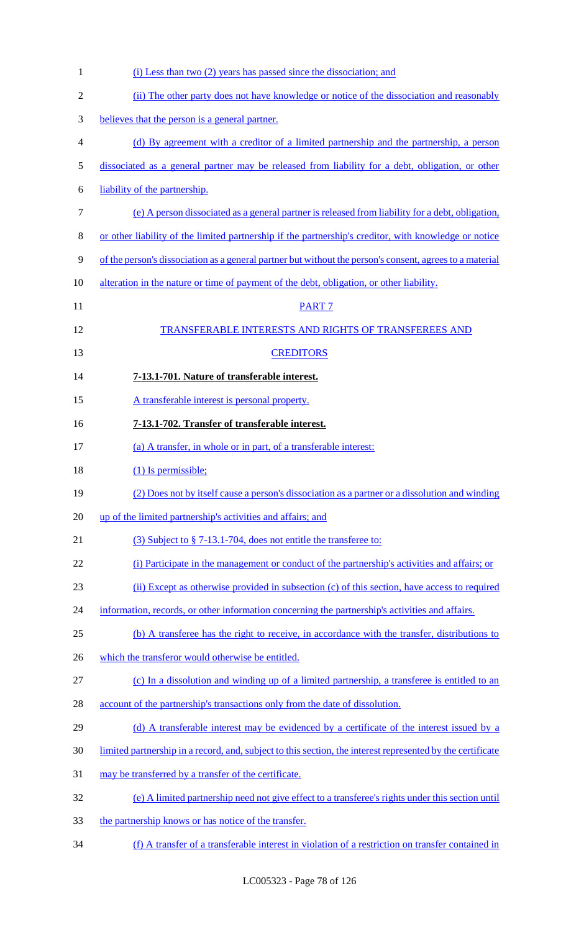| $\mathbf{1}$   | (i) Less than two (2) years has passed since the dissociation; and                                         |
|----------------|------------------------------------------------------------------------------------------------------------|
| $\mathbf{2}$   | (ii) The other party does not have knowledge or notice of the dissociation and reasonably                  |
| 3              | believes that the person is a general partner.                                                             |
| $\overline{4}$ | (d) By agreement with a creditor of a limited partnership and the partnership, a person                    |
| 5              | dissociated as a general partner may be released from liability for a debt, obligation, or other           |
| 6              | liability of the partnership.                                                                              |
| 7              | (e) A person dissociated as a general partner is released from liability for a debt, obligation,           |
| 8              | or other liability of the limited partnership if the partnership's creditor, with knowledge or notice      |
| 9              | of the person's dissociation as a general partner but without the person's consent, agrees to a material   |
| 10             | alteration in the nature or time of payment of the debt, obligation, or other liability.                   |
| 11             | PART <sub>7</sub>                                                                                          |
| 12             | TRANSFERABLE INTERESTS AND RIGHTS OF TRANSFEREES AND                                                       |
| 13             | <b>CREDITORS</b>                                                                                           |
| 14             | 7-13.1-701. Nature of transferable interest.                                                               |
| 15             | A transferable interest is personal property.                                                              |
| 16             | 7-13.1-702. Transfer of transferable interest.                                                             |
| 17             | (a) A transfer, in whole or in part, of a transferable interest:                                           |
| 18             | $(1)$ Is permissible;                                                                                      |
| 19             | (2) Does not by itself cause a person's dissociation as a partner or a dissolution and winding             |
| 20             | up of the limited partnership's activities and affairs; and                                                |
| 21             | (3) Subject to § 7-13.1-704, does not entitle the transferee to:                                           |
| 22             | (i) Participate in the management or conduct of the partnership's activities and affairs; or               |
| 23             | (ii) Except as otherwise provided in subsection (c) of this section, have access to required               |
| 24             | information, records, or other information concerning the partnership's activities and affairs.            |
| 25             | (b) A transferee has the right to receive, in accordance with the transfer, distributions to               |
| 26             | which the transferor would otherwise be entitled.                                                          |
| 27             | (c) In a dissolution and winding up of a limited partnership, a transferee is entitled to an               |
| 28             | account of the partnership's transactions only from the date of dissolution.                               |
| 29             | (d) A transferable interest may be evidenced by a certificate of the interest issued by a                  |
| 30             | limited partnership in a record, and, subject to this section, the interest represented by the certificate |
| 31             | may be transferred by a transfer of the certificate.                                                       |
| 32             | (e) A limited partnership need not give effect to a transferee's rights under this section until           |
| 33             | the partnership knows or has notice of the transfer.                                                       |
| 34             | (f) A transfer of a transferable interest in violation of a restriction on transfer contained in           |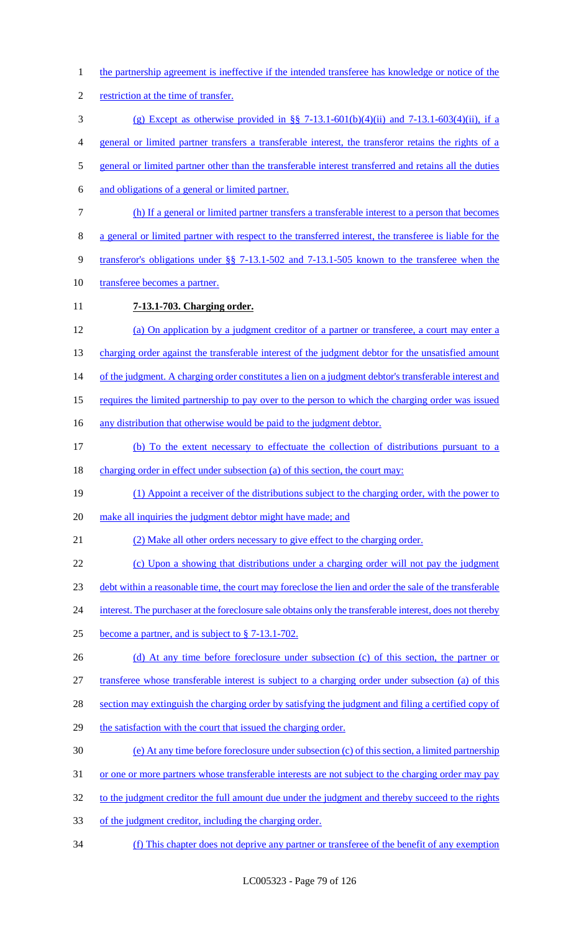1 the partnership agreement is ineffective if the intended transferee has knowledge or notice of the 2 restriction at the time of transfer. 3 (g) Except as otherwise provided in §§ 7-13.1-601(b)(4)(ii) and 7-13.1-603(4)(ii), if a 4 general or limited partner transfers a transferable interest, the transferor retains the rights of a 5 general or limited partner other than the transferable interest transferred and retains all the duties 6 and obligations of a general or limited partner. 7 (h) If a general or limited partner transfers a transferable interest to a person that becomes 8 a general or limited partner with respect to the transferred interest, the transferee is liable for the 9 transferor's obligations under §§ 7-13.1-502 and 7-13.1-505 known to the transferee when the 10 transferee becomes a partner. 11 **7-13.1-703. Charging order.** 12 (a) On application by a judgment creditor of a partner or transferee, a court may enter a 13 charging order against the transferable interest of the judgment debtor for the unsatisfied amount 14 of the judgment. A charging order constitutes a lien on a judgment debtor's transferable interest and 15 requires the limited partnership to pay over to the person to which the charging order was issued 16 any distribution that otherwise would be paid to the judgment debtor. 17 (b) To the extent necessary to effectuate the collection of distributions pursuant to a 18 charging order in effect under subsection (a) of this section, the court may: 19 (1) Appoint a receiver of the distributions subject to the charging order, with the power to 20 make all inquiries the judgment debtor might have made; and 21 (2) Make all other orders necessary to give effect to the charging order. 22 (c) Upon a showing that distributions under a charging order will not pay the judgment 23 debt within a reasonable time, the court may foreclose the lien and order the sale of the transferable 24 interest. The purchaser at the foreclosure sale obtains only the transferable interest, does not thereby 25 become a partner, and is subject to § 7-13.1-702. 26 (d) At any time before foreclosure under subsection (c) of this section, the partner or 27 transferee whose transferable interest is subject to a charging order under subsection (a) of this 28 section may extinguish the charging order by satisfying the judgment and filing a certified copy of 29 the satisfaction with the court that issued the charging order. 30 (e) At any time before foreclosure under subsection (c) of this section, a limited partnership 31 or one or more partners whose transferable interests are not subject to the charging order may pay 32 to the judgment creditor the full amount due under the judgment and thereby succeed to the rights 33 of the judgment creditor, including the charging order. 34 (f) This chapter does not deprive any partner or transferee of the benefit of any exemption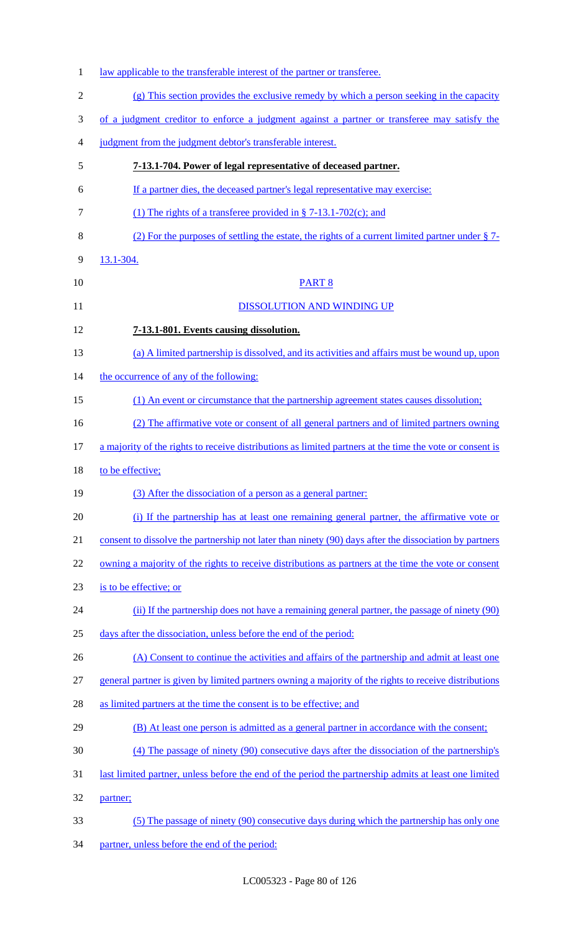| $\mathbf{1}$   | <u>law applicable to the transferable interest of the partner or transferee.</u>                         |
|----------------|----------------------------------------------------------------------------------------------------------|
| $\overline{c}$ | (g) This section provides the exclusive remedy by which a person seeking in the capacity                 |
| $\mathfrak{Z}$ | of a judgment creditor to enforce a judgment against a partner or transferee may satisfy the             |
| 4              | judgment from the judgment debtor's transferable interest.                                               |
| 5              | 7-13.1-704. Power of legal representative of deceased partner.                                           |
| 6              | If a partner dies, the deceased partner's legal representative may exercise:                             |
| $\tau$         | (1) The rights of a transferee provided in $\S$ 7-13.1-702(c); and                                       |
| 8              | (2) For the purposes of settling the estate, the rights of a current limited partner under $\S$ 7-       |
| 9              | 13.1-304.                                                                                                |
| 10             | <b>PART 8</b>                                                                                            |
| 11             | DISSOLUTION AND WINDING UP                                                                               |
| 12             | 7-13.1-801. Events causing dissolution.                                                                  |
| 13             | (a) A limited partnership is dissolved, and its activities and affairs must be wound up, upon            |
| 14             | the occurrence of any of the following:                                                                  |
| 15             | (1) An event or circumstance that the partnership agreement states causes dissolution;                   |
| 16             | (2) The affirmative vote or consent of all general partners and of limited partners owning               |
| 17             | a majority of the rights to receive distributions as limited partners at the time the vote or consent is |
| 18             | to be effective;                                                                                         |
| 19             | (3) After the dissociation of a person as a general partner:                                             |
| 20             | (i) If the partnership has at least one remaining general partner, the affirmative vote or               |
| 21             | consent to dissolve the partnership not later than ninety (90) days after the dissociation by partners   |
| 22             | owning a majority of the rights to receive distributions as partners at the time the vote or consent     |
| 23             | is to be effective; or                                                                                   |
| 24             | (ii) If the partnership does not have a remaining general partner, the passage of ninety (90)            |
| 25             | days after the dissociation, unless before the end of the period:                                        |
| 26             | (A) Consent to continue the activities and affairs of the partnership and admit at least one             |
| 27             | general partner is given by limited partners owning a majority of the rights to receive distributions    |
| 28             | as limited partners at the time the consent is to be effective; and                                      |
| 29             | (B) At least one person is admitted as a general partner in accordance with the consent;                 |
| 30             | (4) The passage of ninety (90) consecutive days after the dissociation of the partnership's              |
| 31             | last limited partner, unless before the end of the period the partnership admits at least one limited    |
| 32             | partner;                                                                                                 |
| 33             | (5) The passage of ninety (90) consecutive days during which the partnership has only one                |
| 34             | partner, unless before the end of the period:                                                            |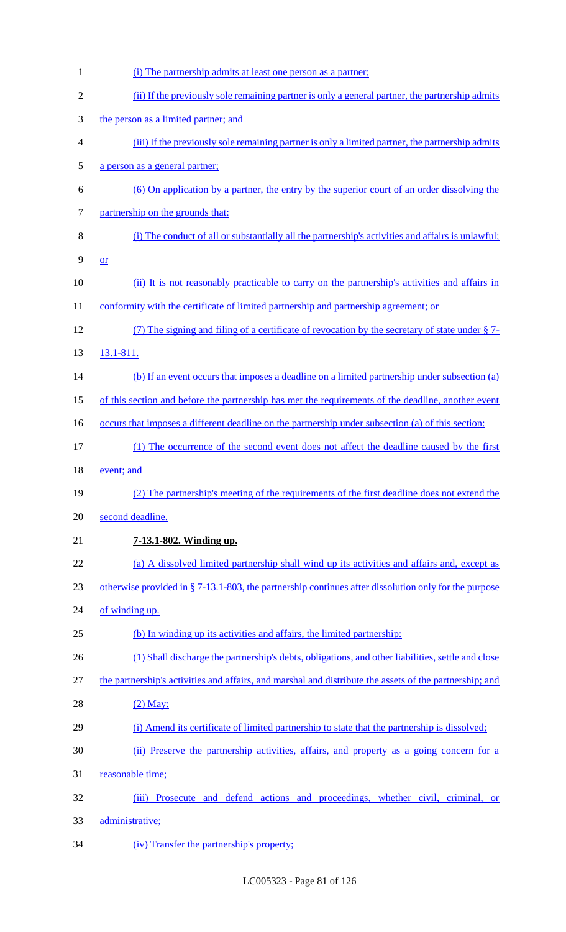| $\mathbf{1}$   | (i) The partnership admits at least one person as a partner.                                            |
|----------------|---------------------------------------------------------------------------------------------------------|
| $\overline{2}$ | (ii) If the previously sole remaining partner is only a general partner, the partnership admits         |
| 3              | the person as a limited partner; and                                                                    |
| 4              | (iii) If the previously sole remaining partner is only a limited partner, the partnership admits        |
| 5              | a person as a general partner;                                                                          |
| 6              | (6) On application by a partner, the entry by the superior court of an order dissolving the             |
| 7              | partnership on the grounds that:                                                                        |
| 8              | (i) The conduct of all or substantially all the partnership's activities and affairs is unlawful;       |
| 9              | or                                                                                                      |
| 10             | (ii) It is not reasonably practicable to carry on the partnership's activities and affairs in           |
| 11             | conformity with the certificate of limited partnership and partnership agreement; or                    |
| 12             | (7) The signing and filing of a certificate of revocation by the secretary of state under § 7-          |
| 13             | 13.1-811.                                                                                               |
| 14             | (b) If an event occurs that imposes a deadline on a limited partnership under subsection (a)            |
| 15             | of this section and before the partnership has met the requirements of the deadline, another event      |
| 16             | occurs that imposes a different deadline on the partnership under subsection (a) of this section:       |
| 17             | (1) The occurrence of the second event does not affect the deadline caused by the first                 |
| 18             | event; and                                                                                              |
| 19             | (2) The partnership's meeting of the requirements of the first deadline does not extend the             |
| 20             | second deadline.                                                                                        |
| 21             | 7-13.1-802. Winding up.                                                                                 |
| 22             | (a) A dissolved limited partnership shall wind up its activities and affairs and, except as             |
| 23             | otherwise provided in $\S$ 7-13.1-803, the partnership continues after dissolution only for the purpose |
| 24             | of winding up.                                                                                          |
| 25             | (b) In winding up its activities and affairs, the limited partnership:                                  |
| 26             | (1) Shall discharge the partnership's debts, obligations, and other liabilities, settle and close       |
| 27             | the partnership's activities and affairs, and marshal and distribute the assets of the partnership; and |
| 28             | $(2)$ May:                                                                                              |
| 29             | (i) Amend its certificate of limited partnership to state that the partnership is dissolved;            |
| 30             | (ii) Preserve the partnership activities, affairs, and property as a going concern for a                |
| 31             | reasonable time;                                                                                        |
| 32             | Prosecute and defend actions and proceedings, whether civil, criminal, or<br>(iii)                      |
| 33             | administrative;                                                                                         |
|                |                                                                                                         |

(iv) Transfer the partnership's property;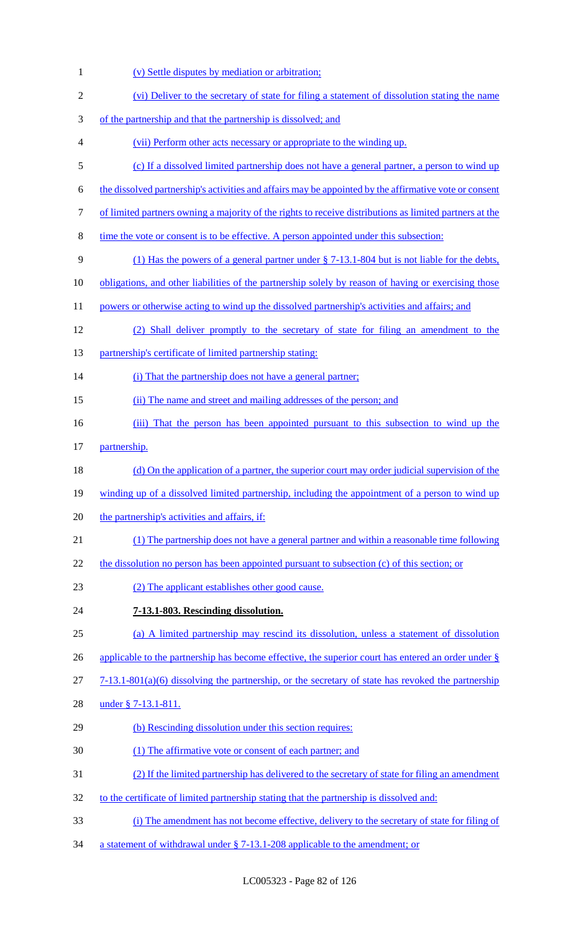- (v) Settle disputes by mediation or arbitration; (vi) Deliver to the secretary of state for filing a statement of dissolution stating the name of the partnership and that the partnership is dissolved; and (vii) Perform other acts necessary or appropriate to the winding up. (c) If a dissolved limited partnership does not have a general partner, a person to wind up the dissolved partnership's activities and affairs may be appointed by the affirmative vote or consent of limited partners owning a majority of the rights to receive distributions as limited partners at the time the vote or consent is to be effective. A person appointed under this subsection: (1) Has the powers of a general partner under § 7-13.1-804 but is not liable for the debts, 10 obligations, and other liabilities of the partnership solely by reason of having or exercising those 11 powers or otherwise acting to wind up the dissolved partnership's activities and affairs; and (2) Shall deliver promptly to the secretary of state for filing an amendment to the 13 partnership's certificate of limited partnership stating: 14 (i) That the partnership does not have a general partner; (ii) The name and street and mailing addresses of the person; and 16 (iii) That the person has been appointed pursuant to this subsection to wind up the partnership. 18 (d) On the application of a partner, the superior court may order judicial supervision of the winding up of a dissolved limited partnership, including the appointment of a person to wind up 20 the partnership's activities and affairs, if: (1) The partnership does not have a general partner and within a reasonable time following 22 the dissolution no person has been appointed pursuant to subsection (c) of this section; or (2) The applicant establishes other good cause. **7-13.1-803. Rescinding dissolution.** (a) A limited partnership may rescind its dissolution, unless a statement of dissolution 26 applicable to the partnership has become effective, the superior court has entered an order under § 7-13.1-801(a)(6) dissolving the partnership, or the secretary of state has revoked the partnership under § 7-13.1-811. (b) Rescinding dissolution under this section requires: (1) The affirmative vote or consent of each partner; and (2) If the limited partnership has delivered to the secretary of state for filing an amendment 32 to the certificate of limited partnership stating that the partnership is dissolved and: (i) The amendment has not become effective, delivery to the secretary of state for filing of
- a statement of withdrawal under § 7-13.1-208 applicable to the amendment; or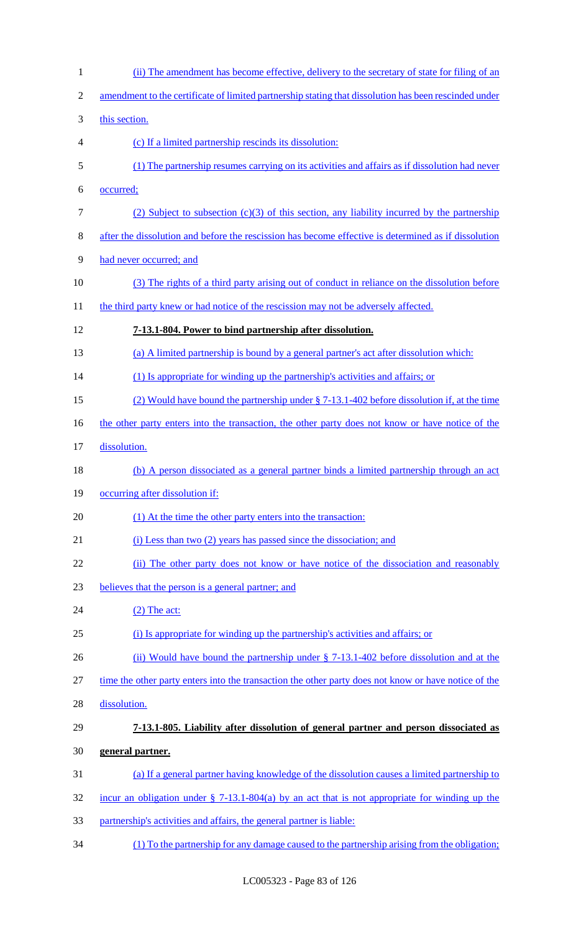| (ii) The amendment has become effective, delivery to the secretary of state for filing of an          |
|-------------------------------------------------------------------------------------------------------|
| amendment to the certificate of limited partnership stating that dissolution has been rescinded under |
| this section.                                                                                         |
| (c) If a limited partnership rescinds its dissolution:                                                |
| (1) The partnership resumes carrying on its activities and affairs as if dissolution had never        |
| occurred;                                                                                             |
| $(2)$ Subject to subsection $(c)(3)$ of this section, any liability incurred by the partnership       |
| after the dissolution and before the rescission has become effective is determined as if dissolution  |
| had never occurred; and                                                                               |
| (3) The rights of a third party arising out of conduct in reliance on the dissolution before          |
| the third party knew or had notice of the rescission may not be adversely affected.                   |
| 7-13.1-804. Power to bind partnership after dissolution.                                              |
| (a) A limited partnership is bound by a general partner's act after dissolution which:                |
| (1) Is appropriate for winding up the partnership's activities and affairs; or                        |
| (2) Would have bound the partnership under $\S$ 7-13.1-402 before dissolution if, at the time         |
| the other party enters into the transaction, the other party does not know or have notice of the      |
| dissolution.                                                                                          |
| (b) A person dissociated as a general partner binds a limited partnership through an act              |
| occurring after dissolution if:                                                                       |
| (1) At the time the other party enters into the transaction:                                          |
| (i) Less than two (2) years has passed since the dissociation; and                                    |
| (ii) The other party does not know or have notice of the dissociation and reasonably                  |
| believes that the person is a general partner; and                                                    |
| $(2)$ The act:                                                                                        |
| (i) Is appropriate for winding up the partnership's activities and affairs; or                        |
| (ii) Would have bound the partnership under $\S$ 7-13.1-402 before dissolution and at the             |
| time the other party enters into the transaction the other party does not know or have notice of the  |
| dissolution.                                                                                          |
| 7-13.1-805. Liability after dissolution of general partner and person dissociated as                  |
| general partner.                                                                                      |
| (a) If a general partner having knowledge of the dissolution causes a limited partnership to          |
| incur an obligation under $\S$ 7-13.1-804(a) by an act that is not appropriate for winding up the     |
| partnership's activities and affairs, the general partner is liable:                                  |
|                                                                                                       |

(1) To the partnership for any damage caused to the partnership arising from the obligation;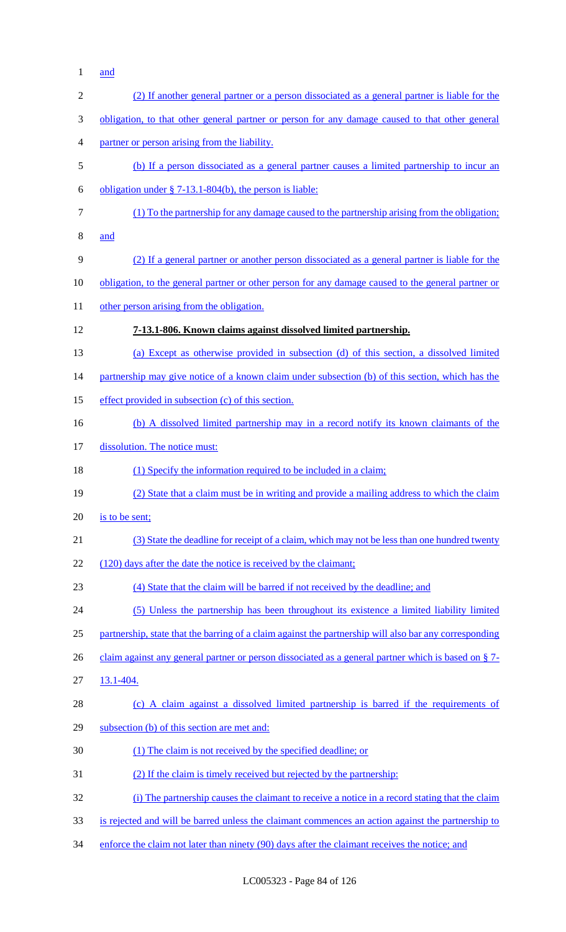1 and

| $\mathfrak{2}$ | (2) If another general partner or a person dissociated as a general partner is liable for the          |
|----------------|--------------------------------------------------------------------------------------------------------|
| 3              | obligation, to that other general partner or person for any damage caused to that other general        |
| $\overline{4}$ | partner or person arising from the liability.                                                          |
| $\mathfrak s$  | (b) If a person dissociated as a general partner causes a limited partnership to incur an              |
| 6              | obligation under $\S$ 7-13.1-804(b), the person is liable:                                             |
| $\tau$         | (1) To the partnership for any damage caused to the partnership arising from the obligation;           |
| 8              | and                                                                                                    |
| 9              | (2) If a general partner or another person dissociated as a general partner is liable for the          |
| 10             | obligation, to the general partner or other person for any damage caused to the general partner or     |
| 11             | other person arising from the obligation.                                                              |
| 12             | 7-13.1-806. Known claims against dissolved limited partnership.                                        |
| 13             | (a) Except as otherwise provided in subsection (d) of this section, a dissolved limited                |
| 14             | partnership may give notice of a known claim under subsection (b) of this section, which has the       |
| 15             | effect provided in subsection (c) of this section.                                                     |
| 16             | (b) A dissolved limited partnership may in a record notify its known claimants of the                  |
| 17             | dissolution. The notice must:                                                                          |
|                |                                                                                                        |
| 18             | (1) Specify the information required to be included in a claim;                                        |
| 19             | (2) State that a claim must be in writing and provide a mailing address to which the claim             |
| 20             | is to be sent;                                                                                         |
| 21             | (3) State the deadline for receipt of a claim, which may not be less than one hundred twenty           |
| 22             | (120) days after the date the notice is received by the claimant;                                      |
| 23             | (4) State that the claim will be barred if not received by the deadline; and                           |
| 24             | (5) Unless the partnership has been throughout its existence a limited liability limited               |
| 25             | partnership, state that the barring of a claim against the partnership will also bar any corresponding |
| 26             | claim against any general partner or person dissociated as a general partner which is based on § 7-    |
| 27             | 13.1-404.                                                                                              |
| 28             | (c) A claim against a dissolved limited partnership is barred if the requirements of                   |
| 29             | subsection (b) of this section are met and:                                                            |
| 30             | (1) The claim is not received by the specified deadline; or                                            |
| 31             | (2) If the claim is timely received but rejected by the partnership:                                   |
| 32             | (i) The partnership causes the claimant to receive a notice in a record stating that the claim         |

34 enforce the claim not later than ninety (90) days after the claimant receives the notice; and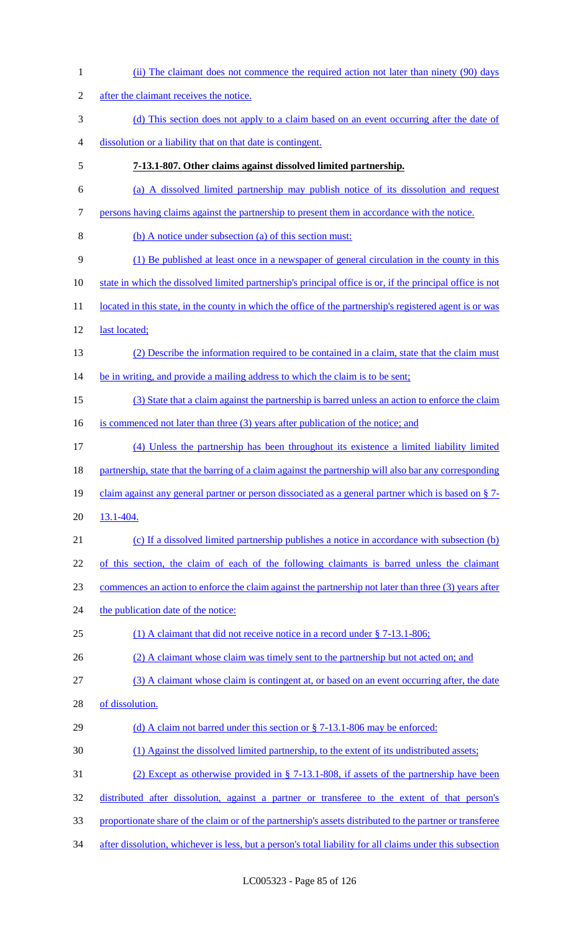| $\mathbf{1}$   | (ii) The claimant does not commence the required action not later than ninety (90) days                   |
|----------------|-----------------------------------------------------------------------------------------------------------|
| $\overline{2}$ | after the claimant receives the notice.                                                                   |
| 3              | (d) This section does not apply to a claim based on an event occurring after the date of                  |
| $\overline{4}$ | dissolution or a liability that on that date is contingent.                                               |
| 5              | 7-13.1-807. Other claims against dissolved limited partnership.                                           |
| 6              | (a) A dissolved limited partnership may publish notice of its dissolution and request                     |
| $\overline{7}$ | persons having claims against the partnership to present them in accordance with the notice.              |
| 8              | (b) A notice under subsection (a) of this section must:                                                   |
| 9              | (1) Be published at least once in a newspaper of general circulation in the county in this                |
| 10             | state in which the dissolved limited partnership's principal office is or, if the principal office is not |
| 11             | located in this state, in the county in which the office of the partnership's registered agent is or was  |
| 12             | last located;                                                                                             |
| 13             | (2) Describe the information required to be contained in a claim, state that the claim must               |
| 14             | be in writing, and provide a mailing address to which the claim is to be sent;                            |
| 15             | (3) State that a claim against the partnership is barred unless an action to enforce the claim            |
| 16             | is commenced not later than three (3) years after publication of the notice; and                          |
| 17             | (4) Unless the partnership has been throughout its existence a limited liability limited                  |
| 18             | partnership, state that the barring of a claim against the partnership will also bar any corresponding    |
| 19             | claim against any general partner or person dissociated as a general partner which is based on § 7-       |
| 20             | 13.1-404.                                                                                                 |
| 21             | (c) If a dissolved limited partnership publishes a notice in accordance with subsection (b)               |
| 22             | of this section, the claim of each of the following claimants is barred unless the claimant               |
| 23             | commences an action to enforce the claim against the partnership not later than three (3) years after     |
| 24             | the publication date of the notice:                                                                       |
| 25             | (1) A claimant that did not receive notice in a record under $\S$ 7-13.1-806;                             |
| 26             | (2) A claimant whose claim was timely sent to the partnership but not acted on; and                       |
| 27             | (3) A claimant whose claim is contingent at, or based on an event occurring after, the date               |
| 28             | of dissolution.                                                                                           |
| 29             | (d) A claim not barred under this section or $\S$ 7-13.1-806 may be enforced:                             |
| 30             | (1) Against the dissolved limited partnership, to the extent of its undistributed assets;                 |
| 31             | (2) Except as otherwise provided in $\S$ 7-13.1-808, if assets of the partnership have been               |
| 32             | distributed after dissolution, against a partner or transferee to the extent of that person's             |
| 33             | proportionate share of the claim or of the partnership's assets distributed to the partner or transferee  |
| 34             | after dissolution, whichever is less, but a person's total liability for all claims under this subsection |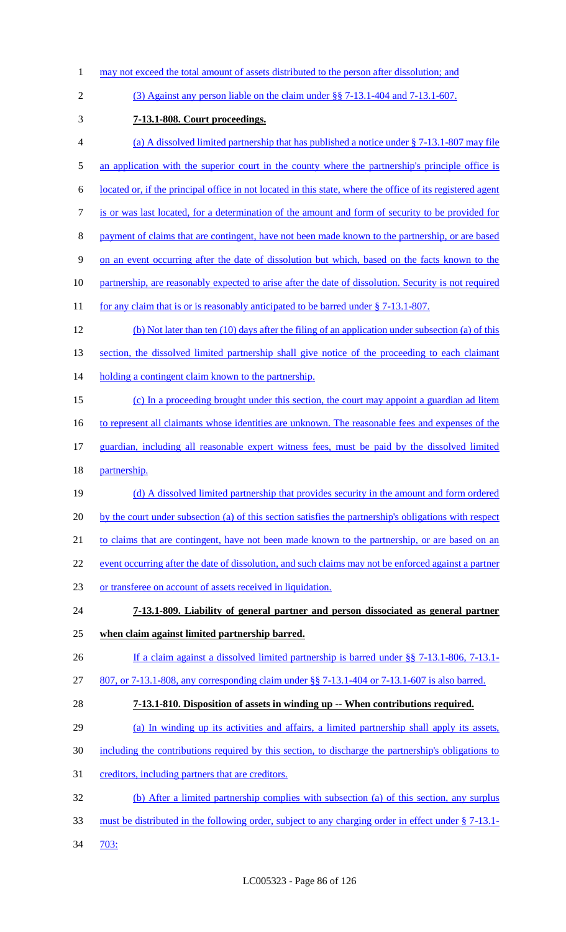- 1 may not exceed the total amount of assets distributed to the person after dissolution; and
- (3) Against any person liable on the claim under §§ 7-13.1-404 and 7-13.1-607.
- **7-13.1-808. Court proceedings.**
- (a) A dissolved limited partnership that has published a notice under § 7-13.1-807 may file
- 5 an application with the superior court in the county where the partnership's principle office is
- located or, if the principal office in not located in this state, where the office of its registered agent
- is or was last located, for a determination of the amount and form of security to be provided for
- payment of claims that are contingent, have not been made known to the partnership, or are based
- on an event occurring after the date of dissolution but which, based on the facts known to the
- 10 partnership, are reasonably expected to arise after the date of dissolution. Security is not required
- 11 for any claim that is or is reasonably anticipated to be barred under § 7-13.1-807.
- (b) Not later than ten (10) days after the filing of an application under subsection (a) of this 13 section, the dissolved limited partnership shall give notice of the proceeding to each claimant 14 holding a contingent claim known to the partnership.
- (c) In a proceeding brought under this section, the court may appoint a guardian ad litem
- 16 to represent all claimants whose identities are unknown. The reasonable fees and expenses of the
- guardian, including all reasonable expert witness fees, must be paid by the dissolved limited 18 partnership.
- (d) A dissolved limited partnership that provides security in the amount and form ordered
- by the court under subsection (a) of this section satisfies the partnership's obligations with respect
- 21 to claims that are contingent, have not been made known to the partnership, or are based on an
- 22 event occurring after the date of dissolution, and such claims may not be enforced against a partner
- or transferee on account of assets received in liquidation.
- **7-13.1-809. Liability of general partner and person dissociated as general partner when claim against limited partnership barred.**
- 26 If a claim against a dissolved limited partnership is barred under §§ 7-13.1-806, 7-13.1-
- 807, or 7-13.1-808, any corresponding claim under §§ 7-13.1-404 or 7-13.1-607 is also barred.
- 

## **7-13.1-810. Disposition of assets in winding up -- When contributions required.**

- (a) In winding up its activities and affairs, a limited partnership shall apply its assets,
- including the contributions required by this section, to discharge the partnership's obligations to
- creditors, including partners that are creditors.
- (b) After a limited partnership complies with subsection (a) of this section, any surplus
- must be distributed in the following order, subject to any charging order in effect under § 7-13.1-
- 34 703: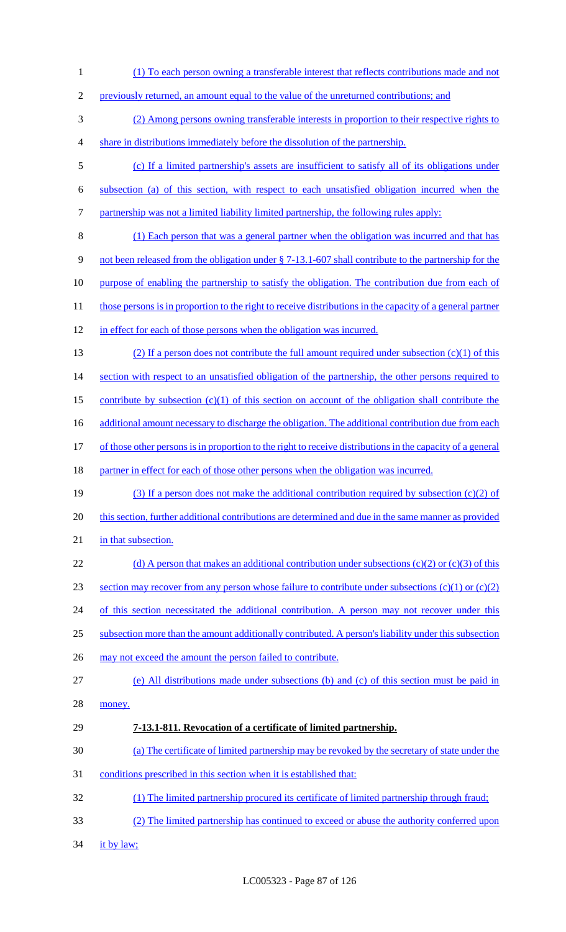1 (1) To each person owning a transferable interest that reflects contributions made and not 2 previously returned, an amount equal to the value of the unreturned contributions; and 3 (2) Among persons owning transferable interests in proportion to their respective rights to 4 share in distributions immediately before the dissolution of the partnership. 5 (c) If a limited partnership's assets are insufficient to satisfy all of its obligations under 6 subsection (a) of this section, with respect to each unsatisfied obligation incurred when the 7 partnership was not a limited liability limited partnership, the following rules apply: 8 (1) Each person that was a general partner when the obligation was incurred and that has 9 not been released from the obligation under § 7-13.1-607 shall contribute to the partnership for the 10 purpose of enabling the partnership to satisfy the obligation. The contribution due from each of 11 those persons is in proportion to the right to receive distributions in the capacity of a general partner 12 in effect for each of those persons when the obligation was incurred. 13 (2) If a person does not contribute the full amount required under subsection (c)(1) of this 14 section with respect to an unsatisfied obligation of the partnership, the other persons required to 15 contribute by subsection (c)(1) of this section on account of the obligation shall contribute the 16 additional amount necessary to discharge the obligation. The additional contribution due from each 17 of those other persons is in proportion to the right to receive distributions in the capacity of a general 18 partner in effect for each of those other persons when the obligation was incurred. 19 (3) If a person does not make the additional contribution required by subsection (c)(2) of 20 this section, further additional contributions are determined and due in the same manner as provided 21 in that subsection. 22 (d) A person that makes an additional contribution under subsections  $(c)(2)$  or  $(c)(3)$  of this 23 section may recover from any person whose failure to contribute under subsections  $(c)(1)$  or  $(c)(2)$ 24 of this section necessitated the additional contribution. A person may not recover under this 25 subsection more than the amount additionally contributed. A person's liability under this subsection 26 may not exceed the amount the person failed to contribute. 27 (e) All distributions made under subsections (b) and (c) of this section must be paid in 28 money. 29 **7-13.1-811. Revocation of a certificate of limited partnership.** 30 (a) The certificate of limited partnership may be revoked by the secretary of state under the 31 conditions prescribed in this section when it is established that: 32 (1) The limited partnership procured its certificate of limited partnership through fraud; 33 (2) The limited partnership has continued to exceed or abuse the authority conferred upon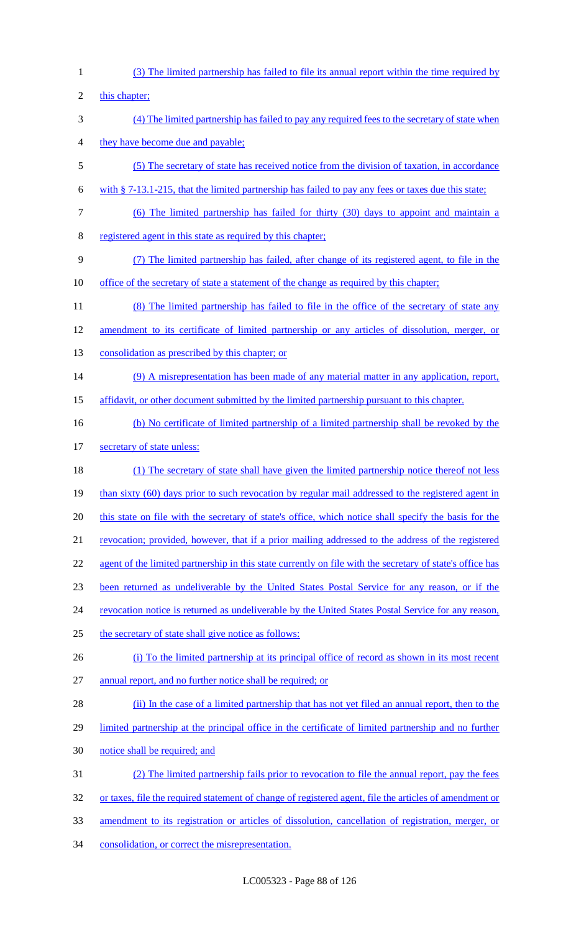(3) The limited partnership has failed to file its annual report within the time required by 2 this chapter; (4) The limited partnership has failed to pay any required fees to the secretary of state when they have become due and payable; (5) The secretary of state has received notice from the division of taxation, in accordance with § 7-13.1-215, that the limited partnership has failed to pay any fees or taxes due this state; (6) The limited partnership has failed for thirty (30) days to appoint and maintain a registered agent in this state as required by this chapter; (7) The limited partnership has failed, after change of its registered agent, to file in the 10 office of the secretary of state a statement of the change as required by this chapter; 11 (8) The limited partnership has failed to file in the office of the secretary of state any amendment to its certificate of limited partnership or any articles of dissolution, merger, or 13 consolidation as prescribed by this chapter; or 14 (9) A misrepresentation has been made of any material matter in any application, report, 15 affidavit, or other document submitted by the limited partnership pursuant to this chapter. (b) No certificate of limited partnership of a limited partnership shall be revoked by the 17 secretary of state unless: (1) The secretary of state shall have given the limited partnership notice thereof not less 19 than sixty (60) days prior to such revocation by regular mail addressed to the registered agent in 20 this state on file with the secretary of state's office, which notice shall specify the basis for the revocation; provided, however, that if a prior mailing addressed to the address of the registered 22 agent of the limited partnership in this state currently on file with the secretary of state's office has been returned as undeliverable by the United States Postal Service for any reason, or if the 24 revocation notice is returned as undeliverable by the United States Postal Service for any reason, the secretary of state shall give notice as follows: (i) To the limited partnership at its principal office of record as shown in its most recent annual report, and no further notice shall be required; or 28 (ii) In the case of a limited partnership that has not yet filed an annual report, then to the limited partnership at the principal office in the certificate of limited partnership and no further notice shall be required; and (2) The limited partnership fails prior to revocation to file the annual report, pay the fees 32 or taxes, file the required statement of change of registered agent, file the articles of amendment or amendment to its registration or articles of dissolution, cancellation of registration, merger, or consolidation, or correct the misrepresentation.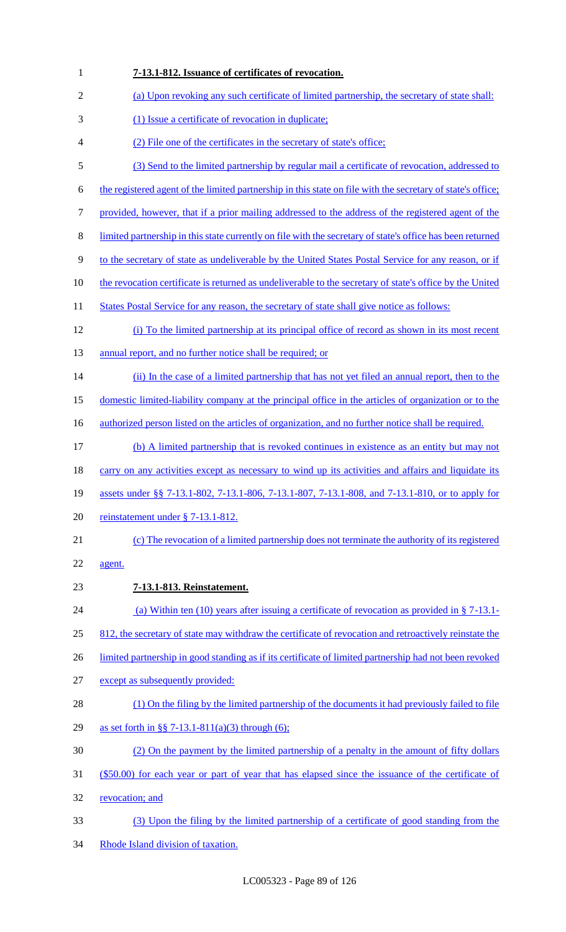| $\mathbf{1}$   | 7-13.1-812. Issuance of certificates of revocation.                                                         |
|----------------|-------------------------------------------------------------------------------------------------------------|
| $\overline{2}$ | (a) Upon revoking any such certificate of limited partnership, the secretary of state shall:                |
| 3              | (1) Issue a certificate of revocation in duplicate;                                                         |
| 4              | (2) File one of the certificates in the secretary of state's office;                                        |
| 5              | (3) Send to the limited partnership by regular mail a certificate of revocation, addressed to               |
| 6              | the registered agent of the limited partnership in this state on file with the secretary of state's office; |
| 7              | provided, however, that if a prior mailing addressed to the address of the registered agent of the          |
| 8              | limited partnership in this state currently on file with the secretary of state's office has been returned  |
| 9              | to the secretary of state as undeliverable by the United States Postal Service for any reason, or if        |
| 10             | the revocation certificate is returned as undeliverable to the secretary of state's office by the United    |
| 11             | States Postal Service for any reason, the secretary of state shall give notice as follows:                  |
| 12             | (i) To the limited partnership at its principal office of record as shown in its most recent                |
| 13             | annual report, and no further notice shall be required; or                                                  |
| 14             | (ii) In the case of a limited partnership that has not yet filed an annual report, then to the              |
| 15             | domestic limited-liability company at the principal office in the articles of organization or to the        |
| 16             | authorized person listed on the articles of organization, and no further notice shall be required.          |
| 17             | (b) A limited partnership that is revoked continues in existence as an entity but may not                   |
| 18             | carry on any activities except as necessary to wind up its activities and affairs and liquidate its         |
| 19             | assets under §§ 7-13.1-802, 7-13.1-806, 7-13.1-807, 7-13.1-808, and 7-13.1-810, or to apply for             |
| 20             | reinstatement under § 7-13.1-812.                                                                           |
| 21             | (c) The revocation of a limited partnership does not terminate the authority of its registered              |
| 22             | agent.                                                                                                      |
| 23             | 7-13.1-813. Reinstatement.                                                                                  |
| 24             | (a) Within ten (10) years after issuing a certificate of revocation as provided in § 7-13.1-                |
| 25             | 812, the secretary of state may withdraw the certificate of revocation and retroactively reinstate the      |
| 26             | limited partnership in good standing as if its certificate of limited partnership had not been revoked      |
| 27             | except as subsequently provided:                                                                            |
| 28             | (1) On the filing by the limited partnership of the documents it had previously failed to file              |
| 29             | as set forth in §§ 7-13.1-811(a)(3) through (6);                                                            |
| 30             | (2) On the payment by the limited partnership of a penalty in the amount of fifty dollars                   |
| 31             | (\$50.00) for each year or part of year that has elapsed since the issuance of the certificate of           |
| 32             | revocation; and                                                                                             |
| 33             | (3) Upon the filing by the limited partnership of a certificate of good standing from the                   |
| 34             | Rhode Island division of taxation.                                                                          |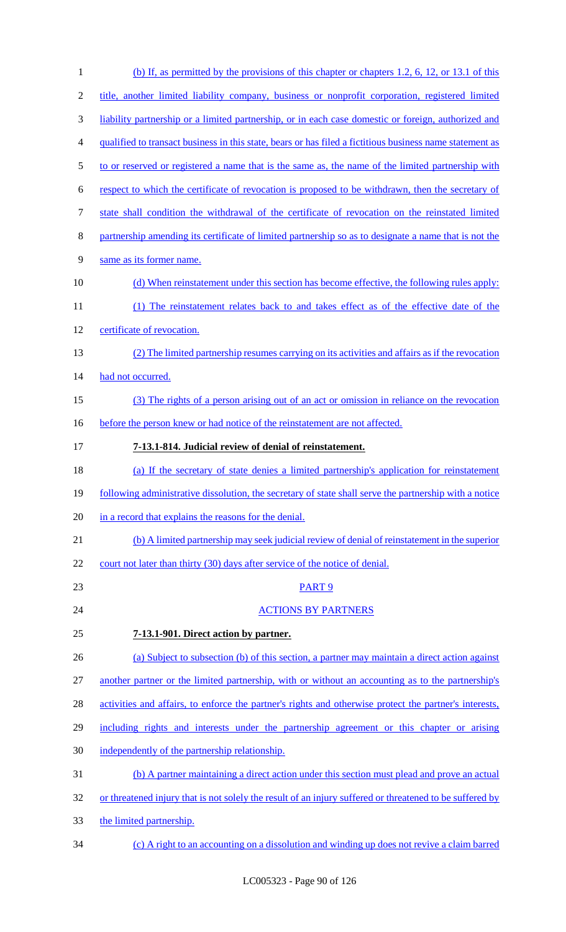| $\mathbf{1}$   | (b) If, as permitted by the provisions of this chapter or chapters 1.2, 6, 12, or 13.1 of this           |
|----------------|----------------------------------------------------------------------------------------------------------|
| $\overline{c}$ | title, another limited liability company, business or nonprofit corporation, registered limited          |
| 3              | liability partnership or a limited partnership, or in each case domestic or foreign, authorized and      |
| 4              | qualified to transact business in this state, bears or has filed a fictitious business name statement as |
| 5              | to or reserved or registered a name that is the same as, the name of the limited partnership with        |
| 6              | respect to which the certificate of revocation is proposed to be withdrawn, then the secretary of        |
| 7              | state shall condition the withdrawal of the certificate of revocation on the reinstated limited          |
| 8              | partnership amending its certificate of limited partnership so as to designate a name that is not the    |
| 9              | same as its former name.                                                                                 |
| 10             | (d) When reinstatement under this section has become effective, the following rules apply:               |
| 11             | (1) The reinstatement relates back to and takes effect as of the effective date of the                   |
| 12             | certificate of revocation.                                                                               |
| 13             | (2) The limited partnership resumes carrying on its activities and affairs as if the revocation          |
| 14             | had not occurred.                                                                                        |
| 15             | (3) The rights of a person arising out of an act or omission in reliance on the revocation               |
| 16             | before the person knew or had notice of the reinstatement are not affected.                              |
| 17             | 7-13.1-814. Judicial review of denial of reinstatement.                                                  |
| 18             | (a) If the secretary of state denies a limited partnership's application for reinstatement               |
| 19             | following administrative dissolution, the secretary of state shall serve the partnership with a notice   |
| 20             | in a record that explains the reasons for the denial.                                                    |
| 21             | (b) A limited partnership may seek judicial review of denial of reinstatement in the superior            |
| 22             | court not later than thirty (30) days after service of the notice of denial.                             |
| 23             | PART <sub>9</sub>                                                                                        |
| 24             | <b>ACTIONS BY PARTNERS</b>                                                                               |
| 25             | 7-13.1-901. Direct action by partner.                                                                    |
| 26             | (a) Subject to subsection (b) of this section, a partner may maintain a direct action against            |
| 27             | another partner or the limited partnership, with or without an accounting as to the partnership's        |
| 28             | activities and affairs, to enforce the partner's rights and otherwise protect the partner's interests,   |
| 29             | including rights and interests under the partnership agreement or this chapter or arising                |
| 30             | independently of the partnership relationship.                                                           |
| 31             | (b) A partner maintaining a direct action under this section must plead and prove an actual              |
| 32             | or threatened injury that is not solely the result of an injury suffered or threatened to be suffered by |
| 33             | the limited partnership.                                                                                 |
| 34             | (c) A right to an accounting on a dissolution and winding up does not revive a claim barred              |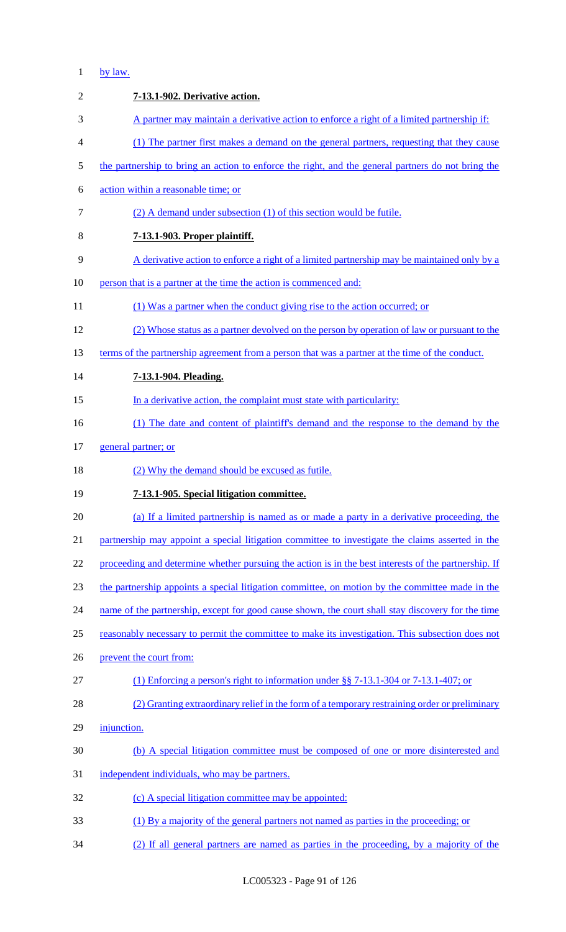## by law.

| $\overline{2}$ | 7-13.1-902. Derivative action.                                                                       |
|----------------|------------------------------------------------------------------------------------------------------|
| 3              | A partner may maintain a derivative action to enforce a right of a limited partnership if:           |
| $\overline{4}$ | (1) The partner first makes a demand on the general partners, requesting that they cause             |
| $\mathfrak{S}$ | the partnership to bring an action to enforce the right, and the general partners do not bring the   |
| 6              | action within a reasonable time; or                                                                  |
| $\overline{7}$ | (2) A demand under subsection (1) of this section would be futile.                                   |
| 8              | 7-13.1-903. Proper plaintiff.                                                                        |
| 9              | A derivative action to enforce a right of a limited partnership may be maintained only by a          |
| 10             | person that is a partner at the time the action is commenced and:                                    |
| 11             | (1) Was a partner when the conduct giving rise to the action occurred; or                            |
| 12             | (2) Whose status as a partner devolved on the person by operation of law or pursuant to the          |
| 13             | terms of the partnership agreement from a person that was a partner at the time of the conduct.      |
| 14             | 7-13.1-904. Pleading.                                                                                |
| 15             | In a derivative action, the complaint must state with particularity:                                 |
| 16             | (1) The date and content of plaintiff's demand and the response to the demand by the                 |
| 17             | general partner; or                                                                                  |
| 18             | (2) Why the demand should be excused as futile.                                                      |
| 19             | 7-13.1-905. Special litigation committee.                                                            |
| 20             | (a) If a limited partnership is named as or made a party in a derivative proceeding, the             |
| 21             | partnership may appoint a special litigation committee to investigate the claims asserted in the     |
| 22             | proceeding and determine whether pursuing the action is in the best interests of the partnership. If |
| 23             | the partnership appoints a special litigation committee, on motion by the committee made in the      |
| 24             | name of the partnership, except for good cause shown, the court shall stay discovery for the time    |
| 25             | reasonably necessary to permit the committee to make its investigation. This subsection does not     |
| 26             | prevent the court from:                                                                              |
| 27             | (1) Enforcing a person's right to information under $\S$ 7-13.1-304 or 7-13.1-407; or                |
| 28             | (2) Granting extraordinary relief in the form of a temporary restraining order or preliminary        |
| 29             | injunction.                                                                                          |
| 30             | (b) A special litigation committee must be composed of one or more disinterested and                 |
| 31             | independent individuals, who may be partners.                                                        |
| 32             | (c) A special litigation committee may be appointed:                                                 |
| 33             | (1) By a majority of the general partners not named as parties in the proceeding; or                 |
| 34             | (2) If all general partners are named as parties in the proceeding, by a majority of the             |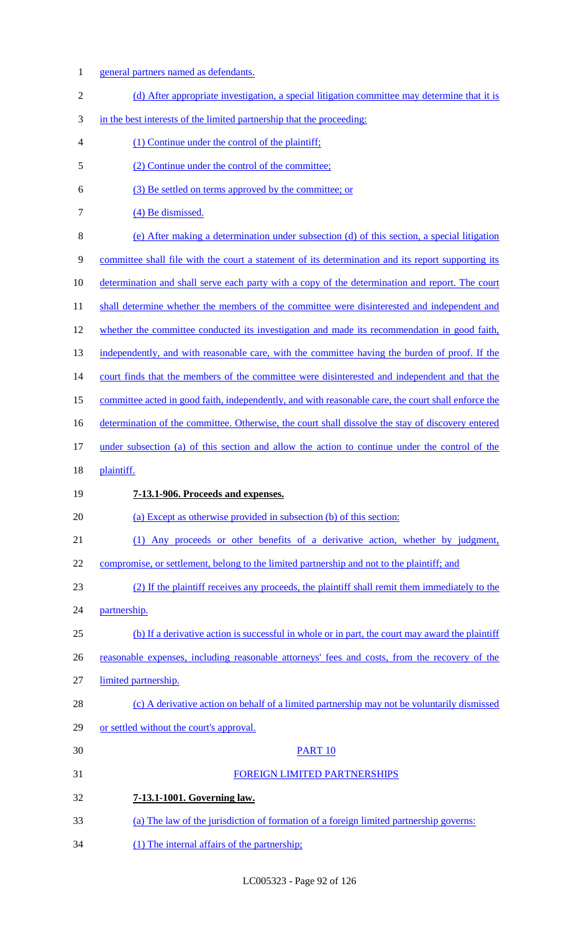- general partners named as defendants.
- 2 (d) After appropriate investigation, a special litigation committee may determine that it is
- in the best interests of the limited partnership that the proceeding:
- (1) Continue under the control of the plaintiff;
- (2) Continue under the control of the committee;
- (3) Be settled on terms approved by the committee; or
- 7 (4) Be dismissed.
- (e) After making a determination under subsection (d) of this section, a special litigation committee shall file with the court a statement of its determination and its report supporting its 10 determination and shall serve each party with a copy of the determination and report. The court 11 shall determine whether the members of the committee were disinterested and independent and whether the committee conducted its investigation and made its recommendation in good faith, 13 independently, and with reasonable care, with the committee having the burden of proof. If the court finds that the members of the committee were disinterested and independent and that the committee acted in good faith, independently, and with reasonable care, the court shall enforce the 16 determination of the committee. Otherwise, the court shall dissolve the stay of discovery entered under subsection (a) of this section and allow the action to continue under the control of the plaintiff. **7-13.1-906. Proceeds and expenses.** (a) Except as otherwise provided in subsection (b) of this section:
- (1) Any proceeds or other benefits of a derivative action, whether by judgment,
- 22 compromise, or settlement, belong to the limited partnership and not to the plaintiff; and
- (2) If the plaintiff receives any proceeds, the plaintiff shall remit them immediately to the
- partnership.
- (b) If a derivative action is successful in whole or in part, the court may award the plaintiff 26 reasonable expenses, including reasonable attorneys' fees and costs, from the recovery of the
- limited partnership.
- 28 (c) A derivative action on behalf of a limited partnership may not be voluntarily dismissed 29 or settled without the court's approval.
- PART 10 FOREIGN LIMITED PARTNERSHIPS **7-13.1-1001. Governing law.** (a) The law of the jurisdiction of formation of a foreign limited partnership governs: (1) The internal affairs of the partnership;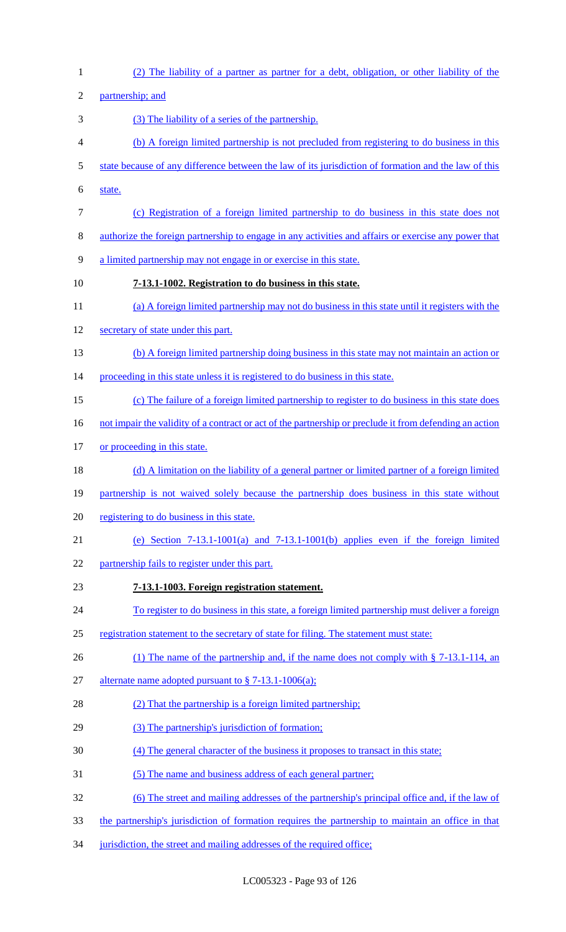- (2) The liability of a partner as partner for a debt, obligation, or other liability of the
- partnership; and (3) The liability of a series of the partnership. (b) A foreign limited partnership is not precluded from registering to do business in this state because of any difference between the law of its jurisdiction of formation and the law of this state. (c) Registration of a foreign limited partnership to do business in this state does not authorize the foreign partnership to engage in any activities and affairs or exercise any power that a limited partnership may not engage in or exercise in this state. **7-13.1-1002. Registration to do business in this state.** (a) A foreign limited partnership may not do business in this state until it registers with the secretary of state under this part. (b) A foreign limited partnership doing business in this state may not maintain an action or 14 proceeding in this state unless it is registered to do business in this state. (c) The failure of a foreign limited partnership to register to do business in this state does 16 not impair the validity of a contract or act of the partnership or preclude it from defending an action 17 or proceeding in this state. 18 (d) A limitation on the liability of a general partner or limited partner of a foreign limited partnership is not waived solely because the partnership does business in this state without registering to do business in this state. (e) Section 7-13.1-1001(a) and 7-13.1-1001(b) applies even if the foreign limited 22 partnership fails to register under this part. **7-13.1-1003. Foreign registration statement.** To register to do business in this state, a foreign limited partnership must deliver a foreign registration statement to the secretary of state for filing. The statement must state: 26 (1) The name of the partnership and, if the name does not comply with § 7-13.1-114, an 27 alternate name adopted pursuant to § 7-13.1-1006(a); 28 (2) That the partnership is a foreign limited partnership; (3) The partnership's jurisdiction of formation; (4) The general character of the business it proposes to transact in this state; (5) The name and business address of each general partner; (6) The street and mailing addresses of the partnership's principal office and, if the law of the partnership's jurisdiction of formation requires the partnership to maintain an office in that
- 34 jurisdiction, the street and mailing addresses of the required office;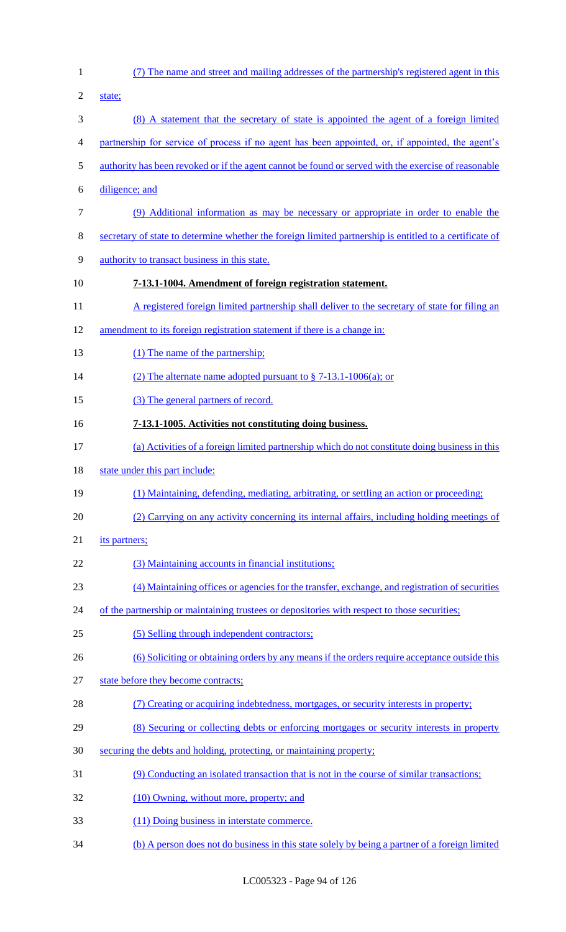(7) The name and street and mailing addresses of the partnership's registered agent in this state; (8) A statement that the secretary of state is appointed the agent of a foreign limited partnership for service of process if no agent has been appointed, or, if appointed, the agent's authority has been revoked or if the agent cannot be found or served with the exercise of reasonable diligence; and (9) Additional information as may be necessary or appropriate in order to enable the secretary of state to determine whether the foreign limited partnership is entitled to a certificate of authority to transact business in this state. **7-13.1-1004. Amendment of foreign registration statement.** 11 A registered foreign limited partnership shall deliver to the secretary of state for filing an amendment to its foreign registration statement if there is a change in: 13 (1) The name of the partnership; 14 (2) The alternate name adopted pursuant to § 7-13.1-1006(a); or 15 (3) The general partners of record. **7-13.1-1005. Activities not constituting doing business.** (a) Activities of a foreign limited partnership which do not constitute doing business in this 18 state under this part include: (1) Maintaining, defending, mediating, arbitrating, or settling an action or proceeding; (2) Carrying on any activity concerning its internal affairs, including holding meetings of 21 its partners; (3) Maintaining accounts in financial institutions; (4) Maintaining offices or agencies for the transfer, exchange, and registration of securities 24 of the partnership or maintaining trustees or depositories with respect to those securities; (5) Selling through independent contractors; (6) Soliciting or obtaining orders by any means if the orders require acceptance outside this 27 state before they become contracts; (7) Creating or acquiring indebtedness, mortgages, or security interests in property; (8) Securing or collecting debts or enforcing mortgages or security interests in property securing the debts and holding, protecting, or maintaining property; (9) Conducting an isolated transaction that is not in the course of similar transactions; 32 (10) Owning, without more, property; and (11) Doing business in interstate commerce. (b) A person does not do business in this state solely by being a partner of a foreign limited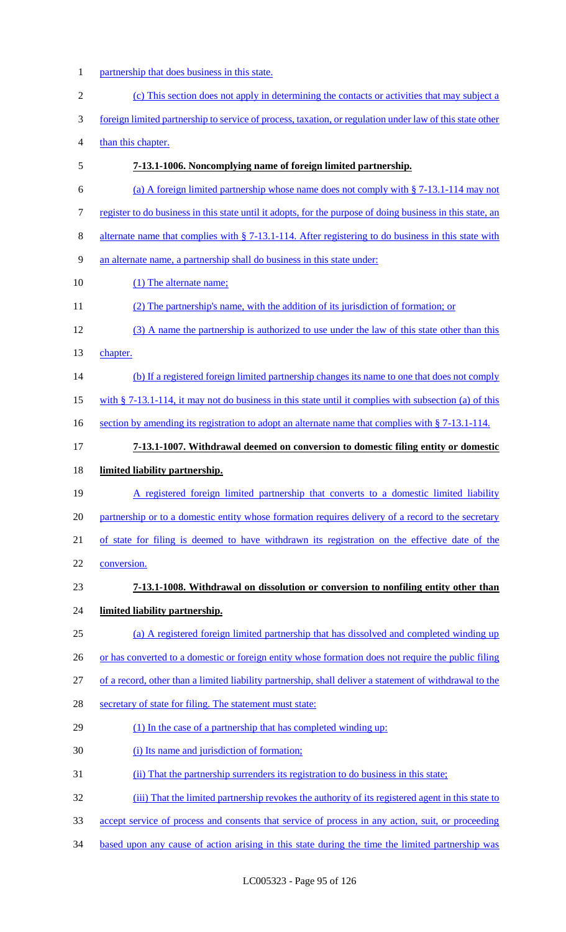- 1 partnership that does business in this state.
- (c) This section does not apply in determining the contacts or activities that may subject a foreign limited partnership to service of process, taxation, or regulation under law of this state other than this chapter. **7-13.1-1006. Noncomplying name of foreign limited partnership.** (a) A foreign limited partnership whose name does not comply with § 7-13.1-114 may not register to do business in this state until it adopts, for the purpose of doing business in this state, an alternate name that complies with § 7-13.1-114. After registering to do business in this state with an alternate name, a partnership shall do business in this state under: 10 (1) The alternate name; (2) The partnership's name, with the addition of its jurisdiction of formation; or (3) A name the partnership is authorized to use under the law of this state other than this chapter. 14 (b) If a registered foreign limited partnership changes its name to one that does not comply with § 7-13.1-114, it may not do business in this state until it complies with subsection (a) of this 16 section by amending its registration to adopt an alternate name that complies with § 7-13.1-114. **7-13.1-1007. Withdrawal deemed on conversion to domestic filing entity or domestic limited liability partnership.** 19 A registered foreign limited partnership that converts to a domestic limited liability 20 partnership or to a domestic entity whose formation requires delivery of a record to the secretary of state for filing is deemed to have withdrawn its registration on the effective date of the conversion. **7-13.1-1008. Withdrawal on dissolution or conversion to nonfiling entity other than limited liability partnership.** (a) A registered foreign limited partnership that has dissolved and completed winding up 26 or has converted to a domestic or foreign entity whose formation does not require the public filing of a record, other than a limited liability partnership, shall deliver a statement of withdrawal to the secretary of state for filing. The statement must state: 29 (1) In the case of a partnership that has completed winding up: (i) Its name and jurisdiction of formation; (ii) That the partnership surrenders its registration to do business in this state; (iii) That the limited partnership revokes the authority of its registered agent in this state to accept service of process and consents that service of process in any action, suit, or proceeding
- based upon any cause of action arising in this state during the time the limited partnership was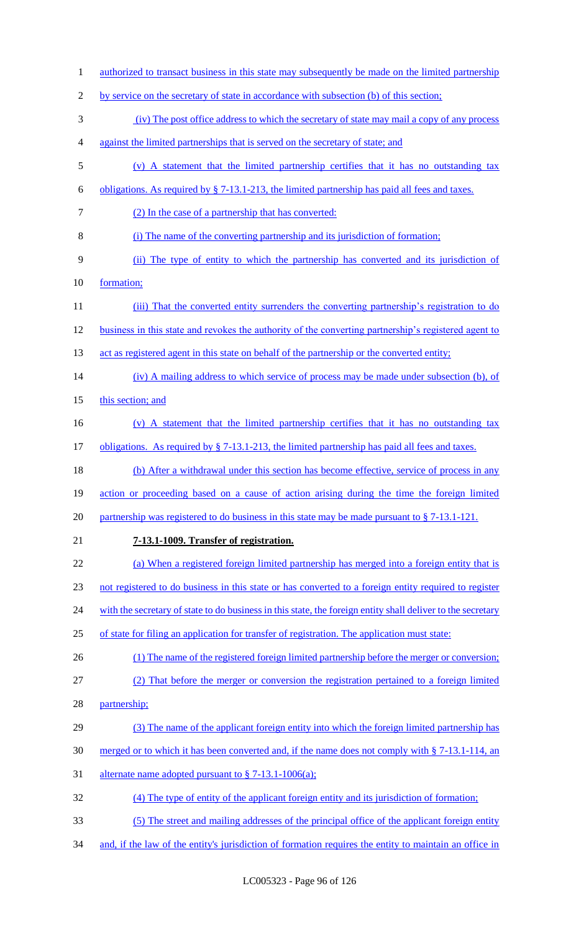| $\mathbf{1}$   | authorized to transact business in this state may subsequently be made on the limited partnership           |
|----------------|-------------------------------------------------------------------------------------------------------------|
| $\overline{2}$ | by service on the secretary of state in accordance with subsection (b) of this section;                     |
| 3              | (iv) The post office address to which the secretary of state may mail a copy of any process                 |
| $\overline{4}$ | against the limited partnerships that is served on the secretary of state; and                              |
| $\mathfrak{S}$ | (v) A statement that the limited partnership certifies that it has no outstanding tax                       |
| 6              | obligations. As required by $\S$ 7-13.1-213, the limited partnership has paid all fees and taxes.           |
| $\overline{7}$ | (2) In the case of a partnership that has converted:                                                        |
| 8              | (i) The name of the converting partnership and its jurisdiction of formation;                               |
| 9              | (ii) The type of entity to which the partnership has converted and its jurisdiction of                      |
| 10             | formation;                                                                                                  |
| 11             | (iii) That the converted entity surrenders the converting partnership's registration to do                  |
| 12             | business in this state and revokes the authority of the converting partnership's registered agent to        |
| 13             | act as registered agent in this state on behalf of the partnership or the converted entity;                 |
| 14             | (iv) A mailing address to which service of process may be made under subsection (b), of                     |
| 15             | this section; and                                                                                           |
| 16             | (v) A statement that the limited partnership certifies that it has no outstanding tax                       |
| 17             | obligations. As required by § 7-13.1-213, the limited partnership has paid all fees and taxes.              |
| 18             | (b) After a withdrawal under this section has become effective, service of process in any                   |
| 19             | action or proceeding based on a cause of action arising during the time the foreign limited                 |
| 20             | partnership was registered to do business in this state may be made pursuant to $\S$ 7-13.1-121.            |
| 21             | 7-13.1-1009. Transfer of registration.                                                                      |
| 22             | (a) When a registered foreign limited partnership has merged into a foreign entity that is                  |
| 23             | not registered to do business in this state or has converted to a foreign entity required to register       |
| 24             | with the secretary of state to do business in this state, the foreign entity shall deliver to the secretary |
| 25             | of state for filing an application for transfer of registration. The application must state:                |
| 26             | (1) The name of the registered foreign limited partnership before the merger or conversion;                 |
| 27             | (2) That before the merger or conversion the registration pertained to a foreign limited                    |
| 28             | partnership;                                                                                                |
| 29             | (3) The name of the applicant foreign entity into which the foreign limited partnership has                 |
| 30             | merged or to which it has been converted and, if the name does not comply with $\S$ 7-13.1-114, an          |
| 31             | <u>alternate name adopted pursuant to <math>\S</math> 7-13.1-1006(a)</u> ;                                  |
| 32             | (4) The type of entity of the applicant foreign entity and its jurisdiction of formation;                   |
| 33             | (5) The street and mailing addresses of the principal office of the applicant foreign entity                |
| 34             | and, if the law of the entity's jurisdiction of formation requires the entity to maintain an office in      |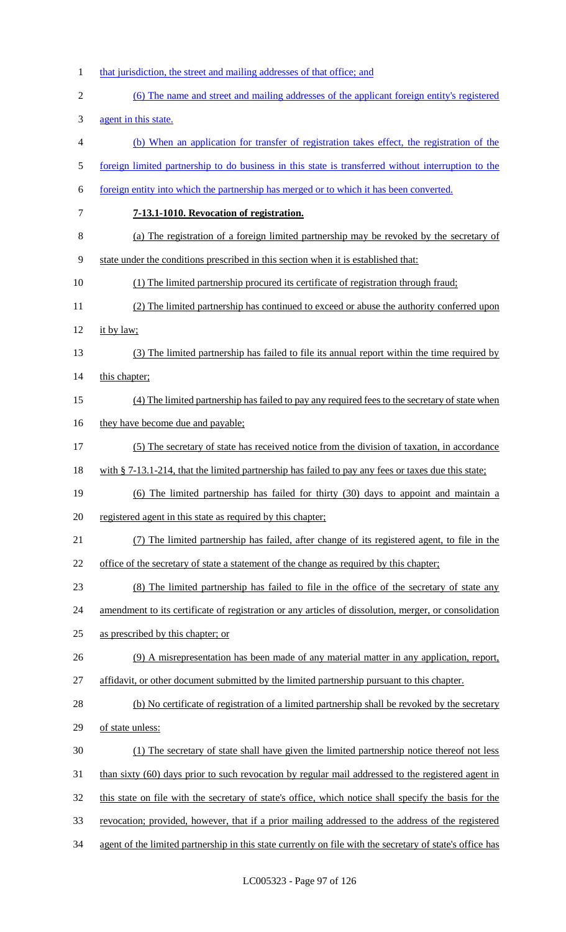| $\mathbf{1}$   | that jurisdiction, the street and mailing addresses of that office; and                                   |
|----------------|-----------------------------------------------------------------------------------------------------------|
| $\overline{c}$ | (6) The name and street and mailing addresses of the applicant foreign entity's registered                |
| 3              | agent in this state.                                                                                      |
| 4              | (b) When an application for transfer of registration takes effect, the registration of the                |
| 5              | foreign limited partnership to do business in this state is transferred without interruption to the       |
| 6              | foreign entity into which the partnership has merged or to which it has been converted.                   |
| 7              | 7-13.1-1010. Revocation of registration.                                                                  |
| 8              | (a) The registration of a foreign limited partnership may be revoked by the secretary of                  |
| 9              | state under the conditions prescribed in this section when it is established that:                        |
| 10             | (1) The limited partnership procured its certificate of registration through fraud;                       |
| 11             | (2) The limited partnership has continued to exceed or abuse the authority conferred upon                 |
| 12             | it by law;                                                                                                |
| 13             | (3) The limited partnership has failed to file its annual report within the time required by              |
| 14             | this chapter;                                                                                             |
| 15             | (4) The limited partnership has failed to pay any required fees to the secretary of state when            |
| 16             | they have become due and payable;                                                                         |
| 17             | (5) The secretary of state has received notice from the division of taxation, in accordance               |
| 18             | with $\S$ 7-13.1-214, that the limited partnership has failed to pay any fees or taxes due this state;    |
| 19             | (6) The limited partnership has failed for thirty (30) days to appoint and maintain a                     |
| 20             | registered agent in this state as required by this chapter;                                               |
| 21             | (7) The limited partnership has failed, after change of its registered agent, to file in the              |
| 22             | office of the secretary of state a statement of the change as required by this chapter;                   |
| 23             | (8) The limited partnership has failed to file in the office of the secretary of state any                |
| 24             | amendment to its certificate of registration or any articles of dissolution, merger, or consolidation     |
| 25             | as prescribed by this chapter; or                                                                         |
| 26             | (9) A misrepresentation has been made of any material matter in any application, report,                  |
| 27             | affidavit, or other document submitted by the limited partnership pursuant to this chapter.               |
| 28             | (b) No certificate of registration of a limited partnership shall be revoked by the secretary             |
| 29             | of state unless:                                                                                          |
| 30             | (1) The secretary of state shall have given the limited partnership notice thereof not less               |
| 31             | than sixty (60) days prior to such revocation by regular mail addressed to the registered agent in        |
| 32             | this state on file with the secretary of state's office, which notice shall specify the basis for the     |
| 33             | revocation; provided, however, that if a prior mailing addressed to the address of the registered         |
| 34             | agent of the limited partnership in this state currently on file with the secretary of state's office has |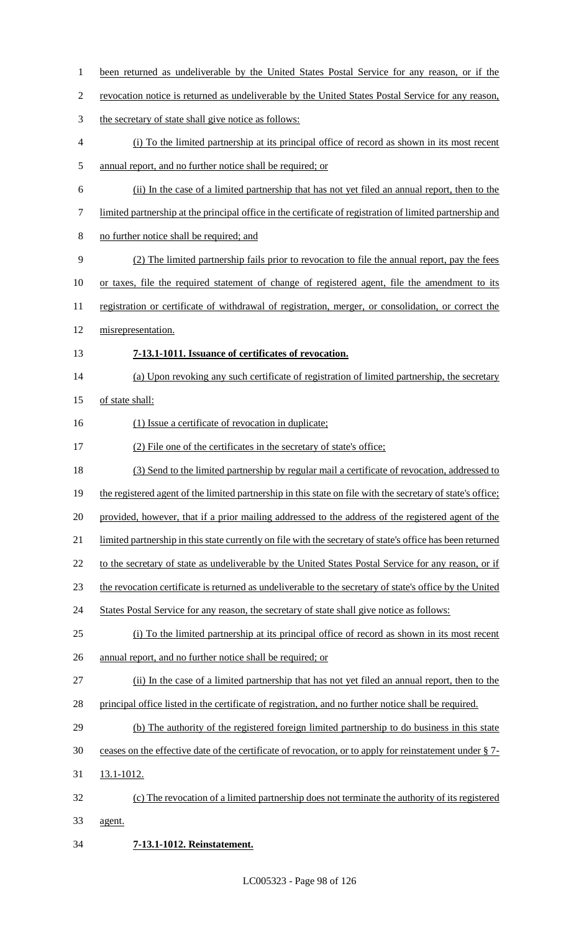- been returned as undeliverable by the United States Postal Service for any reason, or if the
- revocation notice is returned as undeliverable by the United States Postal Service for any reason,
- the secretary of state shall give notice as follows:
- (i) To the limited partnership at its principal office of record as shown in its most recent annual report, and no further notice shall be required; or
- (ii) In the case of a limited partnership that has not yet filed an annual report, then to the
- limited partnership at the principal office in the certificate of registration of limited partnership and
- no further notice shall be required; and
- (2) The limited partnership fails prior to revocation to file the annual report, pay the fees
- or taxes, file the required statement of change of registered agent, file the amendment to its
- 11 registration or certificate of withdrawal of registration, merger, or consolidation, or correct the
- misrepresentation.
- **7-13.1-1011. Issuance of certificates of revocation.**
- (a) Upon revoking any such certificate of registration of limited partnership, the secretary
- 15 of state shall:
- 16 (1) Issue a certificate of revocation in duplicate;
- (2) File one of the certificates in the secretary of state's office;
- (3) Send to the limited partnership by regular mail a certificate of revocation, addressed to
- 19 the registered agent of the limited partnership in this state on file with the secretary of state's office;
- provided, however, that if a prior mailing addressed to the address of the registered agent of the
- limited partnership in this state currently on file with the secretary of state's office has been returned
- 22 to the secretary of state as undeliverable by the United States Postal Service for any reason, or if
- the revocation certificate is returned as undeliverable to the secretary of state's office by the United
- 24 States Postal Service for any reason, the secretary of state shall give notice as follows:
- (i) To the limited partnership at its principal office of record as shown in its most recent
- annual report, and no further notice shall be required; or
- (ii) In the case of a limited partnership that has not yet filed an annual report, then to the
- principal office listed in the certificate of registration, and no further notice shall be required.
- (b) The authority of the registered foreign limited partnership to do business in this state
- ceases on the effective date of the certificate of revocation, or to apply for reinstatement under § 7-
- 13.1-1012.
- (c) The revocation of a limited partnership does not terminate the authority of its registered agent.
- 
- **7-13.1-1012. Reinstatement.**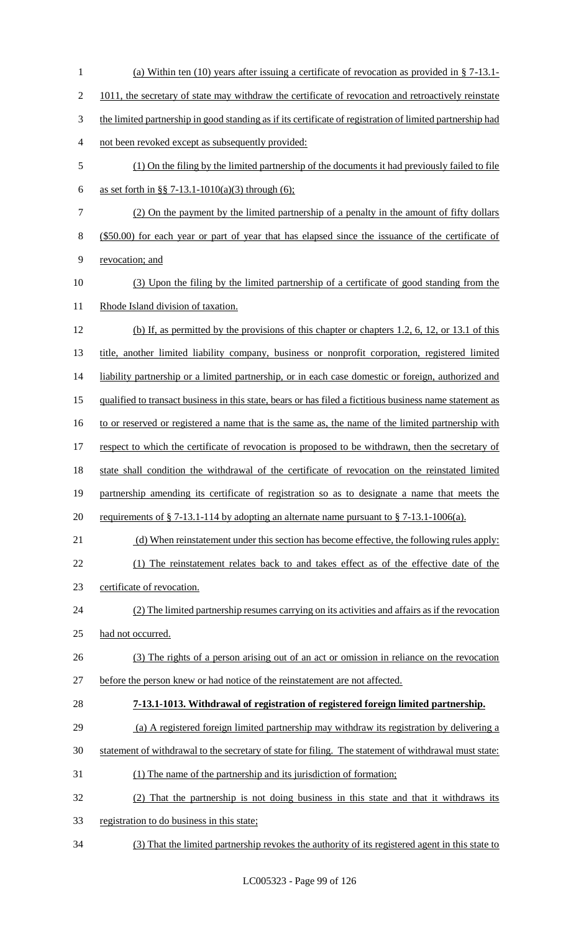| $\mathbf{1}$   | (a) Within ten (10) years after issuing a certificate of revocation as provided in $\S$ 7-13.1-           |
|----------------|-----------------------------------------------------------------------------------------------------------|
| $\mathbf{2}$   | 1011, the secretary of state may withdraw the certificate of revocation and retroactively reinstate       |
| $\mathfrak{Z}$ | the limited partnership in good standing as if its certificate of registration of limited partnership had |
| $\overline{4}$ | not been revoked except as subsequently provided:                                                         |
| $\mathfrak{S}$ | (1) On the filing by the limited partnership of the documents it had previously failed to file            |
| 6              | as set forth in §§ 7-13.1-1010(a)(3) through (6);                                                         |
| $\tau$         | (2) On the payment by the limited partnership of a penalty in the amount of fifty dollars                 |
| 8              | (\$50.00) for each year or part of year that has elapsed since the issuance of the certificate of         |
| 9              | revocation; and                                                                                           |
| 10             | (3) Upon the filing by the limited partnership of a certificate of good standing from the                 |
| 11             | Rhode Island division of taxation.                                                                        |
| 12             | (b) If, as permitted by the provisions of this chapter or chapters 1.2, 6, 12, or 13.1 of this            |
| 13             | title, another limited liability company, business or nonprofit corporation, registered limited           |
| 14             | liability partnership or a limited partnership, or in each case domestic or foreign, authorized and       |
| 15             | qualified to transact business in this state, bears or has filed a fictitious business name statement as  |
| 16             | to or reserved or registered a name that is the same as, the name of the limited partnership with         |
| 17             | respect to which the certificate of revocation is proposed to be withdrawn, then the secretary of         |
| 18             | state shall condition the withdrawal of the certificate of revocation on the reinstated limited           |
| 19             | partnership amending its certificate of registration so as to designate a name that meets the             |
| 20             | requirements of § 7-13.1-114 by adopting an alternate name pursuant to § 7-13.1-1006(a).                  |
| 21             | (d) When reinstatement under this section has become effective, the following rules apply:                |
| 22             | (1) The reinstatement relates back to and takes effect as of the effective date of the                    |
| 23             | certificate of revocation.                                                                                |
| 24             | (2) The limited partnership resumes carrying on its activities and affairs as if the revocation           |
| 25             | had not occurred.                                                                                         |
| 26             | (3) The rights of a person arising out of an act or omission in reliance on the revocation                |
| 27             | before the person knew or had notice of the reinstatement are not affected.                               |
| 28             | 7-13.1-1013. Withdrawal of registration of registered foreign limited partnership.                        |
| 29             | (a) A registered foreign limited partnership may withdraw its registration by delivering a                |
| 30             | statement of withdrawal to the secretary of state for filing. The statement of withdrawal must state:     |
| 31             | (1) The name of the partnership and its jurisdiction of formation;                                        |
| 32             | (2) That the partnership is not doing business in this state and that it withdraws its                    |
| 33             | registration to do business in this state;                                                                |
| 34             | (3) That the limited partnership revokes the authority of its registered agent in this state to           |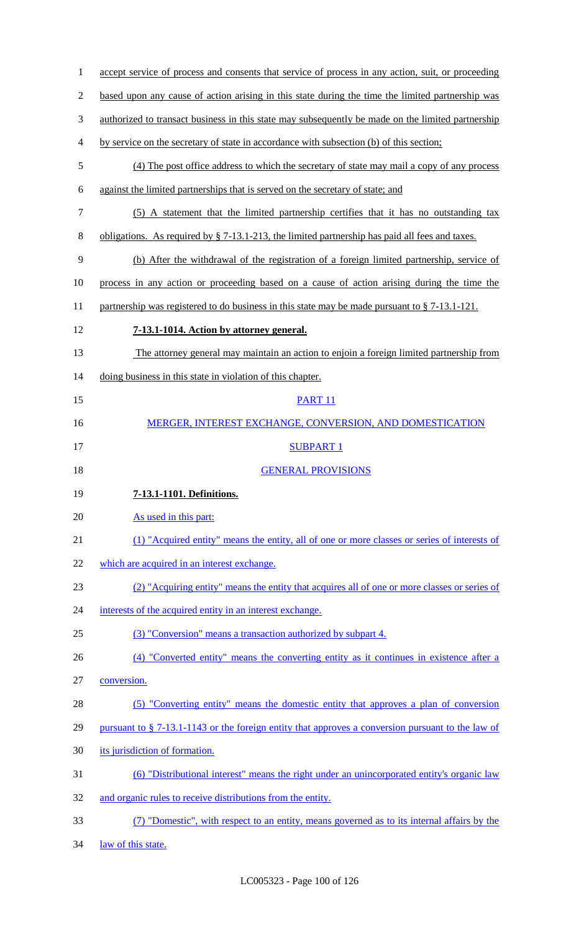| $\mathbf{1}$   | accept service of process and consents that service of process in any action, suit, or proceeding        |
|----------------|----------------------------------------------------------------------------------------------------------|
| $\overline{2}$ | based upon any cause of action arising in this state during the time the limited partnership was         |
| 3              | <u>authorized to transact business in this state may subsequently be made on the limited partnership</u> |
| $\overline{4}$ | by service on the secretary of state in accordance with subsection (b) of this section;                  |
| $\mathfrak s$  | (4) The post office address to which the secretary of state may mail a copy of any process               |
| 6              | against the limited partnerships that is served on the secretary of state; and                           |
| 7              | (5) A statement that the limited partnership certifies that it has no outstanding tax                    |
| 8              | obligations. As required by $\S$ 7-13.1-213, the limited partnership has paid all fees and taxes.        |
| 9              | (b) After the withdrawal of the registration of a foreign limited partnership, service of                |
| 10             | process in any action or proceeding based on a cause of action arising during the time the               |
| 11             | partnership was registered to do business in this state may be made pursuant to $\S$ 7-13.1-121.         |
| 12             | 7-13.1-1014. Action by attorney general.                                                                 |
| 13             | The attorney general may maintain an action to enjoin a foreign limited partnership from                 |
| 14             | doing business in this state in violation of this chapter.                                               |
| 15             | <b>PART 11</b>                                                                                           |
| 16             | <b>MERGER, INTEREST EXCHANGE, CONVERSION, AND DOMESTICATION</b>                                          |
| 17             | <b>SUBPART 1</b>                                                                                         |
| 18             | <b>GENERAL PROVISIONS</b>                                                                                |
|                |                                                                                                          |
| 19             | 7-13.1-1101. Definitions.                                                                                |
| 20             | As used in this part:                                                                                    |
| 21             | (1) "Acquired entity" means the entity, all of one or more classes or series of interests of             |
| 22             | which are acquired in an interest exchange.                                                              |
| 23             | (2) "Acquiring entity" means the entity that acquires all of one or more classes or series of            |
| 24             | interests of the acquired entity in an interest exchange.                                                |
| 25             | (3) "Conversion" means a transaction authorized by subpart 4.                                            |
| 26             | (4) "Converted entity" means the converting entity as it continues in existence after a                  |
| 27             | conversion.                                                                                              |
| 28             | (5) "Converting entity" means the domestic entity that approves a plan of conversion                     |
| 29             | pursuant to § 7-13.1-1143 or the foreign entity that approves a conversion pursuant to the law of        |
| 30             | its jurisdiction of formation.                                                                           |
| 31             | (6) "Distributional interest" means the right under an unincorporated entity's organic law               |
| 32             | and organic rules to receive distributions from the entity.                                              |
| 33             | (7) "Domestic", with respect to an entity, means governed as to its internal affairs by the              |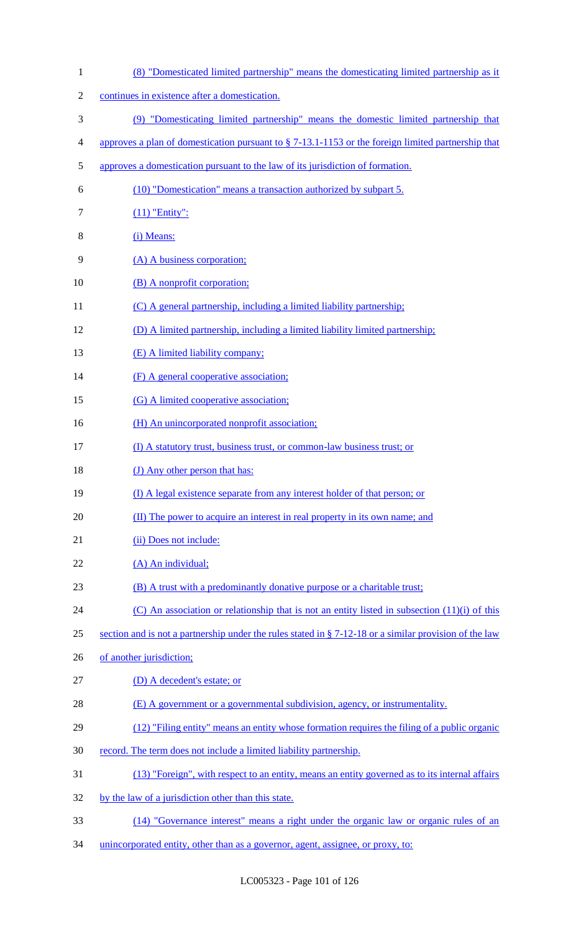| 1              | (8) "Domesticated limited partnership" means the domesticating limited partnership as it                  |
|----------------|-----------------------------------------------------------------------------------------------------------|
| $\overline{2}$ | continues in existence after a domestication.                                                             |
| 3              | (9) "Domesticating limited partnership" means the domestic limited partnership that                       |
| 4              | approves a plan of domestication pursuant to $\S$ 7-13.1-1153 or the foreign limited partnership that     |
| 5              | approves a domestication pursuant to the law of its jurisdiction of formation.                            |
| 6              | (10) "Domestication" means a transaction authorized by subpart 5.                                         |
| $\tau$         | $(11)$ "Entity":                                                                                          |
| 8              | (i) Means:                                                                                                |
| 9              | (A) A business corporation;                                                                               |
| 10             | (B) A nonprofit corporation;                                                                              |
| 11             | (C) A general partnership, including a limited liability partnership;                                     |
| 12             | (D) A limited partnership, including a limited liability limited partnership;                             |
| 13             | (E) A limited liability company;                                                                          |
| 14             | (F) A general cooperative association;                                                                    |
| 15             | (G) A limited cooperative association;                                                                    |
| 16             | (H) An unincorporated nonprofit association;                                                              |
| 17             | (I) A statutory trust, business trust, or common-law business trust; or                                   |
| 18             | (J) Any other person that has:                                                                            |
| 19             | (I) A legal existence separate from any interest holder of that person; or                                |
| 20             | (II) The power to acquire an interest in real property in its own name; and                               |
| 21             | (ii) Does not include:                                                                                    |
| 22             | (A) An individual;                                                                                        |
| 23             | (B) A trust with a predominantly donative purpose or a charitable trust;                                  |
| 24             | (C) An association or relationship that is not an entity listed in subsection $(11)(i)$ of this           |
| 25             | section and is not a partnership under the rules stated in $\S$ 7-12-18 or a similar provision of the law |
| 26             | of another jurisdiction;                                                                                  |
| 27             | (D) A decedent's estate; or                                                                               |
| 28             | (E) A government or a governmental subdivision, agency, or instrumentality.                               |
| 29             | (12) "Filing entity" means an entity whose formation requires the filing of a public organic              |
| 30             | record. The term does not include a limited liability partnership.                                        |
| 31             | (13) "Foreign", with respect to an entity, means an entity governed as to its internal affairs            |
| 32             | by the law of a jurisdiction other than this state.                                                       |
| 33             | (14) "Governance interest" means a right under the organic law or organic rules of an                     |
|                |                                                                                                           |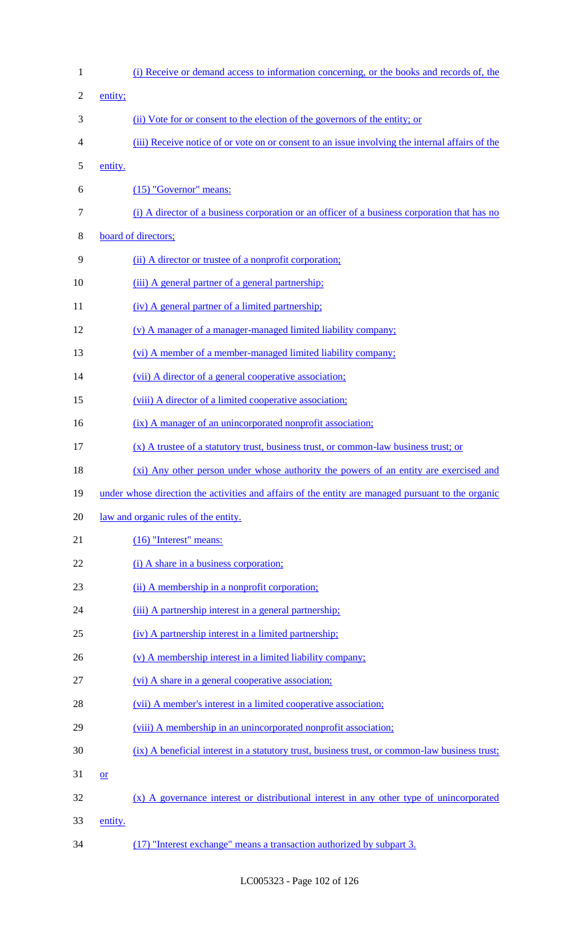| $\mathbf{1}$   |                 | (i) Receive or demand access to information concerning, or the books and records of, the           |
|----------------|-----------------|----------------------------------------------------------------------------------------------------|
| $\overline{2}$ | entity;         |                                                                                                    |
| 3              |                 | (ii) Vote for or consent to the election of the governors of the entity; or                        |
| 4              |                 | (iii) Receive notice of or vote on or consent to an issue involving the internal affairs of the    |
| 5              | entity.         |                                                                                                    |
| 6              |                 | (15) "Governor" means:                                                                             |
| $\tau$         |                 | (i) A director of a business corporation or an officer of a business corporation that has no       |
| 8              |                 | board of directors;                                                                                |
| 9              |                 | (ii) A director or trustee of a nonprofit corporation;                                             |
| 10             |                 | (iii) A general partner of a general partnership;                                                  |
| 11             |                 | (iv) A general partner of a limited partnership;                                                   |
| 12             |                 | (v) A manager of a manager-managed limited liability company;                                      |
| 13             |                 | (vi) A member of a member-managed limited liability company;                                       |
| 14             |                 | (vii) A director of a general cooperative association;                                             |
| 15             |                 | (viii) A director of a limited cooperative association;                                            |
| 16             |                 | (ix) A manager of an unincorporated nonprofit association;                                         |
| 17             |                 | (x) A trustee of a statutory trust, business trust, or common-law business trust; or               |
| 18             |                 | (xi) Any other person under whose authority the powers of an entity are exercised and              |
| 19             |                 | under whose direction the activities and affairs of the entity are managed pursuant to the organic |
| 20             |                 | law and organic rules of the entity.                                                               |
| 21             |                 | (16) "Interest" means:                                                                             |
| 22             |                 | (i) A share in a business corporation;                                                             |
| 23             |                 | (ii) A membership in a nonprofit corporation;                                                      |
| 24             |                 | (iii) A partnership interest in a general partnership;                                             |
| 25             |                 | (iv) A partnership interest in a limited partnership;                                              |
| 26             |                 | (v) A membership interest in a limited liability company;                                          |
| 27             |                 | (vi) A share in a general cooperative association;                                                 |
| 28             |                 | (vii) A member's interest in a limited cooperative association;                                    |
| 29             |                 | (viii) A membership in an unincorporated nonprofit association;                                    |
| 30             |                 | (ix) A beneficial interest in a statutory trust, business trust, or common-law business trust;     |
| 31             | $\overline{or}$ |                                                                                                    |
| 32             |                 | $(x)$ A governance interest or distributional interest in any other type of unincorporated         |
| 33             | entity.         |                                                                                                    |
| 34             |                 | (17) "Interest exchange" means a transaction authorized by subpart 3.                              |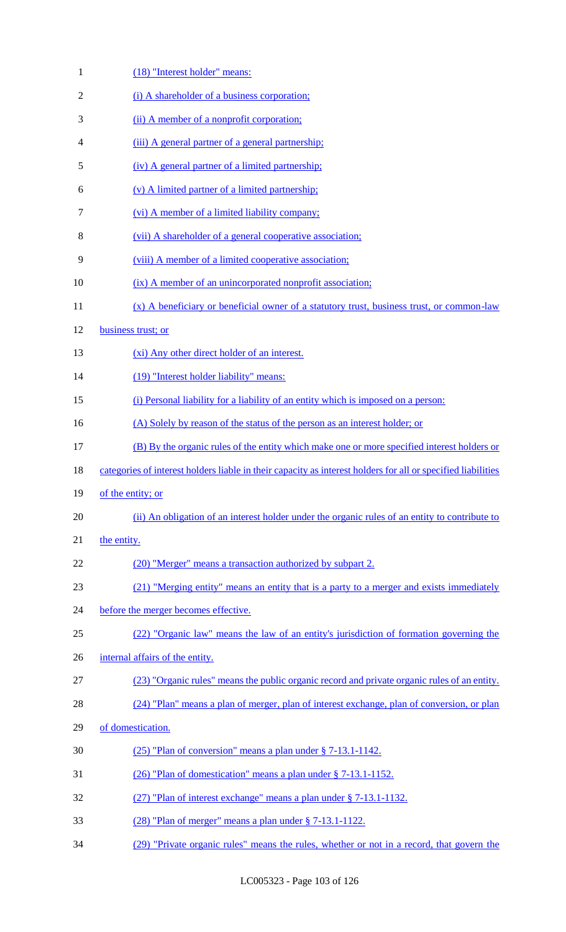| $\mathbf{1}$   | (18) "Interest holder" means:                                                                                |
|----------------|--------------------------------------------------------------------------------------------------------------|
| $\overline{2}$ | (i) A shareholder of a business corporation;                                                                 |
| 3              | (ii) A member of a nonprofit corporation;                                                                    |
| 4              | (iii) A general partner of a general partnership;                                                            |
| 5              | (iv) A general partner of a limited partnership;                                                             |
| 6              | (v) A limited partner of a limited partnership;                                                              |
| 7              | (vi) A member of a limited liability company;                                                                |
| 8              | (vii) A shareholder of a general cooperative association;                                                    |
| 9              | (viii) A member of a limited cooperative association;                                                        |
| 10             | (ix) A member of an unincorporated nonprofit association;                                                    |
| 11             | $(x)$ A beneficiary or beneficial owner of a statutory trust, business trust, or common-law                  |
| 12             | business trust; or                                                                                           |
| 13             | (xi) Any other direct holder of an interest.                                                                 |
| 14             | (19) "Interest holder liability" means:                                                                      |
| 15             | (i) Personal liability for a liability of an entity which is imposed on a person:                            |
| 16             | (A) Solely by reason of the status of the person as an interest holder; or                                   |
| 17             | (B) By the organic rules of the entity which make one or more specified interest holders or                  |
| 18             | categories of interest holders liable in their capacity as interest holders for all or specified liabilities |
| 19             | of the entity; or                                                                                            |
| 20             | (ii) An obligation of an interest holder under the organic rules of an entity to contribute to               |
| 21             | the entity.                                                                                                  |
| 22             | (20) "Merger" means a transaction authorized by subpart 2.                                                   |
| 23             | (21) "Merging entity" means an entity that is a party to a merger and exists immediately                     |
| 24             | before the merger becomes effective.                                                                         |
| 25             | (22) "Organic law" means the law of an entity's jurisdiction of formation governing the                      |
| 26             | internal affairs of the entity.                                                                              |
| 27             | (23) "Organic rules" means the public organic record and private organic rules of an entity.                 |
| 28             | (24) "Plan" means a plan of merger, plan of interest exchange, plan of conversion, or plan                   |
| 29             | of domestication.                                                                                            |
| 30             | (25) "Plan of conversion" means a plan under § 7-13.1-1142.                                                  |
| 31             | (26) "Plan of domestication" means a plan under § 7-13.1-1152.                                               |
| 32             | (27) "Plan of interest exchange" means a plan under § 7-13.1-1132.                                           |
| 33             | (28) "Plan of merger" means a plan under § 7-13.1-1122.                                                      |
| 34             | (29) "Private organic rules" means the rules, whether or not in a record, that govern the                    |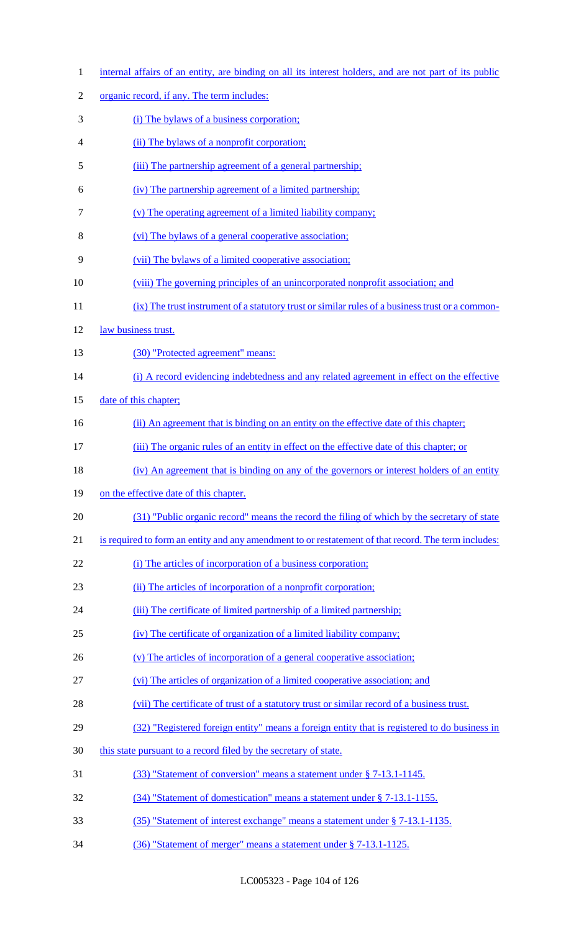| $\mathbf{1}$   | internal affairs of an entity, are binding on all its interest holders, and are not part of its public |
|----------------|--------------------------------------------------------------------------------------------------------|
| $\overline{2}$ | organic record, if any. The term includes:                                                             |
| 3              | (i) The bylaws of a business corporation;                                                              |
| 4              | (ii) The bylaws of a nonprofit corporation;                                                            |
| 5              | (iii) The partnership agreement of a general partnership;                                              |
| 6              | (iv) The partnership agreement of a limited partnership;                                               |
| 7              | (v) The operating agreement of a limited liability company;                                            |
| 8              | (vi) The bylaws of a general cooperative association;                                                  |
| 9              | (vii) The bylaws of a limited cooperative association;                                                 |
| 10             | (viii) The governing principles of an unincorporated nonprofit association; and                        |
| 11             | (ix) The trust instrument of a statutory trust or similar rules of a business trust or a common-       |
| 12             | law business trust.                                                                                    |
| 13             | (30) "Protected agreement" means:                                                                      |
| 14             | (i) A record evidencing indebtedness and any related agreement in effect on the effective              |
| 15             | date of this chapter;                                                                                  |
| 16             | (ii) An agreement that is binding on an entity on the effective date of this chapter;                  |
| 17             | (iii) The organic rules of an entity in effect on the effective date of this chapter; or               |
| 18             | (iv) An agreement that is binding on any of the governors or interest holders of an entity             |
| 19             | on the effective date of this chapter.                                                                 |
| 20             | (31) "Public organic record" means the record the filing of which by the secretary of state            |
| 21             | is required to form an entity and any amendment to or restatement of that record. The term includes:   |
| 22             | (i) The articles of incorporation of a business corporation;                                           |
| 23             | (ii) The articles of incorporation of a nonprofit corporation;                                         |
| 24             | (iii) The certificate of limited partnership of a limited partnership;                                 |
| 25             | (iv) The certificate of organization of a limited liability company;                                   |
| 26             | (v) The articles of incorporation of a general cooperative association;                                |
| 27             | (vi) The articles of organization of a limited cooperative association; and                            |
| 28             | (vii) The certificate of trust of a statutory trust or similar record of a business trust.             |
| 29             | (32) "Registered foreign entity" means a foreign entity that is registered to do business in           |
| 30             | this state pursuant to a record filed by the secretary of state.                                       |
| 31             | (33) "Statement of conversion" means a statement under § 7-13.1-1145.                                  |
| 32             | (34) "Statement of domestication" means a statement under § 7-13.1-1155.                               |
| 33             | (35) "Statement of interest exchange" means a statement under § 7-13.1-1135.                           |
| 34             | (36) "Statement of merger" means a statement under § 7-13.1-1125.                                      |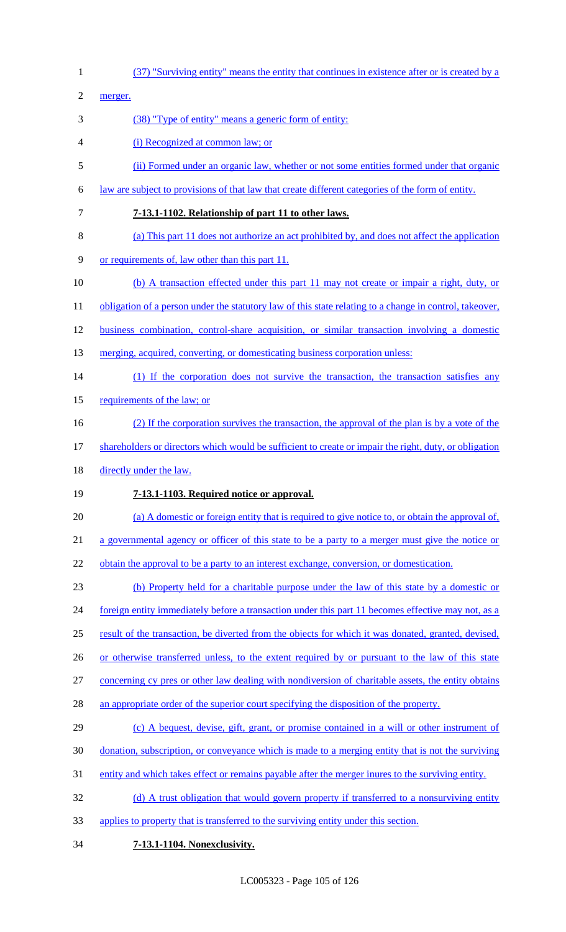- (37) "Surviving entity" means the entity that continues in existence after or is created by a
- merger.
- (38) "Type of entity" means a generic form of entity:
- (i) Recognized at common law; or
- (ii) Formed under an organic law, whether or not some entities formed under that organic
- law are subject to provisions of that law that create different categories of the form of entity.
- **7-13.1-1102. Relationship of part 11 to other laws.**
- (a) This part 11 does not authorize an act prohibited by, and does not affect the application
- or requirements of, law other than this part 11.
- (b) A transaction effected under this part 11 may not create or impair a right, duty, or
- 11 obligation of a person under the statutory law of this state relating to a change in control, takeover,
- business combination, control-share acquisition, or similar transaction involving a domestic
- 13 merging, acquired, converting, or domesticating business corporation unless:
- 14 (1) If the corporation does not survive the transaction, the transaction satisfies any
- requirements of the law; or
- (2) If the corporation survives the transaction, the approval of the plan is by a vote of the
- 17 shareholders or directors which would be sufficient to create or impair the right, duty, or obligation
- 18 directly under the law.
- **7-13.1-1103. Required notice or approval.**
- (a) A domestic or foreign entity that is required to give notice to, or obtain the approval of,
- a governmental agency or officer of this state to be a party to a merger must give the notice or
- 22 obtain the approval to be a party to an interest exchange, conversion, or domestication.
- (b) Property held for a charitable purpose under the law of this state by a domestic or
- 24 foreign entity immediately before a transaction under this part 11 becomes effective may not, as a
- result of the transaction, be diverted from the objects for which it was donated, granted, devised,
- 26 or otherwise transferred unless, to the extent required by or pursuant to the law of this state
- concerning cy pres or other law dealing with nondiversion of charitable assets, the entity obtains
- 28 an appropriate order of the superior court specifying the disposition of the property.
- (c) A bequest, devise, gift, grant, or promise contained in a will or other instrument of
- donation, subscription, or conveyance which is made to a merging entity that is not the surviving
- entity and which takes effect or remains payable after the merger inures to the surviving entity.
- 32 (d) A trust obligation that would govern property if transferred to a nonsurviving entity
- applies to property that is transferred to the surviving entity under this section.
- **7-13.1-1104. Nonexclusivity.**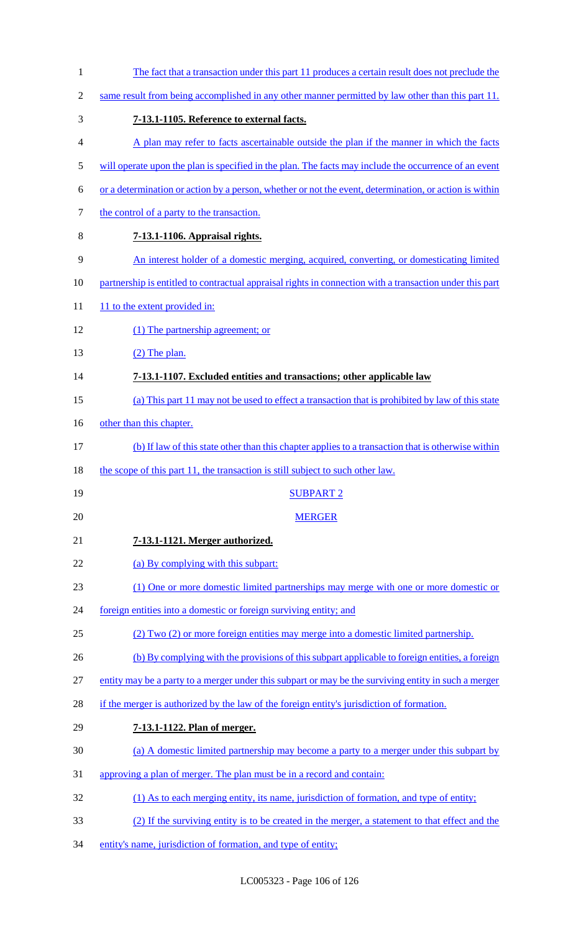| $\mathbf{1}$   | The fact that a transaction under this part 11 produces a certain result does not preclude the           |
|----------------|----------------------------------------------------------------------------------------------------------|
| $\overline{c}$ | same result from being accomplished in any other manner permitted by law other than this part 11.        |
| 3              | 7-13.1-1105. Reference to external facts.                                                                |
| 4              | A plan may refer to facts ascertainable outside the plan if the manner in which the facts                |
| 5              | will operate upon the plan is specified in the plan. The facts may include the occurrence of an event    |
| 6              | or a determination or action by a person, whether or not the event, determination, or action is within   |
| 7              | the control of a party to the transaction.                                                               |
| 8              | 7-13.1-1106. Appraisal rights.                                                                           |
| 9              | An interest holder of a domestic merging, acquired, converting, or domesticating limited                 |
| 10             | partnership is entitled to contractual appraisal rights in connection with a transaction under this part |
| 11             | 11 to the extent provided in:                                                                            |
| 12             | (1) The partnership agreement; or                                                                        |
| 13             | $(2)$ The plan.                                                                                          |
| 14             | 7-13.1-1107. Excluded entities and transactions; other applicable law                                    |
| 15             | (a) This part 11 may not be used to effect a transaction that is prohibited by law of this state         |
| 16             | other than this chapter.                                                                                 |
| 17             | (b) If law of this state other than this chapter applies to a transaction that is otherwise within       |
| 18             | the scope of this part 11, the transaction is still subject to such other law.                           |
| 19             | <b>SUBPART 2</b>                                                                                         |
| 20             | <b>MERGER</b>                                                                                            |
| 21             | 7-13.1-1121. Merger authorized.                                                                          |
| 22             | (a) By complying with this subpart:                                                                      |
| 23             | (1) One or more domestic limited partnerships may merge with one or more domestic or                     |
| 24             | foreign entities into a domestic or foreign surviving entity; and                                        |
| 25             | (2) Two (2) or more foreign entities may merge into a domestic limited partnership.                      |
| 26             | (b) By complying with the provisions of this subpart applicable to foreign entities, a foreign           |
| 27             | entity may be a party to a merger under this subpart or may be the surviving entity in such a merger     |
| 28             | if the merger is authorized by the law of the foreign entity's jurisdiction of formation.                |
| 29             | 7-13.1-1122. Plan of merger.                                                                             |
| 30             | (a) A domestic limited partnership may become a party to a merger under this subpart by                  |
| 31             | approving a plan of merger. The plan must be in a record and contain:                                    |
| 32             | (1) As to each merging entity, its name, jurisdiction of formation, and type of entity;                  |
| 33             | (2) If the surviving entity is to be created in the merger, a statement to that effect and the           |
|                |                                                                                                          |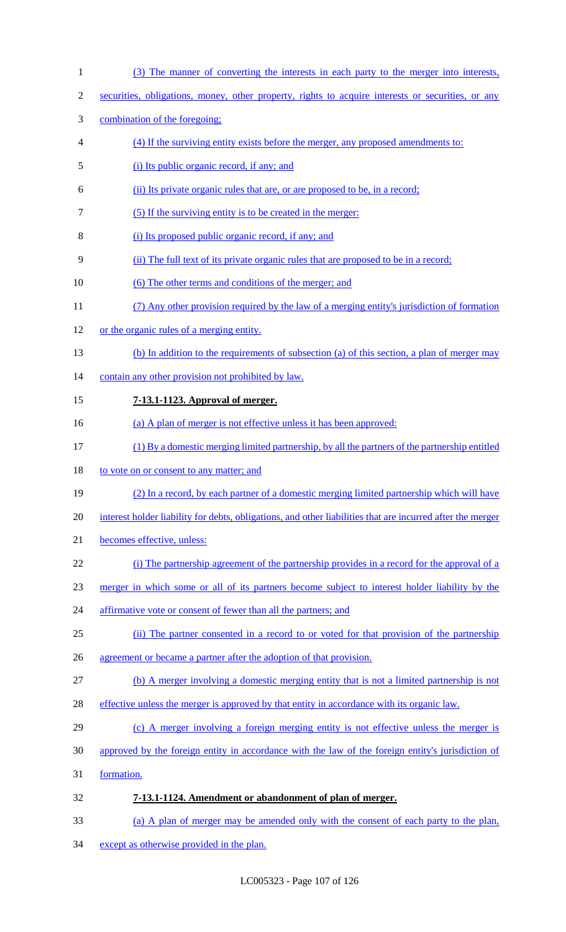(3) The manner of converting the interests in each party to the merger into interests, 2 securities, obligations, money, other property, rights to acquire interests or securities, or any combination of the foregoing; (4) If the surviving entity exists before the merger, any proposed amendments to: (i) Its public organic record, if any; and (ii) Its private organic rules that are, or are proposed to be, in a record; (5) If the surviving entity is to be created in the merger: (i) Its proposed public organic record, if any; and (ii) The full text of its private organic rules that are proposed to be in a record; (6) The other terms and conditions of the merger; and (7) Any other provision required by the law of a merging entity's jurisdiction of formation or the organic rules of a merging entity. (b) In addition to the requirements of subsection (a) of this section, a plan of merger may 14 contain any other provision not prohibited by law. **7-13.1-1123. Approval of merger.** 16 (a) A plan of merger is not effective unless it has been approved: (1) By a domestic merging limited partnership, by all the partners of the partnership entitled 18 to vote on or consent to any matter; and (2) In a record, by each partner of a domestic merging limited partnership which will have interest holder liability for debts, obligations, and other liabilities that are incurred after the merger becomes effective, unless: (i) The partnership agreement of the partnership provides in a record for the approval of a merger in which some or all of its partners become subject to interest holder liability by the 24 affirmative vote or consent of fewer than all the partners; and (ii) The partner consented in a record to or voted for that provision of the partnership agreement or became a partner after the adoption of that provision. (b) A merger involving a domestic merging entity that is not a limited partnership is not 28 effective unless the merger is approved by that entity in accordance with its organic law. (c) A merger involving a foreign merging entity is not effective unless the merger is approved by the foreign entity in accordance with the law of the foreign entity's jurisdiction of formation. **7-13.1-1124. Amendment or abandonment of plan of merger.** (a) A plan of merger may be amended only with the consent of each party to the plan, 34 except as otherwise provided in the plan.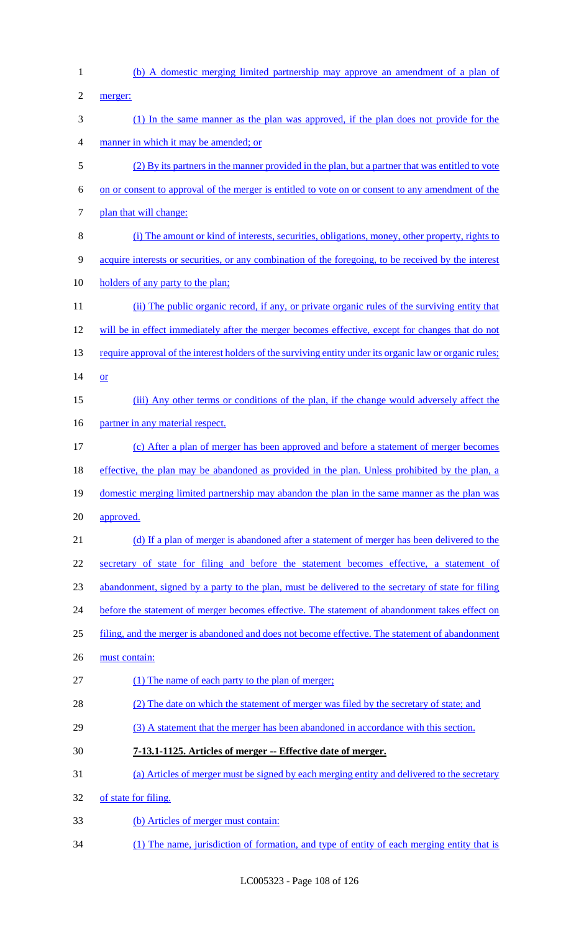| $\mathbf{1}$   | (b) A domestic merging limited partnership may approve an amendment of a plan of                         |
|----------------|----------------------------------------------------------------------------------------------------------|
| $\overline{2}$ | merger:                                                                                                  |
| 3              | (1) In the same manner as the plan was approved, if the plan does not provide for the                    |
| $\overline{4}$ | manner in which it may be amended; or                                                                    |
| 5              | (2) By its partners in the manner provided in the plan, but a partner that was entitled to vote          |
| 6              | on or consent to approval of the merger is entitled to vote on or consent to any amendment of the        |
| $\tau$         | plan that will change:                                                                                   |
| $8\,$          | (i) The amount or kind of interests, securities, obligations, money, other property, rights to           |
| 9              | acquire interests or securities, or any combination of the foregoing, to be received by the interest     |
| 10             | holders of any party to the plan;                                                                        |
| 11             | (ii) The public organic record, if any, or private organic rules of the surviving entity that            |
| 12             | will be in effect immediately after the merger becomes effective, except for changes that do not         |
| 13             | require approval of the interest holders of the surviving entity under its organic law or organic rules; |
| 14             | $\overline{\text{or}}$                                                                                   |
| 15             | (iii) Any other terms or conditions of the plan, if the change would adversely affect the                |
| 16             | partner in any material respect.                                                                         |
| 17             | (c) After a plan of merger has been approved and before a statement of merger becomes                    |
| 18             | effective, the plan may be abandoned as provided in the plan. Unless prohibited by the plan, a           |
| 19             | domestic merging limited partnership may abandon the plan in the same manner as the plan was             |
| 20             | approved.                                                                                                |
| 21             | (d) If a plan of merger is abandoned after a statement of merger has been delivered to the               |
| 22             | secretary of state for filing and before the statement becomes effective, a statement of                 |
| 23             | abandonment, signed by a party to the plan, must be delivered to the secretary of state for filing       |
| 24             | before the statement of merger becomes effective. The statement of abandonment takes effect on           |
| 25             | filing, and the merger is abandoned and does not become effective. The statement of abandonment          |
| 26             | must contain:                                                                                            |
| 27             | (1) The name of each party to the plan of merger;                                                        |
| 28             | (2) The date on which the statement of merger was filed by the secretary of state; and                   |
| 29             | (3) A statement that the merger has been abandoned in accordance with this section.                      |
| 30             | 7-13.1-1125. Articles of merger -- Effective date of merger.                                             |
| 31             | (a) Articles of merger must be signed by each merging entity and delivered to the secretary              |
| 32             | of state for filing.                                                                                     |
| 33             | (b) Articles of merger must contain:                                                                     |
| 34             | (1) The name, jurisdiction of formation, and type of entity of each merging entity that is               |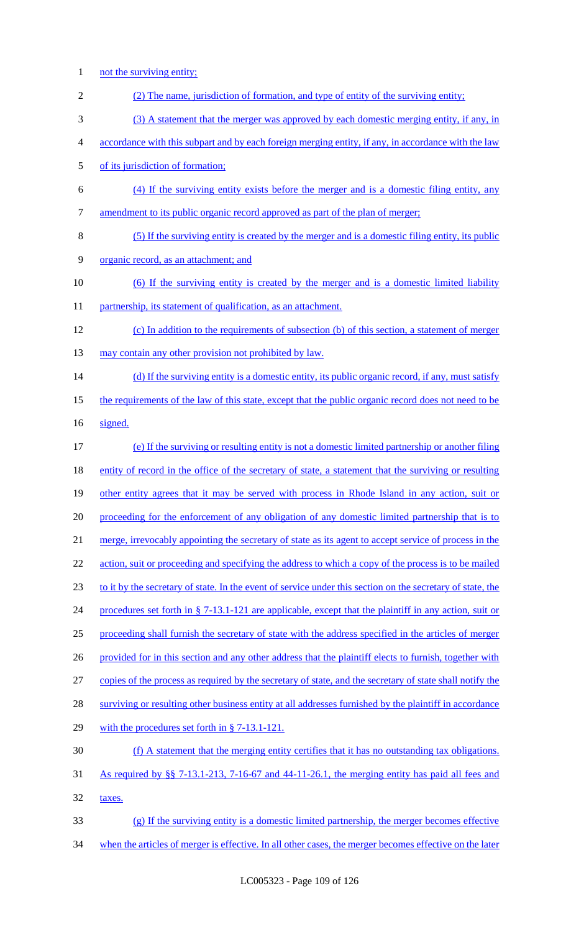1 not the surviving entity; (2) The name, jurisdiction of formation, and type of entity of the surviving entity; (3) A statement that the merger was approved by each domestic merging entity, if any, in accordance with this subpart and by each foreign merging entity, if any, in accordance with the law of its jurisdiction of formation; (4) If the surviving entity exists before the merger and is a domestic filing entity, any 7 amendment to its public organic record approved as part of the plan of merger; (5) If the surviving entity is created by the merger and is a domestic filing entity, its public organic record, as an attachment; and (6) If the surviving entity is created by the merger and is a domestic limited liability 11 partnership, its statement of qualification, as an attachment. (c) In addition to the requirements of subsection (b) of this section, a statement of merger 13 may contain any other provision not prohibited by law. 14 (d) If the surviving entity is a domestic entity, its public organic record, if any, must satisfy 15 the requirements of the law of this state, except that the public organic record does not need to be 16 signed. (e) If the surviving or resulting entity is not a domestic limited partnership or another filing 18 entity of record in the office of the secretary of state, a statement that the surviving or resulting other entity agrees that it may be served with process in Rhode Island in any action, suit or proceeding for the enforcement of any obligation of any domestic limited partnership that is to merge, irrevocably appointing the secretary of state as its agent to accept service of process in the 22 action, suit or proceeding and specifying the address to which a copy of the process is to be mailed to it by the secretary of state. In the event of service under this section on the secretary of state, the procedures set forth in § 7-13.1-121 are applicable, except that the plaintiff in any action, suit or proceeding shall furnish the secretary of state with the address specified in the articles of merger 26 provided for in this section and any other address that the plaintiff elects to furnish, together with copies of the process as required by the secretary of state, and the secretary of state shall notify the 28 surviving or resulting other business entity at all addresses furnished by the plaintiff in accordance with the procedures set forth in § 7-13.1-121. (f) A statement that the merging entity certifies that it has no outstanding tax obligations. As required by §§ 7-13.1-213, 7-16-67 and 44-11-26.1, the merging entity has paid all fees and taxes. (g) If the surviving entity is a domestic limited partnership, the merger becomes effective 34 when the articles of merger is effective. In all other cases, the merger becomes effective on the later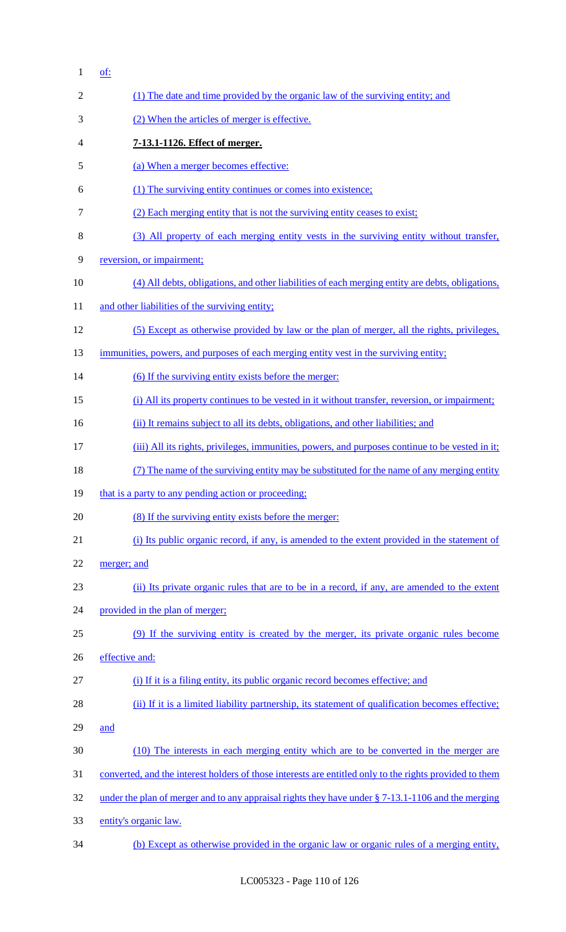| 1              | of:                                                                                                     |
|----------------|---------------------------------------------------------------------------------------------------------|
| $\overline{2}$ | (1) The date and time provided by the organic law of the surviving entity; and                          |
| 3              | (2) When the articles of merger is effective.                                                           |
| 4              | 7-13.1-1126. Effect of merger.                                                                          |
| 5              | (a) When a merger becomes effective:                                                                    |
| 6              | (1) The surviving entity continues or comes into existence;                                             |
| 7              | (2) Each merging entity that is not the surviving entity ceases to exist;                               |
| 8              | (3) All property of each merging entity vests in the surviving entity without transfer,                 |
| 9              | reversion, or impairment;                                                                               |
| 10             | (4) All debts, obligations, and other liabilities of each merging entity are debts, obligations,        |
| 11             | and other liabilities of the surviving entity;                                                          |
| 12             | (5) Except as otherwise provided by law or the plan of merger, all the rights, privileges,              |
| 13             | immunities, powers, and purposes of each merging entity vest in the surviving entity;                   |
| 14             | (6) If the surviving entity exists before the merger:                                                   |
| 15             | (i) All its property continues to be vested in it without transfer, reversion, or impairment;           |
| 16             | (ii) It remains subject to all its debts, obligations, and other liabilities; and                       |
| 17             | (iii) All its rights, privileges, immunities, powers, and purposes continue to be vested in it;         |
| 18             | (7) The name of the surviving entity may be substituted for the name of any merging entity              |
| 19             | that is a party to any pending action or proceeding;                                                    |
| 20             | (8) If the surviving entity exists before the merger:                                                   |
| 21             | (i) Its public organic record, if any, is amended to the extent provided in the statement of            |
| 22             | merger; and                                                                                             |
| 23             | (ii) Its private organic rules that are to be in a record, if any, are amended to the extent            |
| 24             | provided in the plan of merger;                                                                         |
| 25             | (9) If the surviving entity is created by the merger, its private organic rules become                  |
| 26             | effective and:                                                                                          |
| 27             | (i) If it is a filing entity, its public organic record becomes effective; and                          |
| 28             | (ii) If it is a limited liability partnership, its statement of qualification becomes effective;        |
| 29             | and                                                                                                     |
| 30             | (10) The interests in each merging entity which are to be converted in the merger are                   |
| 31             | converted, and the interest holders of those interests are entitled only to the rights provided to them |
| 32             | under the plan of merger and to any appraisal rights they have under $\S$ 7-13.1-1106 and the merging   |
| 33             | entity's organic law.                                                                                   |
| 34             | (b) Except as otherwise provided in the organic law or organic rules of a merging entity,               |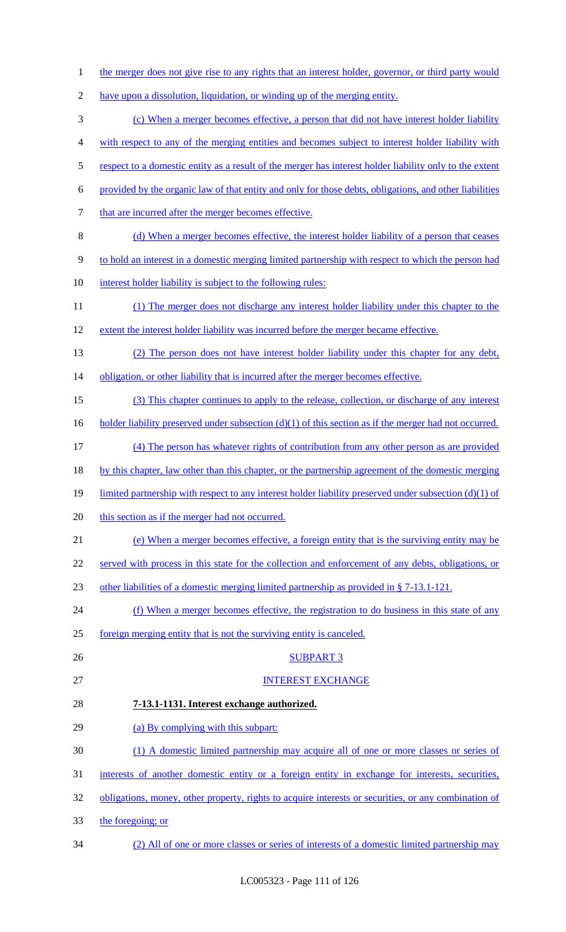1 the merger does not give rise to any rights that an interest holder, governor, or third party would have upon a dissolution, liquidation, or winding up of the merging entity. (c) When a merger becomes effective, a person that did not have interest holder liability with respect to any of the merging entities and becomes subject to interest holder liability with 5 respect to a domestic entity as a result of the merger has interest holder liability only to the extent provided by the organic law of that entity and only for those debts, obligations, and other liabilities 7 that are incurred after the merger becomes effective. (d) When a merger becomes effective, the interest holder liability of a person that ceases to hold an interest in a domestic merging limited partnership with respect to which the person had interest holder liability is subject to the following rules: (1) The merger does not discharge any interest holder liability under this chapter to the extent the interest holder liability was incurred before the merger became effective. (2) The person does not have interest holder liability under this chapter for any debt, 14 obligation, or other liability that is incurred after the merger becomes effective. (3) This chapter continues to apply to the release, collection, or discharge of any interest 16 holder liability preserved under subsection (d)(1) of this section as if the merger had not occurred. (4) The person has whatever rights of contribution from any other person as are provided 18 by this chapter, law other than this chapter, or the partnership agreement of the domestic merging 19 limited partnership with respect to any interest holder liability preserved under subsection (d)(1) of 20 this section as if the merger had not occurred. (e) When a merger becomes effective, a foreign entity that is the surviving entity may be served with process in this state for the collection and enforcement of any debts, obligations, or other liabilities of a domestic merging limited partnership as provided in § 7-13.1-121. (f) When a merger becomes effective, the registration to do business in this state of any foreign merging entity that is not the surviving entity is canceled. 26 SUBPART 3 INTEREST EXCHANGE **7-13.1-1131. Interest exchange authorized.** 29 (a) By complying with this subpart: (1) A domestic limited partnership may acquire all of one or more classes or series of interests of another domestic entity or a foreign entity in exchange for interests, securities, 32 obligations, money, other property, rights to acquire interests or securities, or any combination of the foregoing; or (2) All of one or more classes or series of interests of a domestic limited partnership may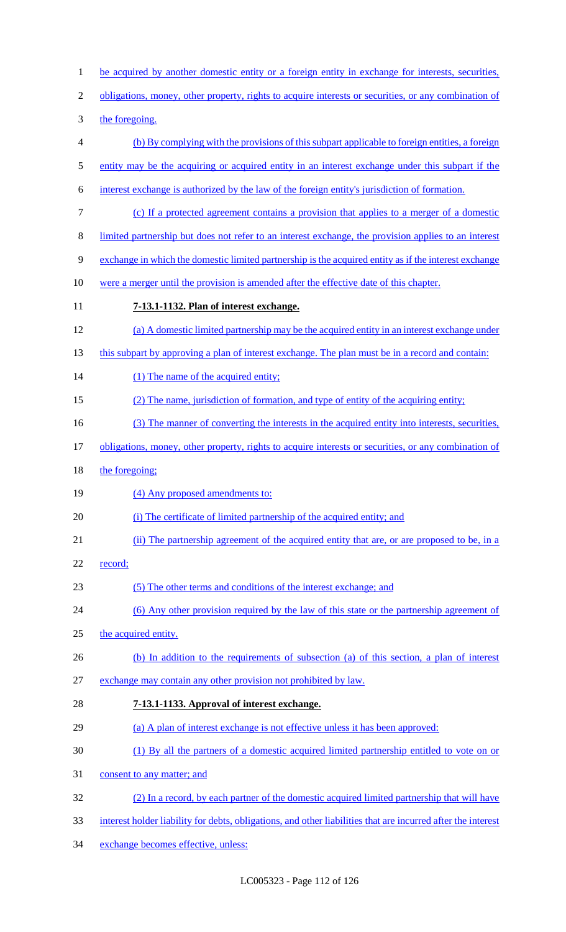| $\mathbf{1}$   | be acquired by another domestic entity or a foreign entity in exchange for interests, securities,            |
|----------------|--------------------------------------------------------------------------------------------------------------|
| $\overline{2}$ | obligations, money, other property, rights to acquire interests or securities, or any combination of         |
| 3              | the foregoing.                                                                                               |
| $\overline{4}$ | (b) By complying with the provisions of this subpart applicable to foreign entities, a foreign               |
| $\mathfrak s$  | entity may be the acquiring or acquired entity in an interest exchange under this subpart if the             |
| 6              | interest exchange is authorized by the law of the foreign entity's jurisdiction of formation.                |
| $\tau$         | (c) If a protected agreement contains a provision that applies to a merger of a domestic                     |
| $8\,$          | limited partnership but does not refer to an interest exchange, the provision applies to an interest         |
| 9              | exchange in which the domestic limited partnership is the acquired entity as if the interest exchange        |
| 10             | were a merger until the provision is amended after the effective date of this chapter.                       |
| 11             | 7-13.1-1132. Plan of interest exchange.                                                                      |
| 12             | (a) A domestic limited partnership may be the acquired entity in an interest exchange under                  |
| 13             | this subpart by approving a plan of interest exchange. The plan must be in a record and contain:             |
| 14             | (1) The name of the acquired entity;                                                                         |
| 15             | (2) The name, jurisdiction of formation, and type of entity of the acquiring entity;                         |
| 16             | (3) The manner of converting the interests in the acquired entity into interests, securities,                |
| 17             | obligations, money, other property, rights to acquire interests or securities, or any combination of         |
| 18             | the foregoing;                                                                                               |
| 19             | (4) Any proposed amendments to:                                                                              |
| 20             | (i) The certificate of limited partnership of the acquired entity; and                                       |
| 21             | (ii) The partnership agreement of the acquired entity that are, or are proposed to be, in a                  |
| 22             | record;                                                                                                      |
| 23             | (5) The other terms and conditions of the interest exchange; and                                             |
| 24             | (6) Any other provision required by the law of this state or the partnership agreement of                    |
| 25             | the acquired entity.                                                                                         |
| 26             | (b) In addition to the requirements of subsection (a) of this section, a plan of interest                    |
| 27             | exchange may contain any other provision not prohibited by law.                                              |
| 28             | 7-13.1-1133. Approval of interest exchange.                                                                  |
| 29             | (a) A plan of interest exchange is not effective unless it has been approved:                                |
| 30             | (1) By all the partners of a domestic acquired limited partnership entitled to vote on or                    |
| 31             | consent to any matter; and                                                                                   |
| 32             | (2) In a record, by each partner of the domestic acquired limited partnership that will have                 |
| 33             | interest holder liability for debts, obligations, and other liabilities that are incurred after the interest |
| 34             | exchange becomes effective, unless:                                                                          |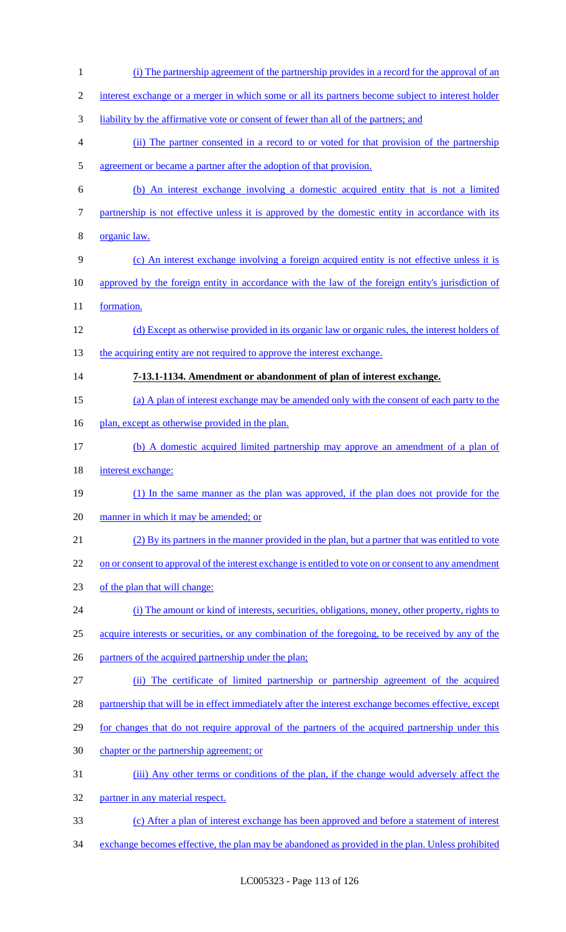(i) The partnership agreement of the partnership provides in a record for the approval of an 2 interest exchange or a merger in which some or all its partners become subject to interest holder liability by the affirmative vote or consent of fewer than all of the partners; and (ii) The partner consented in a record to or voted for that provision of the partnership agreement or became a partner after the adoption of that provision. (b) An interest exchange involving a domestic acquired entity that is not a limited partnership is not effective unless it is approved by the domestic entity in accordance with its organic law. (c) An interest exchange involving a foreign acquired entity is not effective unless it is 10 approved by the foreign entity in accordance with the law of the foreign entity's jurisdiction of 11 formation. (d) Except as otherwise provided in its organic law or organic rules, the interest holders of 13 the acquiring entity are not required to approve the interest exchange. **7-13.1-1134. Amendment or abandonment of plan of interest exchange.** (a) A plan of interest exchange may be amended only with the consent of each party to the 16 plan, except as otherwise provided in the plan. (b) A domestic acquired limited partnership may approve an amendment of a plan of interest exchange: (1) In the same manner as the plan was approved, if the plan does not provide for the manner in which it may be amended; or (2) By its partners in the manner provided in the plan, but a partner that was entitled to vote 22 on or consent to approval of the interest exchange is entitled to vote on or consent to any amendment of the plan that will change: (i) The amount or kind of interests, securities, obligations, money, other property, rights to acquire interests or securities, or any combination of the foregoing, to be received by any of the 26 partners of the acquired partnership under the plan; (ii) The certificate of limited partnership or partnership agreement of the acquired 28 partnership that will be in effect immediately after the interest exchange becomes effective, except 29 for changes that do not require approval of the partners of the acquired partnership under this chapter or the partnership agreement; or (iii) Any other terms or conditions of the plan, if the change would adversely affect the partner in any material respect. (c) After a plan of interest exchange has been approved and before a statement of interest 34 exchange becomes effective, the plan may be abandoned as provided in the plan. Unless prohibited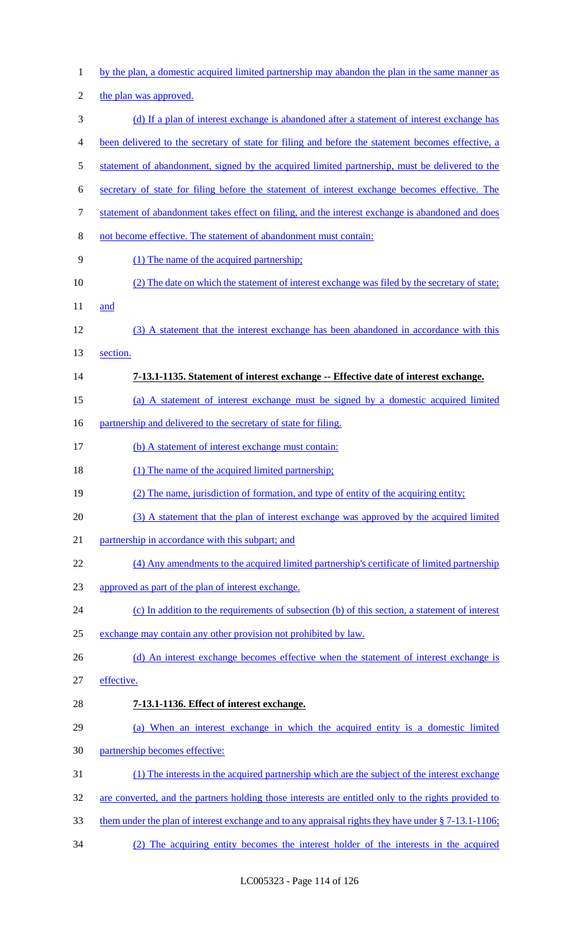| $\mathbf{1}$   | by the plan, a domestic acquired limited partnership may abandon the plan in the same manner as            |
|----------------|------------------------------------------------------------------------------------------------------------|
| $\overline{2}$ | the plan was approved.                                                                                     |
| 3              | (d) If a plan of interest exchange is abandoned after a statement of interest exchange has                 |
| 4              | been delivered to the secretary of state for filing and before the statement becomes effective, a          |
| 5              | statement of abandonment, signed by the acquired limited partnership, must be delivered to the             |
| 6              | secretary of state for filing before the statement of interest exchange becomes effective. The             |
| 7              | statement of abandonment takes effect on filing, and the interest exchange is abandoned and does           |
| 8              | not become effective. The statement of abandonment must contain:                                           |
| 9              | (1) The name of the acquired partnership;                                                                  |
| 10             | (2) The date on which the statement of interest exchange was filed by the secretary of state;              |
| 11             | and                                                                                                        |
| 12             | (3) A statement that the interest exchange has been abandoned in accordance with this                      |
| 13             | section.                                                                                                   |
| 14             | 7-13.1-1135. Statement of interest exchange -- Effective date of interest exchange.                        |
| 15             | (a) A statement of interest exchange must be signed by a domestic acquired limited                         |
| 16             | partnership and delivered to the secretary of state for filing.                                            |
| 17             | (b) A statement of interest exchange must contain:                                                         |
| 18             | (1) The name of the acquired limited partnership;                                                          |
| 19             | (2) The name, jurisdiction of formation, and type of entity of the acquiring entity;                       |
| 20             | (3) A statement that the plan of interest exchange was approved by the acquired limited                    |
| 21             | partnership in accordance with this subpart; and                                                           |
| 22             | (4) Any amendments to the acquired limited partnership's certificate of limited partnership                |
| 23             | approved as part of the plan of interest exchange.                                                         |
| 24             | (c) In addition to the requirements of subsection (b) of this section, a statement of interest             |
| 25             | exchange may contain any other provision not prohibited by law.                                            |
| 26             | (d) An interest exchange becomes effective when the statement of interest exchange is                      |
| 27             | effective.                                                                                                 |
| 28             | 7-13.1-1136. Effect of interest exchange.                                                                  |
| 29             | (a) When an interest exchange in which the acquired entity is a domestic limited                           |
| 30             | partnership becomes effective:                                                                             |
| 31             | (1) The interests in the acquired partnership which are the subject of the interest exchange               |
| 32             | are converted, and the partners holding those interests are entitled only to the rights provided to        |
| 33             | <u>them under the plan of interest exchange and to any appraisal rights they have under § 7-13.1-1106;</u> |
| 34             | (2) The acquiring entity becomes the interest holder of the interests in the acquired                      |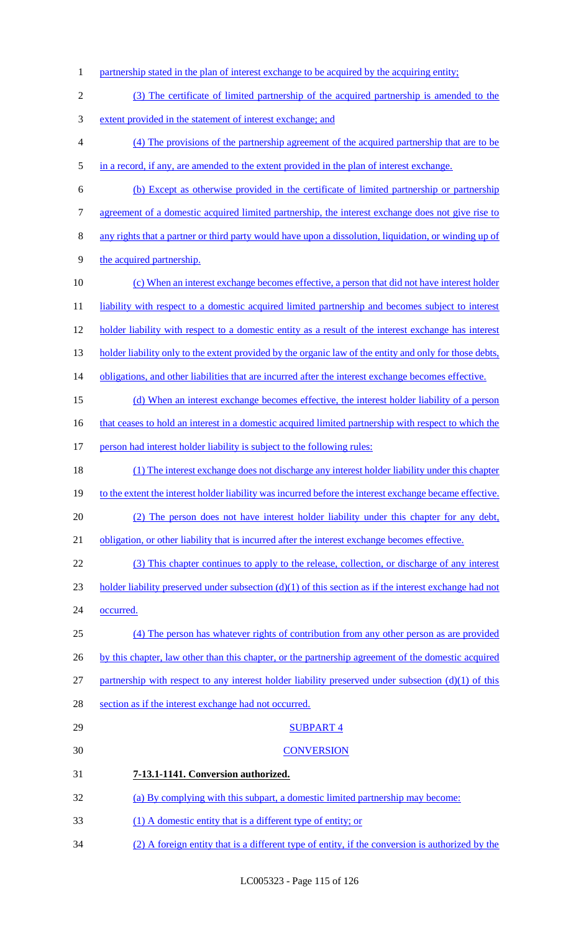1 partnership stated in the plan of interest exchange to be acquired by the acquiring entity; (3) The certificate of limited partnership of the acquired partnership is amended to the extent provided in the statement of interest exchange; and (4) The provisions of the partnership agreement of the acquired partnership that are to be 5 in a record, if any, are amended to the extent provided in the plan of interest exchange. (b) Except as otherwise provided in the certificate of limited partnership or partnership agreement of a domestic acquired limited partnership, the interest exchange does not give rise to any rights that a partner or third party would have upon a dissolution, liquidation, or winding up of the acquired partnership. (c) When an interest exchange becomes effective, a person that did not have interest holder 11 liability with respect to a domestic acquired limited partnership and becomes subject to interest holder liability with respect to a domestic entity as a result of the interest exchange has interest 13 holder liability only to the extent provided by the organic law of the entity and only for those debts, 14 obligations, and other liabilities that are incurred after the interest exchange becomes effective. (d) When an interest exchange becomes effective, the interest holder liability of a person 16 that ceases to hold an interest in a domestic acquired limited partnership with respect to which the 17 person had interest holder liability is subject to the following rules: (1) The interest exchange does not discharge any interest holder liability under this chapter 19 to the extent the interest holder liability was incurred before the interest exchange became effective. (2) The person does not have interest holder liability under this chapter for any debt, 21 obligation, or other liability that is incurred after the interest exchange becomes effective. (3) This chapter continues to apply to the release, collection, or discharge of any interest 23 holder liability preserved under subsection  $(d)(1)$  of this section as if the interest exchange had not occurred. (4) The person has whatever rights of contribution from any other person as are provided 26 by this chapter, law other than this chapter, or the partnership agreement of the domestic acquired 27 partnership with respect to any interest holder liability preserved under subsection (d)(1) of this section as if the interest exchange had not occurred. 29 SUBPART 4 CONVERSION **7-13.1-1141. Conversion authorized.** (a) By complying with this subpart, a domestic limited partnership may become: (1) A domestic entity that is a different type of entity; or (2) A foreign entity that is a different type of entity, if the conversion is authorized by the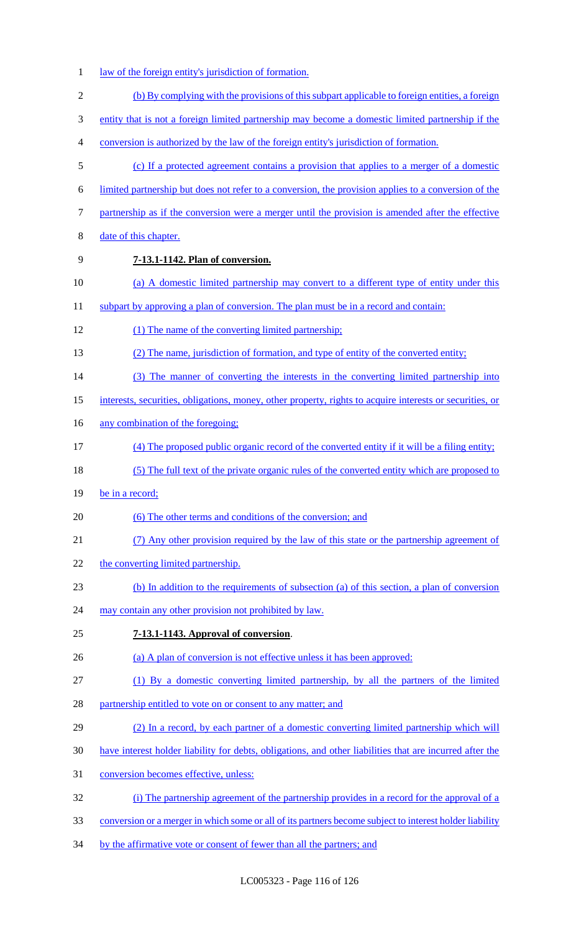- 1 law of the foreign entity's jurisdiction of formation. (b) By complying with the provisions of this subpart applicable to foreign entities, a foreign entity that is not a foreign limited partnership may become a domestic limited partnership if the conversion is authorized by the law of the foreign entity's jurisdiction of formation. (c) If a protected agreement contains a provision that applies to a merger of a domestic limited partnership but does not refer to a conversion, the provision applies to a conversion of the partnership as if the conversion were a merger until the provision is amended after the effective date of this chapter. **7-13.1-1142. Plan of conversion.** (a) A domestic limited partnership may convert to a different type of entity under this 11 subpart by approving a plan of conversion. The plan must be in a record and contain: (1) The name of the converting limited partnership; 13 (2) The name, jurisdiction of formation, and type of entity of the converted entity; 14 (3) The manner of converting the interests in the converting limited partnership into interests, securities, obligations, money, other property, rights to acquire interests or securities, or 16 any combination of the foregoing: (4) The proposed public organic record of the converted entity if it will be a filing entity; (5) The full text of the private organic rules of the converted entity which are proposed to 19 be in a record; 20 (6) The other terms and conditions of the conversion; and (7) Any other provision required by the law of this state or the partnership agreement of 22 the converting limited partnership. (b) In addition to the requirements of subsection (a) of this section, a plan of conversion 24 may contain any other provision not prohibited by law. **7-13.1-1143. Approval of conversion**. 26 (a) A plan of conversion is not effective unless it has been approved: (1) By a domestic converting limited partnership, by all the partners of the limited 28 partnership entitled to vote on or consent to any matter; and (2) In a record, by each partner of a domestic converting limited partnership which will have interest holder liability for debts, obligations, and other liabilities that are incurred after the conversion becomes effective, unless: (i) The partnership agreement of the partnership provides in a record for the approval of a conversion or a merger in which some or all of its partners become subject to interest holder liability
- 34 by the affirmative vote or consent of fewer than all the partners; and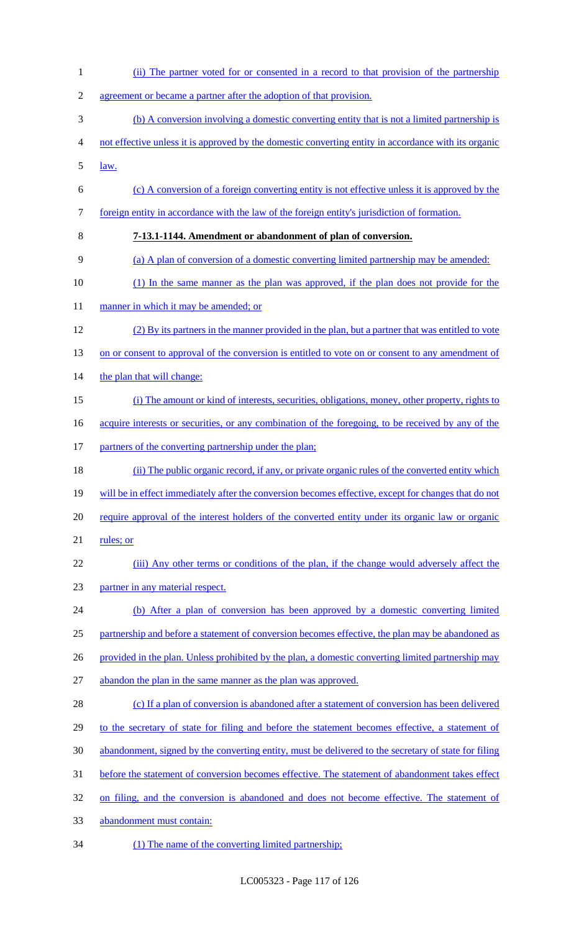- 1 (ii) The partner voted for or consented in a record to that provision of the partnership 2 agreement or became a partner after the adoption of that provision. 3 (b) A conversion involving a domestic converting entity that is not a limited partnership is 4 not effective unless it is approved by the domestic converting entity in accordance with its organic 5 law. 6 (c) A conversion of a foreign converting entity is not effective unless it is approved by the 7 foreign entity in accordance with the law of the foreign entity's jurisdiction of formation. 8 **7-13.1-1144. Amendment or abandonment of plan of conversion.** 9 (a) A plan of conversion of a domestic converting limited partnership may be amended: 10 (1) In the same manner as the plan was approved, if the plan does not provide for the 11 manner in which it may be amended; or 12 (2) By its partners in the manner provided in the plan, but a partner that was entitled to vote 13 on or consent to approval of the conversion is entitled to vote on or consent to any amendment of 14 the plan that will change: 15 (i) The amount or kind of interests, securities, obligations, money, other property, rights to 16 acquire interests or securities, or any combination of the foregoing, to be received by any of the 17 partners of the converting partnership under the plan; 18 (ii) The public organic record, if any, or private organic rules of the converted entity which 19 will be in effect immediately after the conversion becomes effective, except for changes that do not 20 require approval of the interest holders of the converted entity under its organic law or organic 21 rules; or 22 (iii) Any other terms or conditions of the plan, if the change would adversely affect the 23 partner in any material respect. 24 (b) After a plan of conversion has been approved by a domestic converting limited 25 partnership and before a statement of conversion becomes effective, the plan may be abandoned as 26 provided in the plan. Unless prohibited by the plan, a domestic converting limited partnership may 27 abandon the plan in the same manner as the plan was approved. 28 (c) If a plan of conversion is abandoned after a statement of conversion has been delivered 29 to the secretary of state for filing and before the statement becomes effective, a statement of 30 abandonment, signed by the converting entity, must be delivered to the secretary of state for filing 31 before the statement of conversion becomes effective. The statement of abandonment takes effect 32 on filing, and the conversion is abandoned and does not become effective. The statement of 33 abandonment must contain:
- 34 (1) The name of the converting limited partnership;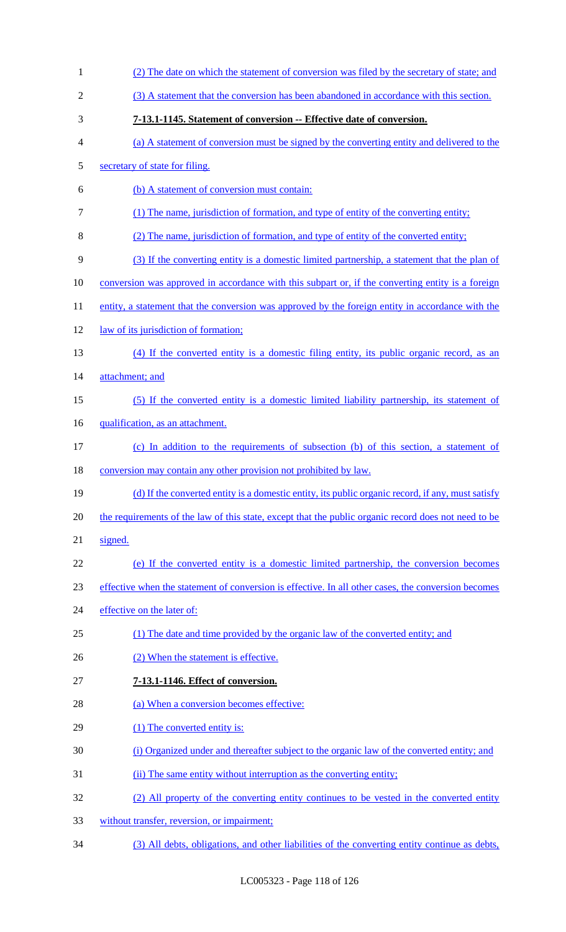| $\mathbf{1}$   | (2) The date on which the statement of conversion was filed by the secretary of state; and           |
|----------------|------------------------------------------------------------------------------------------------------|
| $\overline{2}$ | (3) A statement that the conversion has been abandoned in accordance with this section.              |
| 3              | 7-13.1-1145. Statement of conversion -- Effective date of conversion.                                |
| 4              | (a) A statement of conversion must be signed by the converting entity and delivered to the           |
| 5              | secretary of state for filing.                                                                       |
| 6              | (b) A statement of conversion must contain:                                                          |
| 7              | (1) The name, jurisdiction of formation, and type of entity of the converting entity;                |
| 8              | (2) The name, jurisdiction of formation, and type of entity of the converted entity;                 |
| 9              | (3) If the converting entity is a domestic limited partnership, a statement that the plan of         |
| 10             | conversion was approved in accordance with this subpart or, if the converting entity is a foreign    |
| 11             | entity, a statement that the conversion was approved by the foreign entity in accordance with the    |
| 12             | law of its jurisdiction of formation;                                                                |
| 13             | (4) If the converted entity is a domestic filing entity, its public organic record, as an            |
| 14             | attachment; and                                                                                      |
| 15             | (5) If the converted entity is a domestic limited liability partnership, its statement of            |
| 16             | qualification, as an attachment.                                                                     |
| 17             | (c) In addition to the requirements of subsection (b) of this section, a statement of                |
| 18             | conversion may contain any other provision not prohibited by law.                                    |
| 19             | (d) If the converted entity is a domestic entity, its public organic record, if any, must satisfy    |
| 20             | the requirements of the law of this state, except that the public organic record does not need to be |
| 21             | signed.                                                                                              |
| 22             | (e) If the converted entity is a domestic limited partnership, the conversion becomes                |
| 23             | effective when the statement of conversion is effective. In all other cases, the conversion becomes  |
| 24             | effective on the later of:                                                                           |
| 25             | (1) The date and time provided by the organic law of the converted entity; and                       |
| 26             | (2) When the statement is effective.                                                                 |
| 27             | 7-13.1-1146. Effect of conversion.                                                                   |
| 28             | (a) When a conversion becomes effective:                                                             |
| 29             | (1) The converted entity is:                                                                         |
| 30             | (i) Organized under and thereafter subject to the organic law of the converted entity; and           |
| 31             | (ii) The same entity without interruption as the converting entity;                                  |
| 32             | (2) All property of the converting entity continues to be vested in the converted entity             |
| 33             | without transfer, reversion, or impairment;                                                          |
| 34             | (3) All debts, obligations, and other liabilities of the converting entity continue as debts,        |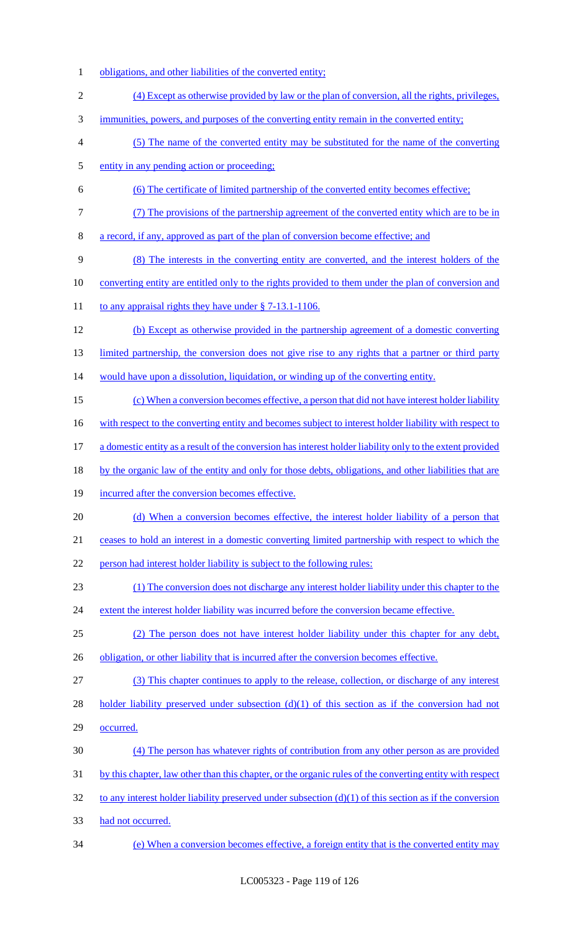obligations, and other liabilities of the converted entity; (4) Except as otherwise provided by law or the plan of conversion, all the rights, privileges, immunities, powers, and purposes of the converting entity remain in the converted entity; (5) The name of the converted entity may be substituted for the name of the converting entity in any pending action or proceeding; (6) The certificate of limited partnership of the converted entity becomes effective; (7) The provisions of the partnership agreement of the converted entity which are to be in a record, if any, approved as part of the plan of conversion become effective; and (8) The interests in the converting entity are converted, and the interest holders of the converting entity are entitled only to the rights provided to them under the plan of conversion and 11 to any appraisal rights they have under § 7-13.1-1106. (b) Except as otherwise provided in the partnership agreement of a domestic converting 13 limited partnership, the conversion does not give rise to any rights that a partner or third party 14 would have upon a dissolution, liquidation, or winding up of the converting entity. (c) When a conversion becomes effective, a person that did not have interest holder liability 16 with respect to the converting entity and becomes subject to interest holder liability with respect to a domestic entity as a result of the conversion has interest holder liability only to the extent provided 18 by the organic law of the entity and only for those debts, obligations, and other liabilities that are incurred after the conversion becomes effective. (d) When a conversion becomes effective, the interest holder liability of a person that ceases to hold an interest in a domestic converting limited partnership with respect to which the person had interest holder liability is subject to the following rules: (1) The conversion does not discharge any interest holder liability under this chapter to the 24 extent the interest holder liability was incurred before the conversion became effective. (2) The person does not have interest holder liability under this chapter for any debt, 26 obligation, or other liability that is incurred after the conversion becomes effective. (3) This chapter continues to apply to the release, collection, or discharge of any interest 28 holder liability preserved under subsection  $(d)(1)$  of this section as if the conversion had not occurred. (4) The person has whatever rights of contribution from any other person as are provided by this chapter, law other than this chapter, or the organic rules of the converting entity with respect 32 to any interest holder liability preserved under subsection  $(d)(1)$  of this section as if the conversion had not occurred. (e) When a conversion becomes effective, a foreign entity that is the converted entity may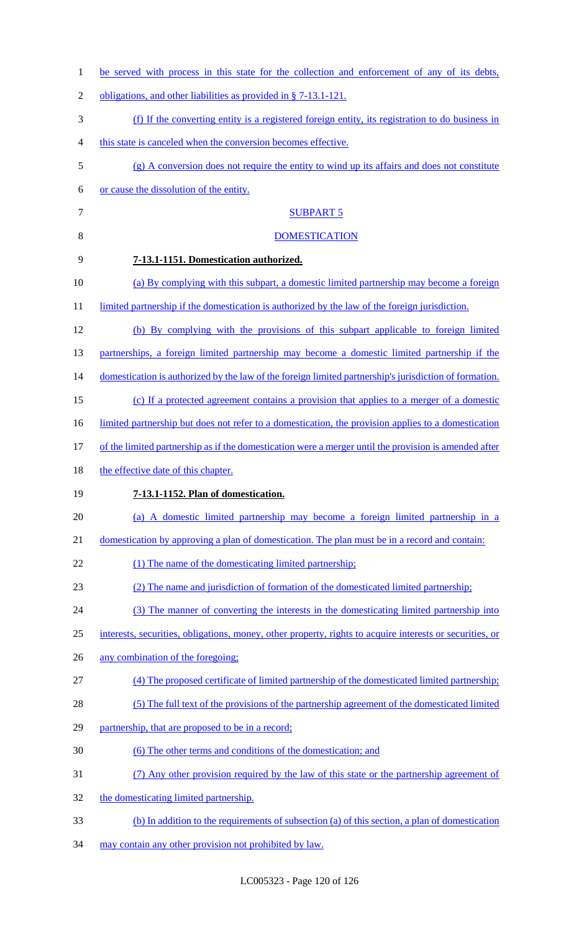| $\mathbf{1}$   | be served with process in this state for the collection and enforcement of any of its debts,             |
|----------------|----------------------------------------------------------------------------------------------------------|
| $\overline{c}$ | obligations, and other liabilities as provided in $\S$ 7-13.1-121.                                       |
| 3              | (f) If the converting entity is a registered foreign entity, its registration to do business in          |
| 4              | this state is canceled when the conversion becomes effective.                                            |
| 5              | $(g)$ A conversion does not require the entity to wind up its affairs and does not constitute            |
| 6              | or cause the dissolution of the entity.                                                                  |
| 7              | <b>SUBPART 5</b>                                                                                         |
| 8              | <b>DOMESTICATION</b>                                                                                     |
| 9              | 7-13.1-1151. Domestication authorized.                                                                   |
| 10             | (a) By complying with this subpart, a domestic limited partnership may become a foreign                  |
| 11             | limited partnership if the domestication is authorized by the law of the foreign jurisdiction.           |
| 12             | (b) By complying with the provisions of this subpart applicable to foreign limited                       |
| 13             | partnerships, a foreign limited partnership may become a domestic limited partnership if the             |
| 14             | domestication is authorized by the law of the foreign limited partnership's jurisdiction of formation.   |
| 15             | (c) If a protected agreement contains a provision that applies to a merger of a domestic                 |
| 16             | limited partnership but does not refer to a domestication, the provision applies to a domestication      |
| 17             | of the limited partnership as if the domestication were a merger until the provision is amended after    |
| 18             | the effective date of this chapter.                                                                      |
| 19             | 7-13.1-1152. Plan of domestication.                                                                      |
| 20             | (a) A domestic limited partnership may become a foreign limited partnership in a                         |
| 21             | domestication by approving a plan of domestication. The plan must be in a record and contain:            |
| 22             | (1) The name of the domesticating limited partnership;                                                   |
| 23             | (2) The name and jurisdiction of formation of the domesticated limited partnership;                      |
| 24             | (3) The manner of converting the interests in the domesticating limited partnership into                 |
| 25             | interests, securities, obligations, money, other property, rights to acquire interests or securities, or |
| 26             | any combination of the foregoing;                                                                        |
| 27             | (4) The proposed certificate of limited partnership of the domesticated limited partnership;             |
| 28             | (5) The full text of the provisions of the partnership agreement of the domesticated limited             |
| 29             | partnership, that are proposed to be in a record;                                                        |
| 30             | (6) The other terms and conditions of the domestication; and                                             |
| 31             | (7) Any other provision required by the law of this state or the partnership agreement of                |
| 32             | the domesticating limited partnership.                                                                   |
| 33             | (b) In addition to the requirements of subsection (a) of this section, a plan of domestication           |
| 34             | may contain any other provision not prohibited by law.                                                   |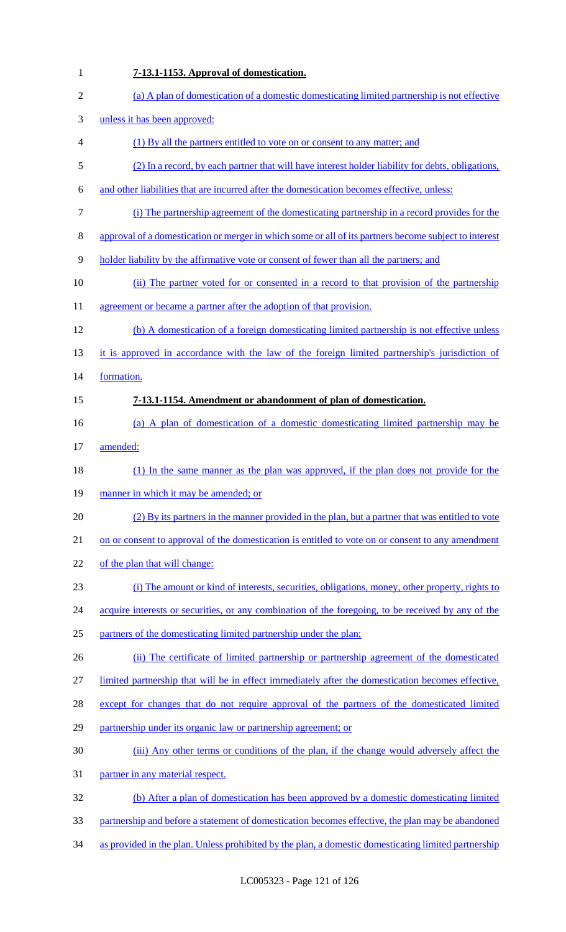| 1              | 7-13.1-1153. Approval of domestication.                                                               |
|----------------|-------------------------------------------------------------------------------------------------------|
| $\mathbf{2}$   | (a) A plan of domestication of a domestic domesticating limited partnership is not effective          |
| 3              | unless it has been approved:                                                                          |
| $\overline{4}$ | (1) By all the partners entitled to vote on or consent to any matter; and                             |
| 5              | (2) In a record, by each partner that will have interest holder liability for debts, obligations,     |
| 6              | and other liabilities that are incurred after the domestication becomes effective, unless:            |
| $\tau$         | (i) The partnership agreement of the domesticating partnership in a record provides for the           |
| 8              | approval of a domestication or merger in which some or all of its partners become subject to interest |
| 9              | holder liability by the affirmative vote or consent of fewer than all the partners; and               |
| 10             | (ii) The partner voted for or consented in a record to that provision of the partnership              |
| 11             | agreement or became a partner after the adoption of that provision.                                   |
| 12             | (b) A domestication of a foreign domesticating limited partnership is not effective unless            |
| 13             | it is approved in accordance with the law of the foreign limited partnership's jurisdiction of        |
| 14             | formation.                                                                                            |
| 15             | 7-13.1-1154. Amendment or abandonment of plan of domestication.                                       |
| 16             | (a) A plan of domestication of a domestic domesticating limited partnership may be                    |
| 17             | amended:                                                                                              |
| 18             | (1) In the same manner as the plan was approved, if the plan does not provide for the                 |
| 19             | manner in which it may be amended; or                                                                 |
| 20             | (2) By its partners in the manner provided in the plan, but a partner that was entitled to vote       |
| 21             | on or consent to approval of the domestication is entitled to vote on or consent to any amendment     |
| 22             | of the plan that will change:                                                                         |
| 23             | (i) The amount or kind of interests, securities, obligations, money, other property, rights to        |
| 24             | acquire interests or securities, or any combination of the foregoing, to be received by any of the    |
| 25             | partners of the domesticating limited partnership under the plan;                                     |
| 26             | (ii) The certificate of limited partnership or partnership agreement of the domesticated              |
| 27             | limited partnership that will be in effect immediately after the domestication becomes effective,     |
| 28             | except for changes that do not require approval of the partners of the domesticated limited           |
| 29             | partnership under its organic law or partnership agreement; or                                        |
| 30             | (iii) Any other terms or conditions of the plan, if the change would adversely affect the             |
| 31             | partner in any material respect.                                                                      |
| 32             | (b) After a plan of domestication has been approved by a domestic domesticating limited               |
| 33             | partnership and before a statement of domestication becomes effective, the plan may be abandoned      |
| 34             | as provided in the plan. Unless prohibited by the plan, a domestic domesticating limited partnership  |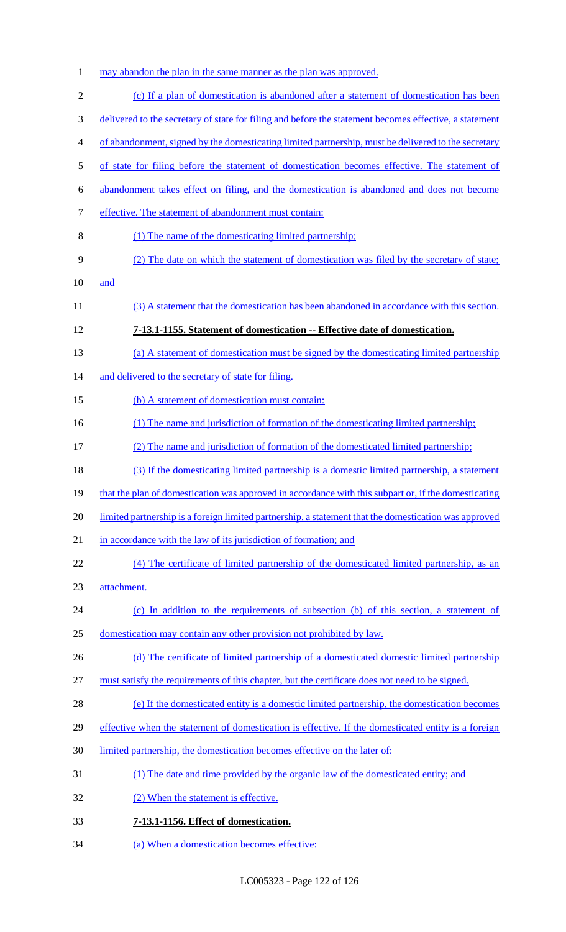| $\mathbf{1}$   | may abandon the plan in the same manner as the plan was approved.                                      |
|----------------|--------------------------------------------------------------------------------------------------------|
| $\overline{2}$ | (c) If a plan of domestication is abandoned after a statement of domestication has been                |
| $\mathfrak{Z}$ | delivered to the secretary of state for filing and before the statement becomes effective, a statement |
| 4              | of abandonment, signed by the domesticating limited partnership, must be delivered to the secretary    |
| $\mathfrak s$  | of state for filing before the statement of domestication becomes effective. The statement of          |
| 6              | abandonment takes effect on filing, and the domestication is abandoned and does not become             |
| $\tau$         | effective. The statement of abandonment must contain:                                                  |
| 8              | (1) The name of the domesticating limited partnership;                                                 |
| 9              | (2) The date on which the statement of domestication was filed by the secretary of state;              |
| 10             | and                                                                                                    |
| 11             | (3) A statement that the domestication has been abandoned in accordance with this section.             |
| 12             | 7-13.1-1155. Statement of domestication -- Effective date of domestication.                            |
| 13             | (a) A statement of domestication must be signed by the domesticating limited partnership               |
| 14             | and delivered to the secretary of state for filing.                                                    |
| 15             | (b) A statement of domestication must contain:                                                         |
| 16             | (1) The name and jurisdiction of formation of the domesticating limited partnership;                   |
| 17             | (2) The name and jurisdiction of formation of the domesticated limited partnership;                    |
| 18             | (3) If the domesticating limited partnership is a domestic limited partnership, a statement            |
| 19             | that the plan of domestication was approved in accordance with this subpart or, if the domesticating   |
| 20             | limited partnership is a foreign limited partnership, a statement that the domestication was approved  |
| 21             | in accordance with the law of its jurisdiction of formation; and                                       |
| 22             | (4) The certificate of limited partnership of the domesticated limited partnership, as an              |
| 23             | attachment.                                                                                            |
| 24             | (c) In addition to the requirements of subsection (b) of this section, a statement of                  |
| 25             | domestication may contain any other provision not prohibited by law.                                   |
| 26             | (d) The certificate of limited partnership of a domesticated domestic limited partnership              |
| 27             | must satisfy the requirements of this chapter, but the certificate does not need to be signed.         |
| 28             | (e) If the domesticated entity is a domestic limited partnership, the domestication becomes            |
| 29             | effective when the statement of domestication is effective. If the domesticated entity is a foreign    |
| 30             | limited partnership, the domestication becomes effective on the later of:                              |
| 31             | (1) The date and time provided by the organic law of the domesticated entity; and                      |
| 32             | (2) When the statement is effective.                                                                   |
| 33             | 7-13.1-1156. Effect of domestication.                                                                  |
| 34             | (a) When a domestication becomes effective:                                                            |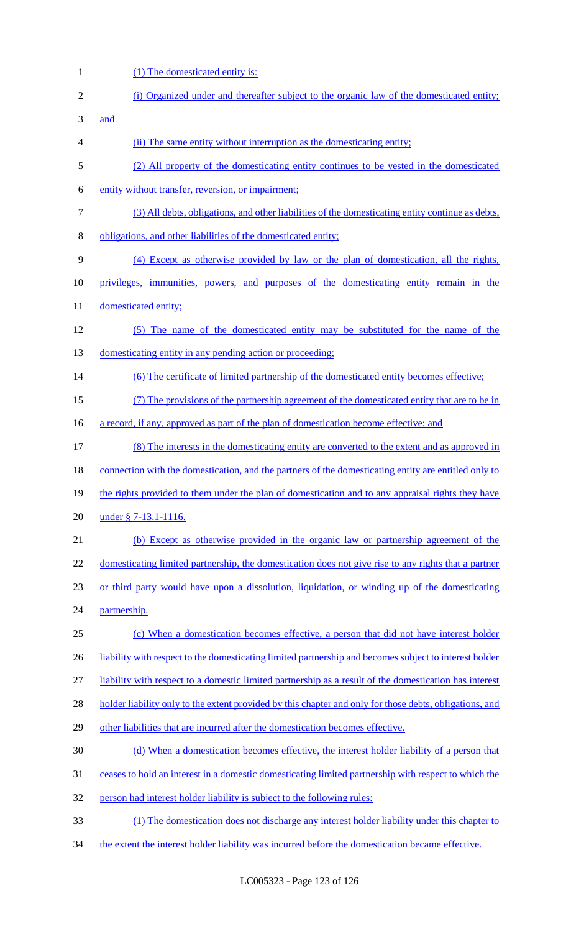(1) The domesticated entity is: (i) Organized under and thereafter subject to the organic law of the domesticated entity; and (ii) The same entity without interruption as the domesticating entity; (2) All property of the domesticating entity continues to be vested in the domesticated entity without transfer, reversion, or impairment; (3) All debts, obligations, and other liabilities of the domesticating entity continue as debts, obligations, and other liabilities of the domesticated entity; (4) Except as otherwise provided by law or the plan of domestication, all the rights, privileges, immunities, powers, and purposes of the domesticating entity remain in the 11 domesticated entity; (5) The name of the domesticated entity may be substituted for the name of the 13 domesticating entity in any pending action or proceeding; 14 (6) The certificate of limited partnership of the domesticated entity becomes effective; (7) The provisions of the partnership agreement of the domesticated entity that are to be in 16 a record, if any, approved as part of the plan of domestication become effective; and (8) The interests in the domesticating entity are converted to the extent and as approved in 18 connection with the domestication, and the partners of the domesticating entity are entitled only to 19 the rights provided to them under the plan of domestication and to any appraisal rights they have under § 7-13.1-1116. (b) Except as otherwise provided in the organic law or partnership agreement of the 22 domesticating limited partnership, the domestication does not give rise to any rights that a partner or third party would have upon a dissolution, liquidation, or winding up of the domesticating partnership. (c) When a domestication becomes effective, a person that did not have interest holder 26 liability with respect to the domesticating limited partnership and becomes subject to interest holder liability with respect to a domestic limited partnership as a result of the domestication has interest 28 holder liability only to the extent provided by this chapter and only for those debts, obligations, and 29 other liabilities that are incurred after the domestication becomes effective. (d) When a domestication becomes effective, the interest holder liability of a person that ceases to hold an interest in a domestic domesticating limited partnership with respect to which the person had interest holder liability is subject to the following rules: (1) The domestication does not discharge any interest holder liability under this chapter to 34 the extent the interest holder liability was incurred before the domestication became effective.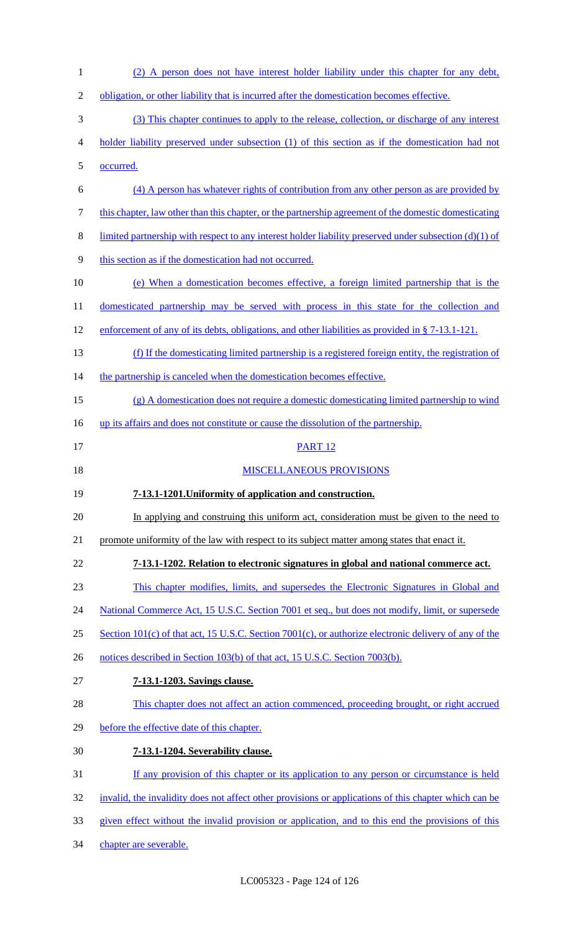| $\mathbf{1}$   | (2) A person does not have interest holder liability under this chapter for any debt,                      |
|----------------|------------------------------------------------------------------------------------------------------------|
| $\overline{c}$ | obligation, or other liability that is incurred after the domestication becomes effective.                 |
| 3              | (3) This chapter continues to apply to the release, collection, or discharge of any interest               |
| 4              | holder liability preserved under subsection (1) of this section as if the domestication had not            |
| 5              | occurred.                                                                                                  |
| 6              | (4) A person has whatever rights of contribution from any other person as are provided by                  |
| $\tau$         | this chapter, law other than this chapter, or the partnership agreement of the domestic domesticating      |
| 8              | limited partnership with respect to any interest holder liability preserved under subsection $(d)(1)$ of   |
| 9              | this section as if the domestication had not occurred.                                                     |
| 10             | (e) When a domestication becomes effective, a foreign limited partnership that is the                      |
| 11             | domesticated partnership may be served with process in this state for the collection and                   |
| 12             | enforcement of any of its debts, obligations, and other liabilities as provided in § 7-13.1-121.           |
| 13             | (f) If the domesticating limited partnership is a registered foreign entity, the registration of           |
| 14             | the partnership is canceled when the domestication becomes effective.                                      |
| 15             | (g) A domestication does not require a domestic domesticating limited partnership to wind                  |
| 16             | up its affairs and does not constitute or cause the dissolution of the partnership.                        |
| 17             | <b>PART 12</b>                                                                                             |
|                |                                                                                                            |
| 18             | <b>MISCELLANEOUS PROVISIONS</b>                                                                            |
| 19             | 7-13.1-1201. Uniformity of application and construction.                                                   |
| 20             | In applying and construing this uniform act, consideration must be given to the need to                    |
| 21             | promote uniformity of the law with respect to its subject matter among states that enact it.               |
| 22             | 7-13.1-1202. Relation to electronic signatures in global and national commerce act.                        |
| 23             | This chapter modifies, limits, and supersedes the Electronic Signatures in Global and                      |
| 24             | National Commerce Act, 15 U.S.C. Section 7001 et seq., but does not modify, limit, or supersede            |
| 25             | Section $101(c)$ of that act, 15 U.S.C. Section $7001(c)$ , or authorize electronic delivery of any of the |
| 26             | notices described in Section 103(b) of that act, 15 U.S.C. Section 7003(b).                                |
| 27             | 7-13.1-1203. Savings clause.                                                                               |
| 28             | This chapter does not affect an action commenced, proceeding brought, or right accrued                     |
| 29             | before the effective date of this chapter.                                                                 |
| 30             | 7-13.1-1204. Severability clause.                                                                          |
| 31             | If any provision of this chapter or its application to any person or circumstance is held                  |
| 32             | invalid, the invalidity does not affect other provisions or applications of this chapter which can be      |
| 33             | given effect without the invalid provision or application, and to this end the provisions of this          |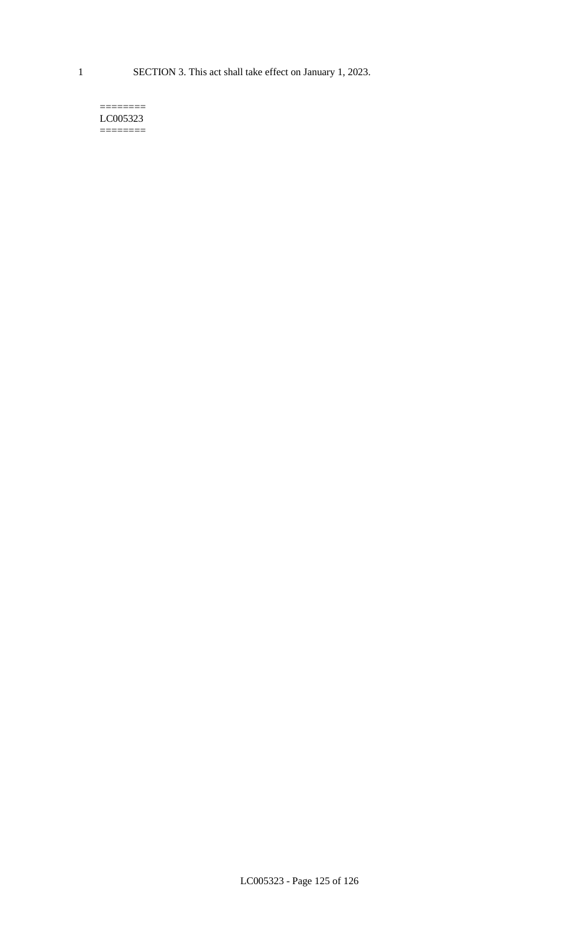1 SECTION 3. This act shall take effect on January 1, 2023.

#### $=$ LC005323 ========